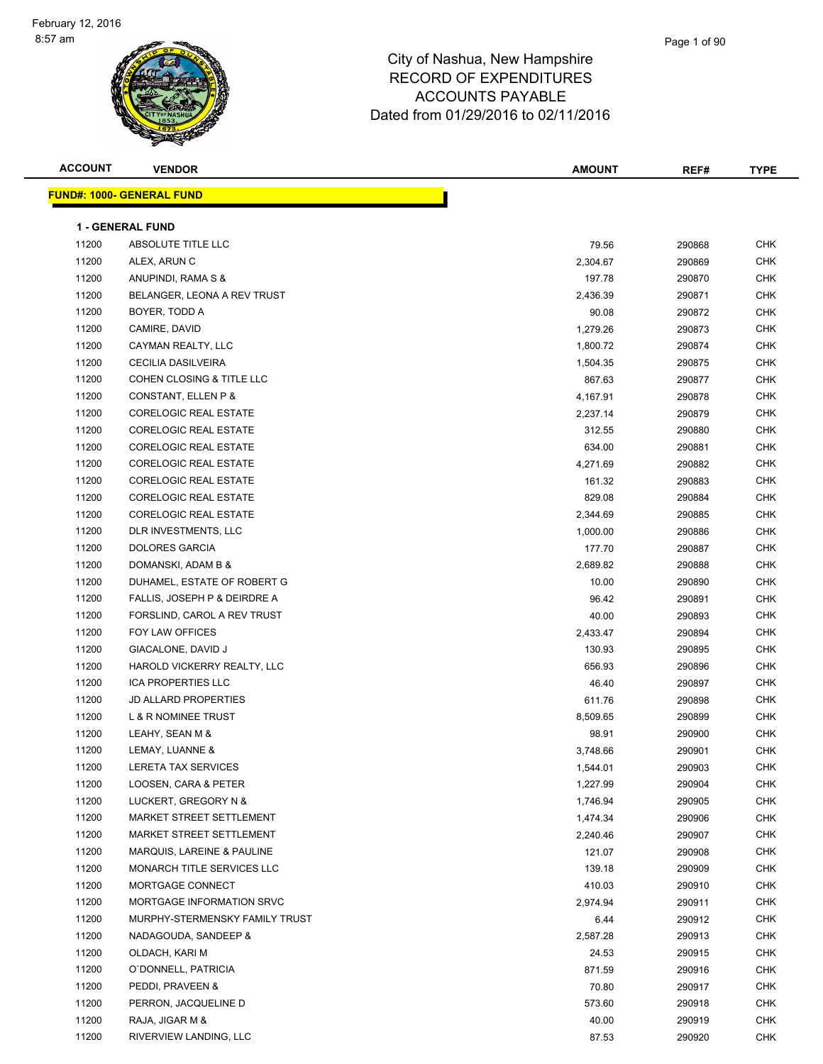| <b>ACCOUNT</b> | <b>VENDOR</b>                    | <b>AMOUNT</b> | REF#   | <b>TYPE</b> |
|----------------|----------------------------------|---------------|--------|-------------|
|                | <b>FUND#: 1000- GENERAL FUND</b> |               |        |             |
|                |                                  |               |        |             |
|                | <b>1 - GENERAL FUND</b>          |               |        |             |
| 11200          | ABSOLUTE TITLE LLC               | 79.56         | 290868 | <b>CHK</b>  |
| 11200          | ALEX, ARUN C                     | 2,304.67      | 290869 | <b>CHK</b>  |
| 11200          | ANUPINDI, RAMA S &               | 197.78        | 290870 | CHK         |
| 11200          | BELANGER, LEONA A REV TRUST      | 2,436.39      | 290871 | <b>CHK</b>  |
| 11200          | BOYER, TODD A                    | 90.08         | 290872 | <b>CHK</b>  |
| 11200          | CAMIRE, DAVID                    | 1,279.26      | 290873 | <b>CHK</b>  |
| 11200          | CAYMAN REALTY, LLC               | 1,800.72      | 290874 | <b>CHK</b>  |
| 11200          | <b>CECILIA DASILVEIRA</b>        | 1,504.35      | 290875 | CHK         |
| 11200          | COHEN CLOSING & TITLE LLC        | 867.63        | 290877 | CHK         |
| 11200          | CONSTANT, ELLEN P &              | 4,167.91      | 290878 | <b>CHK</b>  |
| 11200          | <b>CORELOGIC REAL ESTATE</b>     | 2,237.14      | 290879 | CHK         |
| 11200          | <b>CORELOGIC REAL ESTATE</b>     | 312.55        | 290880 | <b>CHK</b>  |
| 11200          | <b>CORELOGIC REAL ESTATE</b>     | 634.00        | 290881 | CHK         |
| 11200          | <b>CORELOGIC REAL ESTATE</b>     | 4,271.69      | 290882 | <b>CHK</b>  |
| 11200          | <b>CORELOGIC REAL ESTATE</b>     | 161.32        | 290883 | <b>CHK</b>  |
| 11200          | <b>CORELOGIC REAL ESTATE</b>     | 829.08        | 290884 | CHK         |
| 11200          | <b>CORELOGIC REAL ESTATE</b>     | 2,344.69      | 290885 | <b>CHK</b>  |
| 11200          | DLR INVESTMENTS, LLC             | 1,000.00      | 290886 | <b>CHK</b>  |
| 11200          | <b>DOLORES GARCIA</b>            | 177.70        | 290887 | <b>CHK</b>  |
| 11200          | DOMANSKI, ADAM B &               | 2,689.82      | 290888 | <b>CHK</b>  |
| 11200          | DUHAMEL, ESTATE OF ROBERT G      | 10.00         | 290890 | <b>CHK</b>  |
| 11200          | FALLIS, JOSEPH P & DEIRDRE A     | 96.42         | 290891 | <b>CHK</b>  |
| 11200          | FORSLIND, CAROL A REV TRUST      | 40.00         | 290893 | <b>CHK</b>  |
| 11200          | FOY LAW OFFICES                  | 2,433.47      | 290894 | <b>CHK</b>  |
| 11200          | GIACALONE, DAVID J               | 130.93        | 290895 | <b>CHK</b>  |
| 11200          | HAROLD VICKERRY REALTY, LLC      | 656.93        | 290896 | <b>CHK</b>  |
| 11200          | <b>ICA PROPERTIES LLC</b>        | 46.40         | 290897 | <b>CHK</b>  |
| 11200          | <b>JD ALLARD PROPERTIES</b>      | 611.76        | 290898 | <b>CHK</b>  |
| 11200          | L & R NOMINEE TRUST              | 8,509.65      | 290899 | <b>CHK</b>  |
| 11200          | LEAHY, SEAN M &                  | 98.91         | 290900 | <b>CHK</b>  |
| 11200          | LEMAY, LUANNE &                  | 3,748.66      | 290901 | <b>CHK</b>  |
| 11200          | LERETA TAX SERVICES              | 1,544.01      | 290903 | <b>CHK</b>  |
| 11200          | LOOSEN, CARA & PETER             | 1,227.99      | 290904 | <b>CHK</b>  |
| 11200          | LUCKERT, GREGORY N &             | 1,746.94      | 290905 | <b>CHK</b>  |
| 11200          | MARKET STREET SETTLEMENT         | 1,474.34      | 290906 | CHK         |
| 11200          | MARKET STREET SETTLEMENT         | 2,240.46      | 290907 | <b>CHK</b>  |
| 11200          | MARQUIS, LAREINE & PAULINE       | 121.07        | 290908 | <b>CHK</b>  |
| 11200          | MONARCH TITLE SERVICES LLC       | 139.18        | 290909 | CHK         |
| 11200          | MORTGAGE CONNECT                 | 410.03        | 290910 | <b>CHK</b>  |
| 11200          | MORTGAGE INFORMATION SRVC        | 2,974.94      | 290911 | <b>CHK</b>  |
| 11200          | MURPHY-STERMENSKY FAMILY TRUST   | 6.44          | 290912 | CHK         |
| 11200          | NADAGOUDA, SANDEEP &             | 2,587.28      | 290913 | CHK         |
| 11200          | OLDACH, KARI M                   | 24.53         | 290915 | CHK         |
| 11200          | O'DONNELL, PATRICIA              | 871.59        | 290916 | <b>CHK</b>  |
| 11200          | PEDDI, PRAVEEN &                 | 70.80         | 290917 | <b>CHK</b>  |
| 11200          | PERRON, JACQUELINE D             | 573.60        | 290918 | CHK         |
| 11200          | RAJA, JIGAR M &                  | 40.00         | 290919 | CHK         |
| 11200          | RIVERVIEW LANDING, LLC           | 87.53         | 290920 | <b>CHK</b>  |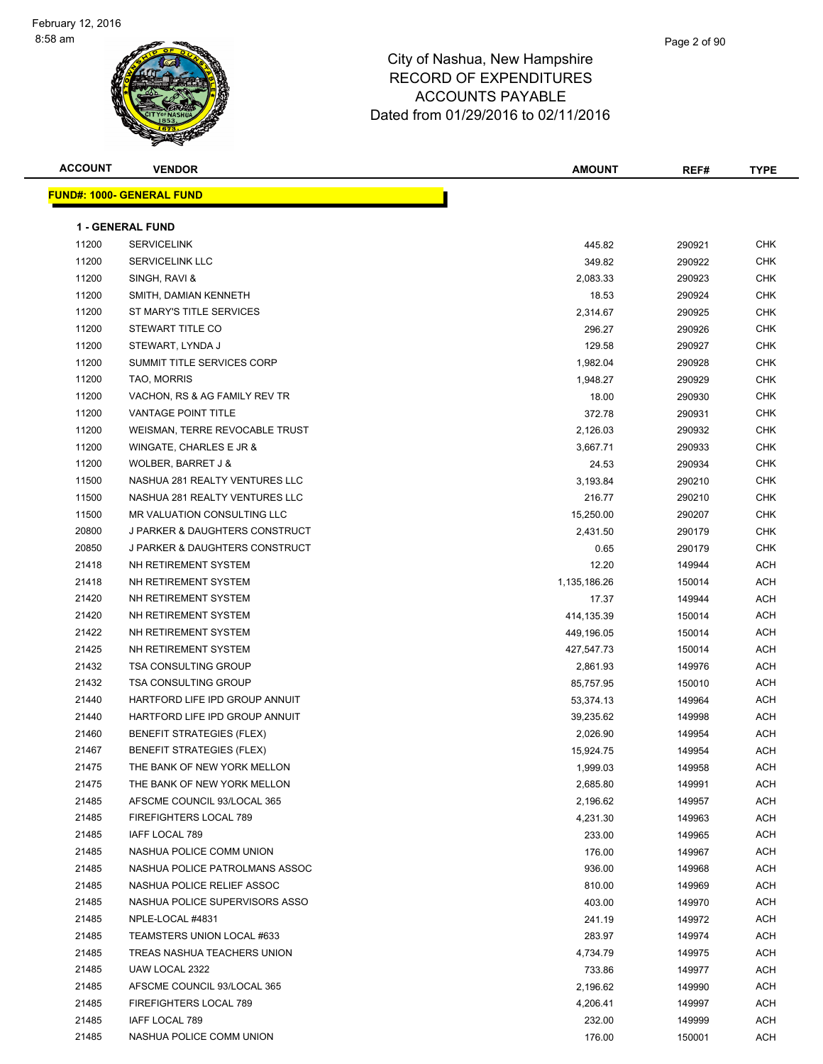| <b>ACCOUNT</b> | <b>VENDOR</b>                    | <b>AMOUNT</b> | REF#   | <b>TYPE</b> |
|----------------|----------------------------------|---------------|--------|-------------|
|                | <b>FUND#: 1000- GENERAL FUND</b> |               |        |             |
|                |                                  |               |        |             |
|                | <b>1 - GENERAL FUND</b>          |               |        |             |
| 11200          | <b>SERVICELINK</b>               | 445.82        | 290921 | <b>CHK</b>  |
| 11200          | <b>SERVICELINK LLC</b>           | 349.82        | 290922 | <b>CHK</b>  |
| 11200          | SINGH, RAVI &                    | 2,083.33      | 290923 | <b>CHK</b>  |
| 11200          | SMITH, DAMIAN KENNETH            | 18.53         | 290924 | CHK         |
| 11200          | ST MARY'S TITLE SERVICES         | 2,314.67      | 290925 | <b>CHK</b>  |
| 11200          | STEWART TITLE CO                 | 296.27        | 290926 | CHK         |
| 11200          | STEWART, LYNDA J                 | 129.58        | 290927 | <b>CHK</b>  |
| 11200          | SUMMIT TITLE SERVICES CORP       | 1,982.04      | 290928 | <b>CHK</b>  |
| 11200          | TAO, MORRIS                      | 1,948.27      | 290929 | CHK         |
| 11200          | VACHON, RS & AG FAMILY REV TR    | 18.00         | 290930 | <b>CHK</b>  |
| 11200          | <b>VANTAGE POINT TITLE</b>       | 372.78        | 290931 | <b>CHK</b>  |
| 11200          | WEISMAN, TERRE REVOCABLE TRUST   | 2,126.03      | 290932 | CHK         |
| 11200          | WINGATE, CHARLES E JR &          | 3,667.71      | 290933 | <b>CHK</b>  |
| 11200          | WOLBER, BARRET J &               | 24.53         | 290934 | <b>CHK</b>  |
| 11500          | NASHUA 281 REALTY VENTURES LLC   | 3,193.84      | 290210 | CHK         |
| 11500          | NASHUA 281 REALTY VENTURES LLC   | 216.77        | 290210 | CHK         |
| 11500          | MR VALUATION CONSULTING LLC      | 15,250.00     | 290207 | CHK         |
| 20800          | J PARKER & DAUGHTERS CONSTRUCT   | 2,431.50      | 290179 | <b>CHK</b>  |
| 20850          | J PARKER & DAUGHTERS CONSTRUCT   | 0.65          | 290179 | <b>CHK</b>  |
| 21418          | NH RETIREMENT SYSTEM             | 12.20         | 149944 | <b>ACH</b>  |
| 21418          | NH RETIREMENT SYSTEM             | 1,135,186.26  | 150014 | <b>ACH</b>  |
| 21420          | NH RETIREMENT SYSTEM             | 17.37         | 149944 | <b>ACH</b>  |
| 21420          | NH RETIREMENT SYSTEM             | 414,135.39    | 150014 | <b>ACH</b>  |
| 21422          | NH RETIREMENT SYSTEM             | 449,196.05    | 150014 | ACH         |
| 21425          | NH RETIREMENT SYSTEM             | 427,547.73    | 150014 | ACH         |
| 21432          | <b>TSA CONSULTING GROUP</b>      | 2,861.93      | 149976 | <b>ACH</b>  |
| 21432          | <b>TSA CONSULTING GROUP</b>      | 85,757.95     | 150010 | <b>ACH</b>  |
| 21440          | HARTFORD LIFE IPD GROUP ANNUIT   | 53,374.13     | 149964 | <b>ACH</b>  |
| 21440          | HARTFORD LIFE IPD GROUP ANNUIT   | 39,235.62     | 149998 | <b>ACH</b>  |
| 21460          | <b>BENEFIT STRATEGIES (FLEX)</b> | 2,026.90      | 149954 | <b>ACH</b>  |
| 21467          | <b>BENEFIT STRATEGIES (FLEX)</b> | 15,924.75     | 149954 | <b>ACH</b>  |
| 21475          | THE BANK OF NEW YORK MELLON      | 1,999.03      | 149958 | <b>ACH</b>  |
| 21475          | THE BANK OF NEW YORK MELLON      | 2,685.80      | 149991 | <b>ACH</b>  |
| 21485          | AFSCME COUNCIL 93/LOCAL 365      | 2,196.62      | 149957 | <b>ACH</b>  |
| 21485          | FIREFIGHTERS LOCAL 789           | 4,231.30      | 149963 | <b>ACH</b>  |
| 21485          | IAFF LOCAL 789                   | 233.00        | 149965 | <b>ACH</b>  |
| 21485          | NASHUA POLICE COMM UNION         | 176.00        | 149967 | <b>ACH</b>  |
| 21485          | NASHUA POLICE PATROLMANS ASSOC   | 936.00        | 149968 | <b>ACH</b>  |
| 21485          | NASHUA POLICE RELIEF ASSOC       | 810.00        | 149969 | <b>ACH</b>  |
| 21485          | NASHUA POLICE SUPERVISORS ASSO   | 403.00        | 149970 | <b>ACH</b>  |
| 21485          | NPLE-LOCAL #4831                 | 241.19        | 149972 | <b>ACH</b>  |
| 21485          | TEAMSTERS UNION LOCAL #633       | 283.97        | 149974 | <b>ACH</b>  |
| 21485          | TREAS NASHUA TEACHERS UNION      | 4,734.79      | 149975 | <b>ACH</b>  |
| 21485          | UAW LOCAL 2322                   | 733.86        | 149977 | <b>ACH</b>  |
| 21485          | AFSCME COUNCIL 93/LOCAL 365      | 2,196.62      | 149990 | <b>ACH</b>  |
| 21485          | FIREFIGHTERS LOCAL 789           | 4,206.41      | 149997 | <b>ACH</b>  |
| 21485          | IAFF LOCAL 789                   | 232.00        | 149999 | <b>ACH</b>  |
| 21485          | NASHUA POLICE COMM UNION         | 176.00        | 150001 | <b>ACH</b>  |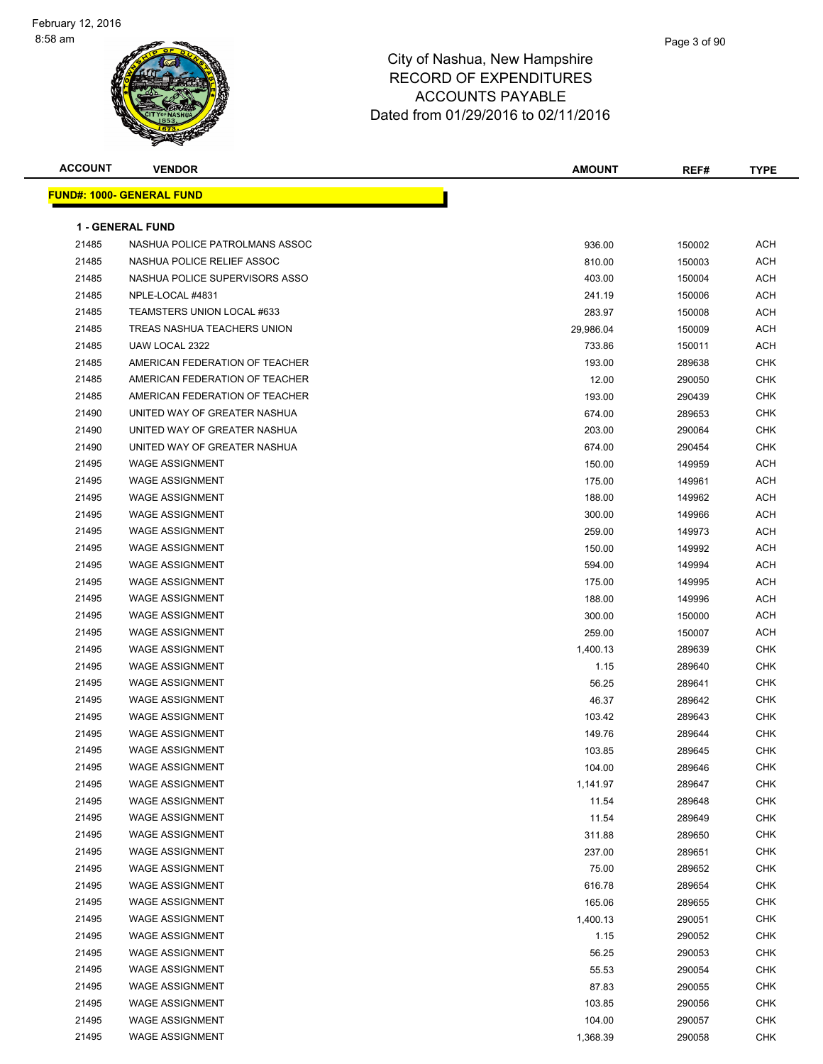| <b>ACCOUNT</b> | <b>VENDOR</b>                    | <b>AMOUNT</b> | REF#   | <b>TYPE</b> |
|----------------|----------------------------------|---------------|--------|-------------|
|                | <b>FUND#: 1000- GENERAL FUND</b> |               |        |             |
|                |                                  |               |        |             |
|                | <b>1 - GENERAL FUND</b>          |               |        |             |
| 21485          | NASHUA POLICE PATROLMANS ASSOC   | 936.00        | 150002 | ACH         |
| 21485          | NASHUA POLICE RELIEF ASSOC       | 810.00        | 150003 | ACH         |
| 21485          | NASHUA POLICE SUPERVISORS ASSO   | 403.00        | 150004 | <b>ACH</b>  |
| 21485          | NPLE-LOCAL #4831                 | 241.19        | 150006 | <b>ACH</b>  |
| 21485          | TEAMSTERS UNION LOCAL #633       | 283.97        | 150008 | <b>ACH</b>  |
| 21485          | TREAS NASHUA TEACHERS UNION      | 29,986.04     | 150009 | <b>ACH</b>  |
| 21485          | UAW LOCAL 2322                   | 733.86        | 150011 | <b>ACH</b>  |
| 21485          | AMERICAN FEDERATION OF TEACHER   | 193.00        | 289638 | <b>CHK</b>  |
| 21485          | AMERICAN FEDERATION OF TEACHER   | 12.00         | 290050 | CHK         |
| 21485          | AMERICAN FEDERATION OF TEACHER   | 193.00        | 290439 | CHK         |
| 21490          | UNITED WAY OF GREATER NASHUA     | 674.00        | 289653 | <b>CHK</b>  |
| 21490          | UNITED WAY OF GREATER NASHUA     | 203.00        | 290064 | CHK         |
| 21490          | UNITED WAY OF GREATER NASHUA     | 674.00        | 290454 | CHK         |
| 21495          | <b>WAGE ASSIGNMENT</b>           | 150.00        | 149959 | <b>ACH</b>  |
| 21495          | <b>WAGE ASSIGNMENT</b>           | 175.00        | 149961 | <b>ACH</b>  |
| 21495          | <b>WAGE ASSIGNMENT</b>           | 188.00        | 149962 | <b>ACH</b>  |
| 21495          | <b>WAGE ASSIGNMENT</b>           | 300.00        | 149966 | <b>ACH</b>  |
| 21495          | <b>WAGE ASSIGNMENT</b>           | 259.00        | 149973 | <b>ACH</b>  |
| 21495          | <b>WAGE ASSIGNMENT</b>           | 150.00        | 149992 | <b>ACH</b>  |
| 21495          | <b>WAGE ASSIGNMENT</b>           | 594.00        | 149994 | <b>ACH</b>  |
| 21495          | <b>WAGE ASSIGNMENT</b>           | 175.00        | 149995 | <b>ACH</b>  |
| 21495          | <b>WAGE ASSIGNMENT</b>           | 188.00        | 149996 | <b>ACH</b>  |
| 21495          | <b>WAGE ASSIGNMENT</b>           | 300.00        | 150000 | <b>ACH</b>  |
| 21495          | <b>WAGE ASSIGNMENT</b>           | 259.00        | 150007 | <b>ACH</b>  |
| 21495          | <b>WAGE ASSIGNMENT</b>           | 1,400.13      | 289639 | CHK         |
| 21495          | <b>WAGE ASSIGNMENT</b>           | 1.15          | 289640 | CHK         |
| 21495          | <b>WAGE ASSIGNMENT</b>           | 56.25         | 289641 | <b>CHK</b>  |
| 21495          | <b>WAGE ASSIGNMENT</b>           | 46.37         | 289642 | CHK         |
| 21495          | <b>WAGE ASSIGNMENT</b>           | 103.42        | 289643 | CHK         |
| 21495          | <b>WAGE ASSIGNMENT</b>           | 149.76        | 289644 | CHK         |
| 21495          | <b>WAGE ASSIGNMENT</b>           | 103.85        | 289645 | CHK         |
| 21495          | <b>WAGE ASSIGNMENT</b>           | 104.00        | 289646 | <b>CHK</b>  |
| 21495          | <b>WAGE ASSIGNMENT</b>           | 1,141.97      | 289647 | <b>CHK</b>  |
| 21495          | <b>WAGE ASSIGNMENT</b>           | 11.54         | 289648 | <b>CHK</b>  |
| 21495          | <b>WAGE ASSIGNMENT</b>           | 11.54         | 289649 | <b>CHK</b>  |
| 21495          | <b>WAGE ASSIGNMENT</b>           | 311.88        | 289650 | <b>CHK</b>  |
| 21495          | <b>WAGE ASSIGNMENT</b>           | 237.00        | 289651 | <b>CHK</b>  |
| 21495          | <b>WAGE ASSIGNMENT</b>           | 75.00         | 289652 | <b>CHK</b>  |
| 21495          | <b>WAGE ASSIGNMENT</b>           | 616.78        | 289654 | <b>CHK</b>  |
| 21495          | <b>WAGE ASSIGNMENT</b>           | 165.06        | 289655 | <b>CHK</b>  |
| 21495          | <b>WAGE ASSIGNMENT</b>           | 1,400.13      | 290051 | <b>CHK</b>  |
| 21495          | <b>WAGE ASSIGNMENT</b>           | 1.15          | 290052 | <b>CHK</b>  |
| 21495          | <b>WAGE ASSIGNMENT</b>           | 56.25         | 290053 | <b>CHK</b>  |
| 21495          | <b>WAGE ASSIGNMENT</b>           | 55.53         | 290054 | <b>CHK</b>  |
| 21495          | <b>WAGE ASSIGNMENT</b>           | 87.83         | 290055 | CHK         |
| 21495          | <b>WAGE ASSIGNMENT</b>           | 103.85        | 290056 | <b>CHK</b>  |
| 21495          | <b>WAGE ASSIGNMENT</b>           | 104.00        | 290057 | CHK         |
| 21495          | <b>WAGE ASSIGNMENT</b>           | 1,368.39      | 290058 | CHK         |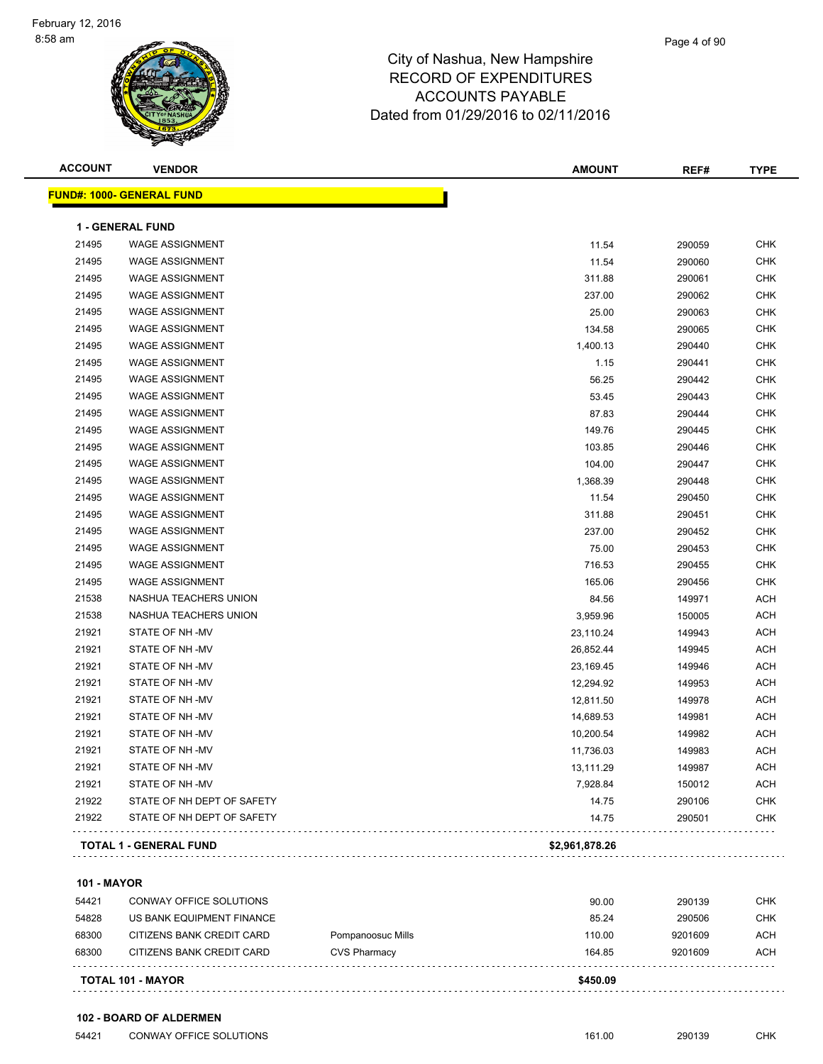| <b>ACCOUNT</b> | <b>VENDOR</b>                    | <b>AMOUNT</b>  | REF#   | <b>TYPE</b> |
|----------------|----------------------------------|----------------|--------|-------------|
|                | <b>FUND#: 1000- GENERAL FUND</b> |                |        |             |
|                | <b>1 - GENERAL FUND</b>          |                |        |             |
| 21495          | <b>WAGE ASSIGNMENT</b>           | 11.54          | 290059 | <b>CHK</b>  |
| 21495          | <b>WAGE ASSIGNMENT</b>           | 11.54          | 290060 | <b>CHK</b>  |
| 21495          | <b>WAGE ASSIGNMENT</b>           | 311.88         | 290061 | <b>CHK</b>  |
| 21495          | <b>WAGE ASSIGNMENT</b>           | 237.00         | 290062 | <b>CHK</b>  |
| 21495          | <b>WAGE ASSIGNMENT</b>           | 25.00          | 290063 | <b>CHK</b>  |
| 21495          | <b>WAGE ASSIGNMENT</b>           | 134.58         | 290065 | <b>CHK</b>  |
| 21495          | <b>WAGE ASSIGNMENT</b>           | 1,400.13       | 290440 | <b>CHK</b>  |
| 21495          | <b>WAGE ASSIGNMENT</b>           | 1.15           | 290441 | <b>CHK</b>  |
| 21495          | <b>WAGE ASSIGNMENT</b>           | 56.25          | 290442 | <b>CHK</b>  |
| 21495          | <b>WAGE ASSIGNMENT</b>           | 53.45          | 290443 | <b>CHK</b>  |
| 21495          | <b>WAGE ASSIGNMENT</b>           | 87.83          | 290444 | <b>CHK</b>  |
| 21495          | <b>WAGE ASSIGNMENT</b>           | 149.76         | 290445 | <b>CHK</b>  |
| 21495          | <b>WAGE ASSIGNMENT</b>           | 103.85         | 290446 | <b>CHK</b>  |
| 21495          | <b>WAGE ASSIGNMENT</b>           | 104.00         | 290447 | <b>CHK</b>  |
| 21495          | <b>WAGE ASSIGNMENT</b>           | 1,368.39       | 290448 | <b>CHK</b>  |
| 21495          | <b>WAGE ASSIGNMENT</b>           | 11.54          | 290450 | <b>CHK</b>  |
| 21495          | <b>WAGE ASSIGNMENT</b>           | 311.88         | 290451 | <b>CHK</b>  |
| 21495          | <b>WAGE ASSIGNMENT</b>           | 237.00         | 290452 | <b>CHK</b>  |
| 21495          | <b>WAGE ASSIGNMENT</b>           | 75.00          | 290453 | <b>CHK</b>  |
| 21495          | <b>WAGE ASSIGNMENT</b>           | 716.53         | 290455 | <b>CHK</b>  |
| 21495          | <b>WAGE ASSIGNMENT</b>           | 165.06         | 290456 | <b>CHK</b>  |
| 21538          | NASHUA TEACHERS UNION            | 84.56          | 149971 | <b>ACH</b>  |
| 21538          | NASHUA TEACHERS UNION            | 3,959.96       | 150005 | <b>ACH</b>  |
| 21921          | STATE OF NH-MV                   | 23,110.24      | 149943 | <b>ACH</b>  |
| 21921          | STATE OF NH-MV                   | 26,852.44      | 149945 | <b>ACH</b>  |
| 21921          | STATE OF NH-MV                   | 23,169.45      | 149946 | <b>ACH</b>  |
| 21921          | STATE OF NH -MV                  | 12,294.92      | 149953 | <b>ACH</b>  |
| 21921          | STATE OF NH-MV                   | 12,811.50      | 149978 | <b>ACH</b>  |
| 21921          | STATE OF NH-MV                   | 14,689.53      | 149981 | <b>ACH</b>  |
| 21921          | STATE OF NH-MV                   | 10,200.54      | 149982 | <b>ACH</b>  |
| 21921          | STATE OF NH-MV                   | 11,736.03      | 149983 | <b>ACH</b>  |
| 21921          | STATE OF NH-MV                   | 13,111.29      | 149987 | <b>ACH</b>  |
| 21921          | STATE OF NH-MV                   | 7,928.84       | 150012 | <b>ACH</b>  |
| 21922          | STATE OF NH DEPT OF SAFETY       | 14.75          | 290106 | <b>CHK</b>  |
| 21922          | STATE OF NH DEPT OF SAFETY       | 14.75          | 290501 | <b>CHK</b>  |
|                | <b>TOTAL 1 - GENERAL FUND</b>    | \$2,961,878.26 |        |             |
|                |                                  |                |        |             |

#### **101 - MAYOR**

| <b>TOTAL 101 - MAYOR</b> |                           |                     | \$450.09 |         |            |
|--------------------------|---------------------------|---------------------|----------|---------|------------|
| 68300                    | CITIZENS BANK CREDIT CARD | <b>CVS Pharmacy</b> | 164.85   | 9201609 | ACH        |
| 68300                    | CITIZENS BANK CREDIT CARD | Pompanoosuc Mills   | 110.00   | 9201609 | ACH        |
| 54828                    | US BANK EQUIPMENT FINANCE |                     | 85.24    | 290506  | <b>CHK</b> |
| 54421                    | CONWAY OFFICE SOLUTIONS   |                     | 90.00    | 290139  | <b>CHK</b> |

CONWAY OFFICE SOLUTIONS 161.00 290139 CHK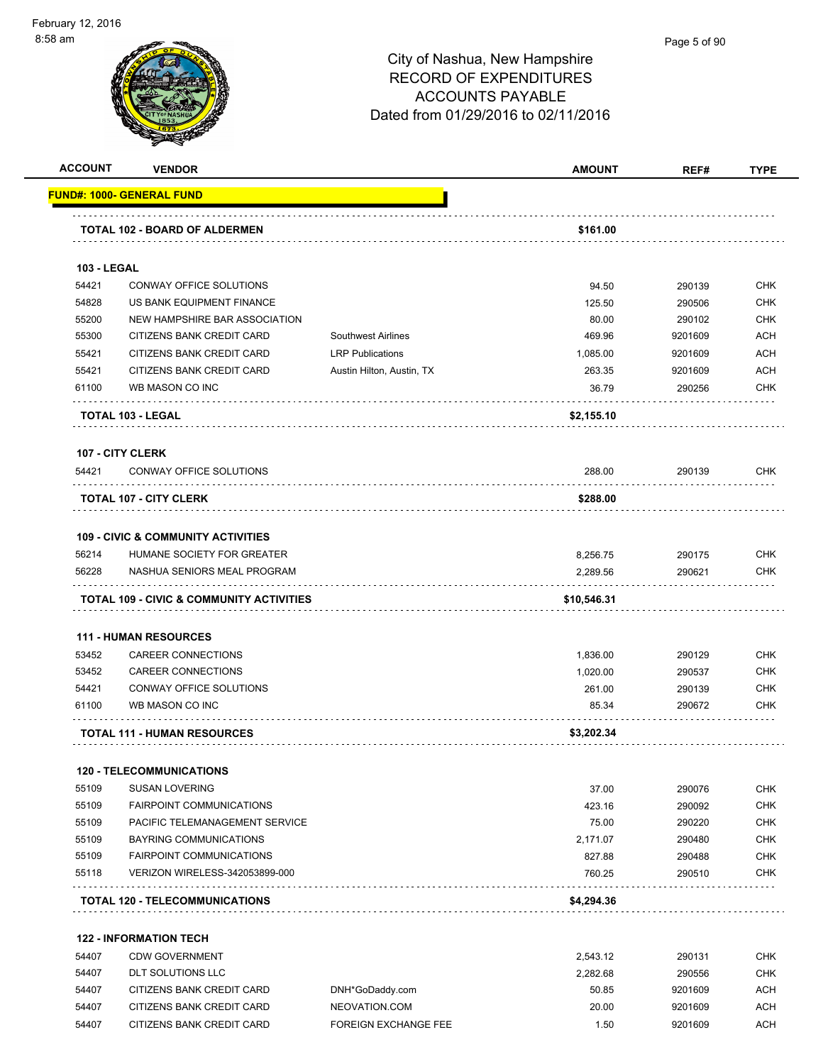#### Page 5 of 90

| <b>ACCOUNT</b>     | <b>VENDOR</b>                                                     |                           | <b>AMOUNT</b> | REF#             | <b>TYPE</b>              |
|--------------------|-------------------------------------------------------------------|---------------------------|---------------|------------------|--------------------------|
|                    | <b>FUND#: 1000- GENERAL FUND</b>                                  |                           |               |                  |                          |
|                    | <b>TOTAL 102 - BOARD OF ALDERMEN</b>                              |                           | \$161.00      |                  |                          |
| <b>103 - LEGAL</b> |                                                                   |                           |               |                  |                          |
| 54421              | CONWAY OFFICE SOLUTIONS                                           |                           | 94.50         | 290139           | <b>CHK</b>               |
| 54828              | US BANK EQUIPMENT FINANCE                                         |                           | 125.50        | 290506           | <b>CHK</b>               |
| 55200              | NEW HAMPSHIRE BAR ASSOCIATION                                     |                           | 80.00         | 290102           | <b>CHK</b>               |
| 55300              | CITIZENS BANK CREDIT CARD                                         | <b>Southwest Airlines</b> | 469.96        | 9201609          | ACH                      |
| 55421              | CITIZENS BANK CREDIT CARD                                         | <b>LRP</b> Publications   | 1,085.00      | 9201609          | <b>ACH</b>               |
| 55421              | CITIZENS BANK CREDIT CARD                                         | Austin Hilton, Austin, TX | 263.35        | 9201609          | <b>ACH</b>               |
| 61100              | WB MASON CO INC                                                   |                           | 36.79         | 290256           | CHK                      |
|                    | TOTAL 103 - LEGAL                                                 |                           | \$2,155.10    |                  |                          |
|                    |                                                                   |                           |               |                  |                          |
| 54421              | 107 - CITY CLERK<br>CONWAY OFFICE SOLUTIONS                       |                           | 288.00        | 290139           | <b>CHK</b>               |
|                    |                                                                   |                           |               |                  |                          |
|                    | <b>TOTAL 107 - CITY CLERK</b>                                     |                           | \$288.00      |                  |                          |
|                    | <b>109 - CIVIC &amp; COMMUNITY ACTIVITIES</b>                     |                           |               |                  |                          |
| 56214              | HUMANE SOCIETY FOR GREATER                                        |                           | 8,256.75      | 290175           | <b>CHK</b>               |
| 56228              | NASHUA SENIORS MEAL PROGRAM                                       |                           | 2,289.56      | 290621           | CHK                      |
|                    | <b>TOTAL 109 - CIVIC &amp; COMMUNITY ACTIVITIES</b>               |                           | \$10,546.31   |                  |                          |
|                    | <b>111 - HUMAN RESOURCES</b>                                      |                           |               |                  |                          |
| 53452              | CAREER CONNECTIONS                                                |                           | 1,836.00      | 290129           | <b>CHK</b>               |
| 53452              | CAREER CONNECTIONS                                                |                           | 1,020.00      | 290537           | <b>CHK</b>               |
| 54421              | CONWAY OFFICE SOLUTIONS                                           |                           | 261.00        | 290139           | CHK                      |
| 61100              | WB MASON CO INC                                                   |                           | 85.34         | 290672           | <b>CHK</b>               |
|                    | <b>TOTAL 111 - HUMAN RESOURCES</b>                                |                           | \$3,202.34    |                  |                          |
|                    |                                                                   |                           |               |                  |                          |
|                    | <b>120 - TELECOMMUNICATIONS</b>                                   |                           |               |                  |                          |
| 55109              | <b>SUSAN LOVERING</b>                                             |                           | 37.00         | 290076           | CHK                      |
| 55109              | <b>FAIRPOINT COMMUNICATIONS</b>                                   |                           | 423.16        | 290092           | <b>CHK</b>               |
| 55109              | PACIFIC TELEMANAGEMENT SERVICE                                    |                           | 75.00         | 290220           | <b>CHK</b>               |
| 55109              | <b>BAYRING COMMUNICATIONS</b>                                     |                           | 2,171.07      | 290480           | <b>CHK</b>               |
| 55109<br>55118     | <b>FAIRPOINT COMMUNICATIONS</b><br>VERIZON WIRELESS-342053899-000 |                           | 827.88        | 290488<br>290510 | <b>CHK</b><br><b>CHK</b> |
|                    |                                                                   |                           | 760.25        |                  |                          |
|                    | <b>TOTAL 120 - TELECOMMUNICATIONS</b>                             |                           | \$4,294.36    |                  |                          |
|                    | <b>122 - INFORMATION TECH</b>                                     |                           |               |                  |                          |
| 54407              | <b>CDW GOVERNMENT</b>                                             |                           | 2,543.12      | 290131           | <b>CHK</b>               |
| 54407              | DLT SOLUTIONS LLC                                                 |                           | 2,282.68      | 290556           | <b>CHK</b>               |
|                    | CITIZENS BANK CREDIT CARD                                         | DNH*GoDaddy.com           | 50.85         | 9201609          | <b>ACH</b>               |
| 54407              |                                                                   |                           |               |                  |                          |
| 54407              | CITIZENS BANK CREDIT CARD                                         | NEOVATION.COM             | 20.00         | 9201609          | <b>ACH</b>               |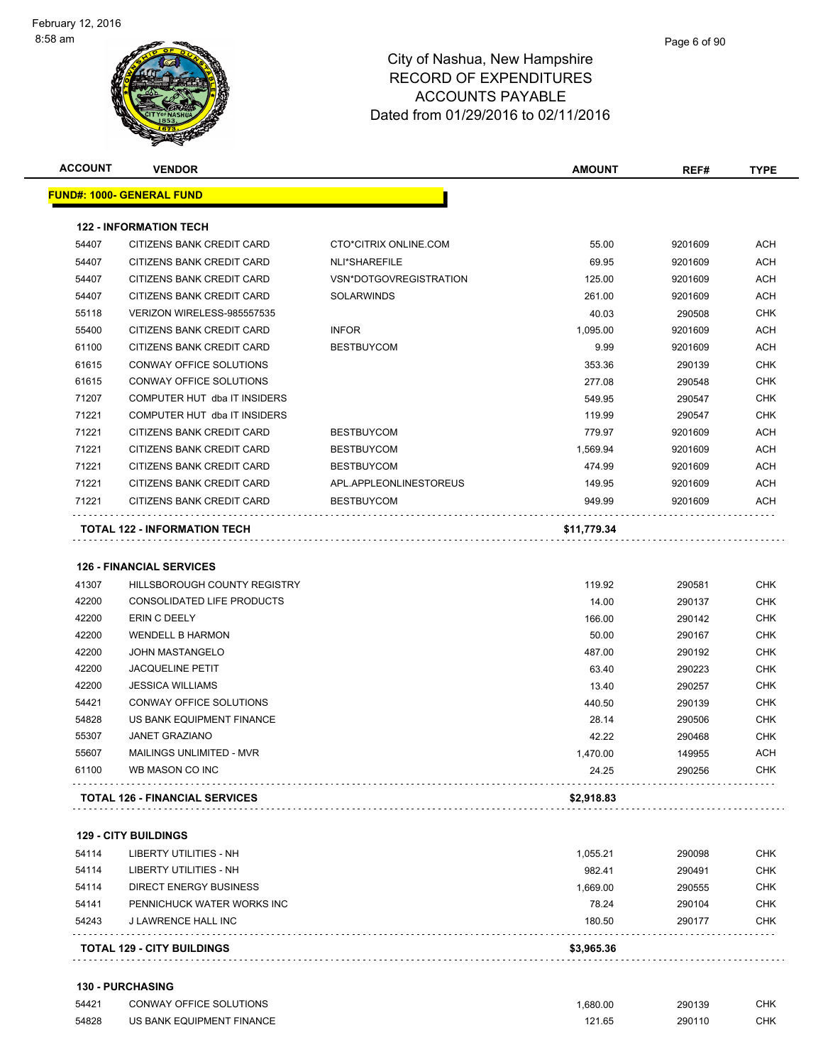| <b>ACCOUNT</b> | <b>VENDOR</b>                         |                        | <b>AMOUNT</b> | REF#    | <b>TYPE</b> |
|----------------|---------------------------------------|------------------------|---------------|---------|-------------|
|                | <u> FUND#: 1000- GENERAL FUND</u>     |                        |               |         |             |
|                | <b>122 - INFORMATION TECH</b>         |                        |               |         |             |
| 54407          | <b>CITIZENS BANK CREDIT CARD</b>      | CTO*CITRIX ONLINE.COM  | 55.00         | 9201609 | ACH         |
| 54407          | CITIZENS BANK CREDIT CARD             | NLI*SHAREFILE          | 69.95         | 9201609 | <b>ACH</b>  |
| 54407          | CITIZENS BANK CREDIT CARD             | VSN*DOTGOVREGISTRATION | 125.00        | 9201609 | ACH         |
| 54407          | CITIZENS BANK CREDIT CARD             | SOLARWINDS             | 261.00        | 9201609 | ACH         |
| 55118          | VERIZON WIRELESS-985557535            |                        | 40.03         | 290508  | <b>CHK</b>  |
| 55400          | CITIZENS BANK CREDIT CARD             | <b>INFOR</b>           | 1,095.00      | 9201609 | ACH         |
| 61100          | CITIZENS BANK CREDIT CARD             | <b>BESTBUYCOM</b>      | 9.99          | 9201609 | ACH         |
| 61615          | CONWAY OFFICE SOLUTIONS               |                        | 353.36        | 290139  | <b>CHK</b>  |
| 61615          | CONWAY OFFICE SOLUTIONS               |                        | 277.08        | 290548  | <b>CHK</b>  |
| 71207          | COMPUTER HUT dba IT INSIDERS          |                        | 549.95        | 290547  | <b>CHK</b>  |
| 71221          | COMPUTER HUT dba IT INSIDERS          |                        | 119.99        | 290547  | <b>CHK</b>  |
| 71221          | CITIZENS BANK CREDIT CARD             | <b>BESTBUYCOM</b>      | 779.97        | 9201609 | ACH         |
| 71221          | CITIZENS BANK CREDIT CARD             | <b>BESTBUYCOM</b>      | 1,569.94      | 9201609 | ACH         |
| 71221          | CITIZENS BANK CREDIT CARD             | <b>BESTBUYCOM</b>      | 474.99        | 9201609 | <b>ACH</b>  |
| 71221          | CITIZENS BANK CREDIT CARD             | APL.APPLEONLINESTOREUS | 149.95        | 9201609 | ACH         |
| 71221          | CITIZENS BANK CREDIT CARD             | <b>BESTBUYCOM</b>      | 949.99        | 9201609 | ACH         |
|                | <b>TOTAL 122 - INFORMATION TECH</b>   |                        | \$11,779.34   |         |             |
| 41307          | <b>HILLSBOROUGH COUNTY REGISTRY</b>   |                        | 119.92        | 290581  | CHK         |
| 42200          | CONSOLIDATED LIFE PRODUCTS            |                        | 14.00         | 290137  | CHK         |
| 42200          | ERIN C DEELY                          |                        | 166.00        | 290142  | <b>CHK</b>  |
| 42200          | <b>WENDELL B HARMON</b>               |                        | 50.00         | 290167  | <b>CHK</b>  |
| 42200          | <b>JOHN MASTANGELO</b>                |                        | 487.00        | 290192  | <b>CHK</b>  |
| 42200          | <b>JACQUELINE PETIT</b>               |                        | 63.40         | 290223  | <b>CHK</b>  |
| 42200          | <b>JESSICA WILLIAMS</b>               |                        | 13.40         | 290257  | <b>CHK</b>  |
| 54421          | <b>CONWAY OFFICE SOLUTIONS</b>        |                        | 440.50        | 290139  | <b>CHK</b>  |
| 54828          | US BANK EQUIPMENT FINANCE             |                        | 28.14         | 290506  | <b>CHK</b>  |
| 55307          | <b>JANET GRAZIANO</b>                 |                        | 42.22         | 290468  | <b>CHK</b>  |
| 55607          | MAILINGS UNLIMITED - MVR              |                        | 1,470.00      | 149955  | <b>ACH</b>  |
| 61100          | WB MASON CO INC                       |                        | 24.25         | 290256  | CHK         |
|                | <b>TOTAL 126 - FINANCIAL SERVICES</b> |                        | \$2,918.83    |         |             |
|                |                                       |                        |               |         |             |
|                | <b>129 - CITY BUILDINGS</b>           |                        |               |         |             |
| 54114          | <b>LIBERTY UTILITIES - NH</b>         |                        | 1,055.21      | 290098  | <b>CHK</b>  |
| 54114          | <b>LIBERTY UTILITIES - NH</b>         |                        | 982.41        | 290491  | <b>CHK</b>  |
| 54114          | <b>DIRECT ENERGY BUSINESS</b>         |                        | 1,669.00      | 290555  | <b>CHK</b>  |
| 54141          | PENNICHUCK WATER WORKS INC            |                        | 78.24         | 290104  | <b>CHK</b>  |
| 54243          | J LAWRENCE HALL INC                   |                        | 180.50        | 290177  | <b>CHK</b>  |
|                | <b>TOTAL 129 - CITY BUILDINGS</b>     |                        | \$3,965.36    |         |             |
|                |                                       |                        |               |         |             |

### **130 - PURCHASING**

| 54421 | <b>CONWAY OFFICE SOLUTIONS</b> | 1.680.00 | 290139 | CHK |
|-------|--------------------------------|----------|--------|-----|
| 54828 | US BANK EQUIPMENT FINANCE      | 121.65   | 290110 | CHK |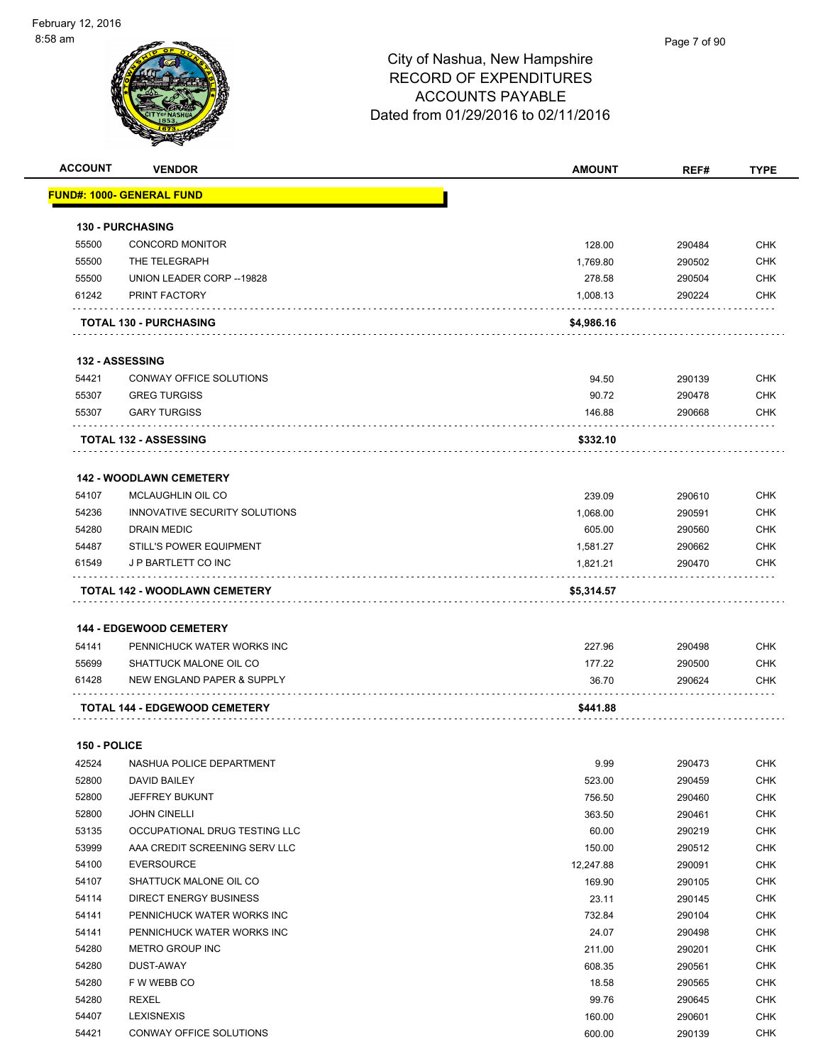

| <b>ACCOUNT</b> | <b>VENDOR</b>                        | <b>AMOUNT</b> | REF#   | <b>TYPE</b> |
|----------------|--------------------------------------|---------------|--------|-------------|
|                | <b>FUND#: 1000- GENERAL FUND</b>     |               |        |             |
|                |                                      |               |        |             |
|                | <b>130 - PURCHASING</b>              |               |        |             |
| 55500          | <b>CONCORD MONITOR</b>               | 128.00        | 290484 | <b>CHK</b>  |
| 55500          | THE TELEGRAPH                        | 1,769.80      | 290502 | <b>CHK</b>  |
| 55500          | UNION LEADER CORP -- 19828           | 278.58        | 290504 | <b>CHK</b>  |
| 61242          | PRINT FACTORY                        | 1,008.13      | 290224 | <b>CHK</b>  |
|                | <b>TOTAL 130 - PURCHASING</b>        | \$4,986.16    |        |             |
|                | 132 - ASSESSING                      |               |        |             |
| 54421          | CONWAY OFFICE SOLUTIONS              | 94.50         | 290139 | <b>CHK</b>  |
| 55307          | <b>GREG TURGISS</b>                  | 90.72         | 290478 | <b>CHK</b>  |
| 55307          | <b>GARY TURGISS</b>                  | 146.88        | 290668 | CHK         |
|                |                                      |               |        |             |
|                | <b>TOTAL 132 - ASSESSING</b>         | \$332.10      |        |             |
|                | <b>142 - WOODLAWN CEMETERY</b>       |               |        |             |
| 54107          | <b>MCLAUGHLIN OIL CO</b>             | 239.09        | 290610 | <b>CHK</b>  |
| 54236          | INNOVATIVE SECURITY SOLUTIONS        | 1,068.00      | 290591 | <b>CHK</b>  |
| 54280          | <b>DRAIN MEDIC</b>                   | 605.00        | 290560 | CHK         |
| 54487          | <b>STILL'S POWER EQUIPMENT</b>       | 1,581.27      | 290662 | CHK         |
| 61549          | J P BARTLETT CO INC                  | 1,821.21      | 290470 | <b>CHK</b>  |
|                | TOTAL 142 - WOODLAWN CEMETERY        | \$5,314.57    |        |             |
|                |                                      |               |        |             |
|                | <b>144 - EDGEWOOD CEMETERY</b>       |               |        |             |
| 54141          | PENNICHUCK WATER WORKS INC           | 227.96        | 290498 | <b>CHK</b>  |
| 55699          | SHATTUCK MALONE OIL CO               | 177.22        | 290500 | <b>CHK</b>  |
| 61428          | NEW ENGLAND PAPER & SUPPLY           | 36.70         | 290624 | CHK         |
|                | <b>TOTAL 144 - EDGEWOOD CEMETERY</b> | \$441.88      |        |             |
| 150 - POLICE   |                                      |               |        |             |
| 42524          | NASHUA POLICE DEPARTMENT             | 9.99          | 290473 | CHK         |
| 52800          | DAVID BAILEY                         | 523.00        | 290459 | <b>CHK</b>  |
| 52800          | JEFFREY BUKUNT                       | 756.50        | 290460 | <b>CHK</b>  |
| 52800          | <b>JOHN CINELLI</b>                  | 363.50        | 290461 | <b>CHK</b>  |
| 53135          | OCCUPATIONAL DRUG TESTING LLC        | 60.00         | 290219 | <b>CHK</b>  |
| 53999          | AAA CREDIT SCREENING SERV LLC        | 150.00        | 290512 | <b>CHK</b>  |
| 54100          | <b>EVERSOURCE</b>                    | 12,247.88     | 290091 | <b>CHK</b>  |
| 54107          | SHATTUCK MALONE OIL CO               | 169.90        | 290105 | <b>CHK</b>  |
| 54114          | DIRECT ENERGY BUSINESS               | 23.11         | 290145 | <b>CHK</b>  |
| 54141          | PENNICHUCK WATER WORKS INC           | 732.84        | 290104 | <b>CHK</b>  |
| 54141          | PENNICHUCK WATER WORKS INC           | 24.07         | 290498 | <b>CHK</b>  |
| 54280          | METRO GROUP INC                      | 211.00        | 290201 | <b>CHK</b>  |
| 54280          | DUST-AWAY                            | 608.35        | 290561 | <b>CHK</b>  |
| 54280          | F W WEBB CO                          | 18.58         | 290565 | <b>CHK</b>  |
| 54280          | REXEL                                | 99.76         | 290645 | <b>CHK</b>  |
| 54407          | <b>LEXISNEXIS</b>                    | 160.00        | 290601 | <b>CHK</b>  |
| 54421          | CONWAY OFFICE SOLUTIONS              | 600.00        | 290139 | <b>CHK</b>  |
|                |                                      |               |        |             |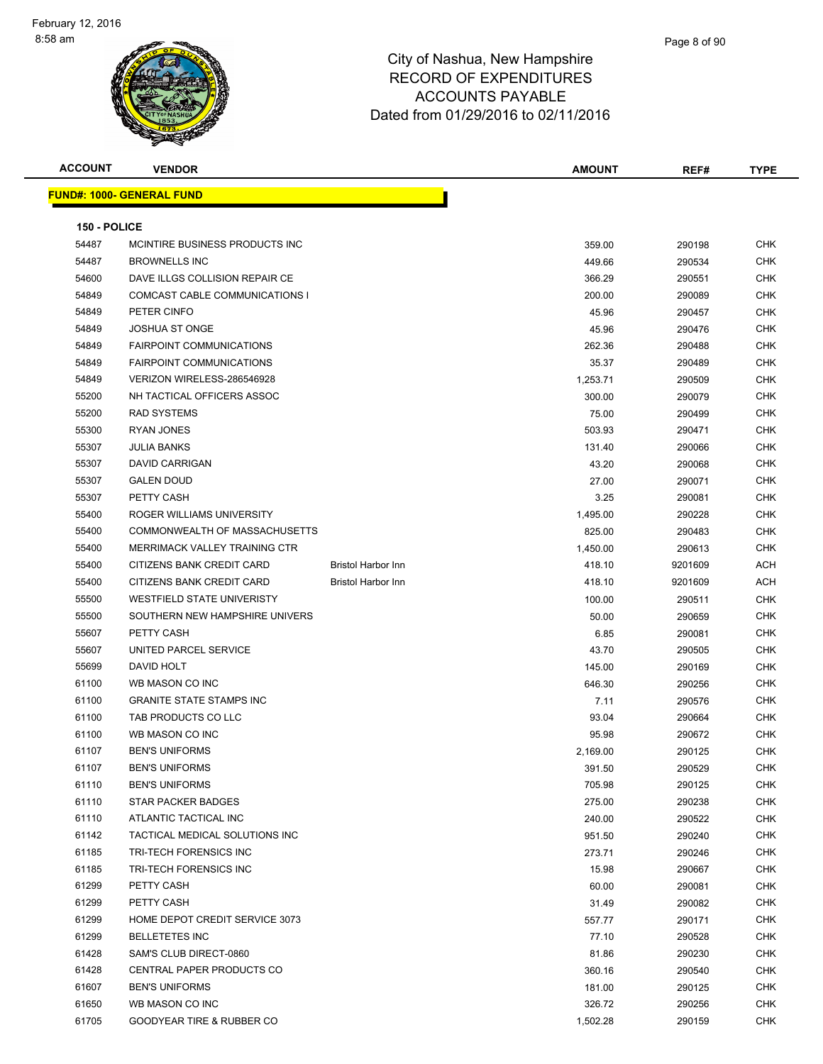

| <b>ACCOUNT</b> | <b>VENDOR</b>                    |                           | <b>AMOUNT</b> | REF#    | <b>TYPE</b> |
|----------------|----------------------------------|---------------------------|---------------|---------|-------------|
|                | <b>FUND#: 1000- GENERAL FUND</b> |                           |               |         |             |
|                |                                  |                           |               |         |             |
| 150 - POLICE   |                                  |                           |               |         |             |
| 54487          | MCINTIRE BUSINESS PRODUCTS INC   |                           | 359.00        | 290198  | CHK         |
| 54487          | <b>BROWNELLS INC</b>             |                           | 449.66        | 290534  | <b>CHK</b>  |
| 54600          | DAVE ILLGS COLLISION REPAIR CE   |                           | 366.29        | 290551  | CHK         |
| 54849          | COMCAST CABLE COMMUNICATIONS I   |                           | 200.00        | 290089  | CHK         |
| 54849          | PETER CINFO                      |                           | 45.96         | 290457  | <b>CHK</b>  |
| 54849          | <b>JOSHUA ST ONGE</b>            |                           | 45.96         | 290476  | <b>CHK</b>  |
| 54849          | <b>FAIRPOINT COMMUNICATIONS</b>  |                           | 262.36        | 290488  | <b>CHK</b>  |
| 54849          | <b>FAIRPOINT COMMUNICATIONS</b>  |                           | 35.37         | 290489  | <b>CHK</b>  |
| 54849          | VERIZON WIRELESS-286546928       |                           | 1,253.71      | 290509  | CHK         |
| 55200          | NH TACTICAL OFFICERS ASSOC       |                           | 300.00        | 290079  | CHK         |
| 55200          | <b>RAD SYSTEMS</b>               |                           | 75.00         | 290499  | <b>CHK</b>  |
| 55300          | <b>RYAN JONES</b>                |                           | 503.93        | 290471  | CHK         |
| 55307          | <b>JULIA BANKS</b>               |                           | 131.40        | 290066  | CHK         |
| 55307          | <b>DAVID CARRIGAN</b>            |                           | 43.20         | 290068  | CHK         |
| 55307          | <b>GALEN DOUD</b>                |                           | 27.00         | 290071  | CHK         |
| 55307          | PETTY CASH                       |                           | 3.25          | 290081  | <b>CHK</b>  |
| 55400          | ROGER WILLIAMS UNIVERSITY        |                           | 1,495.00      | 290228  | CHK         |
| 55400          | COMMONWEALTH OF MASSACHUSETTS    |                           | 825.00        | 290483  | <b>CHK</b>  |
| 55400          | MERRIMACK VALLEY TRAINING CTR    |                           | 1,450.00      | 290613  | CHK         |
| 55400          | CITIZENS BANK CREDIT CARD        | <b>Bristol Harbor Inn</b> | 418.10        | 9201609 | ACH         |
| 55400          | CITIZENS BANK CREDIT CARD        | <b>Bristol Harbor Inn</b> | 418.10        | 9201609 | ACH         |
| 55500          | WESTFIELD STATE UNIVERISTY       |                           | 100.00        | 290511  | CHK         |
| 55500          | SOUTHERN NEW HAMPSHIRE UNIVERS   |                           | 50.00         | 290659  | <b>CHK</b>  |
| 55607          | PETTY CASH                       |                           | 6.85          | 290081  | <b>CHK</b>  |
| 55607          | UNITED PARCEL SERVICE            |                           | 43.70         | 290505  | CHK         |
| 55699          | DAVID HOLT                       |                           | 145.00        | 290169  | <b>CHK</b>  |
| 61100          | WB MASON CO INC                  |                           | 646.30        | 290256  | <b>CHK</b>  |
| 61100          | <b>GRANITE STATE STAMPS INC</b>  |                           | 7.11          | 290576  | <b>CHK</b>  |
| 61100          | TAB PRODUCTS CO LLC              |                           | 93.04         | 290664  | CHK         |
| 61100          | WB MASON CO INC                  |                           | 95.98         | 290672  | <b>CHK</b>  |
| 61107          | <b>BEN'S UNIFORMS</b>            |                           | 2,169.00      | 290125  | CHK         |
| 61107          | <b>BEN'S UNIFORMS</b>            |                           | 391.50        | 290529  | CHK.        |
| 61110          | <b>BEN'S UNIFORMS</b>            |                           | 705.98        | 290125  | CHK         |
| 61110          | STAR PACKER BADGES               |                           | 275.00        | 290238  | <b>CHK</b>  |
| 61110          | ATLANTIC TACTICAL INC            |                           | 240.00        | 290522  | CHK         |
| 61142          | TACTICAL MEDICAL SOLUTIONS INC   |                           | 951.50        | 290240  | CHK         |
| 61185          | TRI-TECH FORENSICS INC           |                           | 273.71        | 290246  | <b>CHK</b>  |
| 61185          | TRI-TECH FORENSICS INC           |                           | 15.98         | 290667  | CHK         |
| 61299          | PETTY CASH                       |                           | 60.00         | 290081  | <b>CHK</b>  |
| 61299          | PETTY CASH                       |                           | 31.49         | 290082  | <b>CHK</b>  |
| 61299          | HOME DEPOT CREDIT SERVICE 3073   |                           | 557.77        | 290171  | <b>CHK</b>  |
| 61299          | <b>BELLETETES INC</b>            |                           | 77.10         | 290528  | <b>CHK</b>  |
| 61428          | SAM'S CLUB DIRECT-0860           |                           | 81.86         | 290230  | <b>CHK</b>  |
| 61428          | CENTRAL PAPER PRODUCTS CO        |                           | 360.16        | 290540  | CHK         |
| 61607          | <b>BEN'S UNIFORMS</b>            |                           | 181.00        | 290125  | <b>CHK</b>  |
| 61650          | WB MASON CO INC                  |                           | 326.72        | 290256  | CHK         |
| 61705          | GOODYEAR TIRE & RUBBER CO        |                           | 1,502.28      | 290159  | <b>CHK</b>  |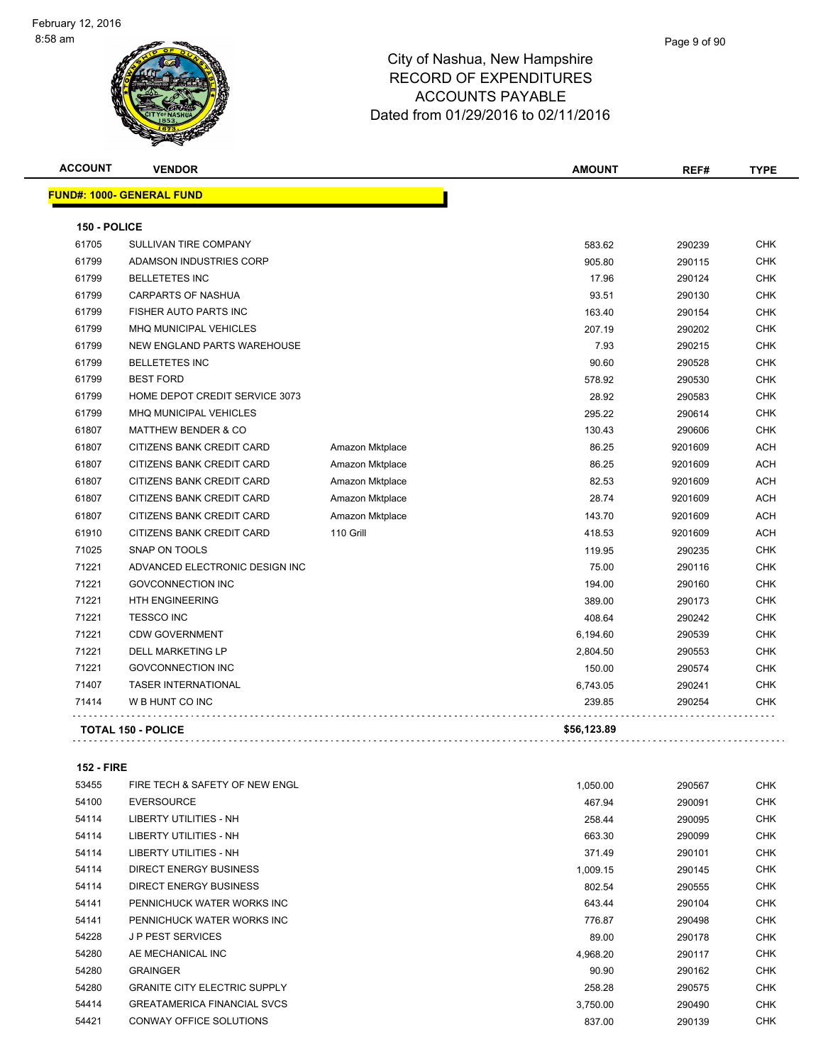| <b>ACCOUNT</b> | <b>VENDOR</b>                    |                 | <b>AMOUNT</b> | REF#    | <b>TYPE</b> |
|----------------|----------------------------------|-----------------|---------------|---------|-------------|
|                | <b>FUND#: 1000- GENERAL FUND</b> |                 |               |         |             |
| 150 - POLICE   |                                  |                 |               |         |             |
| 61705          | SULLIVAN TIRE COMPANY            |                 | 583.62        | 290239  | <b>CHK</b>  |
| 61799          | ADAMSON INDUSTRIES CORP          |                 | 905.80        | 290115  | <b>CHK</b>  |
| 61799          | <b>BELLETETES INC</b>            |                 | 17.96         | 290124  | <b>CHK</b>  |
| 61799          | <b>CARPARTS OF NASHUA</b>        |                 | 93.51         | 290130  | <b>CHK</b>  |
| 61799          | FISHER AUTO PARTS INC            |                 | 163.40        | 290154  | <b>CHK</b>  |
| 61799          | <b>MHQ MUNICIPAL VEHICLES</b>    |                 | 207.19        | 290202  | <b>CHK</b>  |
| 61799          | NEW ENGLAND PARTS WAREHOUSE      |                 | 7.93          | 290215  | <b>CHK</b>  |
| 61799          | <b>BELLETETES INC</b>            |                 | 90.60         | 290528  | <b>CHK</b>  |
| 61799          | <b>BEST FORD</b>                 |                 | 578.92        | 290530  | <b>CHK</b>  |
| 61799          | HOME DEPOT CREDIT SERVICE 3073   |                 | 28.92         | 290583  | <b>CHK</b>  |
| 61799          | MHQ MUNICIPAL VEHICLES           |                 | 295.22        | 290614  | <b>CHK</b>  |
| 61807          | <b>MATTHEW BENDER &amp; CO</b>   |                 | 130.43        | 290606  | <b>CHK</b>  |
| 61807          | CITIZENS BANK CREDIT CARD        | Amazon Mktplace | 86.25         | 9201609 | <b>ACH</b>  |
| 61807          | CITIZENS BANK CREDIT CARD        | Amazon Mktplace | 86.25         | 9201609 | <b>ACH</b>  |
| 61807          | CITIZENS BANK CREDIT CARD        | Amazon Mktplace | 82.53         | 9201609 | <b>ACH</b>  |
| 61807          | CITIZENS BANK CREDIT CARD        | Amazon Mktplace | 28.74         | 9201609 | <b>ACH</b>  |
| 61807          | CITIZENS BANK CREDIT CARD        | Amazon Mktplace | 143.70        | 9201609 | <b>ACH</b>  |
| 61910          | CITIZENS BANK CREDIT CARD        | 110 Grill       | 418.53        | 9201609 | <b>ACH</b>  |
| 71025          | SNAP ON TOOLS                    |                 | 119.95        | 290235  | <b>CHK</b>  |
| 71221          | ADVANCED ELECTRONIC DESIGN INC   |                 | 75.00         | 290116  | <b>CHK</b>  |
| 71221          | <b>GOVCONNECTION INC</b>         |                 | 194.00        | 290160  | <b>CHK</b>  |
| 71221          | <b>HTH ENGINEERING</b>           |                 | 389.00        | 290173  | <b>CHK</b>  |
| 71221          | <b>TESSCO INC</b>                |                 | 408.64        | 290242  | <b>CHK</b>  |
| 71221          | <b>CDW GOVERNMENT</b>            |                 | 6,194.60      | 290539  | <b>CHK</b>  |
| 71221          | <b>DELL MARKETING LP</b>         |                 | 2,804.50      | 290553  | <b>CHK</b>  |
| 71221          | <b>GOVCONNECTION INC</b>         |                 | 150.00        | 290574  | <b>CHK</b>  |
| 71407          | <b>TASER INTERNATIONAL</b>       |                 | 6,743.05      | 290241  | <b>CHK</b>  |
| 71414          | W B HUNT CO INC                  |                 | 239.85        | 290254  | <b>CHK</b>  |
|                | <b>TOTAL 150 - POLICE</b>        |                 | \$56,123.89   |         |             |
|                |                                  |                 |               |         |             |

### **152 - FIRE**

| 53455 | FIRE TECH & SAFETY OF NEW ENGL      | 1,050.00 | 290567 | <b>CHK</b> |
|-------|-------------------------------------|----------|--------|------------|
| 54100 | <b>EVERSOURCE</b>                   | 467.94   | 290091 | <b>CHK</b> |
| 54114 | LIBERTY UTILITIES - NH              | 258.44   | 290095 | <b>CHK</b> |
| 54114 | LIBERTY UTILITIES - NH              | 663.30   | 290099 | <b>CHK</b> |
| 54114 | LIBERTY UTILITIES - NH              | 371.49   | 290101 | <b>CHK</b> |
| 54114 | DIRECT ENERGY BUSINESS              | 1,009.15 | 290145 | <b>CHK</b> |
| 54114 | DIRECT ENERGY BUSINESS              | 802.54   | 290555 | <b>CHK</b> |
| 54141 | PENNICHUCK WATER WORKS INC          | 643.44   | 290104 | <b>CHK</b> |
| 54141 | PENNICHUCK WATER WORKS INC          | 776.87   | 290498 | <b>CHK</b> |
| 54228 | <b>JP PEST SERVICES</b>             | 89.00    | 290178 | <b>CHK</b> |
| 54280 | AE MECHANICAL INC                   | 4,968.20 | 290117 | <b>CHK</b> |
| 54280 | <b>GRAINGER</b>                     | 90.90    | 290162 | <b>CHK</b> |
| 54280 | <b>GRANITE CITY ELECTRIC SUPPLY</b> | 258.28   | 290575 | <b>CHK</b> |
| 54414 | <b>GREATAMERICA FINANCIAL SVCS</b>  | 3,750.00 | 290490 | <b>CHK</b> |
| 54421 | CONWAY OFFICE SOLUTIONS             | 837.00   | 290139 | <b>CHK</b> |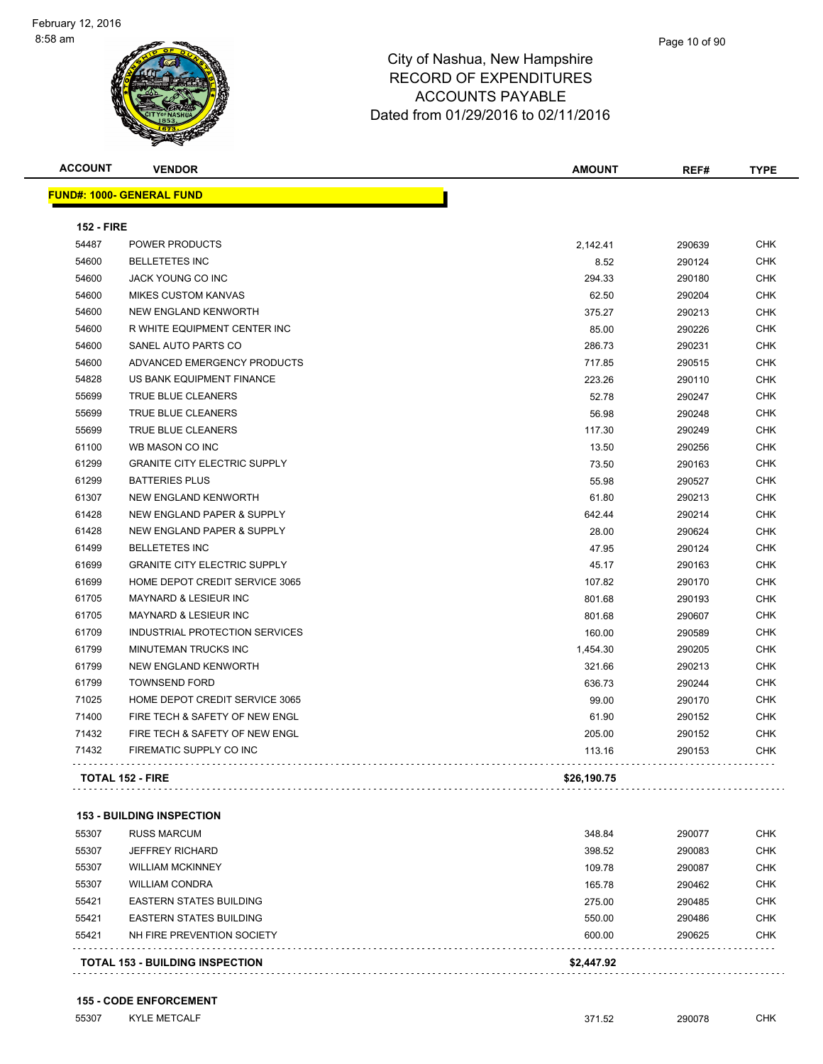| <b>ACCOUNT</b>    | <b>VENDOR</b>                         | <b>AMOUNT</b> | REF#   | <b>TYPE</b> |
|-------------------|---------------------------------------|---------------|--------|-------------|
|                   | <b>FUND#: 1000- GENERAL FUND</b>      |               |        |             |
| <b>152 - FIRE</b> |                                       |               |        |             |
| 54487             | <b>POWER PRODUCTS</b>                 | 2,142.41      | 290639 | <b>CHK</b>  |
| 54600             | <b>BELLETETES INC</b>                 | 8.52          | 290124 | <b>CHK</b>  |
| 54600             | <b>JACK YOUNG CO INC</b>              | 294.33        | 290180 | <b>CHK</b>  |
| 54600             | <b>MIKES CUSTOM KANVAS</b>            | 62.50         | 290204 | <b>CHK</b>  |
| 54600             | NEW ENGLAND KENWORTH                  | 375.27        | 290213 | <b>CHK</b>  |
| 54600             | R WHITE EQUIPMENT CENTER INC          | 85.00         | 290226 | <b>CHK</b>  |
| 54600             | SANEL AUTO PARTS CO                   | 286.73        | 290231 | CHK         |
| 54600             | ADVANCED EMERGENCY PRODUCTS           | 717.85        | 290515 | <b>CHK</b>  |
| 54828             | US BANK EQUIPMENT FINANCE             | 223.26        | 290110 | <b>CHK</b>  |
| 55699             | TRUE BLUE CLEANERS                    | 52.78         | 290247 | CHK         |
| 55699             | <b>TRUE BLUE CLEANERS</b>             | 56.98         | 290248 | <b>CHK</b>  |
| 55699             | TRUE BLUE CLEANERS                    | 117.30        | 290249 | <b>CHK</b>  |
| 61100             | WB MASON CO INC                       | 13.50         | 290256 | CHK         |
| 61299             | <b>GRANITE CITY ELECTRIC SUPPLY</b>   | 73.50         | 290163 | <b>CHK</b>  |
| 61299             | <b>BATTERIES PLUS</b>                 | 55.98         | 290527 | <b>CHK</b>  |
| 61307             | <b>NEW ENGLAND KENWORTH</b>           | 61.80         | 290213 | <b>CHK</b>  |
| 61428             | NEW ENGLAND PAPER & SUPPLY            | 642.44        | 290214 | <b>CHK</b>  |
| 61428             | <b>NEW ENGLAND PAPER &amp; SUPPLY</b> | 28.00         | 290624 | <b>CHK</b>  |
| 61499             | <b>BELLETETES INC</b>                 | 47.95         | 290124 | <b>CHK</b>  |
| 61699             | <b>GRANITE CITY ELECTRIC SUPPLY</b>   | 45.17         | 290163 | <b>CHK</b>  |
| 61699             | HOME DEPOT CREDIT SERVICE 3065        | 107.82        | 290170 | <b>CHK</b>  |
| 61705             | <b>MAYNARD &amp; LESIEUR INC</b>      | 801.68        | 290193 | <b>CHK</b>  |
| 61705             | <b>MAYNARD &amp; LESIEUR INC</b>      | 801.68        | 290607 | <b>CHK</b>  |
| 61709             | INDUSTRIAL PROTECTION SERVICES        | 160.00        | 290589 | <b>CHK</b>  |
| 61799             | MINUTEMAN TRUCKS INC                  | 1,454.30      | 290205 | <b>CHK</b>  |
| 61799             | NEW ENGLAND KENWORTH                  | 321.66        | 290213 | <b>CHK</b>  |
| 61799             | <b>TOWNSEND FORD</b>                  | 636.73        | 290244 | <b>CHK</b>  |
| 71025             | HOME DEPOT CREDIT SERVICE 3065        | 99.00         | 290170 | <b>CHK</b>  |
| 71400             | FIRE TECH & SAFETY OF NEW ENGL        | 61.90         | 290152 | CHK         |
| 71432             | FIRE TECH & SAFETY OF NEW ENGL        | 205.00        | 290152 | CHK         |
| 71432             | FIREMATIC SUPPLY CO INC               | 113.16        | 290153 | <b>CHK</b>  |
|                   | <b>TOTAL 152 - FIRE</b>               | \$26,190.75   |        |             |

### **153 - BUILDING INSPECTION**

|       | <b>TOTAL 153 - BUILDING INSPECTION</b> | \$2,447.92 |        |            |
|-------|----------------------------------------|------------|--------|------------|
| 55421 | NH FIRE PREVENTION SOCIETY             | 600.00     | 290625 | <b>CHK</b> |
| 55421 | <b>EASTERN STATES BUILDING</b>         | 550.00     | 290486 | <b>CHK</b> |
| 55421 | <b>EASTERN STATES BUILDING</b>         | 275.00     | 290485 | <b>CHK</b> |
| 55307 | <b>WILLIAM CONDRA</b>                  | 165.78     | 290462 | <b>CHK</b> |
| 55307 | <b>WILLIAM MCKINNEY</b>                | 109.78     | 290087 | <b>CHK</b> |
| 55307 | <b>JEFFREY RICHARD</b>                 | 398.52     | 290083 | <b>CHK</b> |
| 55307 | <b>RUSS MARCUM</b>                     | 348.84     | 290077 | <b>CHK</b> |
|       |                                        |            |        |            |

**155 - CODE ENFORCEMENT**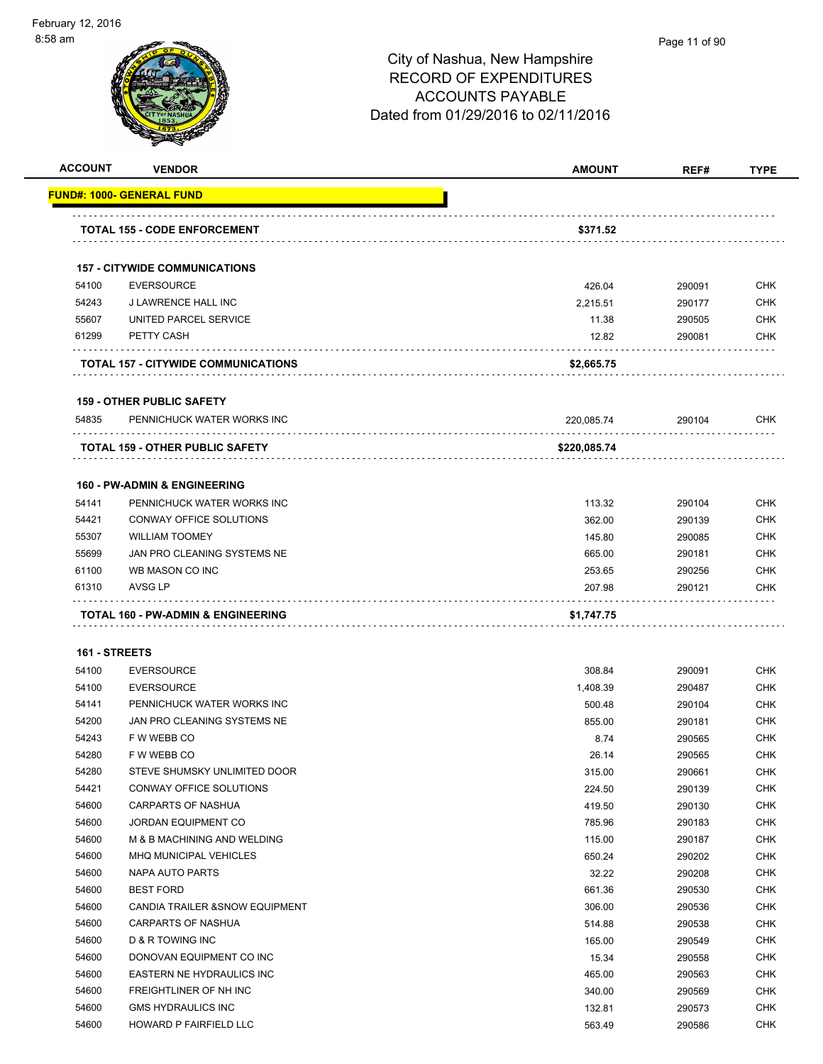#### Page 11 of 90

| <b>ACCOUNT</b> | <b>VENDOR</b>                           | <b>AMOUNT</b> | REF#   | <b>TYPE</b> |
|----------------|-----------------------------------------|---------------|--------|-------------|
|                | <u> FUND#: 1000- GENERAL FUND</u>       |               |        |             |
|                | <b>TOTAL 155 - CODE ENFORCEMENT</b>     | \$371.52      |        |             |
|                |                                         |               |        |             |
|                | <b>157 - CITYWIDE COMMUNICATIONS</b>    |               |        |             |
| 54100          | <b>EVERSOURCE</b>                       | 426.04        | 290091 | <b>CHK</b>  |
| 54243          | <b>J LAWRENCE HALL INC</b>              | 2.215.51      | 290177 | <b>CHK</b>  |
| 55607          | UNITED PARCEL SERVICE                   | 11.38         | 290505 | <b>CHK</b>  |
| 61299          | PETTY CASH                              | 12.82         | 290081 | <b>CHK</b>  |
|                | TOTAL 157 - CITYWIDE COMMUNICATIONS     | \$2,665.75    |        |             |
|                | <b>159 - OTHER PUBLIC SAFETY</b>        |               |        |             |
| 54835          | PENNICHUCK WATER WORKS INC              | 220,085.74    | 290104 | <b>CHK</b>  |
|                |                                         |               |        |             |
|                | TOTAL 159 - OTHER PUBLIC SAFETY         | \$220,085.74  |        |             |
|                | <b>160 - PW-ADMIN &amp; ENGINEERING</b> |               |        |             |
| 54141          | PENNICHUCK WATER WORKS INC              | 113.32        | 290104 | <b>CHK</b>  |
| 54421          | CONWAY OFFICE SOLUTIONS                 | 362.00        | 290139 | <b>CHK</b>  |
| 55307          | <b>WILLIAM TOOMEY</b>                   | 145.80        | 290085 | <b>CHK</b>  |
| 55699          | JAN PRO CLEANING SYSTEMS NE             | 665.00        | 290181 | <b>CHK</b>  |
| 61100          | WB MASON CO INC                         | 253.65        | 290256 | <b>CHK</b>  |
| 61310          | AVSG LP                                 | 207.98        | 290121 | <b>CHK</b>  |
|                |                                         |               |        |             |
|                | TOTAL 160 - PW-ADMIN & ENGINEERING      | \$1,747.75    |        |             |
| 161 - STREETS  |                                         |               |        |             |
| 54100          | <b>EVERSOURCE</b>                       | 308.84        | 290091 | <b>CHK</b>  |
| 54100          | <b>EVERSOURCE</b>                       | 1,408.39      | 290487 | <b>CHK</b>  |
| 54141          | PENNICHUCK WATER WORKS INC              | 500.48        | 290104 | <b>CHK</b>  |
| 54200          | JAN PRO CLEANING SYSTEMS NE             | 855.00        | 290181 | <b>CHK</b>  |
| 54243          | F W WEBB CO                             | 8.74          | 290565 | <b>CHK</b>  |
| 54280          | F W WEBB CO                             | 26.14         | 290565 | <b>CHK</b>  |
| 54280          | STEVE SHUMSKY UNLIMITED DOOR            | 315.00        | 290661 | <b>CHK</b>  |
| 54421          | CONWAY OFFICE SOLUTIONS                 | 224.50        | 290139 | <b>CHK</b>  |
| 54600          | <b>CARPARTS OF NASHUA</b>               | 419.50        | 290130 | <b>CHK</b>  |
| 54600          | JORDAN EQUIPMENT CO                     | 785.96        | 290183 | <b>CHK</b>  |
| 54600          | M & B MACHINING AND WELDING             | 115.00        | 290187 | <b>CHK</b>  |
| 54600          | MHQ MUNICIPAL VEHICLES                  | 650.24        | 290202 | <b>CHK</b>  |
| 54600          | NAPA AUTO PARTS                         | 32.22         | 290208 | <b>CHK</b>  |
| 54600          | <b>BEST FORD</b>                        | 661.36        | 290530 | <b>CHK</b>  |
| 54600          | CANDIA TRAILER & SNOW EQUIPMENT         | 306.00        | 290536 | <b>CHK</b>  |
| 54600          | <b>CARPARTS OF NASHUA</b>               | 514.88        | 290538 | <b>CHK</b>  |
| 54600          | D & R TOWING INC                        | 165.00        | 290549 | <b>CHK</b>  |
| 54600          | DONOVAN EQUIPMENT CO INC                | 15.34         | 290558 | <b>CHK</b>  |
| 54600          | EASTERN NE HYDRAULICS INC               | 465.00        | 290563 | <b>CHK</b>  |
| 54600          | FREIGHTLINER OF NH INC                  | 340.00        | 290569 | <b>CHK</b>  |
| 54600          | <b>GMS HYDRAULICS INC</b>               | 132.81        | 290573 | <b>CHK</b>  |
| 54600          | HOWARD P FAIRFIELD LLC                  | 563.49        | 290586 | <b>CHK</b>  |
|                |                                         |               |        |             |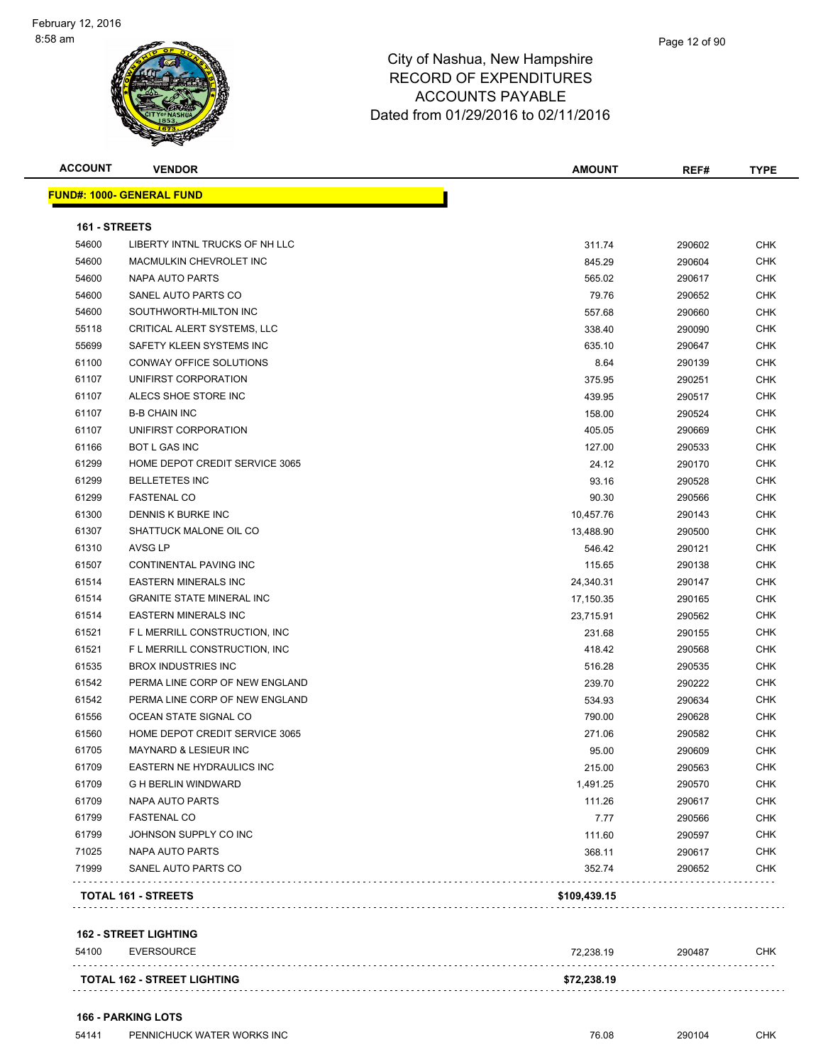| <b>ACCOUNT</b> | <b>VENDOR</b>                    | <b>AMOUNT</b> | REF#   | <b>TYPE</b> |
|----------------|----------------------------------|---------------|--------|-------------|
|                | <b>FUND#: 1000- GENERAL FUND</b> |               |        |             |
| 161 - STREETS  |                                  |               |        |             |
| 54600          | LIBERTY INTNL TRUCKS OF NH LLC   | 311.74        | 290602 | <b>CHK</b>  |
| 54600          | MACMULKIN CHEVROLET INC          | 845.29        | 290604 | <b>CHK</b>  |
| 54600          | NAPA AUTO PARTS                  | 565.02        | 290617 | CHK         |
| 54600          | SANEL AUTO PARTS CO              | 79.76         | 290652 | <b>CHK</b>  |
| 54600          | SOUTHWORTH-MILTON INC            | 557.68        | 290660 | <b>CHK</b>  |
| 55118          | CRITICAL ALERT SYSTEMS, LLC      | 338.40        | 290090 | CHK         |
| 55699          | SAFETY KLEEN SYSTEMS INC         | 635.10        | 290647 | CHK         |
| 61100          | CONWAY OFFICE SOLUTIONS          | 8.64          | 290139 | CHK         |
| 61107          | UNIFIRST CORPORATION             | 375.95        | 290251 | CHK         |
| 61107          | ALECS SHOE STORE INC             | 439.95        | 290517 | CHK         |
| 61107          | <b>B-B CHAIN INC</b>             | 158.00        | 290524 | CHK         |
| 61107          | UNIFIRST CORPORATION             | 405.05        | 290669 | <b>CHK</b>  |
| 61166          | <b>BOT L GAS INC</b>             | 127.00        | 290533 | <b>CHK</b>  |
| 61299          | HOME DEPOT CREDIT SERVICE 3065   | 24.12         | 290170 | CHK         |
| 61299          | <b>BELLETETES INC</b>            | 93.16         | 290528 | CHK         |
| 61299          | <b>FASTENAL CO</b>               | 90.30         | 290566 | CHK         |
| 61300          | DENNIS K BURKE INC               | 10,457.76     | 290143 | CHK         |
| 61307          | SHATTUCK MALONE OIL CO           | 13,488.90     | 290500 | CHK         |
| 61310          | AVSG LP                          | 546.42        | 290121 | CHK         |
| 61507          | CONTINENTAL PAVING INC           | 115.65        | 290138 | CHK         |
| 61514          | <b>EASTERN MINERALS INC</b>      | 24,340.31     | 290147 | CHK         |
| 61514          | <b>GRANITE STATE MINERAL INC</b> | 17,150.35     | 290165 | CHK         |
| 61514          | <b>EASTERN MINERALS INC</b>      | 23,715.91     | 290562 | CHK         |
| 61521          | F L MERRILL CONSTRUCTION, INC    | 231.68        | 290155 | <b>CHK</b>  |
| 61521          | F L MERRILL CONSTRUCTION, INC    | 418.42        | 290568 | CHK         |
| 61535          | <b>BROX INDUSTRIES INC</b>       | 516.28        | 290535 | <b>CHK</b>  |
| 61542          | PERMA LINE CORP OF NEW ENGLAND   | 239.70        | 290222 | CHK         |
| 61542          | PERMA LINE CORP OF NEW ENGLAND   | 534.93        | 290634 | <b>CHK</b>  |
| 61556          | OCEAN STATE SIGNAL CO            | 790.00        | 290628 | CHK         |
| 61560          | HOME DEPOT CREDIT SERVICE 3065   | 271.06        | 290582 | CHK         |
| 61705          | MAYNARD & LESIEUR INC            | 95.00         | 290609 | CHK         |
| 61709          | EASTERN NE HYDRAULICS INC        | 215.00        | 290563 | CHK         |
| 61709          | <b>G H BERLIN WINDWARD</b>       | 1,491.25      | 290570 | CHK         |
| 61709          | <b>NAPA AUTO PARTS</b>           | 111.26        | 290617 | <b>CHK</b>  |
| 61799          | <b>FASTENAL CO</b>               | 7.77          | 290566 | <b>CHK</b>  |
| 61799          | JOHNSON SUPPLY CO INC            | 111.60        | 290597 | CHK         |
| 71025          | <b>NAPA AUTO PARTS</b>           | 368.11        | 290617 | <b>CHK</b>  |
| 71999          | SANEL AUTO PARTS CO              | 352.74        | 290652 | <b>CHK</b>  |

### **162 - STREET LIGHTING**

|       | <b>TOTAL 162 - STREET LIGHTING</b> | \$72.238.19 |        |     |
|-------|------------------------------------|-------------|--------|-----|
|       |                                    |             |        |     |
| 54100 | <b>EVERSOURCE</b>                  | 72.238.19   | 290487 | CHK |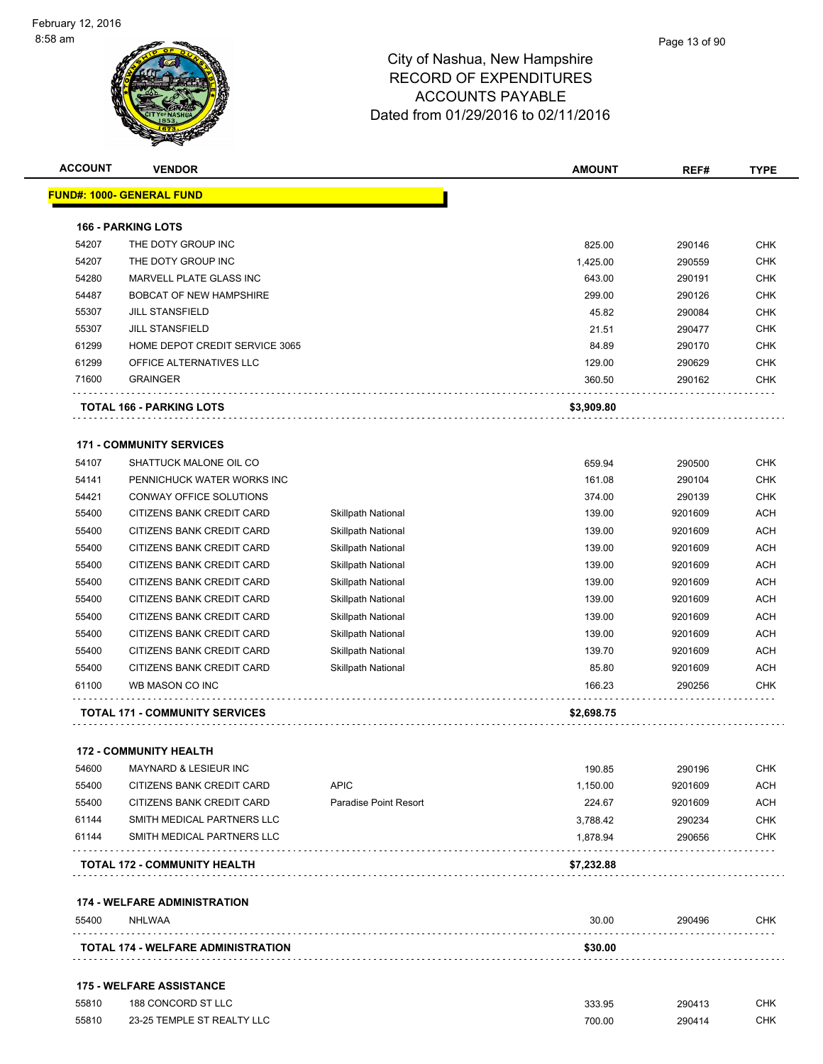#### Page 13 of 90

| <b>ACCOUNT</b> | <b>VENDOR</b>                             |                              | <b>AMOUNT</b> | REF#    | <b>TYPE</b> |
|----------------|-------------------------------------------|------------------------------|---------------|---------|-------------|
|                | <u> FUND#: 1000- GENERAL FUND</u>         |                              |               |         |             |
|                | <b>166 - PARKING LOTS</b>                 |                              |               |         |             |
| 54207          | THE DOTY GROUP INC                        |                              | 825.00        | 290146  | <b>CHK</b>  |
| 54207          | THE DOTY GROUP INC                        |                              | 1,425.00      | 290559  | <b>CHK</b>  |
| 54280          | MARVELL PLATE GLASS INC                   |                              | 643.00        | 290191  | CHK         |
| 54487          | <b>BOBCAT OF NEW HAMPSHIRE</b>            |                              | 299.00        | 290126  | <b>CHK</b>  |
| 55307          | <b>JILL STANSFIELD</b>                    |                              | 45.82         | 290084  | <b>CHK</b>  |
| 55307          | <b>JILL STANSFIELD</b>                    |                              | 21.51         | 290477  | <b>CHK</b>  |
| 61299          | HOME DEPOT CREDIT SERVICE 3065            |                              | 84.89         | 290170  | <b>CHK</b>  |
| 61299          | OFFICE ALTERNATIVES LLC                   |                              | 129.00        | 290629  | <b>CHK</b>  |
| 71600          | <b>GRAINGER</b>                           |                              | 360.50        | 290162  | CHK         |
|                | <b>TOTAL 166 - PARKING LOTS</b>           |                              | \$3,909.80    |         |             |
|                | <b>171 - COMMUNITY SERVICES</b>           |                              |               |         |             |
| 54107          | SHATTUCK MALONE OIL CO                    |                              | 659.94        | 290500  | <b>CHK</b>  |
| 54141          | PENNICHUCK WATER WORKS INC                |                              | 161.08        | 290104  | <b>CHK</b>  |
| 54421          | CONWAY OFFICE SOLUTIONS                   |                              | 374.00        | 290139  | <b>CHK</b>  |
| 55400          | CITIZENS BANK CREDIT CARD                 | <b>Skillpath National</b>    | 139.00        | 9201609 | <b>ACH</b>  |
| 55400          | CITIZENS BANK CREDIT CARD                 | <b>Skillpath National</b>    | 139.00        | 9201609 | <b>ACH</b>  |
| 55400          | CITIZENS BANK CREDIT CARD                 | <b>Skillpath National</b>    | 139.00        | 9201609 | <b>ACH</b>  |
| 55400          | CITIZENS BANK CREDIT CARD                 | <b>Skillpath National</b>    | 139.00        | 9201609 | <b>ACH</b>  |
| 55400          | CITIZENS BANK CREDIT CARD                 | <b>Skillpath National</b>    | 139.00        | 9201609 | <b>ACH</b>  |
| 55400          | CITIZENS BANK CREDIT CARD                 | Skillpath National           | 139.00        | 9201609 | <b>ACH</b>  |
| 55400          | CITIZENS BANK CREDIT CARD                 | <b>Skillpath National</b>    | 139.00        | 9201609 | <b>ACH</b>  |
| 55400          | CITIZENS BANK CREDIT CARD                 | <b>Skillpath National</b>    | 139.00        | 9201609 | <b>ACH</b>  |
| 55400          | CITIZENS BANK CREDIT CARD                 | <b>Skillpath National</b>    | 139.70        | 9201609 | <b>ACH</b>  |
| 55400          | CITIZENS BANK CREDIT CARD                 | <b>Skillpath National</b>    | 85.80         | 9201609 | <b>ACH</b>  |
| 61100          | WB MASON CO INC                           |                              | 166.23        | 290256  | CHK         |
|                | <b>TOTAL 171 - COMMUNITY SERVICES</b>     |                              | \$2,698.75    |         |             |
|                |                                           |                              |               |         |             |
|                | <b>172 - COMMUNITY HEALTH</b>             |                              |               |         |             |
| 54600          | <b>MAYNARD &amp; LESIEUR INC</b>          |                              | 190.85        | 290196  | <b>CHK</b>  |
| 55400          | CITIZENS BANK CREDIT CARD                 | <b>APIC</b>                  | 1,150.00      | 9201609 | <b>ACH</b>  |
| 55400          | CITIZENS BANK CREDIT CARD                 | <b>Paradise Point Resort</b> | 224.67        | 9201609 | <b>ACH</b>  |
| 61144          | SMITH MEDICAL PARTNERS LLC                |                              | 3,788.42      | 290234  | <b>CHK</b>  |
| 61144          | SMITH MEDICAL PARTNERS LLC                |                              | 1,878.94      | 290656  | <b>CHK</b>  |
|                | <b>TOTAL 172 - COMMUNITY HEALTH</b>       |                              | \$7,232.88    |         |             |
|                | <b>174 - WELFARE ADMINISTRATION</b>       |                              |               |         |             |
| 55400          | <b>NHLWAA</b>                             |                              | 30.00         | 290496  | CHK         |
|                | <b>TOTAL 174 - WELFARE ADMINISTRATION</b> |                              | \$30.00       |         |             |
|                | <b>175 - WELFARE ASSISTANCE</b>           |                              |               |         |             |
| 55810          | 188 CONCORD ST LLC                        |                              | 333.95        | 290413  | <b>CHK</b>  |
| 55810          | 23-25 TEMPLE ST REALTY LLC                |                              | 700.00        | 290414  | <b>CHK</b>  |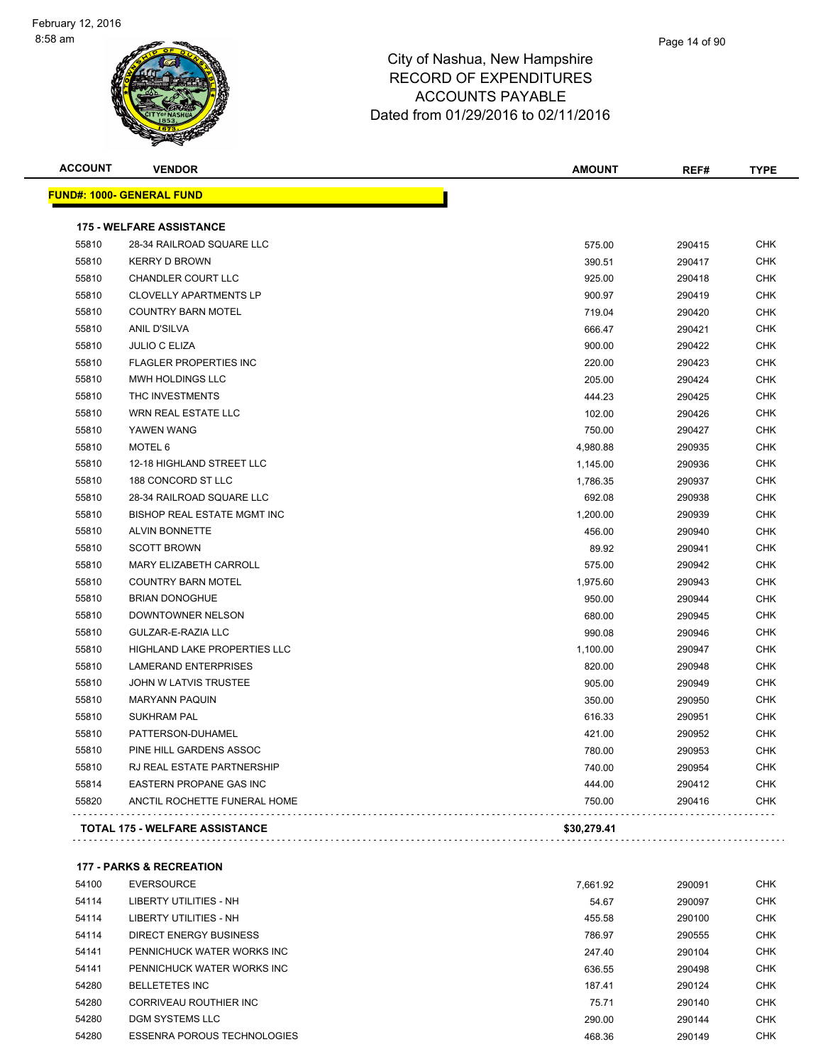#### Page 14 of 90

### City of Nashua, New Hampshire RECORD OF EXPENDITURES ACCOUNTS PAYABLE Dated from 01/29/2016 to 02/11/2016

| <b>ACCOUNT</b> | <b>VENDOR</b>                         | <b>AMOUNT</b> | REF#   | <b>TYPE</b> |
|----------------|---------------------------------------|---------------|--------|-------------|
|                | <b>FUND#: 1000- GENERAL FUND</b>      |               |        |             |
|                | <b>175 - WELFARE ASSISTANCE</b>       |               |        |             |
| 55810          | 28-34 RAILROAD SQUARE LLC             | 575.00        | 290415 | <b>CHK</b>  |
| 55810          | <b>KERRY D BROWN</b>                  | 390.51        | 290417 | <b>CHK</b>  |
| 55810          | <b>CHANDLER COURT LLC</b>             | 925.00        | 290418 | <b>CHK</b>  |
| 55810          | <b>CLOVELLY APARTMENTS LP</b>         | 900.97        | 290419 | <b>CHK</b>  |
| 55810          | <b>COUNTRY BARN MOTEL</b>             | 719.04        | 290420 | <b>CHK</b>  |
| 55810          | <b>ANIL D'SILVA</b>                   | 666.47        | 290421 | <b>CHK</b>  |
| 55810          | <b>JULIO C ELIZA</b>                  | 900.00        | 290422 | <b>CHK</b>  |
| 55810          | <b>FLAGLER PROPERTIES INC</b>         | 220.00        | 290423 | <b>CHK</b>  |
| 55810          | MWH HOLDINGS LLC                      | 205.00        | 290424 | <b>CHK</b>  |
| 55810          | THC INVESTMENTS                       | 444.23        | 290425 | <b>CHK</b>  |
| 55810          | <b>WRN REAL ESTATE LLC</b>            | 102.00        | 290426 | <b>CHK</b>  |
| 55810          | YAWEN WANG                            | 750.00        | 290427 | <b>CHK</b>  |
| 55810          | MOTEL 6                               | 4,980.88      | 290935 | <b>CHK</b>  |
| 55810          | 12-18 HIGHLAND STREET LLC             | 1,145.00      | 290936 | <b>CHK</b>  |
| 55810          | 188 CONCORD ST LLC                    | 1,786.35      | 290937 | <b>CHK</b>  |
| 55810          | 28-34 RAILROAD SQUARE LLC             | 692.08        | 290938 | <b>CHK</b>  |
| 55810          | BISHOP REAL ESTATE MGMT INC           | 1,200.00      | 290939 | <b>CHK</b>  |
| 55810          | <b>ALVIN BONNETTE</b>                 | 456.00        | 290940 | <b>CHK</b>  |
| 55810          | <b>SCOTT BROWN</b>                    | 89.92         | 290941 | <b>CHK</b>  |
| 55810          | MARY ELIZABETH CARROLL                | 575.00        | 290942 | <b>CHK</b>  |
| 55810          | <b>COUNTRY BARN MOTEL</b>             | 1,975.60      | 290943 | <b>CHK</b>  |
| 55810          | <b>BRIAN DONOGHUE</b>                 | 950.00        | 290944 | <b>CHK</b>  |
| 55810          | DOWNTOWNER NELSON                     | 680.00        | 290945 | <b>CHK</b>  |
| 55810          | GULZAR-E-RAZIA LLC                    | 990.08        | 290946 | <b>CHK</b>  |
| 55810          | HIGHLAND LAKE PROPERTIES LLC          | 1,100.00      | 290947 | <b>CHK</b>  |
| 55810          | <b>LAMERAND ENTERPRISES</b>           | 820.00        | 290948 | <b>CHK</b>  |
| 55810          | JOHN W LATVIS TRUSTEE                 | 905.00        | 290949 | <b>CHK</b>  |
| 55810          | <b>MARYANN PAQUIN</b>                 | 350.00        | 290950 | <b>CHK</b>  |
| 55810          | <b>SUKHRAM PAL</b>                    | 616.33        | 290951 | <b>CHK</b>  |
| 55810          | PATTERSON-DUHAMEL                     | 421.00        | 290952 | <b>CHK</b>  |
| 55810          | PINE HILL GARDENS ASSOC               | 780.00        | 290953 | <b>CHK</b>  |
| 55810          | RJ REAL ESTATE PARTNERSHIP            | 740.00        | 290954 | <b>CHK</b>  |
| 55814          | EASTERN PROPANE GAS INC               | 444.00        | 290412 | <b>CHK</b>  |
| 55820          | ANCTIL ROCHETTE FUNERAL HOME          | 750.00        | 290416 | <b>CHK</b>  |
|                | <b>TOTAL 175 - WELFARE ASSISTANCE</b> | \$30,279.41   |        |             |
|                |                                       |               |        |             |

#### **177 - PARKS & RECREATION**

| 54100 | <b>EVERSOURCE</b>           | 7.661.92 | 290091 | <b>CHK</b> |
|-------|-----------------------------|----------|--------|------------|
| 54114 | LIBERTY UTILITIES - NH      | 54.67    | 290097 | <b>CHK</b> |
| 54114 | LIBERTY UTILITIES - NH      | 455.58   | 290100 | <b>CHK</b> |
| 54114 | DIRECT ENERGY BUSINESS      | 786.97   | 290555 | <b>CHK</b> |
| 54141 | PENNICHUCK WATER WORKS INC  | 247.40   | 290104 | <b>CHK</b> |
| 54141 | PENNICHUCK WATER WORKS INC  | 636.55   | 290498 | <b>CHK</b> |
| 54280 | <b>BELLETETES INC</b>       | 187.41   | 290124 | <b>CHK</b> |
| 54280 | CORRIVEAU ROUTHIER INC      | 75.71    | 290140 | <b>CHK</b> |
| 54280 | DGM SYSTEMS LLC             | 290.00   | 290144 | <b>CHK</b> |
| 54280 | ESSENRA POROUS TECHNOLOGIES | 468.36   | 290149 | <b>CHK</b> |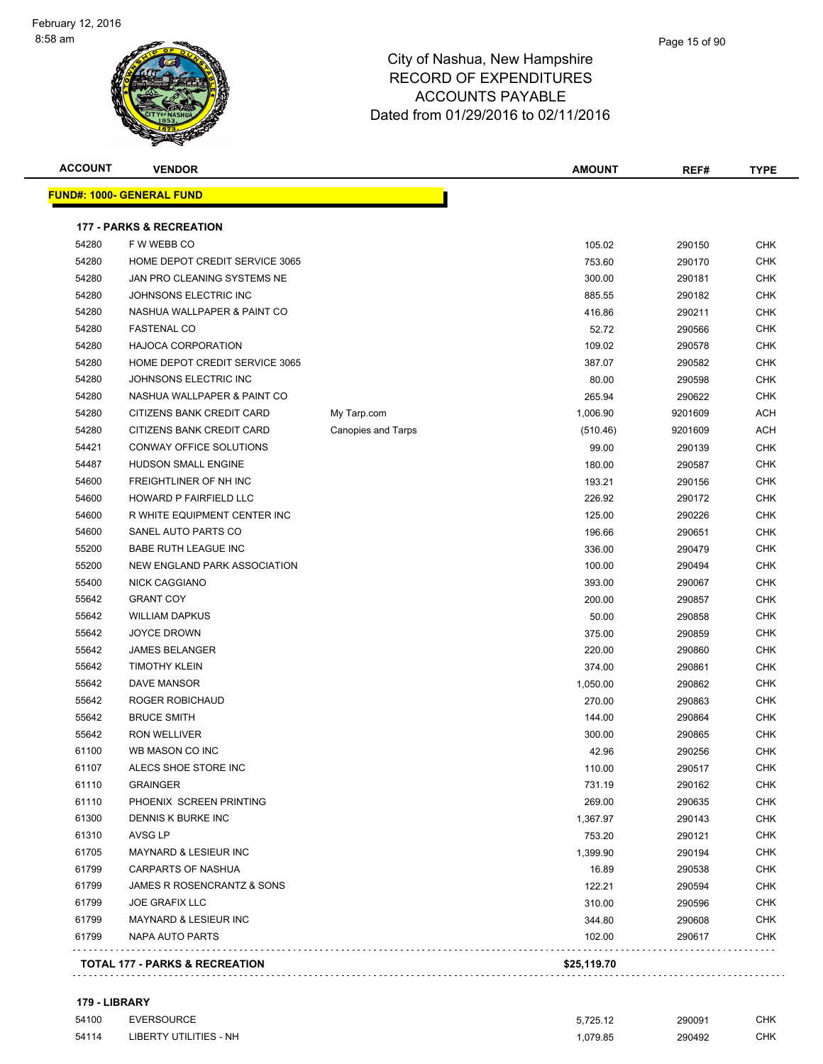| <b>ACCOUNT</b> | <b>VENDOR</b>                                  |                    | <b>AMOUNT</b> | REF#    | <b>TYPE</b> |
|----------------|------------------------------------------------|--------------------|---------------|---------|-------------|
|                | <b>FUND#: 1000- GENERAL FUND</b>               |                    |               |         |             |
|                | <b>177 - PARKS &amp; RECREATION</b>            |                    |               |         |             |
| 54280          | F W WEBB CO                                    |                    | 105.02        | 290150  | <b>CHK</b>  |
| 54280          | HOME DEPOT CREDIT SERVICE 3065                 |                    | 753.60        | 290170  | <b>CHK</b>  |
| 54280          | JAN PRO CLEANING SYSTEMS NE                    |                    | 300.00        | 290181  | <b>CHK</b>  |
| 54280          | JOHNSONS ELECTRIC INC                          |                    | 885.55        | 290182  | <b>CHK</b>  |
| 54280          | NASHUA WALLPAPER & PAINT CO                    |                    | 416.86        | 290211  | CHK         |
| 54280          | <b>FASTENAL CO</b>                             |                    | 52.72         | 290566  | <b>CHK</b>  |
| 54280          | <b>HAJOCA CORPORATION</b>                      |                    | 109.02        | 290578  | <b>CHK</b>  |
| 54280          | HOME DEPOT CREDIT SERVICE 3065                 |                    | 387.07        | 290582  | <b>CHK</b>  |
| 54280          | JOHNSONS ELECTRIC INC                          |                    | 80.00         | 290598  | <b>CHK</b>  |
| 54280          | NASHUA WALLPAPER & PAINT CO                    |                    | 265.94        | 290622  | <b>CHK</b>  |
| 54280          | CITIZENS BANK CREDIT CARD                      | My Tarp.com        | 1,006.90      | 9201609 | ACH         |
| 54280          | CITIZENS BANK CREDIT CARD                      | Canopies and Tarps | (510.46)      | 9201609 | <b>ACH</b>  |
| 54421          | CONWAY OFFICE SOLUTIONS                        |                    | 99.00         | 290139  | <b>CHK</b>  |
| 54487          | <b>HUDSON SMALL ENGINE</b>                     |                    | 180.00        | 290587  | <b>CHK</b>  |
| 54600          | FREIGHTLINER OF NH INC                         |                    | 193.21        | 290156  | CHK         |
| 54600          | <b>HOWARD P FAIRFIELD LLC</b>                  |                    | 226.92        | 290172  | CHK         |
| 54600          | R WHITE EQUIPMENT CENTER INC                   |                    | 125.00        | 290226  | <b>CHK</b>  |
| 54600          | SANEL AUTO PARTS CO                            |                    | 196.66        | 290651  | CHK         |
| 55200          | <b>BABE RUTH LEAGUE INC</b>                    |                    | 336.00        | 290479  | <b>CHK</b>  |
| 55200          | NEW ENGLAND PARK ASSOCIATION                   |                    | 100.00        | 290494  | <b>CHK</b>  |
| 55400          | <b>NICK CAGGIANO</b>                           |                    | 393.00        | 290067  | <b>CHK</b>  |
| 55642          | <b>GRANT COY</b>                               |                    | 200.00        | 290857  | <b>CHK</b>  |
| 55642          | <b>WILLIAM DAPKUS</b>                          |                    | 50.00         | 290858  | <b>CHK</b>  |
| 55642          | <b>JOYCE DROWN</b>                             |                    | 375.00        | 290859  | <b>CHK</b>  |
| 55642          | <b>JAMES BELANGER</b>                          |                    | 220.00        | 290860  | <b>CHK</b>  |
| 55642          | <b>TIMOTHY KLEIN</b>                           |                    | 374.00        | 290861  | CHK         |
| 55642          | DAVE MANSOR                                    |                    | 1,050.00      | 290862  | CHK         |
| 55642          | ROGER ROBICHAUD                                |                    | 270.00        | 290863  | <b>CHK</b>  |
| 55642          | <b>BRUCE SMITH</b>                             |                    | 144.00        | 290864  | CHK         |
| 55642          | <b>RON WELLIVER</b>                            |                    | 300.00        | 290865  | <b>CHK</b>  |
| 61100          | WB MASON CO INC                                |                    | 42.96         | 290256  | <b>CHK</b>  |
| 61107          | ALECS SHOE STORE INC                           |                    | 110.00        | 290517  | <b>CHK</b>  |
| 61110          | <b>GRAINGER</b>                                |                    | 731.19        | 290162  | <b>CHK</b>  |
| 61110          | PHOENIX SCREEN PRINTING                        |                    | 269.00        | 290635  | <b>CHK</b>  |
| 61300          | DENNIS K BURKE INC                             |                    | 1,367.97      | 290143  | <b>CHK</b>  |
| 61310          | AVSG LP                                        |                    | 753.20        | 290121  | CHK         |
| 61705          | MAYNARD & LESIEUR INC                          |                    | 1,399.90      | 290194  | CHK         |
| 61799          | <b>CARPARTS OF NASHUA</b>                      |                    | 16.89         | 290538  | CHK         |
| 61799          | JAMES R ROSENCRANTZ & SONS                     |                    | 122.21        | 290594  | <b>CHK</b>  |
| 61799          | <b>JOE GRAFIX LLC</b>                          |                    | 310.00        | 290596  | <b>CHK</b>  |
| 61799          | <b>MAYNARD &amp; LESIEUR INC</b>               |                    | 344.80        | 290608  | <b>CHK</b>  |
| 61799          | NAPA AUTO PARTS                                |                    | 102.00        | 290617  | CHK         |
|                | .<br><b>TOTAL 177 - PARKS &amp; RECREATION</b> |                    | \$25,119.70   |         |             |
|                |                                                |                    |               |         |             |

### **179 - LIBRARY**

| 54100 | <b>EVERSOURCE</b>      | 5.725.12 | 290091 | СНК |
|-------|------------------------|----------|--------|-----|
| 54114 | LIBERTY UTILITIES - NH | .079.85  | 290492 | СНК |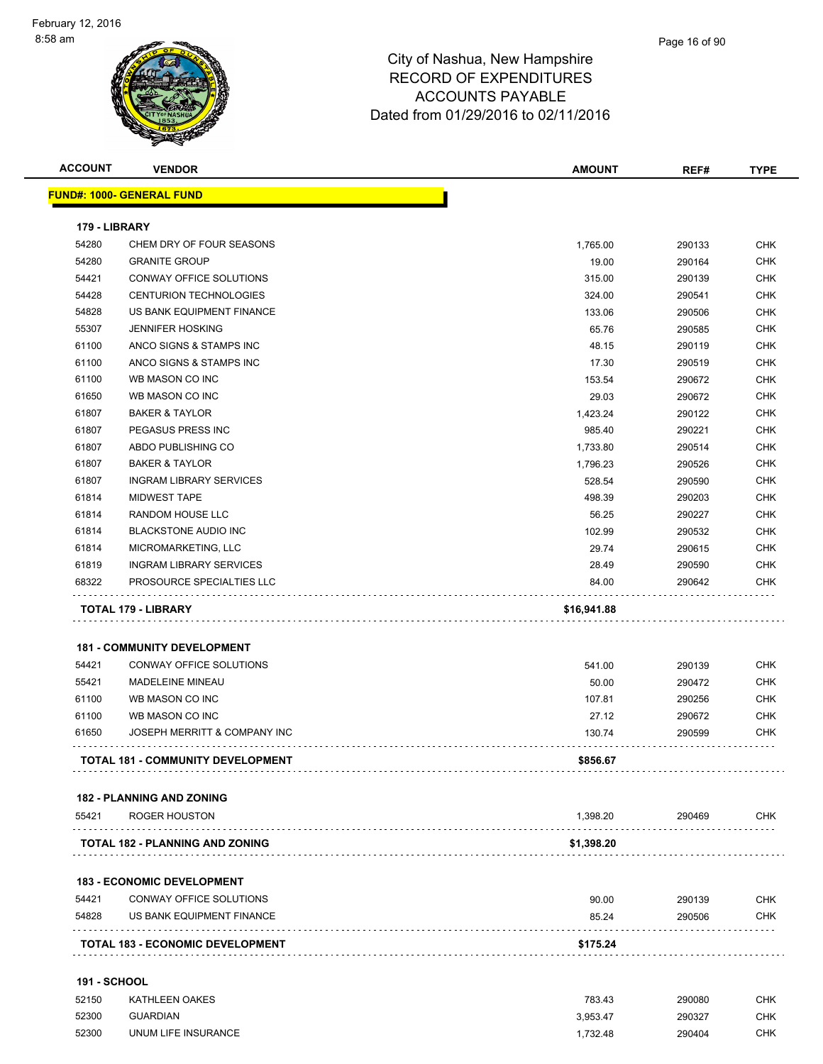| <b>ACCOUNT</b>      | <b>VENDOR</b>                            | <b>AMOUNT</b> | REF#   | <b>TYPE</b> |
|---------------------|------------------------------------------|---------------|--------|-------------|
|                     | <u> FUND#: 1000- GENERAL FUND</u>        |               |        |             |
| 179 - LIBRARY       |                                          |               |        |             |
| 54280               | CHEM DRY OF FOUR SEASONS                 | 1,765.00      | 290133 | <b>CHK</b>  |
| 54280               | <b>GRANITE GROUP</b>                     | 19.00         | 290164 | <b>CHK</b>  |
| 54421               | CONWAY OFFICE SOLUTIONS                  | 315.00        | 290139 | <b>CHK</b>  |
| 54428               | <b>CENTURION TECHNOLOGIES</b>            | 324.00        | 290541 | <b>CHK</b>  |
| 54828               | US BANK EQUIPMENT FINANCE                | 133.06        | 290506 | <b>CHK</b>  |
| 55307               | <b>JENNIFER HOSKING</b>                  | 65.76         | 290585 | <b>CHK</b>  |
| 61100               | ANCO SIGNS & STAMPS INC                  | 48.15         | 290119 | <b>CHK</b>  |
| 61100               | ANCO SIGNS & STAMPS INC                  | 17.30         | 290519 | <b>CHK</b>  |
| 61100               | WB MASON CO INC                          | 153.54        | 290672 | <b>CHK</b>  |
| 61650               | WB MASON CO INC                          | 29.03         | 290672 | <b>CHK</b>  |
| 61807               | <b>BAKER &amp; TAYLOR</b>                | 1,423.24      | 290122 | <b>CHK</b>  |
| 61807               | PEGASUS PRESS INC                        | 985.40        | 290221 | <b>CHK</b>  |
| 61807               | ABDO PUBLISHING CO                       | 1,733.80      | 290514 | <b>CHK</b>  |
| 61807               | <b>BAKER &amp; TAYLOR</b>                | 1,796.23      | 290526 | <b>CHK</b>  |
| 61807               | <b>INGRAM LIBRARY SERVICES</b>           | 528.54        | 290590 | <b>CHK</b>  |
| 61814               | <b>MIDWEST TAPE</b>                      | 498.39        | 290203 | <b>CHK</b>  |
| 61814               | <b>RANDOM HOUSE LLC</b>                  | 56.25         | 290227 | CHK         |
| 61814               | <b>BLACKSTONE AUDIO INC</b>              | 102.99        | 290532 | <b>CHK</b>  |
| 61814               | MICROMARKETING, LLC                      | 29.74         | 290615 | <b>CHK</b>  |
| 61819               | <b>INGRAM LIBRARY SERVICES</b>           | 28.49         | 290590 | <b>CHK</b>  |
| 68322               | PROSOURCE SPECIALTIES LLC                | 84.00         | 290642 | CHK         |
|                     | <b>181 - COMMUNITY DEVELOPMENT</b>       |               |        |             |
| 54421               | CONWAY OFFICE SOLUTIONS                  | 541.00        | 290139 | <b>CHK</b>  |
| 55421               | <b>MADELEINE MINEAU</b>                  | 50.00         | 290472 | <b>CHK</b>  |
| 61100               | WB MASON CO INC                          | 107.81        | 290256 | <b>CHK</b>  |
| 61100               | WB MASON CO INC                          | 27.12         | 290672 | CHK         |
| 61650               | JOSEPH MERRITT & COMPANY INC             | 130.74        | 290599 | CHK         |
|                     | <b>TOTAL 181 - COMMUNITY DEVELOPMENT</b> | \$856.67      |        |             |
|                     |                                          |               |        |             |
|                     | <b>182 - PLANNING AND ZONING</b>         |               |        |             |
| 55421               | ROGER HOUSTON<br>.                       | 1,398.20      | 290469 | CHK         |
|                     | <b>TOTAL 182 - PLANNING AND ZONING</b>   | \$1,398.20    |        |             |
|                     | <b>183 - ECONOMIC DEVELOPMENT</b>        |               |        |             |
| 54421               | CONWAY OFFICE SOLUTIONS                  | 90.00         | 290139 | CHK         |
| 54828               | US BANK EQUIPMENT FINANCE                | 85.24         | 290506 | <b>CHK</b>  |
|                     | <b>TOTAL 183 - ECONOMIC DEVELOPMENT</b>  | \$175.24      |        |             |
| <b>191 - SCHOOL</b> |                                          |               |        |             |
| 52150               | KATHLEEN OAKES                           | 783.43        | 290080 | CHK         |
| 52300               | <b>GUARDIAN</b>                          | 3,953.47      | 290327 | CHK         |

52300 UNUM LIFE INSURANCE **1,232,48** 290404 CHK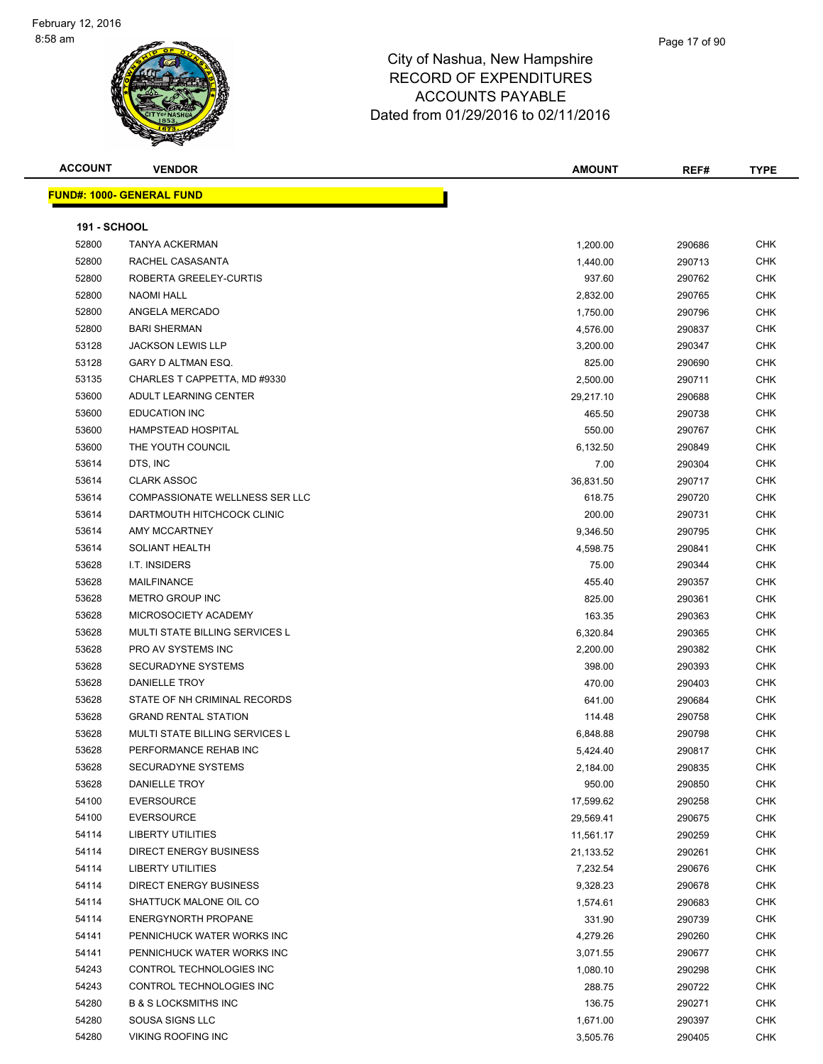#### Page 17 of 90

| <b>ACCOUNT</b>      | <b>VENDOR</b>                         | <b>AMOUNT</b> | REF#   | <b>TYPE</b> |
|---------------------|---------------------------------------|---------------|--------|-------------|
|                     | <b>FUND#: 1000- GENERAL FUND</b>      |               |        |             |
|                     |                                       |               |        |             |
| <b>191 - SCHOOL</b> |                                       |               |        |             |
| 52800               | TANYA ACKERMAN                        | 1,200.00      | 290686 | <b>CHK</b>  |
| 52800               | RACHEL CASASANTA                      | 1,440.00      | 290713 | <b>CHK</b>  |
| 52800               | ROBERTA GREELEY-CURTIS                | 937.60        | 290762 | <b>CHK</b>  |
| 52800               | <b>NAOMI HALL</b>                     | 2,832.00      | 290765 | CHK         |
| 52800               | ANGELA MERCADO                        | 1,750.00      | 290796 | CHK         |
| 52800               | <b>BARI SHERMAN</b>                   | 4,576.00      | 290837 | <b>CHK</b>  |
| 53128               | <b>JACKSON LEWIS LLP</b>              | 3,200.00      | 290347 | <b>CHK</b>  |
| 53128               | GARY D ALTMAN ESQ.                    | 825.00        | 290690 | <b>CHK</b>  |
| 53135               | CHARLES T CAPPETTA, MD #9330          | 2,500.00      | 290711 | CHK         |
| 53600               | ADULT LEARNING CENTER                 | 29,217.10     | 290688 | CHK         |
| 53600               | <b>EDUCATION INC</b>                  | 465.50        | 290738 | <b>CHK</b>  |
| 53600               | <b>HAMPSTEAD HOSPITAL</b>             | 550.00        | 290767 | CHK         |
| 53600               | THE YOUTH COUNCIL                     | 6,132.50      | 290849 | CHK         |
| 53614               | DTS, INC                              | 7.00          | 290304 | <b>CHK</b>  |
| 53614               | <b>CLARK ASSOC</b>                    | 36,831.50     | 290717 | CHK         |
| 53614               | COMPASSIONATE WELLNESS SER LLC        | 618.75        | 290720 | CHK         |
| 53614               | DARTMOUTH HITCHCOCK CLINIC            | 200.00        | 290731 | CHK         |
| 53614               | AMY MCCARTNEY                         | 9,346.50      | 290795 | CHK         |
| 53614               | <b>SOLIANT HEALTH</b>                 | 4,598.75      | 290841 | <b>CHK</b>  |
| 53628               | I.T. INSIDERS                         | 75.00         | 290344 | <b>CHK</b>  |
| 53628               | <b>MAILFINANCE</b>                    | 455.40        | 290357 | <b>CHK</b>  |
| 53628               | <b>METRO GROUP INC</b>                | 825.00        | 290361 | <b>CHK</b>  |
| 53628               | MICROSOCIETY ACADEMY                  | 163.35        | 290363 | CHK         |
| 53628               | <b>MULTI STATE BILLING SERVICES L</b> | 6,320.84      | 290365 | <b>CHK</b>  |
| 53628               | PRO AV SYSTEMS INC                    | 2,200.00      | 290382 | <b>CHK</b>  |
| 53628               | <b>SECURADYNE SYSTEMS</b>             | 398.00        | 290393 | CHK         |
| 53628               | DANIELLE TROY                         | 470.00        | 290403 | CHK         |
| 53628               | STATE OF NH CRIMINAL RECORDS          | 641.00        | 290684 | CHK         |
| 53628               | <b>GRAND RENTAL STATION</b>           | 114.48        | 290758 | CHK         |
| 53628               | <b>MULTI STATE BILLING SERVICES L</b> | 6,848.88      | 290798 | CHK         |
| 53628               | PERFORMANCE REHAB INC                 | 5,424.40      | 290817 | CHK         |
| 53628               | SECURADYNE SYSTEMS                    | 2,184.00      | 290835 | CHK         |
| 53628               | DANIELLE TROY                         | 950.00        | 290850 | <b>CHK</b>  |
| 54100               | <b>EVERSOURCE</b>                     | 17,599.62     | 290258 | <b>CHK</b>  |
| 54100               | EVERSOURCE                            | 29,569.41     | 290675 | <b>CHK</b>  |
| 54114               | LIBERTY UTILITIES                     | 11,561.17     | 290259 | <b>CHK</b>  |
| 54114               | <b>DIRECT ENERGY BUSINESS</b>         | 21,133.52     | 290261 | CHK         |
| 54114               | LIBERTY UTILITIES                     | 7,232.54      | 290676 | CHK         |
| 54114               | <b>DIRECT ENERGY BUSINESS</b>         | 9,328.23      | 290678 | CHK         |
| 54114               | SHATTUCK MALONE OIL CO                | 1,574.61      | 290683 | <b>CHK</b>  |
| 54114               | <b>ENERGYNORTH PROPANE</b>            | 331.90        | 290739 | <b>CHK</b>  |
| 54141               | PENNICHUCK WATER WORKS INC            | 4,279.26      | 290260 | CHK         |
| 54141               | PENNICHUCK WATER WORKS INC            | 3,071.55      | 290677 | CHK         |
| 54243               | CONTROL TECHNOLOGIES INC              | 1,080.10      | 290298 | <b>CHK</b>  |
| 54243               | CONTROL TECHNOLOGIES INC              | 288.75        | 290722 | CHK         |
| 54280               | <b>B &amp; S LOCKSMITHS INC</b>       | 136.75        | 290271 | CHK         |
| 54280               | SOUSA SIGNS LLC                       | 1,671.00      | 290397 | CHK         |
| 54280               | VIKING ROOFING INC                    | 3,505.76      | 290405 | CHK         |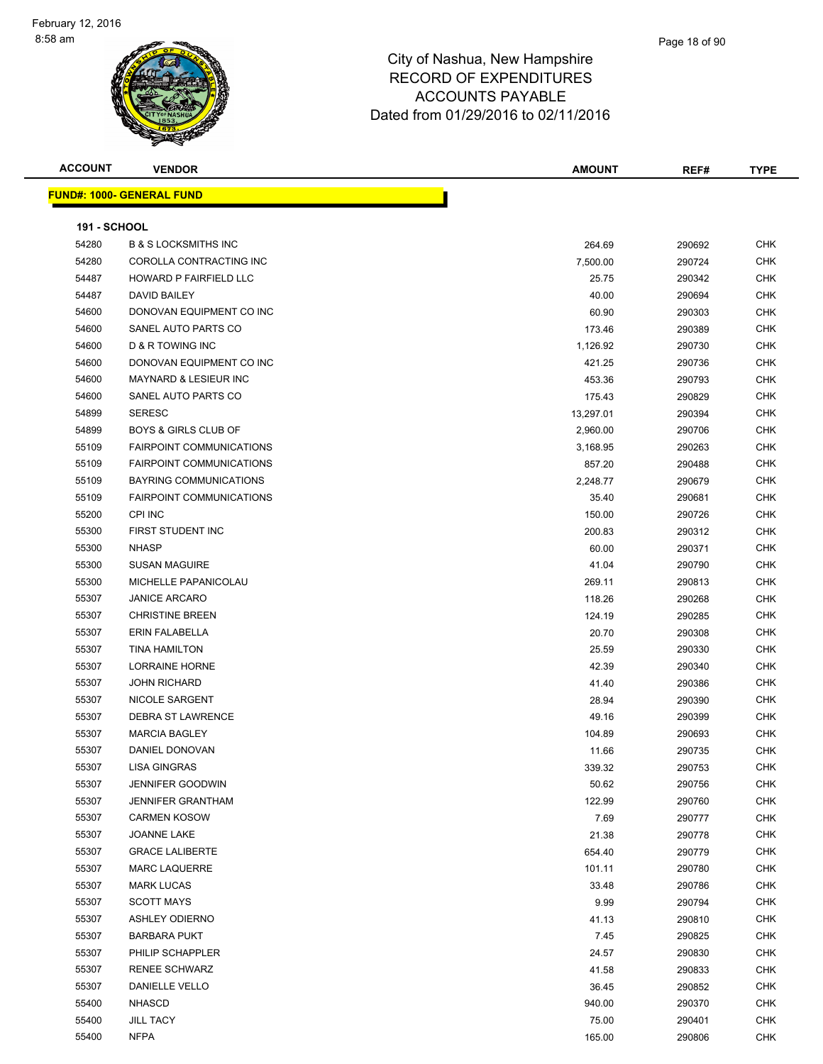#### Page 18 of 90

| <b>ACCOUNT</b>      | <b>VENDOR</b>                    | <b>AMOUNT</b> | REF#   | <b>TYPE</b> |
|---------------------|----------------------------------|---------------|--------|-------------|
|                     | <b>FUND#: 1000- GENERAL FUND</b> |               |        |             |
|                     |                                  |               |        |             |
| <b>191 - SCHOOL</b> |                                  |               |        |             |
| 54280               | <b>B &amp; S LOCKSMITHS INC</b>  | 264.69        | 290692 | <b>CHK</b>  |
| 54280               | COROLLA CONTRACTING INC          | 7,500.00      | 290724 | <b>CHK</b>  |
| 54487               | HOWARD P FAIRFIELD LLC           | 25.75         | 290342 | <b>CHK</b>  |
| 54487               | <b>DAVID BAILEY</b>              | 40.00         | 290694 | <b>CHK</b>  |
| 54600               | DONOVAN EQUIPMENT CO INC         | 60.90         | 290303 | <b>CHK</b>  |
| 54600               | SANEL AUTO PARTS CO              | 173.46        | 290389 | <b>CHK</b>  |
| 54600               | D & R TOWING INC                 | 1,126.92      | 290730 | <b>CHK</b>  |
| 54600               | DONOVAN EQUIPMENT CO INC         | 421.25        | 290736 | <b>CHK</b>  |
| 54600               | <b>MAYNARD &amp; LESIEUR INC</b> | 453.36        | 290793 | <b>CHK</b>  |
| 54600               | SANEL AUTO PARTS CO              | 175.43        | 290829 | <b>CHK</b>  |
| 54899               | <b>SERESC</b>                    | 13,297.01     | 290394 | <b>CHK</b>  |
| 54899               | <b>BOYS &amp; GIRLS CLUB OF</b>  | 2,960.00      | 290706 | <b>CHK</b>  |
| 55109               | <b>FAIRPOINT COMMUNICATIONS</b>  | 3,168.95      | 290263 | <b>CHK</b>  |
| 55109               | <b>FAIRPOINT COMMUNICATIONS</b>  | 857.20        | 290488 | <b>CHK</b>  |
| 55109               | <b>BAYRING COMMUNICATIONS</b>    | 2,248.77      | 290679 | <b>CHK</b>  |
| 55109               | <b>FAIRPOINT COMMUNICATIONS</b>  | 35.40         | 290681 | <b>CHK</b>  |
| 55200               | <b>CPI INC</b>                   | 150.00        | 290726 | <b>CHK</b>  |
| 55300               | FIRST STUDENT INC                | 200.83        | 290312 | <b>CHK</b>  |
| 55300               | <b>NHASP</b>                     | 60.00         | 290371 | <b>CHK</b>  |
| 55300               | <b>SUSAN MAGUIRE</b>             | 41.04         | 290790 | <b>CHK</b>  |
| 55300               | MICHELLE PAPANICOLAU             | 269.11        | 290813 | <b>CHK</b>  |
| 55307               | <b>JANICE ARCARO</b>             | 118.26        | 290268 | <b>CHK</b>  |
| 55307               | <b>CHRISTINE BREEN</b>           | 124.19        | 290285 | <b>CHK</b>  |
| 55307               | ERIN FALABELLA                   | 20.70         | 290308 | <b>CHK</b>  |
| 55307               | <b>TINA HAMILTON</b>             | 25.59         | 290330 | <b>CHK</b>  |
| 55307               | <b>LORRAINE HORNE</b>            | 42.39         | 290340 | <b>CHK</b>  |
| 55307               | <b>JOHN RICHARD</b>              | 41.40         | 290386 | <b>CHK</b>  |
| 55307               | NICOLE SARGENT                   | 28.94         | 290390 | <b>CHK</b>  |
| 55307               | <b>DEBRA ST LAWRENCE</b>         | 49.16         | 290399 | <b>CHK</b>  |
| 55307               | <b>MARCIA BAGLEY</b>             | 104.89        | 290693 | <b>CHK</b>  |
| 55307               | DANIEL DONOVAN                   | 11.66         | 290735 | <b>CHK</b>  |
| 55307               | LISA GINGRAS                     | 339.32        | 290753 | CHK         |
| 55307               | <b>JENNIFER GOODWIN</b>          | 50.62         | 290756 | <b>CHK</b>  |
| 55307               | <b>JENNIFER GRANTHAM</b>         | 122.99        | 290760 | <b>CHK</b>  |
| 55307               | <b>CARMEN KOSOW</b>              | 7.69          | 290777 | <b>CHK</b>  |
| 55307               | JOANNE LAKE                      | 21.38         | 290778 | <b>CHK</b>  |
| 55307               | <b>GRACE LALIBERTE</b>           | 654.40        | 290779 | <b>CHK</b>  |
| 55307               | <b>MARC LAQUERRE</b>             | 101.11        | 290780 | <b>CHK</b>  |
| 55307               | <b>MARK LUCAS</b>                | 33.48         | 290786 | CHK         |
| 55307               | <b>SCOTT MAYS</b>                | 9.99          | 290794 | <b>CHK</b>  |
| 55307               | <b>ASHLEY ODIERNO</b>            | 41.13         | 290810 | <b>CHK</b>  |
| 55307               | <b>BARBARA PUKT</b>              | 7.45          | 290825 | <b>CHK</b>  |
| 55307               | PHILIP SCHAPPLER                 | 24.57         | 290830 | <b>CHK</b>  |
| 55307               | <b>RENEE SCHWARZ</b>             | 41.58         | 290833 | <b>CHK</b>  |
| 55307               | DANIELLE VELLO                   | 36.45         | 290852 | <b>CHK</b>  |
| 55400               | <b>NHASCD</b>                    | 940.00        | 290370 | <b>CHK</b>  |
| 55400               | <b>JILL TACY</b>                 | 75.00         | 290401 | <b>CHK</b>  |
| 55400               | <b>NFPA</b>                      | 165.00        | 290806 | <b>CHK</b>  |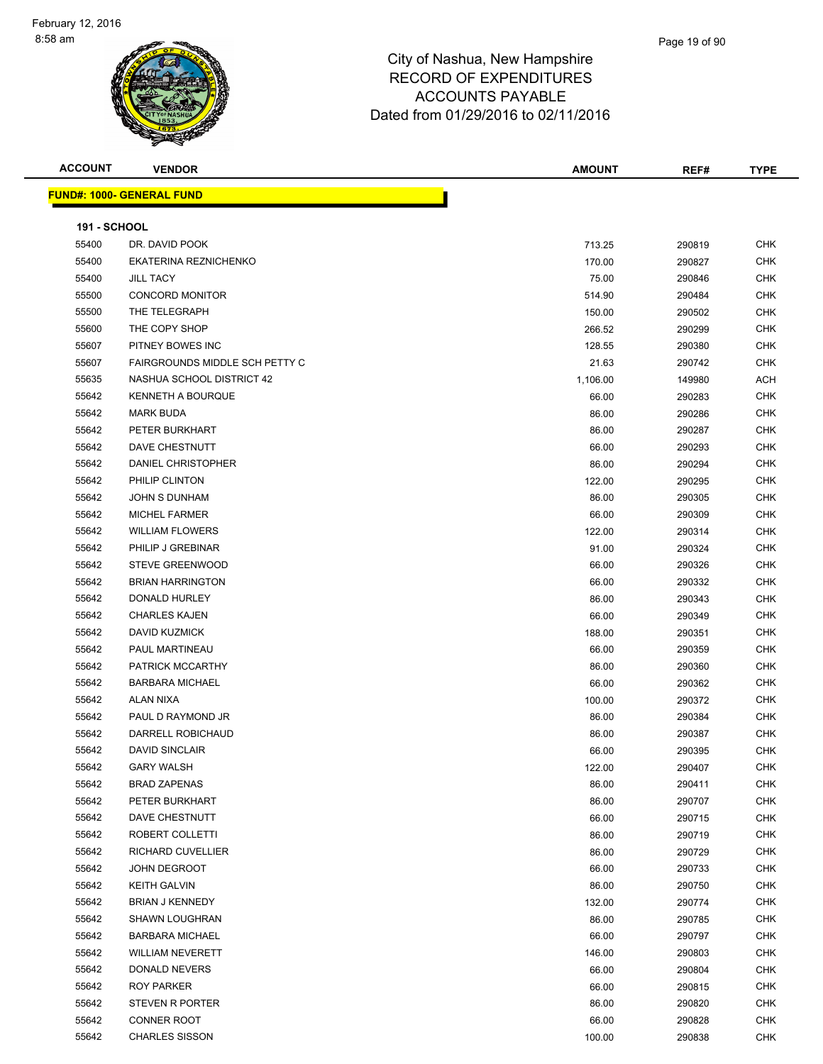| <b>ACCOUNT</b>      | <b>VENDOR</b>                    | <b>AMOUNT</b> | REF#   | <b>TYPE</b> |
|---------------------|----------------------------------|---------------|--------|-------------|
|                     | <b>FUND#: 1000- GENERAL FUND</b> |               |        |             |
|                     |                                  |               |        |             |
| <b>191 - SCHOOL</b> |                                  |               |        |             |
| 55400               | DR. DAVID POOK                   | 713.25        | 290819 | <b>CHK</b>  |
| 55400               | EKATERINA REZNICHENKO            | 170.00        | 290827 | <b>CHK</b>  |
| 55400               | <b>JILL TACY</b>                 | 75.00         | 290846 | CHK         |
| 55500               | <b>CONCORD MONITOR</b>           | 514.90        | 290484 | CHK         |
| 55500               | THE TELEGRAPH                    | 150.00        | 290502 | <b>CHK</b>  |
| 55600               | THE COPY SHOP                    | 266.52        | 290299 | <b>CHK</b>  |
| 55607               | PITNEY BOWES INC                 | 128.55        | 290380 | <b>CHK</b>  |
| 55607               | FAIRGROUNDS MIDDLE SCH PETTY C   | 21.63         | 290742 | <b>CHK</b>  |
| 55635               | NASHUA SCHOOL DISTRICT 42        | 1,106.00      | 149980 | ACH         |
| 55642               | <b>KENNETH A BOURQUE</b>         | 66.00         | 290283 | <b>CHK</b>  |
| 55642               | <b>MARK BUDA</b>                 | 86.00         | 290286 | CHK         |
| 55642               | PETER BURKHART                   | 86.00         | 290287 | CHK         |
| 55642               | DAVE CHESTNUTT                   | 66.00         | 290293 | <b>CHK</b>  |
| 55642               | DANIEL CHRISTOPHER               | 86.00         | 290294 | CHK         |
| 55642               | PHILIP CLINTON                   | 122.00        | 290295 | <b>CHK</b>  |
| 55642               | JOHN S DUNHAM                    | 86.00         | 290305 | <b>CHK</b>  |
| 55642               | <b>MICHEL FARMER</b>             | 66.00         | 290309 | <b>CHK</b>  |
| 55642               | <b>WILLIAM FLOWERS</b>           | 122.00        | 290314 | <b>CHK</b>  |
| 55642               | PHILIP J GREBINAR                | 91.00         | 290324 | <b>CHK</b>  |
| 55642               | STEVE GREENWOOD                  | 66.00         | 290326 | <b>CHK</b>  |
| 55642               | <b>BRIAN HARRINGTON</b>          | 66.00         | 290332 | <b>CHK</b>  |
| 55642               | DONALD HURLEY                    | 86.00         | 290343 | <b>CHK</b>  |
| 55642               | <b>CHARLES KAJEN</b>             | 66.00         | 290349 | CHK         |
| 55642               | <b>DAVID KUZMICK</b>             | 188.00        | 290351 | CHK         |
| 55642               | PAUL MARTINEAU                   | 66.00         | 290359 | CHK         |
| 55642               | PATRICK MCCARTHY                 | 86.00         | 290360 | <b>CHK</b>  |
| 55642               | <b>BARBARA MICHAEL</b>           | 66.00         | 290362 | <b>CHK</b>  |
| 55642               | ALAN NIXA                        | 100.00        | 290372 | <b>CHK</b>  |
| 55642               | PAUL D RAYMOND JR                | 86.00         | 290384 | <b>CHK</b>  |
| 55642               | DARRELL ROBICHAUD                | 86.00         | 290387 | CHK         |
| 55642               | <b>DAVID SINCLAIR</b>            | 66.00         | 290395 | <b>CHK</b>  |
| 55642               | <b>GARY WALSH</b>                | 122.00        | 290407 | <b>CHK</b>  |
| 55642               | <b>BRAD ZAPENAS</b>              | 86.00         | 290411 | <b>CHK</b>  |
| 55642               | PETER BURKHART                   | 86.00         | 290707 | <b>CHK</b>  |
| 55642               | DAVE CHESTNUTT                   | 66.00         | 290715 | CHK         |
| 55642               | ROBERT COLLETTI                  | 86.00         | 290719 | CHK         |
| 55642               | RICHARD CUVELLIER                | 86.00         |        | <b>CHK</b>  |
| 55642               | <b>JOHN DEGROOT</b>              |               | 290729 | <b>CHK</b>  |
|                     |                                  | 66.00         | 290733 |             |
| 55642               | <b>KEITH GALVIN</b>              | 86.00         | 290750 | <b>CHK</b>  |
| 55642               | <b>BRIAN J KENNEDY</b>           | 132.00        | 290774 | <b>CHK</b>  |
| 55642               | <b>SHAWN LOUGHRAN</b>            | 86.00         | 290785 | <b>CHK</b>  |
| 55642               | <b>BARBARA MICHAEL</b>           | 66.00         | 290797 | <b>CHK</b>  |
| 55642               | <b>WILLIAM NEVERETT</b>          | 146.00        | 290803 | <b>CHK</b>  |
| 55642               | DONALD NEVERS                    | 66.00         | 290804 | <b>CHK</b>  |
| 55642               | ROY PARKER                       | 66.00         | 290815 | CHK         |
| 55642               | STEVEN R PORTER                  | 86.00         | 290820 | CHK         |
| 55642               | <b>CONNER ROOT</b>               | 66.00         | 290828 | CHK         |
| 55642               | <b>CHARLES SISSON</b>            | 100.00        | 290838 | <b>CHK</b>  |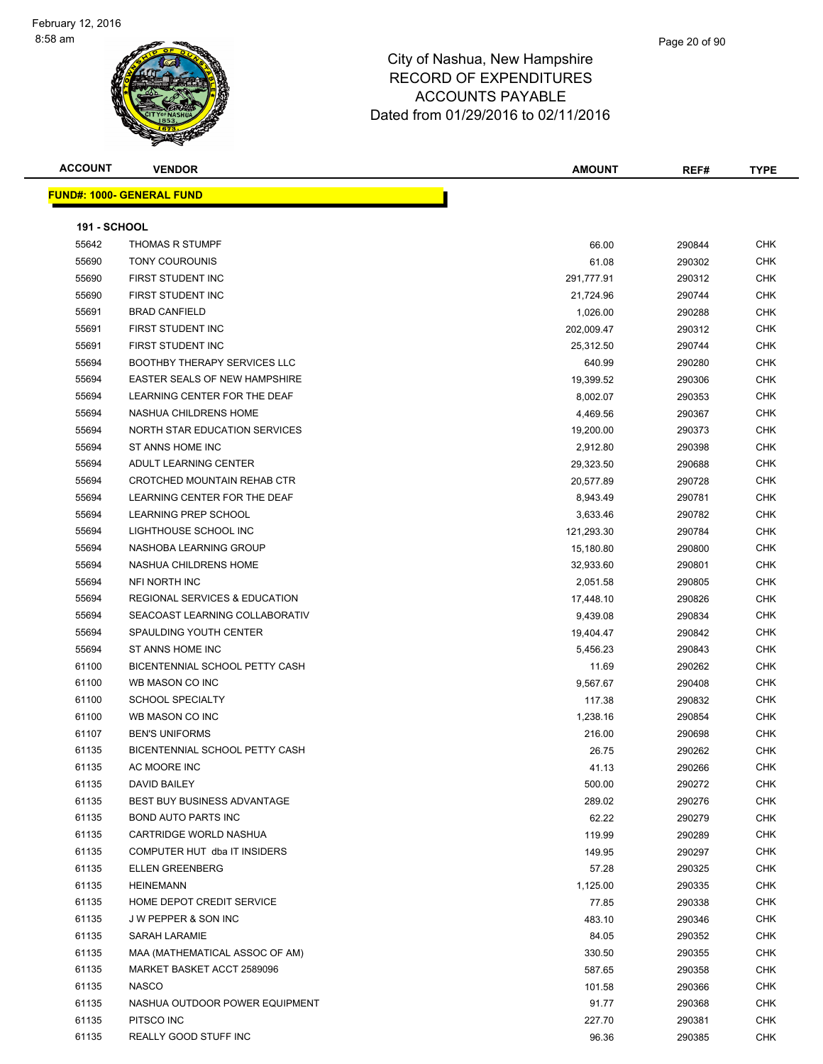| <b>ACCOUNT</b>      | <b>VENDOR</b>                    | <b>AMOUNT</b> | REF#   | <b>TYPE</b> |  |
|---------------------|----------------------------------|---------------|--------|-------------|--|
|                     | <b>FUND#: 1000- GENERAL FUND</b> |               |        |             |  |
| <b>191 - SCHOOL</b> |                                  |               |        |             |  |
| 55642               | <b>THOMAS R STUMPF</b>           | 66.00         | 290844 | <b>CHK</b>  |  |
| 55690               | <b>TONY COUROUNIS</b>            | 61.08         | 290302 | <b>CHK</b>  |  |
| 55690               | FIRST STUDENT INC                | 291.777.91    | 290312 | <b>CHK</b>  |  |
| 55690               | FIRST STUDENT INC                | 21.724.96     | 290744 | <b>CHK</b>  |  |
| 55691               | <b>BRAD CANFIELD</b>             | 1.026.00      | 290288 | <b>CHK</b>  |  |
| 55691               | FIRST STUDENT INC                | 202,009.47    | 290312 | <b>CHK</b>  |  |

| 55691 | FIRST STUDENT INC                   | 25,312.50  | 290744 | CHK        |
|-------|-------------------------------------|------------|--------|------------|
| 55694 | <b>BOOTHBY THERAPY SERVICES LLC</b> | 640.99     | 290280 | <b>CHK</b> |
| 55694 | EASTER SEALS OF NEW HAMPSHIRE       | 19,399.52  | 290306 | CHK        |
| 55694 | LEARNING CENTER FOR THE DEAF        | 8,002.07   | 290353 | <b>CHK</b> |
| 55694 | NASHUA CHILDRENS HOME               | 4,469.56   | 290367 | <b>CHK</b> |
| 55694 | NORTH STAR EDUCATION SERVICES       | 19,200.00  | 290373 | <b>CHK</b> |
| 55694 | ST ANNS HOME INC                    | 2,912.80   | 290398 | <b>CHK</b> |
| 55694 | ADULT LEARNING CENTER               | 29,323.50  | 290688 | <b>CHK</b> |
| 55694 | CROTCHED MOUNTAIN REHAB CTR         | 20,577.89  | 290728 | <b>CHK</b> |
| 55694 | LEARNING CENTER FOR THE DEAF        | 8,943.49   | 290781 | <b>CHK</b> |
| 55694 | LEARNING PREP SCHOOL                | 3,633.46   | 290782 | <b>CHK</b> |
| 55694 | LIGHTHOUSE SCHOOL INC               | 121,293.30 | 290784 | <b>CHK</b> |
| 55694 | NASHOBA LEARNING GROUP              | 15,180.80  | 290800 | <b>CHK</b> |
| 55694 | NASHUA CHILDRENS HOME               | 32,933.60  | 290801 | <b>CHK</b> |
| 55694 | NFI NORTH INC                       | 2,051.58   | 290805 | <b>CHK</b> |
| 55694 | REGIONAL SERVICES & EDUCATION       | 17,448.10  | 290826 | <b>CHK</b> |
| 55694 | SEACOAST LEARNING COLLABORATIV      | 9,439.08   | 290834 | <b>CHK</b> |
| 55694 | SPAULDING YOUTH CENTER              | 19,404.47  | 290842 | <b>CHK</b> |
| 55694 | ST ANNS HOME INC                    | 5,456.23   | 290843 | <b>CHK</b> |
| 61100 | BICENTENNIAL SCHOOL PETTY CASH      | 11.69      | 290262 | <b>CHK</b> |
| 61100 | WB MASON CO INC                     | 9,567.67   | 290408 | <b>CHK</b> |
| 61100 | <b>SCHOOL SPECIALTY</b>             | 117.38     | 290832 | <b>CHK</b> |
| 61100 | WB MASON CO INC                     | 1,238.16   | 290854 | CHK        |
| 61107 | <b>BEN'S UNIFORMS</b>               | 216.00     | 290698 | <b>CHK</b> |
| 61135 | BICENTENNIAL SCHOOL PETTY CASH      | 26.75      | 290262 | <b>CHK</b> |
| 61135 | AC MOORE INC                        | 41.13      | 290266 | <b>CHK</b> |
| 61135 | <b>DAVID BAILEY</b>                 | 500.00     | 290272 | <b>CHK</b> |
| 61135 | BEST BUY BUSINESS ADVANTAGE         | 289.02     | 290276 | <b>CHK</b> |
| 61135 | <b>BOND AUTO PARTS INC</b>          | 62.22      | 290279 | <b>CHK</b> |
| 61135 | CARTRIDGE WORLD NASHUA              | 119.99     | 290289 | <b>CHK</b> |
| 61135 | COMPUTER HUT dba IT INSIDERS        | 149.95     | 290297 | CHK        |
| 61135 | ELLEN GREENBERG                     | 57.28      | 290325 | <b>CHK</b> |
| 61135 | <b>HEINEMANN</b>                    | 1,125.00   | 290335 | <b>CHK</b> |
| 61135 | HOME DEPOT CREDIT SERVICE           | 77.85      | 290338 | CHK        |
| 61135 | <b>JW PEPPER &amp; SON INC</b>      | 483.10     | 290346 | CHK        |
| 61135 | SARAH LARAMIE                       | 84.05      | 290352 | <b>CHK</b> |
| 61135 | MAA (MATHEMATICAL ASSOC OF AM)      | 330.50     | 290355 | CHK        |
| 61135 | MARKET BASKET ACCT 2589096          | 587.65     | 290358 | <b>CHK</b> |
| 61135 | <b>NASCO</b>                        | 101.58     | 290366 | <b>CHK</b> |
| 61135 | NASHUA OUTDOOR POWER EQUIPMENT      | 91.77      | 290368 | <b>CHK</b> |
| 61135 | PITSCO INC                          | 227.70     | 290381 | <b>CHK</b> |
| 61135 | REALLY GOOD STUFF INC               | 96.36      | 290385 | <b>CHK</b> |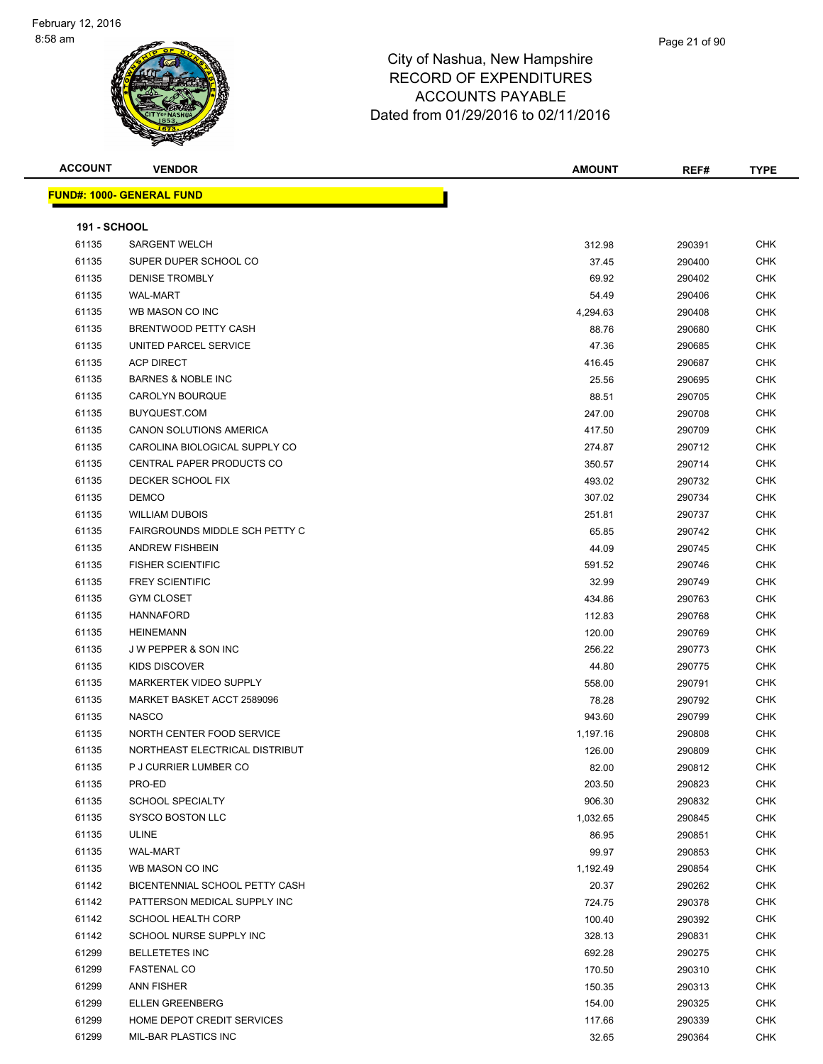| <b>ACCOUNT</b>      | <b>VENDOR</b>                                        | <b>AMOUNT</b> | REF#   | <b>TYPE</b> |
|---------------------|------------------------------------------------------|---------------|--------|-------------|
|                     | <b>FUND#: 1000- GENERAL FUND</b>                     |               |        |             |
|                     |                                                      |               |        |             |
| <b>191 - SCHOOL</b> |                                                      |               |        |             |
| 61135               | <b>SARGENT WELCH</b>                                 | 312.98        | 290391 | <b>CHK</b>  |
| 61135               | SUPER DUPER SCHOOL CO                                | 37.45         | 290400 | <b>CHK</b>  |
| 61135               | <b>DENISE TROMBLY</b>                                | 69.92         | 290402 | CHK         |
| 61135               | <b>WAL-MART</b>                                      | 54.49         | 290406 | <b>CHK</b>  |
| 61135               | WB MASON CO INC                                      | 4,294.63      | 290408 | <b>CHK</b>  |
| 61135               | BRENTWOOD PETTY CASH                                 | 88.76         | 290680 | <b>CHK</b>  |
| 61135               | UNITED PARCEL SERVICE                                | 47.36         | 290685 | <b>CHK</b>  |
| 61135               | <b>ACP DIRECT</b>                                    | 416.45        | 290687 | <b>CHK</b>  |
| 61135               | <b>BARNES &amp; NOBLE INC</b>                        | 25.56         | 290695 | <b>CHK</b>  |
| 61135               | <b>CAROLYN BOURQUE</b>                               | 88.51         | 290705 | <b>CHK</b>  |
| 61135               | BUYQUEST.COM                                         | 247.00        | 290708 | <b>CHK</b>  |
| 61135               | CANON SOLUTIONS AMERICA                              | 417.50        | 290709 | CHK         |
| 61135               | CAROLINA BIOLOGICAL SUPPLY CO                        | 274.87        | 290712 | CHK         |
| 61135               | CENTRAL PAPER PRODUCTS CO                            | 350.57        | 290714 | <b>CHK</b>  |
| 61135               | DECKER SCHOOL FIX                                    | 493.02        | 290732 | <b>CHK</b>  |
| 61135               | <b>DEMCO</b>                                         | 307.02        | 290734 | <b>CHK</b>  |
| 61135               | <b>WILLIAM DUBOIS</b>                                | 251.81        | 290737 | <b>CHK</b>  |
| 61135               | FAIRGROUNDS MIDDLE SCH PETTY C                       | 65.85         | 290742 | <b>CHK</b>  |
| 61135               | <b>ANDREW FISHBEIN</b>                               | 44.09         | 290745 | <b>CHK</b>  |
| 61135               | <b>FISHER SCIENTIFIC</b>                             | 591.52        | 290746 | <b>CHK</b>  |
| 61135               | <b>FREY SCIENTIFIC</b>                               | 32.99         | 290749 | <b>CHK</b>  |
| 61135               | <b>GYM CLOSET</b>                                    | 434.86        | 290763 | <b>CHK</b>  |
| 61135               | <b>HANNAFORD</b>                                     | 112.83        | 290768 | <b>CHK</b>  |
| 61135               | HEINEMANN                                            | 120.00        | 290769 | CHK         |
| 61135               | J W PEPPER & SON INC                                 | 256.22        | 290773 | <b>CHK</b>  |
| 61135               | KIDS DISCOVER                                        | 44.80         | 290775 | <b>CHK</b>  |
| 61135               | <b>MARKERTEK VIDEO SUPPLY</b>                        | 558.00        | 290791 | <b>CHK</b>  |
| 61135               | MARKET BASKET ACCT 2589096                           | 78.28         | 290792 | <b>CHK</b>  |
| 61135               | <b>NASCO</b>                                         | 943.60        | 290799 | <b>CHK</b>  |
| 61135               | NORTH CENTER FOOD SERVICE                            | 1,197.16      | 290808 | <b>CHK</b>  |
| 61135               | NORTHEAST ELECTRICAL DISTRIBUT                       | 126.00        | 290809 | <b>CHK</b>  |
| 61135               | P J CURRIER LUMBER CO                                | 82.00         | 290812 | <b>CHK</b>  |
| 61135               | PRO-ED                                               | 203.50        | 290823 | <b>CHK</b>  |
| 61135               | SCHOOL SPECIALTY                                     | 906.30        | 290832 | <b>CHK</b>  |
| 61135               | <b>SYSCO BOSTON LLC</b>                              | 1,032.65      | 290845 | CHK         |
| 61135               | ULINE                                                | 86.95         | 290851 | CHK         |
| 61135               | <b>WAL-MART</b>                                      | 99.97         | 290853 | <b>CHK</b>  |
| 61135               | WB MASON CO INC                                      | 1,192.49      | 290854 | CHK         |
| 61142               | BICENTENNIAL SCHOOL PETTY CASH                       | 20.37         | 290262 | <b>CHK</b>  |
| 61142               | PATTERSON MEDICAL SUPPLY INC                         | 724.75        | 290378 | <b>CHK</b>  |
| 61142               | <b>SCHOOL HEALTH CORP</b>                            | 100.40        | 290392 | CHK         |
| 61142               | SCHOOL NURSE SUPPLY INC                              | 328.13        | 290831 | <b>CHK</b>  |
| 61299               | <b>BELLETETES INC</b>                                | 692.28        | 290275 | <b>CHK</b>  |
| 61299               | <b>FASTENAL CO</b>                                   | 170.50        | 290310 | CHK         |
| 61299               | ANN FISHER                                           | 150.35        | 290313 | CHK         |
|                     |                                                      |               |        |             |
| 61299               | <b>ELLEN GREENBERG</b><br>HOME DEPOT CREDIT SERVICES | 154.00        | 290325 | CHK         |
| 61299               |                                                      | 117.66        | 290339 | CHK         |
| 61299               | MIL-BAR PLASTICS INC                                 | 32.65         | 290364 | <b>CHK</b>  |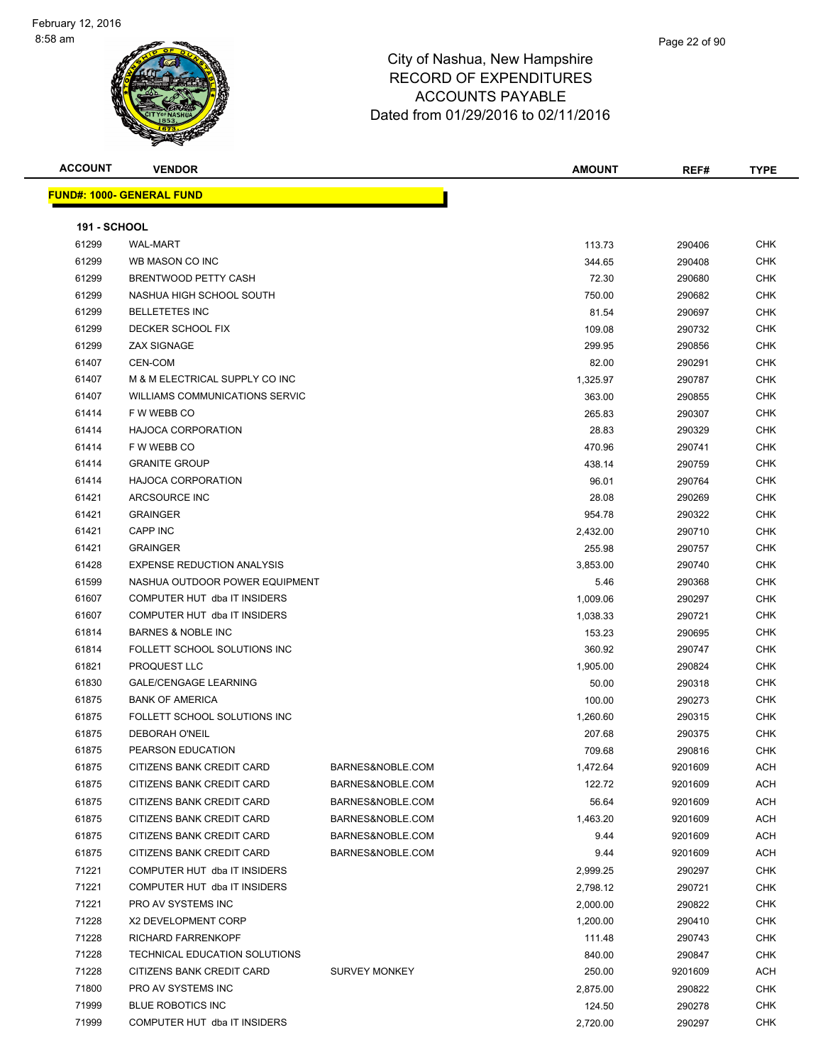| <b>ACCOUNT</b>      | <b>VENDOR</b>                     |                      | AMOUNT   | REF#    | <b>TYPE</b> |
|---------------------|-----------------------------------|----------------------|----------|---------|-------------|
|                     | <b>FUND#: 1000- GENERAL FUND</b>  |                      |          |         |             |
|                     |                                   |                      |          |         |             |
| <b>191 - SCHOOL</b> |                                   |                      |          |         |             |
| 61299               | <b>WAL-MART</b>                   |                      | 113.73   | 290406  | CHK         |
| 61299               | WB MASON CO INC                   |                      | 344.65   | 290408  | CHK         |
| 61299               | <b>BRENTWOOD PETTY CASH</b>       |                      | 72.30    | 290680  | CHK         |
| 61299               | NASHUA HIGH SCHOOL SOUTH          |                      | 750.00   | 290682  | <b>CHK</b>  |
| 61299               | <b>BELLETETES INC</b>             |                      | 81.54    | 290697  | CHK         |
| 61299               | DECKER SCHOOL FIX                 |                      | 109.08   | 290732  | <b>CHK</b>  |
| 61299               | <b>ZAX SIGNAGE</b>                |                      | 299.95   | 290856  | <b>CHK</b>  |
| 61407               | CEN-COM                           |                      | 82.00    | 290291  | <b>CHK</b>  |
| 61407               | M & M ELECTRICAL SUPPLY CO INC    |                      | 1,325.97 | 290787  | CHK         |
| 61407               | WILLIAMS COMMUNICATIONS SERVIC    |                      | 363.00   | 290855  | <b>CHK</b>  |
| 61414               | F W WEBB CO                       |                      | 265.83   | 290307  | <b>CHK</b>  |
| 61414               | <b>HAJOCA CORPORATION</b>         |                      | 28.83    | 290329  | CHK         |
| 61414               | F W WEBB CO                       |                      | 470.96   | 290741  | CHK         |
| 61414               | <b>GRANITE GROUP</b>              |                      | 438.14   | 290759  | CHK         |
| 61414               | <b>HAJOCA CORPORATION</b>         |                      | 96.01    | 290764  | <b>CHK</b>  |
| 61421               | ARCSOURCE INC                     |                      | 28.08    | 290269  | <b>CHK</b>  |
| 61421               | <b>GRAINGER</b>                   |                      | 954.78   | 290322  | <b>CHK</b>  |
| 61421               | <b>CAPP INC</b>                   |                      | 2,432.00 | 290710  | <b>CHK</b>  |
| 61421               | <b>GRAINGER</b>                   |                      | 255.98   | 290757  | <b>CHK</b>  |
| 61428               | <b>EXPENSE REDUCTION ANALYSIS</b> |                      | 3,853.00 | 290740  | CHK         |
| 61599               | NASHUA OUTDOOR POWER EQUIPMENT    |                      | 5.46     | 290368  | <b>CHK</b>  |
| 61607               | COMPUTER HUT dba IT INSIDERS      |                      | 1,009.06 | 290297  | CHK         |
| 61607               | COMPUTER HUT dba IT INSIDERS      |                      | 1,038.33 | 290721  | CHK         |
| 61814               | <b>BARNES &amp; NOBLE INC</b>     |                      | 153.23   | 290695  | <b>CHK</b>  |
| 61814               | FOLLETT SCHOOL SOLUTIONS INC      |                      | 360.92   | 290747  | <b>CHK</b>  |
| 61821               | <b>PROQUEST LLC</b>               |                      | 1,905.00 | 290824  | <b>CHK</b>  |
| 61830               | <b>GALE/CENGAGE LEARNING</b>      |                      | 50.00    | 290318  | CHK         |
| 61875               | <b>BANK OF AMERICA</b>            |                      | 100.00   | 290273  | <b>CHK</b>  |
| 61875               | FOLLETT SCHOOL SOLUTIONS INC      |                      | 1,260.60 | 290315  | CHK         |
| 61875               | <b>DEBORAH O'NEIL</b>             |                      | 207.68   | 290375  | <b>CHK</b>  |
| 61875               | PEARSON EDUCATION                 |                      | 709.68   | 290816  | CHK         |
| 61875               | CITIZENS BANK CREDIT CARD         | BARNES&NOBLE.COM     | 1,472.64 | 9201609 | <b>ACH</b>  |
| 61875               | CITIZENS BANK CREDIT CARD         | BARNES&NOBLE.COM     | 122.72   | 9201609 | <b>ACH</b>  |
| 61875               | CITIZENS BANK CREDIT CARD         | BARNES&NOBLE.COM     | 56.64    | 9201609 | <b>ACH</b>  |
| 61875               | CITIZENS BANK CREDIT CARD         | BARNES&NOBLE.COM     | 1,463.20 | 9201609 | ACH         |
| 61875               | CITIZENS BANK CREDIT CARD         | BARNES&NOBLE.COM     | 9.44     | 9201609 | <b>ACH</b>  |
| 61875               | CITIZENS BANK CREDIT CARD         | BARNES&NOBLE.COM     | 9.44     | 9201609 | <b>ACH</b>  |
| 71221               | COMPUTER HUT dba IT INSIDERS      |                      | 2,999.25 | 290297  | <b>CHK</b>  |
| 71221               | COMPUTER HUT dba IT INSIDERS      |                      | 2,798.12 | 290721  | CHK         |
| 71221               | PRO AV SYSTEMS INC                |                      | 2,000.00 | 290822  | <b>CHK</b>  |
| 71228               | X2 DEVELOPMENT CORP               |                      | 1,200.00 | 290410  | <b>CHK</b>  |
| 71228               | RICHARD FARRENKOPF                |                      | 111.48   | 290743  | CHK         |
| 71228               | TECHNICAL EDUCATION SOLUTIONS     |                      | 840.00   | 290847  | CHK         |
| 71228               | CITIZENS BANK CREDIT CARD         | <b>SURVEY MONKEY</b> | 250.00   | 9201609 | ACH         |
| 71800               | PRO AV SYSTEMS INC                |                      | 2,875.00 | 290822  | CHK         |
| 71999               | <b>BLUE ROBOTICS INC</b>          |                      | 124.50   | 290278  | CHK         |
| 71999               | COMPUTER HUT dba IT INSIDERS      |                      | 2,720.00 | 290297  | CHK         |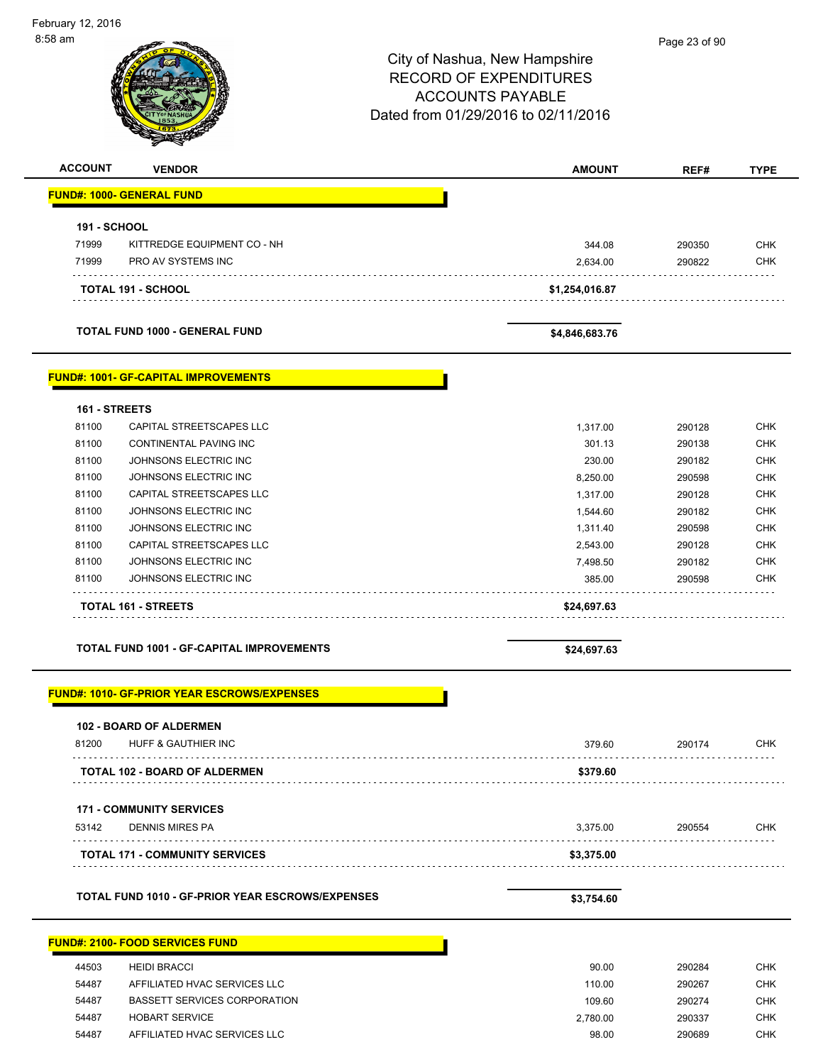| יוווש טע.ט          |                                                     |                                     | Page 23 or 90 |             |  |
|---------------------|-----------------------------------------------------|-------------------------------------|---------------|-------------|--|
|                     |                                                     | City of Nashua, New Hampshire       |               |             |  |
|                     |                                                     | <b>RECORD OF EXPENDITURES</b>       |               |             |  |
|                     |                                                     | <b>ACCOUNTS PAYABLE</b>             |               |             |  |
|                     |                                                     | Dated from 01/29/2016 to 02/11/2016 |               |             |  |
|                     |                                                     |                                     |               |             |  |
| <b>ACCOUNT</b>      | <b>VENDOR</b>                                       | <b>AMOUNT</b>                       | REF#          | <b>TYPE</b> |  |
|                     | <b>FUND#: 1000- GENERAL FUND</b>                    |                                     |               |             |  |
| <b>191 - SCHOOL</b> |                                                     |                                     |               |             |  |
| 71999               | KITTREDGE EQUIPMENT CO - NH                         | 344.08                              | 290350        | <b>CHK</b>  |  |
| 71999               | PRO AV SYSTEMS INC                                  | 2,634.00                            | 290822        | <b>CHK</b>  |  |
|                     | <b>TOTAL 191 - SCHOOL</b>                           | \$1,254,016.87                      |               |             |  |
|                     |                                                     |                                     |               |             |  |
|                     | <b>TOTAL FUND 1000 - GENERAL FUND</b>               | \$4,846,683.76                      |               |             |  |
|                     | <b>FUND#: 1001- GF-CAPITAL IMPROVEMENTS</b>         |                                     |               |             |  |
| 161 - STREETS       |                                                     |                                     |               |             |  |
| 81100               | CAPITAL STREETSCAPES LLC                            | 1,317.00                            | 290128        | <b>CHK</b>  |  |
| 81100               | CONTINENTAL PAVING INC                              | 301.13                              | 290138        | CHK         |  |
| 81100               | JOHNSONS ELECTRIC INC                               | 230.00                              | 290182        | <b>CHK</b>  |  |
| 81100               | JOHNSONS ELECTRIC INC                               | 8,250.00                            | 290598        | <b>CHK</b>  |  |
| 81100               | CAPITAL STREETSCAPES LLC                            | 1,317.00                            | 290128        | <b>CHK</b>  |  |
| 81100               | JOHNSONS ELECTRIC INC                               | 1,544.60                            | 290182        | <b>CHK</b>  |  |
| 81100               | JOHNSONS ELECTRIC INC                               | 1,311.40                            | 290598        | <b>CHK</b>  |  |
| 81100               | CAPITAL STREETSCAPES LLC                            | 2,543.00                            | 290128        | <b>CHK</b>  |  |
| 81100               | JOHNSONS ELECTRIC INC                               | 7,498.50                            | 290182        | <b>CHK</b>  |  |
| 81100               | JOHNSONS ELECTRIC INC                               | 385.00                              | 290598        | <b>CHK</b>  |  |
|                     | <b>TOTAL 161 - STREETS</b>                          | \$24,697.63                         |               |             |  |
|                     | TOTAL FUND 1001 - GF-CAPITAL IMPROVEMENTS           | \$24,697.63                         |               |             |  |
|                     |                                                     |                                     |               |             |  |
|                     | <u> FUND#: 1010- GF-PRIOR YEAR ESCROWS/EXPENSES</u> |                                     |               |             |  |
| 81200               | 102 - BOARD OF ALDERMEN<br>HUFF & GAUTHIER INC      | 379.60                              | 290174        | <b>CHK</b>  |  |
|                     | <b>TOTAL 102 - BOARD OF ALDERMEN</b>                | \$379.60                            |               |             |  |
|                     |                                                     |                                     |               |             |  |
|                     | <b>171 - COMMUNITY SERVICES</b>                     |                                     |               |             |  |
| 53142               | <b>DENNIS MIRES PA</b>                              | 3,375.00                            | 290554        | <b>CHK</b>  |  |
|                     | <b>TOTAL 171 - COMMUNITY SERVICES</b>               | \$3,375.00                          |               |             |  |
|                     | TOTAL FUND 1010 - GF-PRIOR YEAR ESCROWS/EXPENSES    | \$3,754.60                          |               |             |  |
|                     | <b>FUND#: 2100- FOOD SERVICES FUND</b>              |                                     |               |             |  |
| 44503               | <b>HEIDI BRACCI</b>                                 | 90.00                               | 290284        | <b>CHK</b>  |  |
| 54487               | AFFILIATED HVAC SERVICES LLC                        | 110.00                              | 290267        | <b>CHK</b>  |  |
| 54487               | <b>BASSETT SERVICES CORPORATION</b>                 | 109.60                              | 290274        | <b>CHK</b>  |  |
| 54487               | <b>HOBART SERVICE</b>                               | 2,780.00                            | 290337        | <b>CHK</b>  |  |
| 54487               | AFFILIATED HVAC SERVICES LLC                        | 98.00                               | 290689        | <b>CHK</b>  |  |
|                     |                                                     |                                     |               |             |  |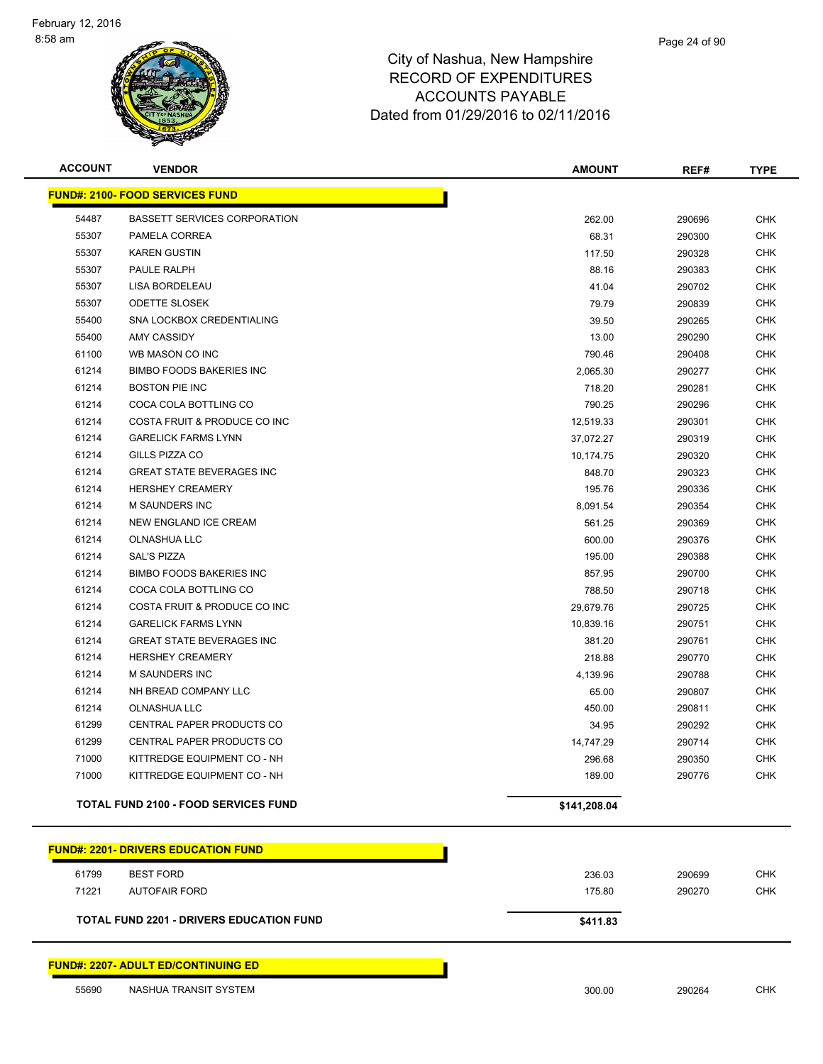

| <b>ACCOUNT</b> | <b>VENDOR</b>                                   | <b>AMOUNT</b> | REF#             | TYPE       |
|----------------|-------------------------------------------------|---------------|------------------|------------|
|                | <b>FUND#: 2100- FOOD SERVICES FUND</b>          |               |                  |            |
| 54487          | <b>BASSETT SERVICES CORPORATION</b>             | 262.00        | 290696           | <b>CHK</b> |
| 55307          | PAMELA CORREA                                   | 68.31         | 290300           | <b>CHK</b> |
| 55307          | <b>KAREN GUSTIN</b>                             | 117.50        | 290328           | <b>CHK</b> |
| 55307          | PAULE RALPH                                     | 88.16         | 290383           | <b>CHK</b> |
| 55307          | LISA BORDELEAU                                  | 41.04         | 290702           | <b>CHK</b> |
| 55307          | <b>ODETTE SLOSEK</b>                            | 79.79         | 290839           | <b>CHK</b> |
| 55400          | SNA LOCKBOX CREDENTIALING                       | 39.50         | 290265           | <b>CHK</b> |
| 55400          | AMY CASSIDY                                     | 13.00         | 290290           | <b>CHK</b> |
| 61100          | WB MASON CO INC                                 | 790.46        | 290408           | <b>CHK</b> |
| 61214          | <b>BIMBO FOODS BAKERIES INC</b>                 | 2,065.30      | 290277           | <b>CHK</b> |
| 61214          | <b>BOSTON PIE INC</b>                           | 718.20        | 290281           | <b>CHK</b> |
| 61214          | COCA COLA BOTTLING CO                           | 790.25        | 290296           | <b>CHK</b> |
| 61214          | COSTA FRUIT & PRODUCE CO INC                    | 12,519.33     | 290301           | <b>CHK</b> |
| 61214          | <b>GARELICK FARMS LYNN</b>                      | 37,072.27     | 290319           | <b>CHK</b> |
| 61214          | GILLS PIZZA CO                                  | 10,174.75     | 290320           | <b>CHK</b> |
| 61214          | <b>GREAT STATE BEVERAGES INC</b>                | 848.70        | 290323           | <b>CHK</b> |
| 61214          | <b>HERSHEY CREAMERY</b>                         | 195.76        | 290336           | <b>CHK</b> |
| 61214          | <b>M SAUNDERS INC</b>                           | 8,091.54      | 290354           | <b>CHK</b> |
| 61214          | NEW ENGLAND ICE CREAM                           | 561.25        | 290369           | <b>CHK</b> |
| 61214          | <b>OLNASHUA LLC</b>                             | 600.00        | 290376           | <b>CHK</b> |
| 61214          | <b>SAL'S PIZZA</b>                              | 195.00        | 290388           | <b>CHK</b> |
| 61214          | <b>BIMBO FOODS BAKERIES INC</b>                 | 857.95        | 290700           | <b>CHK</b> |
| 61214          | COCA COLA BOTTLING CO                           | 788.50        | 290718           | <b>CHK</b> |
| 61214          | COSTA FRUIT & PRODUCE CO INC                    | 29,679.76     | 290725           | <b>CHK</b> |
| 61214          | <b>GARELICK FARMS LYNN</b>                      | 10,839.16     | 290751           | <b>CHK</b> |
| 61214          | <b>GREAT STATE BEVERAGES INC</b>                | 381.20        | 290761           | <b>CHK</b> |
| 61214          | <b>HERSHEY CREAMERY</b>                         | 218.88        | 290770           | <b>CHK</b> |
| 61214          | <b>M SAUNDERS INC</b>                           | 4,139.96      | 290788           | <b>CHK</b> |
| 61214          | NH BREAD COMPANY LLC                            | 65.00         | 290807           | <b>CHK</b> |
| 61214          | OLNASHUA LLC                                    | 450.00        | 290811           | <b>CHK</b> |
| 61299          | CENTRAL PAPER PRODUCTS CO                       | 34.95         | 290292           | <b>CHK</b> |
| 61299          | CENTRAL PAPER PRODUCTS CO                       | 14,747.29     | 290714           | <b>CHK</b> |
| 71000          | KITTREDGE EQUIPMENT CO - NH                     | 296.68        | 290350           | <b>CHK</b> |
| 71000          | KITTREDGE EQUIPMENT CO - NH                     | 189.00        | 290776           | <b>CHK</b> |
|                | <b>TOTAL FUND 2100 - FOOD SERVICES FUND</b>     | \$141,208.04  |                  |            |
|                | <b>FUND#: 2201- DRIVERS EDUCATION FUND</b>      |               |                  |            |
| 61799          |                                                 | 236.03        |                  | <b>CHK</b> |
| 71221          | <b>BEST FORD</b><br><b>AUTOFAIR FORD</b>        |               | 290699<br>290270 | CHK        |
|                |                                                 | 175.80        |                  |            |
|                | <b>TOTAL FUND 2201 - DRIVERS EDUCATION FUND</b> | \$411.83      |                  |            |
|                | <b>FUND#: 2207- ADULT ED/CONTINUING ED</b>      |               |                  |            |
| 55690          | NASHUA TRANSIT SYSTEM                           | 300.00        | 290264           | <b>CHK</b> |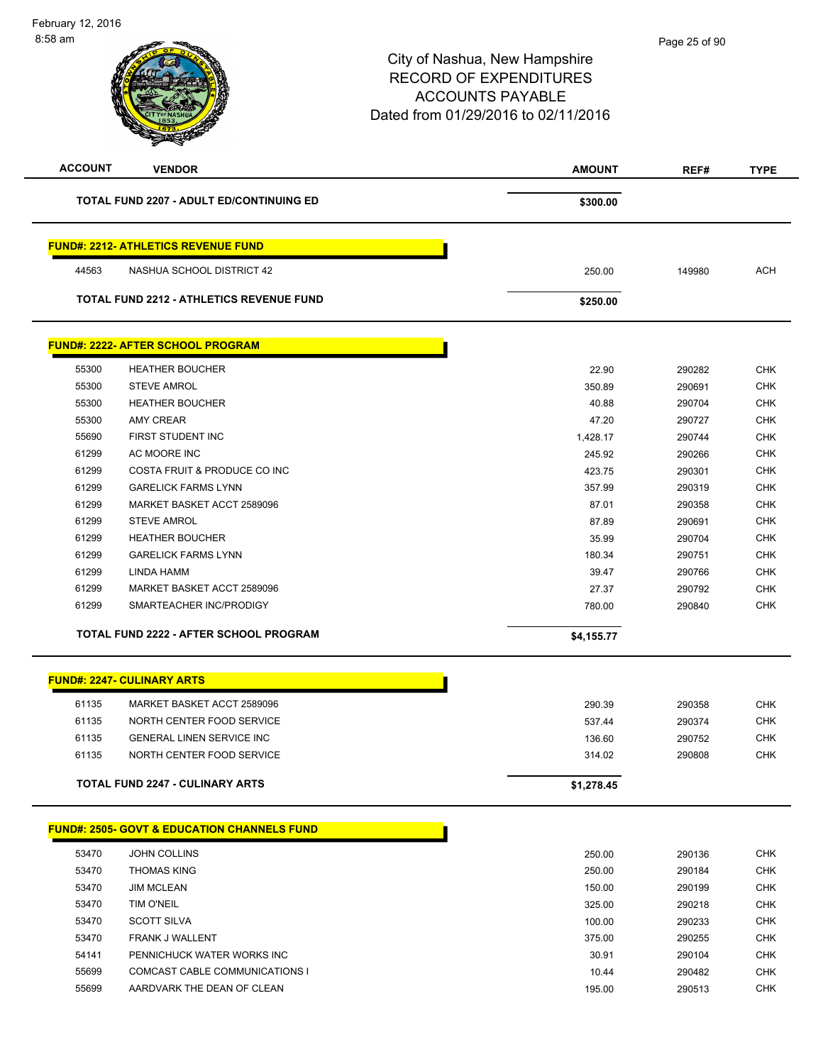| <b>ACCOUNT</b> | <b>VENDOR</b>                                          | <b>AMOUNT</b> | REF#   | <b>TYPE</b>              |
|----------------|--------------------------------------------------------|---------------|--------|--------------------------|
|                | <b>TOTAL FUND 2207 - ADULT ED/CONTINUING ED</b>        | \$300.00      |        |                          |
|                | <b>FUND#: 2212- ATHLETICS REVENUE FUND</b>             |               |        |                          |
| 44563          | NASHUA SCHOOL DISTRICT 42                              | 250.00        | 149980 | <b>ACH</b>               |
|                | <b>TOTAL FUND 2212 - ATHLETICS REVENUE FUND</b>        | \$250.00      |        |                          |
|                |                                                        |               |        |                          |
|                | <b>FUND#: 2222- AFTER SCHOOL PROGRAM</b>               |               |        |                          |
| 55300          | <b>HEATHER BOUCHER</b>                                 | 22.90         | 290282 | <b>CHK</b>               |
| 55300          | <b>STEVE AMROL</b>                                     | 350.89        | 290691 | <b>CHK</b>               |
| 55300          | <b>HEATHER BOUCHER</b>                                 | 40.88         | 290704 | <b>CHK</b>               |
| 55300          | <b>AMY CREAR</b>                                       | 47.20         | 290727 | <b>CHK</b>               |
| 55690          | FIRST STUDENT INC                                      | 1,428.17      | 290744 | <b>CHK</b>               |
| 61299          | AC MOORE INC                                           | 245.92        | 290266 | <b>CHK</b>               |
| 61299          | COSTA FRUIT & PRODUCE CO INC                           | 423.75        | 290301 | <b>CHK</b>               |
| 61299          | <b>GARELICK FARMS LYNN</b>                             | 357.99        | 290319 | <b>CHK</b>               |
| 61299          | MARKET BASKET ACCT 2589096                             | 87.01         | 290358 | <b>CHK</b>               |
| 61299          | <b>STEVE AMROL</b>                                     | 87.89         | 290691 | <b>CHK</b>               |
| 61299          | <b>HEATHER BOUCHER</b>                                 | 35.99         | 290704 | <b>CHK</b>               |
| 61299          | <b>GARELICK FARMS LYNN</b>                             | 180.34        | 290751 | <b>CHK</b>               |
| 61299          | LINDA HAMM                                             | 39.47         | 290766 | <b>CHK</b>               |
| 61299          | MARKET BASKET ACCT 2589096                             | 27.37         | 290792 | <b>CHK</b>               |
| 61299          | SMARTEACHER INC/PRODIGY                                | 780.00        | 290840 | <b>CHK</b>               |
|                | <b>TOTAL FUND 2222 - AFTER SCHOOL PROGRAM</b>          | \$4,155.77    |        |                          |
|                | <b>FUND#: 2247- CULINARY ARTS</b>                      |               |        |                          |
| 61135          | MARKET BASKET ACCT 2589096                             | 290.39        | 290358 | <b>CHK</b>               |
| 61135          | NORTH CENTER FOOD SERVICE                              | 537.44        | 290374 | <b>CHK</b>               |
| 61135          | <b>GENERAL LINEN SERVICE INC</b>                       | 136.60        | 290752 | <b>CHK</b>               |
| 61135          | NORTH CENTER FOOD SERVICE                              | 314.02        | 290808 | <b>CHK</b>               |
|                | <b>TOTAL FUND 2247 - CULINARY ARTS</b>                 | \$1,278.45    |        |                          |
|                | <b>FUND#: 2505- GOVT &amp; EDUCATION CHANNELS FUND</b> |               |        |                          |
|                |                                                        |               |        |                          |
| 53470          | <b>JOHN COLLINS</b>                                    | 250.00        | 290136 | <b>CHK</b><br><b>CHK</b> |
| 53470          | <b>THOMAS KING</b>                                     | 250.00        | 290184 |                          |
| 53470          | <b>JIM MCLEAN</b>                                      | 150.00        | 290199 | <b>CHK</b>               |
| 53470          | <b>TIM O'NEIL</b>                                      | 325.00        | 290218 | CHK                      |
| 53470          | <b>SCOTT SILVA</b>                                     | 100.00        | 290233 | <b>CHK</b>               |
| 53470          | <b>FRANK J WALLENT</b>                                 | 375.00        | 290255 | <b>CHK</b>               |
| 54141          | PENNICHUCK WATER WORKS INC                             | 30.91         | 290104 | <b>CHK</b>               |
| 55699          | COMCAST CABLE COMMUNICATIONS I                         | 10.44         | 290482 | <b>CHK</b>               |
| 55699          | AARDVARK THE DEAN OF CLEAN                             | 195.00        | 290513 | <b>CHK</b>               |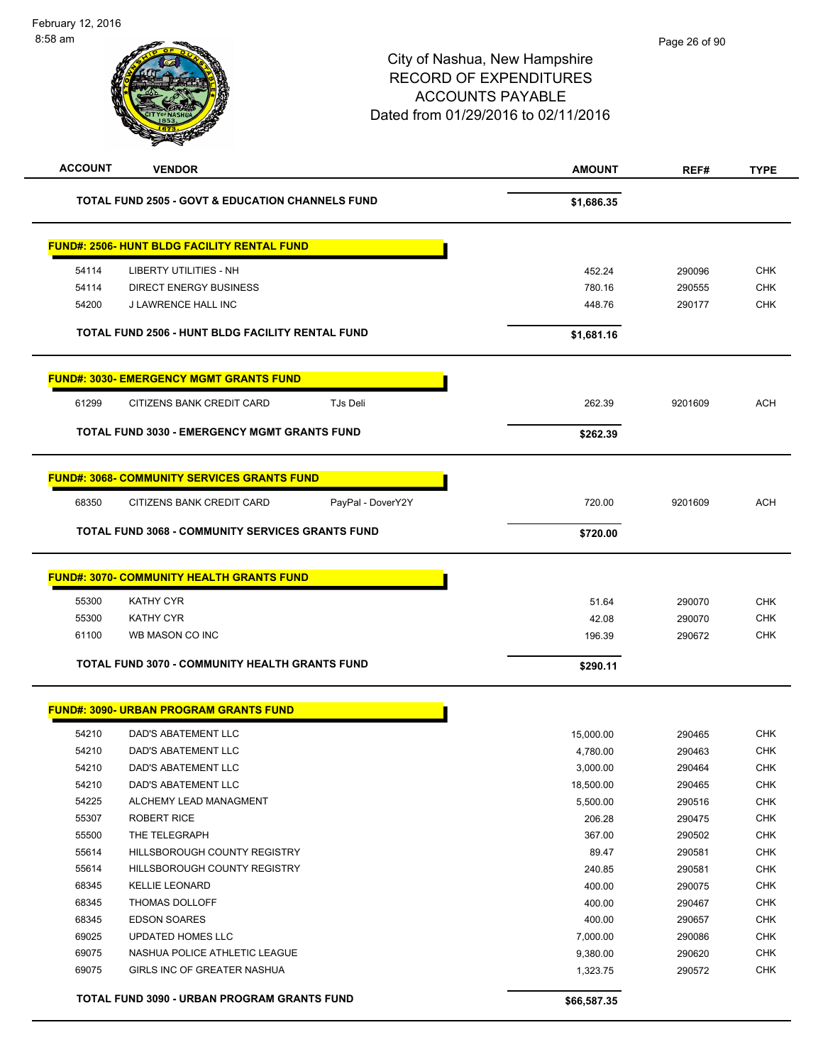| <b>ACCOUNT</b> | <b>VENDOR</b>                                               |                   | <b>AMOUNT</b> | REF#    | <b>TYPE</b> |
|----------------|-------------------------------------------------------------|-------------------|---------------|---------|-------------|
|                | <b>TOTAL FUND 2505 - GOVT &amp; EDUCATION CHANNELS FUND</b> |                   | \$1,686.35    |         |             |
|                | <b>FUND#: 2506- HUNT BLDG FACILITY RENTAL FUND</b>          |                   |               |         |             |
| 54114          | <b>LIBERTY UTILITIES - NH</b>                               |                   | 452.24        | 290096  | <b>CHK</b>  |
| 54114          | <b>DIRECT ENERGY BUSINESS</b>                               |                   | 780.16        | 290555  | <b>CHK</b>  |
| 54200          | J LAWRENCE HALL INC                                         |                   | 448.76        | 290177  | <b>CHK</b>  |
|                | <b>TOTAL FUND 2506 - HUNT BLDG FACILITY RENTAL FUND</b>     |                   | \$1,681.16    |         |             |
|                | <b>FUND#: 3030- EMERGENCY MGMT GRANTS FUND</b>              |                   |               |         |             |
| 61299          | CITIZENS BANK CREDIT CARD                                   | TJs Deli          | 262.39        | 9201609 | <b>ACH</b>  |
|                | <b>TOTAL FUND 3030 - EMERGENCY MGMT GRANTS FUND</b>         |                   | \$262.39      |         |             |
|                | <u>FUND#: 3068- COMMUNITY SERVICES GRANTS FUND</u>          |                   |               |         |             |
| 68350          | CITIZENS BANK CREDIT CARD                                   | PayPal - DoverY2Y | 720.00        | 9201609 | <b>ACH</b>  |
|                | <b>TOTAL FUND 3068 - COMMUNITY SERVICES GRANTS FUND</b>     |                   |               |         |             |
|                |                                                             |                   | \$720.00      |         |             |
|                | <b>FUND#: 3070- COMMUNITY HEALTH GRANTS FUND</b>            |                   |               |         |             |
| 55300          | <b>KATHY CYR</b>                                            |                   | 51.64         | 290070  | <b>CHK</b>  |
| 55300          | <b>KATHY CYR</b>                                            |                   | 42.08         | 290070  | <b>CHK</b>  |
| 61100          | WB MASON CO INC                                             |                   | 196.39        | 290672  | <b>CHK</b>  |
|                | TOTAL FUND 3070 - COMMUNITY HEALTH GRANTS FUND              |                   | \$290.11      |         |             |
|                | <b>FUND#: 3090- URBAN PROGRAM GRANTS FUND</b>               |                   |               |         |             |
| 54210          | DAD'S ABATEMENT LLC                                         |                   | 15,000.00     | 290465  | <b>CHK</b>  |
| 54210          | DAD'S ABATEMENT LLC                                         |                   | 4,780.00      | 290463  | <b>CHK</b>  |
| 54210          | DAD'S ABATEMENT LLC                                         |                   | 3,000.00      | 290464  | <b>CHK</b>  |
| 54210          | DAD'S ABATEMENT LLC                                         |                   | 18,500.00     | 290465  | <b>CHK</b>  |
| 54225          | ALCHEMY LEAD MANAGMENT                                      |                   | 5,500.00      | 290516  | <b>CHK</b>  |
| 55307          | <b>ROBERT RICE</b>                                          |                   | 206.28        | 290475  | <b>CHK</b>  |
| 55500          | THE TELEGRAPH                                               |                   | 367.00        | 290502  | <b>CHK</b>  |
| 55614          | HILLSBOROUGH COUNTY REGISTRY                                |                   | 89.47         | 290581  | <b>CHK</b>  |
| 55614          | HILLSBOROUGH COUNTY REGISTRY                                |                   | 240.85        | 290581  | <b>CHK</b>  |
| 68345          | <b>KELLIE LEONARD</b>                                       |                   | 400.00        | 290075  | <b>CHK</b>  |
| 68345          | THOMAS DOLLOFF                                              |                   | 400.00        | 290467  | <b>CHK</b>  |
| 68345          | <b>EDSON SOARES</b>                                         |                   | 400.00        | 290657  | <b>CHK</b>  |
| 69025          | UPDATED HOMES LLC                                           |                   | 7,000.00      | 290086  | <b>CHK</b>  |
| 69075          | NASHUA POLICE ATHLETIC LEAGUE                               |                   | 9,380.00      | 290620  | <b>CHK</b>  |
| 69075          | GIRLS INC OF GREATER NASHUA                                 |                   | 1,323.75      | 290572  | <b>CHK</b>  |
|                | TOTAL FUND 3090 - URBAN PROGRAM GRANTS FUND                 |                   | \$66,587.35   |         |             |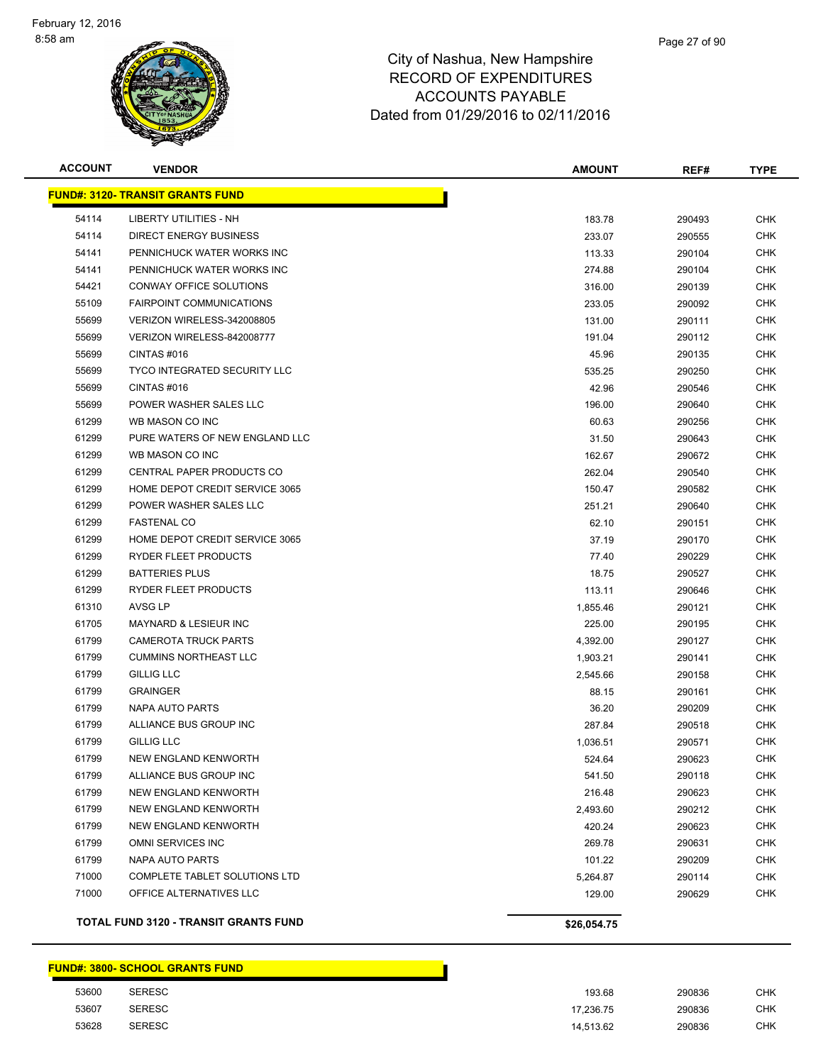

| <b>ACCOUNT</b> | <b>VENDOR</b>                                | <b>AMOUNT</b> | REF#   | <b>TYPE</b> |
|----------------|----------------------------------------------|---------------|--------|-------------|
|                | <b>FUND#: 3120- TRANSIT GRANTS FUND</b>      |               |        |             |
| 54114          | <b>LIBERTY UTILITIES - NH</b>                | 183.78        | 290493 | <b>CHK</b>  |
| 54114          | <b>DIRECT ENERGY BUSINESS</b>                | 233.07        | 290555 | <b>CHK</b>  |
| 54141          | PENNICHUCK WATER WORKS INC                   | 113.33        | 290104 | CHK         |
| 54141          | PENNICHUCK WATER WORKS INC                   | 274.88        | 290104 | <b>CHK</b>  |
| 54421          | CONWAY OFFICE SOLUTIONS                      | 316.00        | 290139 | CHK         |
| 55109          | <b>FAIRPOINT COMMUNICATIONS</b>              | 233.05        | 290092 | <b>CHK</b>  |
| 55699          | VERIZON WIRELESS-342008805                   | 131.00        | 290111 | CHK         |
| 55699          | VERIZON WIRELESS-842008777                   | 191.04        | 290112 | CHK         |
| 55699          | CINTAS#016                                   | 45.96         | 290135 | <b>CHK</b>  |
| 55699          | <b>TYCO INTEGRATED SECURITY LLC</b>          | 535.25        | 290250 | <b>CHK</b>  |
| 55699          | CINTAS#016                                   | 42.96         | 290546 | <b>CHK</b>  |
| 55699          | POWER WASHER SALES LLC                       | 196.00        | 290640 | CHK         |
| 61299          | WB MASON CO INC                              | 60.63         | 290256 | CHK         |
| 61299          | PURE WATERS OF NEW ENGLAND LLC               | 31.50         | 290643 | <b>CHK</b>  |
| 61299          | WB MASON CO INC                              | 162.67        | 290672 | <b>CHK</b>  |
| 61299          | CENTRAL PAPER PRODUCTS CO                    | 262.04        | 290540 | <b>CHK</b>  |
| 61299          | HOME DEPOT CREDIT SERVICE 3065               | 150.47        | 290582 | <b>CHK</b>  |
| 61299          | POWER WASHER SALES LLC                       | 251.21        | 290640 | <b>CHK</b>  |
| 61299          | <b>FASTENAL CO</b>                           | 62.10         | 290151 | <b>CHK</b>  |
| 61299          | HOME DEPOT CREDIT SERVICE 3065               | 37.19         | 290170 | <b>CHK</b>  |
| 61299          | RYDER FLEET PRODUCTS                         | 77.40         | 290229 | <b>CHK</b>  |
| 61299          | <b>BATTERIES PLUS</b>                        | 18.75         | 290527 | <b>CHK</b>  |
| 61299          | RYDER FLEET PRODUCTS                         | 113.11        | 290646 | <b>CHK</b>  |
| 61310          | AVSG LP                                      | 1,855.46      | 290121 | <b>CHK</b>  |
| 61705          | <b>MAYNARD &amp; LESIEUR INC</b>             | 225.00        | 290195 | <b>CHK</b>  |
| 61799          | <b>CAMEROTA TRUCK PARTS</b>                  | 4,392.00      | 290127 | <b>CHK</b>  |
| 61799          | <b>CUMMINS NORTHEAST LLC</b>                 | 1,903.21      | 290141 | <b>CHK</b>  |
| 61799          | <b>GILLIG LLC</b>                            | 2,545.66      | 290158 | <b>CHK</b>  |
| 61799          | <b>GRAINGER</b>                              | 88.15         | 290161 | <b>CHK</b>  |
| 61799          | <b>NAPA AUTO PARTS</b>                       | 36.20         | 290209 | <b>CHK</b>  |
| 61799          | ALLIANCE BUS GROUP INC                       | 287.84        | 290518 | <b>CHK</b>  |
| 61799          | <b>GILLIG LLC</b>                            | 1,036.51      | 290571 | <b>CHK</b>  |
| 61799          | NEW ENGLAND KENWORTH                         | 524.64        | 290623 | <b>CHK</b>  |
| 61799          | ALLIANCE BUS GROUP INC                       | 541.50        | 290118 | <b>CHK</b>  |
| 61799          | NEW ENGLAND KENWORTH                         | 216.48        | 290623 | <b>CHK</b>  |
| 61799          | NEW ENGLAND KENWORTH                         | 2,493.60      | 290212 | <b>CHK</b>  |
| 61799          | NEW ENGLAND KENWORTH                         | 420.24        | 290623 | <b>CHK</b>  |
| 61799          | OMNI SERVICES INC                            | 269.78        | 290631 | <b>CHK</b>  |
| 61799          | <b>NAPA AUTO PARTS</b>                       | 101.22        | 290209 | <b>CHK</b>  |
| 71000          | COMPLETE TABLET SOLUTIONS LTD                | 5,264.87      | 290114 | <b>CHK</b>  |
| 71000          | OFFICE ALTERNATIVES LLC                      | 129.00        | 290629 | <b>CHK</b>  |
|                | <b>TOTAL FUND 3120 - TRANSIT GRANTS FUND</b> | \$26,054.75   |        |             |

### **FUND#: 3800- SCHOOL GRANTS FUND**

| 53600 | <b>SERESC</b> | 193.68    | 290836 | СНК |
|-------|---------------|-----------|--------|-----|
| 53607 | <b>SERESC</b> | 17,236.75 | 290836 | СНК |
| 53628 | <b>SERESC</b> | 14.513.62 | 290836 | CHK |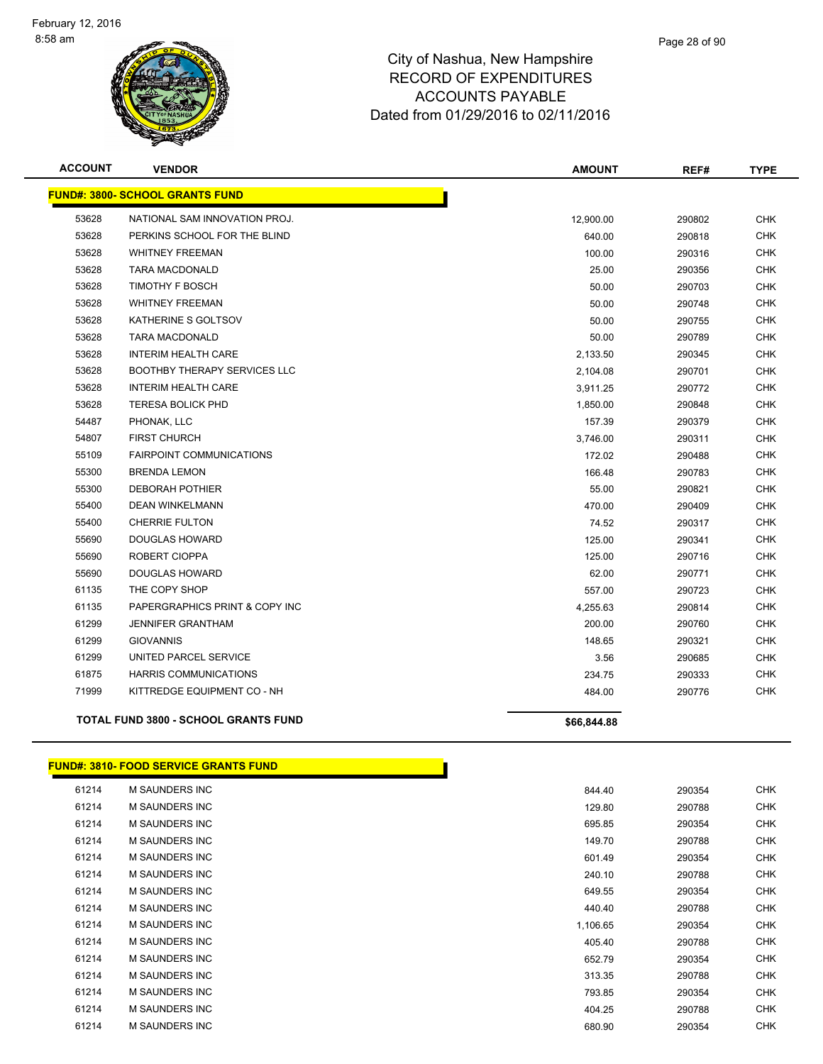

| <b>ACCOUNT</b> | <b>VENDOR</b>                               | <b>AMOUNT</b> | REF#   | <b>TYPE</b> |
|----------------|---------------------------------------------|---------------|--------|-------------|
|                | <b>FUND#: 3800- SCHOOL GRANTS FUND</b>      |               |        |             |
| 53628          | NATIONAL SAM INNOVATION PROJ.               | 12,900.00     | 290802 | <b>CHK</b>  |
| 53628          | PERKINS SCHOOL FOR THE BLIND                | 640.00        | 290818 | <b>CHK</b>  |
| 53628          | <b>WHITNEY FREEMAN</b>                      | 100.00        | 290316 | <b>CHK</b>  |
| 53628          | TARA MACDONALD                              | 25.00         | 290356 | <b>CHK</b>  |
| 53628          | <b>TIMOTHY F BOSCH</b>                      | 50.00         | 290703 | <b>CHK</b>  |
| 53628          | <b>WHITNEY FREEMAN</b>                      | 50.00         | 290748 | <b>CHK</b>  |
| 53628          | KATHERINE S GOLTSOV                         | 50.00         | 290755 | <b>CHK</b>  |
| 53628          | <b>TARA MACDONALD</b>                       | 50.00         | 290789 | <b>CHK</b>  |
| 53628          | <b>INTERIM HEALTH CARE</b>                  | 2,133.50      | 290345 | <b>CHK</b>  |
| 53628          | <b>BOOTHBY THERAPY SERVICES LLC</b>         | 2,104.08      | 290701 | <b>CHK</b>  |
| 53628          | <b>INTERIM HEALTH CARE</b>                  | 3,911.25      | 290772 | <b>CHK</b>  |
| 53628          | <b>TERESA BOLICK PHD</b>                    | 1,850.00      | 290848 | <b>CHK</b>  |
| 54487          | PHONAK, LLC                                 | 157.39        | 290379 | <b>CHK</b>  |
| 54807          | <b>FIRST CHURCH</b>                         | 3,746.00      | 290311 | <b>CHK</b>  |
| 55109          | <b>FAIRPOINT COMMUNICATIONS</b>             | 172.02        | 290488 | <b>CHK</b>  |
| 55300          | <b>BRENDA LEMON</b>                         | 166.48        | 290783 | <b>CHK</b>  |
| 55300          | <b>DEBORAH POTHIER</b>                      | 55.00         | 290821 | <b>CHK</b>  |
| 55400          | <b>DEAN WINKELMANN</b>                      | 470.00        | 290409 | <b>CHK</b>  |
| 55400          | <b>CHERRIE FULTON</b>                       | 74.52         | 290317 | <b>CHK</b>  |
| 55690          | <b>DOUGLAS HOWARD</b>                       | 125.00        | 290341 | <b>CHK</b>  |
| 55690          | ROBERT CIOPPA                               | 125.00        | 290716 | <b>CHK</b>  |
| 55690          | <b>DOUGLAS HOWARD</b>                       | 62.00         | 290771 | <b>CHK</b>  |
| 61135          | THE COPY SHOP                               | 557.00        | 290723 | <b>CHK</b>  |
| 61135          | PAPERGRAPHICS PRINT & COPY INC              | 4,255.63      | 290814 | <b>CHK</b>  |
| 61299          | <b>JENNIFER GRANTHAM</b>                    | 200.00        | 290760 | <b>CHK</b>  |
| 61299          | <b>GIOVANNIS</b>                            | 148.65        | 290321 | <b>CHK</b>  |
| 61299          | UNITED PARCEL SERVICE                       | 3.56          | 290685 | <b>CHK</b>  |
| 61875          | <b>HARRIS COMMUNICATIONS</b>                | 234.75        | 290333 | <b>CHK</b>  |
| 71999          | KITTREDGE EQUIPMENT CO - NH                 | 484.00        | 290776 | <b>CHK</b>  |
|                | <b>TOTAL FUND 3800 - SCHOOL GRANTS FUND</b> | \$66,844.88   |        |             |

## **FUND#: 3810- FOOD SERVICE GRANTS FUND**

| 61214 | M SAUNDERS INC | 844.40   | 290354 | <b>CHK</b> |
|-------|----------------|----------|--------|------------|
| 61214 | M SAUNDERS INC | 129.80   | 290788 | <b>CHK</b> |
| 61214 | M SAUNDERS INC | 695.85   | 290354 | <b>CHK</b> |
| 61214 | M SAUNDERS INC | 149.70   | 290788 | <b>CHK</b> |
| 61214 | M SAUNDERS INC | 601.49   | 290354 | <b>CHK</b> |
| 61214 | M SAUNDERS INC | 240.10   | 290788 | <b>CHK</b> |
| 61214 | M SAUNDERS INC | 649.55   | 290354 | <b>CHK</b> |
| 61214 | M SAUNDERS INC | 440.40   | 290788 | <b>CHK</b> |
| 61214 | M SAUNDERS INC | 1,106.65 | 290354 | <b>CHK</b> |
| 61214 | M SAUNDERS INC | 405.40   | 290788 | <b>CHK</b> |
| 61214 | M SAUNDERS INC | 652.79   | 290354 | <b>CHK</b> |
| 61214 | M SAUNDERS INC | 313.35   | 290788 | <b>CHK</b> |
| 61214 | M SAUNDERS INC | 793.85   | 290354 | <b>CHK</b> |
| 61214 | M SAUNDERS INC | 404.25   | 290788 | <b>CHK</b> |
| 61214 | M SAUNDERS INC | 680.90   | 290354 | <b>CHK</b> |
|       |                |          |        |            |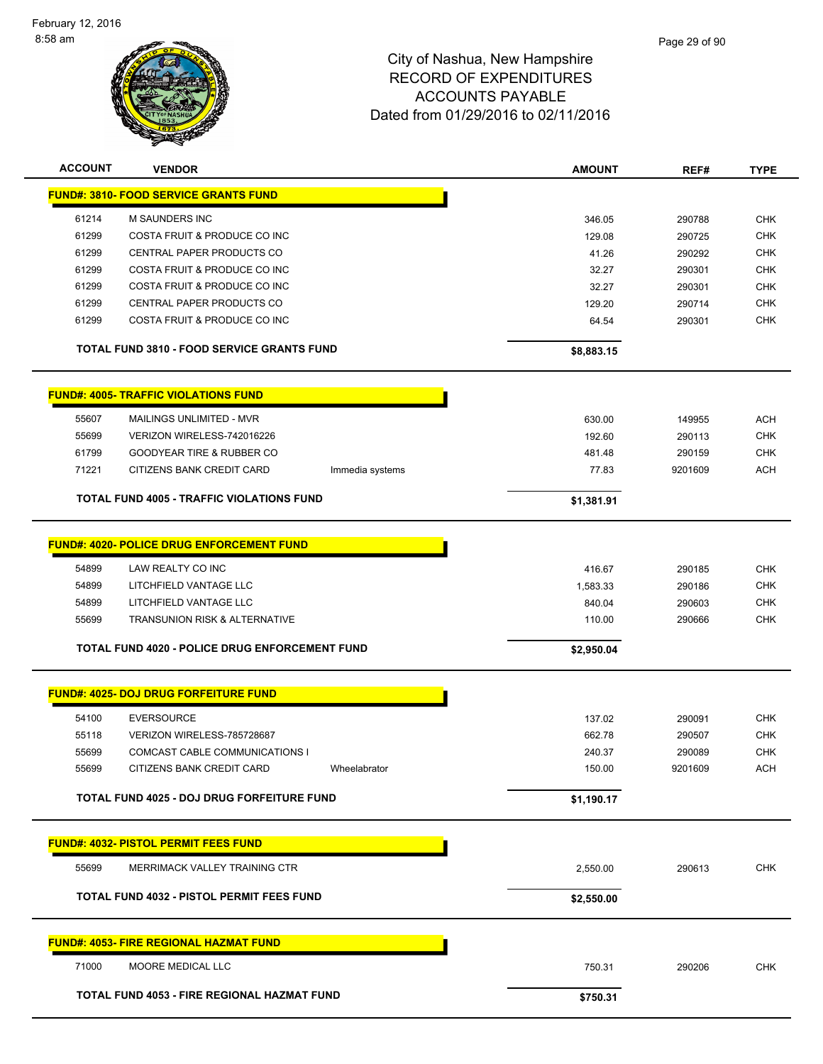

| <b>ACCOUNT</b> | <b>VENDOR</b>                                         |                 | <b>AMOUNT</b>    | REF#             | <b>TYPE</b>              |
|----------------|-------------------------------------------------------|-----------------|------------------|------------------|--------------------------|
|                | <b>FUND#: 3810- FOOD SERVICE GRANTS FUND</b>          |                 |                  |                  |                          |
| 61214          | <b>M SAUNDERS INC</b>                                 |                 | 346.05           | 290788           | <b>CHK</b>               |
| 61299          | COSTA FRUIT & PRODUCE CO INC                          |                 | 129.08           | 290725           | <b>CHK</b>               |
| 61299          | CENTRAL PAPER PRODUCTS CO                             |                 | 41.26            | 290292           | <b>CHK</b>               |
| 61299          | COSTA FRUIT & PRODUCE CO INC                          |                 | 32.27            | 290301           | <b>CHK</b>               |
| 61299          | COSTA FRUIT & PRODUCE CO INC                          |                 | 32.27            | 290301           | <b>CHK</b>               |
| 61299          | CENTRAL PAPER PRODUCTS CO                             |                 | 129.20           | 290714           | <b>CHK</b>               |
| 61299          | COSTA FRUIT & PRODUCE CO INC                          |                 | 64.54            | 290301           | <b>CHK</b>               |
|                | <b>TOTAL FUND 3810 - FOOD SERVICE GRANTS FUND</b>     |                 | \$8,883.15       |                  |                          |
|                | <b>FUND#: 4005- TRAFFIC VIOLATIONS FUND</b>           |                 |                  |                  |                          |
| 55607          | MAILINGS UNLIMITED - MVR                              |                 | 630.00           | 149955           | <b>ACH</b>               |
| 55699          | VERIZON WIRELESS-742016226                            |                 | 192.60           | 290113           | <b>CHK</b>               |
| 61799          | <b>GOODYEAR TIRE &amp; RUBBER CO</b>                  |                 | 481.48           | 290159           | <b>CHK</b>               |
| 71221          | CITIZENS BANK CREDIT CARD                             | Immedia systems | 77.83            | 9201609          | <b>ACH</b>               |
|                | <b>TOTAL FUND 4005 - TRAFFIC VIOLATIONS FUND</b>      |                 | \$1,381.91       |                  |                          |
|                |                                                       |                 |                  |                  |                          |
|                | <b>FUND#: 4020- POLICE DRUG ENFORCEMENT FUND</b>      |                 |                  |                  |                          |
| 54899          | LAW REALTY CO INC                                     |                 | 416.67           | 290185           | <b>CHK</b>               |
| 54899          | LITCHFIELD VANTAGE LLC                                |                 | 1,583.33         | 290186           | <b>CHK</b>               |
| 54899          | LITCHFIELD VANTAGE LLC                                |                 | 840.04           | 290603           | <b>CHK</b>               |
| 55699          | TRANSUNION RISK & ALTERNATIVE                         |                 | 110.00           | 290666           | <b>CHK</b>               |
|                | <b>TOTAL FUND 4020 - POLICE DRUG ENFORCEMENT FUND</b> |                 | \$2,950.04       |                  |                          |
|                | <b>FUND#: 4025- DOJ DRUG FORFEITURE FUND</b>          |                 |                  |                  |                          |
|                | <b>EVERSOURCE</b>                                     |                 |                  |                  |                          |
| 54100<br>55118 | VERIZON WIRELESS-785728687                            |                 | 137.02<br>662.78 | 290091<br>290507 | <b>CHK</b><br><b>CHK</b> |
| 55699          | COMCAST CABLE COMMUNICATIONS I                        |                 | 240.37           | 290089           | <b>CHK</b>               |
| 55699          | CITIZENS BANK CREDIT CARD                             | Wheelabrator    | 150.00           | 9201609          | ACH                      |
|                | TOTAL FUND 4025 - DOJ DRUG FORFEITURE FUND            |                 | \$1,190.17       |                  |                          |
|                |                                                       |                 |                  |                  |                          |
|                | <b>FUND#: 4032- PISTOL PERMIT FEES FUND</b>           |                 |                  |                  |                          |
| 55699          | MERRIMACK VALLEY TRAINING CTR                         |                 | 2,550.00         | 290613           | <b>CHK</b>               |
|                | <b>TOTAL FUND 4032 - PISTOL PERMIT FEES FUND</b>      |                 | \$2,550.00       |                  |                          |
|                | <u> FUND#: 4053- FIRE REGIONAL HAZMAT FUND</u>        |                 |                  |                  |                          |
| 71000          | MOORE MEDICAL LLC                                     |                 | 750.31           | 290206           | <b>CHK</b>               |
|                |                                                       |                 |                  |                  |                          |
|                | TOTAL FUND 4053 - FIRE REGIONAL HAZMAT FUND           |                 | \$750.31         |                  |                          |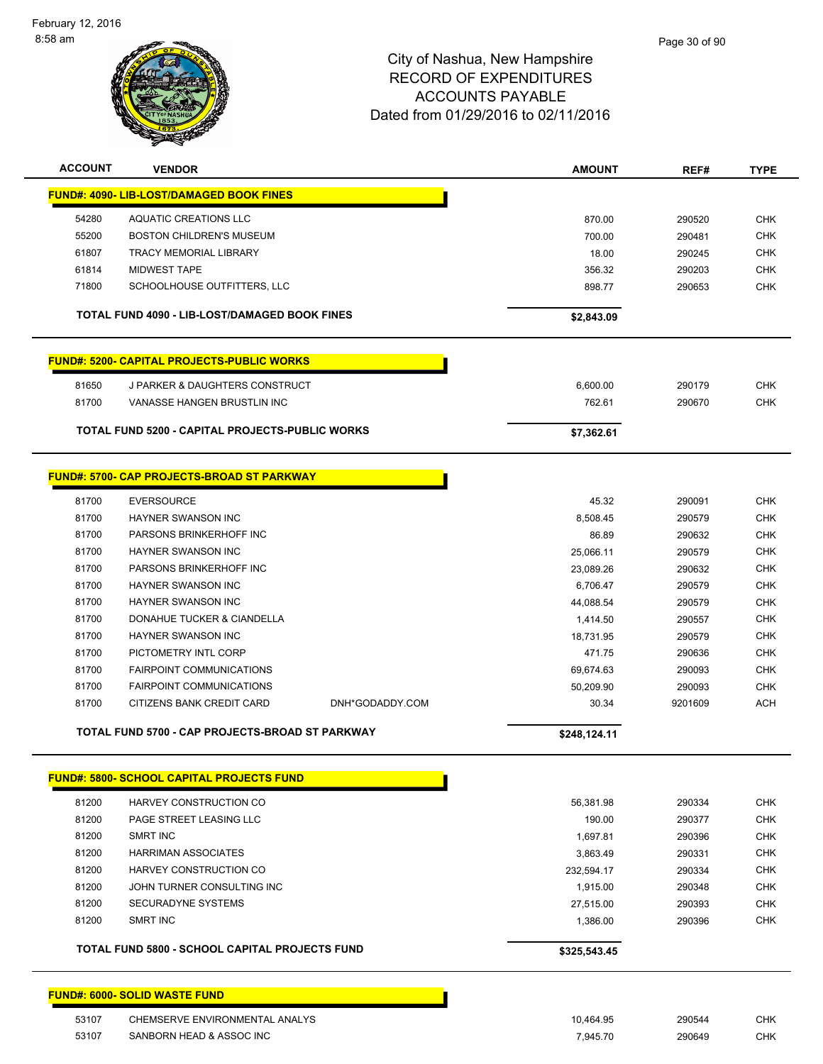

| <b>ACCOUNT</b> | <b>VENDOR</b>                                          |                 | <b>AMOUNT</b> | REF#    | <b>TYPE</b> |
|----------------|--------------------------------------------------------|-----------------|---------------|---------|-------------|
|                | <b>FUND#: 4090- LIB-LOST/DAMAGED BOOK FINES</b>        |                 |               |         |             |
| 54280          | <b>AQUATIC CREATIONS LLC</b>                           |                 | 870.00        | 290520  | <b>CHK</b>  |
| 55200          | <b>BOSTON CHILDREN'S MUSEUM</b>                        |                 | 700.00        | 290481  | <b>CHK</b>  |
| 61807          | <b>TRACY MEMORIAL LIBRARY</b>                          |                 | 18.00         | 290245  | <b>CHK</b>  |
| 61814          | <b>MIDWEST TAPE</b>                                    |                 | 356.32        | 290203  | <b>CHK</b>  |
| 71800          | SCHOOLHOUSE OUTFITTERS, LLC                            |                 | 898.77        | 290653  | <b>CHK</b>  |
|                | TOTAL FUND 4090 - LIB-LOST/DAMAGED BOOK FINES          |                 | \$2,843.09    |         |             |
|                | <b>FUND#: 5200- CAPITAL PROJECTS-PUBLIC WORKS</b>      |                 |               |         |             |
| 81650          | J PARKER & DAUGHTERS CONSTRUCT                         |                 | 6,600.00      | 290179  | <b>CHK</b>  |
| 81700          | VANASSE HANGEN BRUSTLIN INC                            |                 | 762.61        | 290670  | <b>CHK</b>  |
|                | <b>TOTAL FUND 5200 - CAPITAL PROJECTS-PUBLIC WORKS</b> |                 | \$7,362.61    |         |             |
|                |                                                        |                 |               |         |             |
|                | <b>FUND#: 5700- CAP PROJECTS-BROAD ST PARKWAY</b>      |                 |               |         |             |
| 81700          | <b>EVERSOURCE</b>                                      |                 | 45.32         | 290091  | <b>CHK</b>  |
| 81700          | HAYNER SWANSON INC                                     |                 | 8,508.45      | 290579  | <b>CHK</b>  |
| 81700          | PARSONS BRINKERHOFF INC                                |                 | 86.89         | 290632  | <b>CHK</b>  |
| 81700          | <b>HAYNER SWANSON INC</b>                              |                 | 25,066.11     | 290579  | <b>CHK</b>  |
| 81700          | PARSONS BRINKERHOFF INC                                |                 | 23,089.26     | 290632  | <b>CHK</b>  |
| 81700          | HAYNER SWANSON INC                                     |                 | 6,706.47      | 290579  | <b>CHK</b>  |
| 81700          | <b>HAYNER SWANSON INC</b>                              |                 | 44,088.54     | 290579  | <b>CHK</b>  |
| 81700          | DONAHUE TUCKER & CIANDELLA                             |                 | 1,414.50      | 290557  | <b>CHK</b>  |
| 81700          | HAYNER SWANSON INC                                     |                 | 18,731.95     | 290579  | <b>CHK</b>  |
| 81700          | PICTOMETRY INTL CORP                                   |                 | 471.75        | 290636  | <b>CHK</b>  |
| 81700          | <b>FAIRPOINT COMMUNICATIONS</b>                        |                 | 69,674.63     | 290093  | <b>CHK</b>  |
| 81700          | <b>FAIRPOINT COMMUNICATIONS</b>                        |                 | 50,209.90     | 290093  | <b>CHK</b>  |
| 81700          | CITIZENS BANK CREDIT CARD                              | DNH*GODADDY.COM | 30.34         | 9201609 | <b>ACH</b>  |
|                | TOTAL FUND 5700 - CAP PROJECTS-BROAD ST PARKWAY        |                 | \$248,124.11  |         |             |
|                | <b>FUND#: 5800- SCHOOL CAPITAL PROJECTS FUND</b>       |                 |               |         |             |
|                |                                                        |                 |               |         |             |
| 81200          | HARVEY CONSTRUCTION CO                                 |                 | 56,381.98     | 290334  | <b>CHK</b>  |
| 81200          | PAGE STREET LEASING LLC                                |                 | 190.00        | 290377  | <b>CHK</b>  |
| 81200          | <b>SMRT INC</b>                                        |                 | 1,697.81      | 290396  | <b>CHK</b>  |
| 81200          | <b>HARRIMAN ASSOCIATES</b>                             |                 | 3,863.49      | 290331  | <b>CHK</b>  |
| 81200          | HARVEY CONSTRUCTION CO                                 |                 | 232,594.17    | 290334  | <b>CHK</b>  |
| 81200          | JOHN TURNER CONSULTING INC                             |                 | 1,915.00      | 290348  | <b>CHK</b>  |
| 81200          | SECURADYNE SYSTEMS                                     |                 | 27,515.00     | 290393  | <b>CHK</b>  |
| 81200          | <b>SMRT INC</b>                                        |                 | 1,386.00      | 290396  | <b>CHK</b>  |
|                | TOTAL FUND 5800 - SCHOOL CAPITAL PROJECTS FUND         |                 | \$325,543.45  |         |             |
|                | <b>FUND#: 6000- SOLID WASTE FUND</b>                   |                 |               |         |             |
| 53107          | CHEMSERVE ENVIRONMENTAL ANALYS                         |                 | 10,464.95     | 290544  | <b>CHK</b>  |
| 53107          | SANBORN HEAD & ASSOC INC                               |                 | 7,945.70      | 290649  | <b>CHK</b>  |
|                |                                                        |                 |               |         |             |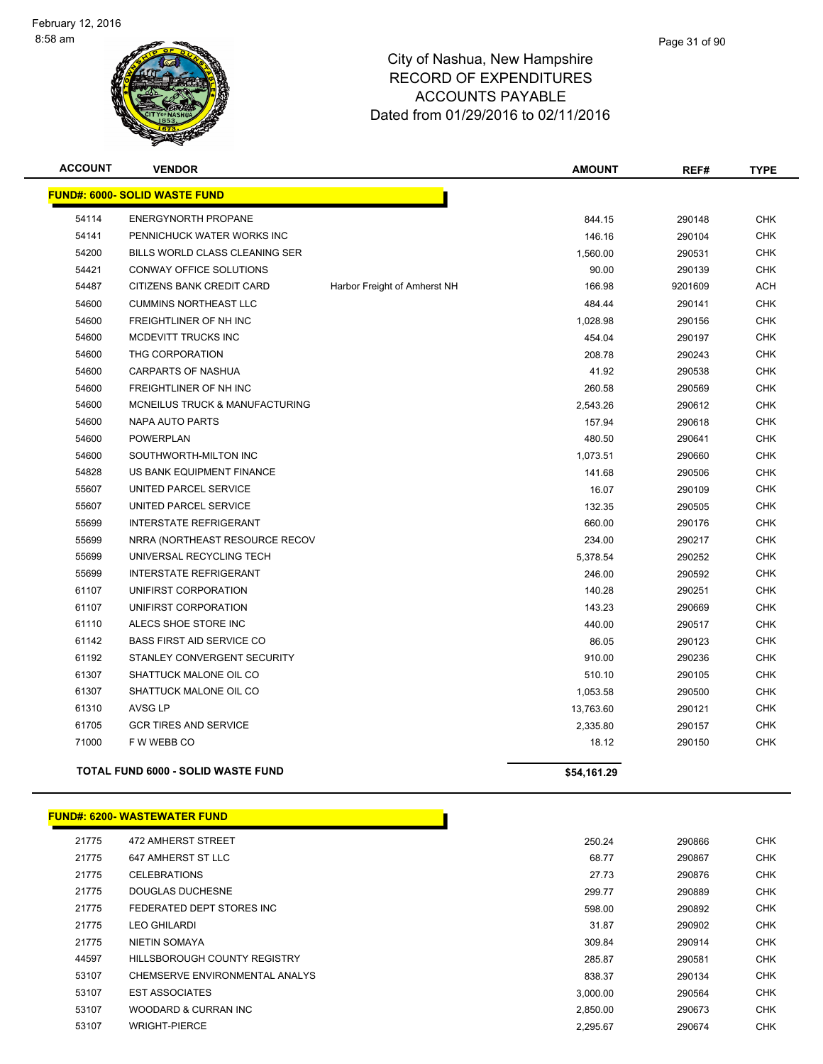

| <b>ACCOUNT</b> | <b>VENDOR</b>                             |                              | <b>AMOUNT</b> | REF#    | <b>TYPE</b> |
|----------------|-------------------------------------------|------------------------------|---------------|---------|-------------|
|                | <b>FUND#: 6000- SOLID WASTE FUND</b>      |                              |               |         |             |
| 54114          | <b>ENERGYNORTH PROPANE</b>                |                              | 844.15        | 290148  | <b>CHK</b>  |
| 54141          | PENNICHUCK WATER WORKS INC                |                              | 146.16        | 290104  | <b>CHK</b>  |
| 54200          | BILLS WORLD CLASS CLEANING SER            |                              | 1,560.00      | 290531  | <b>CHK</b>  |
| 54421          | CONWAY OFFICE SOLUTIONS                   |                              | 90.00         | 290139  | <b>CHK</b>  |
| 54487          | CITIZENS BANK CREDIT CARD                 | Harbor Freight of Amherst NH | 166.98        | 9201609 | <b>ACH</b>  |
| 54600          | <b>CUMMINS NORTHEAST LLC</b>              |                              | 484.44        | 290141  | <b>CHK</b>  |
| 54600          | <b>FREIGHTLINER OF NH INC</b>             |                              | 1,028.98      | 290156  | <b>CHK</b>  |
| 54600          | MCDEVITT TRUCKS INC                       |                              | 454.04        | 290197  | <b>CHK</b>  |
| 54600          | THG CORPORATION                           |                              | 208.78        | 290243  | <b>CHK</b>  |
| 54600          | <b>CARPARTS OF NASHUA</b>                 |                              | 41.92         | 290538  | <b>CHK</b>  |
| 54600          | <b>FREIGHTLINER OF NH INC</b>             |                              | 260.58        | 290569  | <b>CHK</b>  |
| 54600          | MCNEILUS TRUCK & MANUFACTURING            |                              | 2,543.26      | 290612  | <b>CHK</b>  |
| 54600          | <b>NAPA AUTO PARTS</b>                    |                              | 157.94        | 290618  | <b>CHK</b>  |
| 54600          | <b>POWERPLAN</b>                          |                              | 480.50        | 290641  | <b>CHK</b>  |
| 54600          | SOUTHWORTH-MILTON INC                     |                              | 1,073.51      | 290660  | <b>CHK</b>  |
| 54828          | US BANK EQUIPMENT FINANCE                 |                              | 141.68        | 290506  | <b>CHK</b>  |
| 55607          | UNITED PARCEL SERVICE                     |                              | 16.07         | 290109  | <b>CHK</b>  |
| 55607          | UNITED PARCEL SERVICE                     |                              | 132.35        | 290505  | <b>CHK</b>  |
| 55699          | <b>INTERSTATE REFRIGERANT</b>             |                              | 660.00        | 290176  | <b>CHK</b>  |
| 55699          | NRRA (NORTHEAST RESOURCE RECOV            |                              | 234.00        | 290217  | <b>CHK</b>  |
| 55699          | UNIVERSAL RECYCLING TECH                  |                              | 5,378.54      | 290252  | <b>CHK</b>  |
| 55699          | <b>INTERSTATE REFRIGERANT</b>             |                              | 246.00        | 290592  | <b>CHK</b>  |
| 61107          | UNIFIRST CORPORATION                      |                              | 140.28        | 290251  | <b>CHK</b>  |
| 61107          | UNIFIRST CORPORATION                      |                              | 143.23        | 290669  | <b>CHK</b>  |
| 61110          | ALECS SHOE STORE INC                      |                              | 440.00        | 290517  | <b>CHK</b>  |
| 61142          | <b>BASS FIRST AID SERVICE CO</b>          |                              | 86.05         | 290123  | <b>CHK</b>  |
| 61192          | STANLEY CONVERGENT SECURITY               |                              | 910.00        | 290236  | <b>CHK</b>  |
| 61307          | SHATTUCK MALONE OIL CO                    |                              | 510.10        | 290105  | <b>CHK</b>  |
| 61307          | SHATTUCK MALONE OIL CO                    |                              | 1,053.58      | 290500  | <b>CHK</b>  |
| 61310          | AVSG LP                                   |                              | 13,763.60     | 290121  | <b>CHK</b>  |
| 61705          | <b>GCR TIRES AND SERVICE</b>              |                              | 2,335.80      | 290157  | <b>CHK</b>  |
| 71000          | F W WEBB CO                               |                              | 18.12         | 290150  | <b>CHK</b>  |
|                | <b>TOTAL FUND 6000 - SOLID WASTE FUND</b> |                              | \$54,161.29   |         |             |

## **FUND#: 6200- WASTEWATER FUND**

| 21775 | 472 AMHERST STREET             | 250.24   | 290866 | CHK |
|-------|--------------------------------|----------|--------|-----|
| 21775 | 647 AMHERST ST LLC             | 68.77    | 290867 | CHK |
| 21775 | <b>CELEBRATIONS</b>            | 27.73    | 290876 | CHK |
| 21775 | DOUGLAS DUCHESNE               | 299.77   | 290889 | CHK |
| 21775 | FEDERATED DEPT STORES INC      | 598.00   | 290892 | CHK |
| 21775 | <b>LEO GHILARDI</b>            | 31.87    | 290902 | CHK |
| 21775 | NIETIN SOMAYA                  | 309.84   | 290914 | CHK |
| 44597 | HILLSBOROUGH COUNTY REGISTRY   | 285.87   | 290581 | CHK |
| 53107 | CHEMSERVE ENVIRONMENTAL ANALYS | 838.37   | 290134 | CHK |
| 53107 | <b>EST ASSOCIATES</b>          | 3,000.00 | 290564 | CHK |
| 53107 | WOODARD & CURRAN INC           | 2.850.00 | 290673 | CHK |
| 53107 | <b>WRIGHT-PIERCE</b>           | 2.295.67 | 290674 | CHK |

| 50.24  | 290866 | CHK        |
|--------|--------|------------|
| 68.77  | 290867 | <b>CHK</b> |
| 27.73  | 290876 | CHK        |
| 99.77  | 290889 | CHK        |
| 98.00  | 290892 | CHK        |
| 31.87  | 290902 | CHK        |
| 109.84 | 290914 | CHK        |
| 85.87  | 290581 | CHK        |
| 38.37  | 290134 | CHK        |
| 00.00  | 290564 | CHK        |
| 50.00  | 290673 | CHK        |
| 95.67  | 290674 | CHK        |
|        |        |            |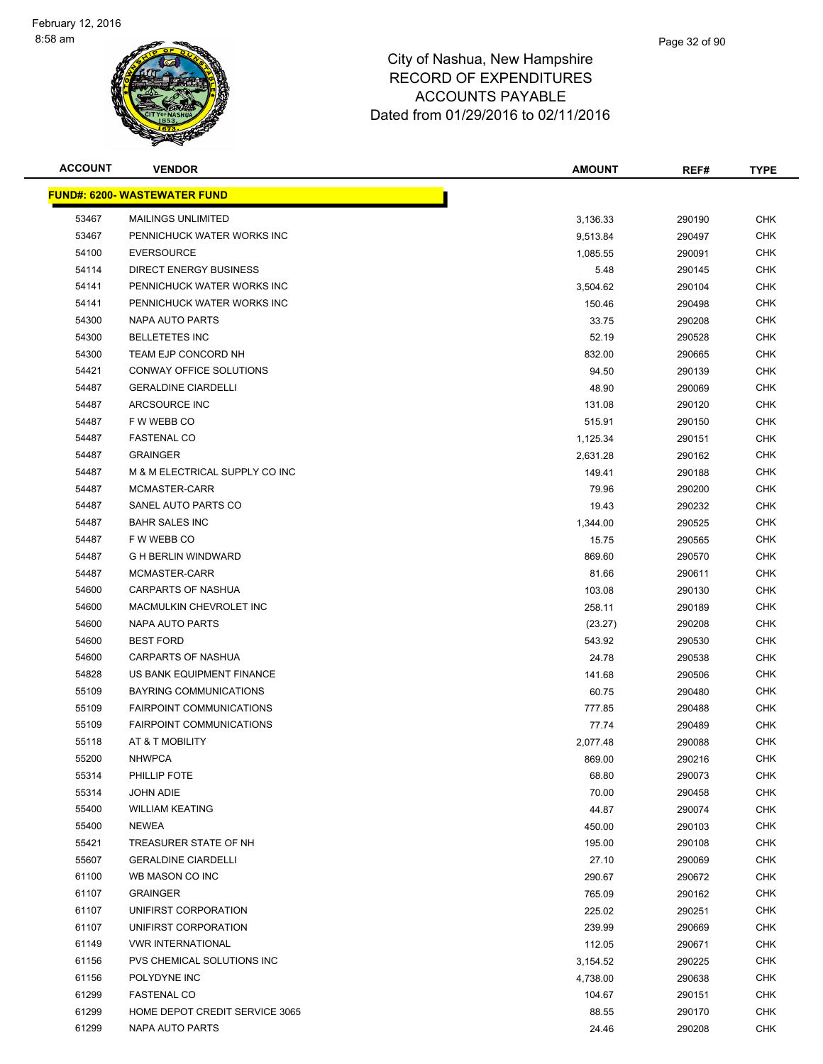

| <b>ACCOUNT</b> | <b>VENDOR</b>                       | <b>AMOUNT</b>  | REF#             | <b>TYPE</b>       |
|----------------|-------------------------------------|----------------|------------------|-------------------|
|                | <b>FUND#: 6200- WASTEWATER FUND</b> |                |                  |                   |
| 53467          | <b>MAILINGS UNLIMITED</b>           | 3,136.33       | 290190           | <b>CHK</b>        |
| 53467          | PENNICHUCK WATER WORKS INC          | 9,513.84       | 290497           | <b>CHK</b>        |
| 54100          | <b>EVERSOURCE</b>                   | 1,085.55       | 290091           | <b>CHK</b>        |
| 54114          | <b>DIRECT ENERGY BUSINESS</b>       | 5.48           | 290145           | <b>CHK</b>        |
| 54141          | PENNICHUCK WATER WORKS INC          | 3,504.62       | 290104           | <b>CHK</b>        |
| 54141          | PENNICHUCK WATER WORKS INC          | 150.46         | 290498           | <b>CHK</b>        |
| 54300          | NAPA AUTO PARTS                     | 33.75          | 290208           | <b>CHK</b>        |
| 54300          | <b>BELLETETES INC</b>               | 52.19          | 290528           | <b>CHK</b>        |
| 54300          | TEAM EJP CONCORD NH                 | 832.00         | 290665           | <b>CHK</b>        |
| 54421          | CONWAY OFFICE SOLUTIONS             | 94.50          | 290139           | <b>CHK</b>        |
| 54487          | <b>GERALDINE CIARDELLI</b>          | 48.90          | 290069           | <b>CHK</b>        |
| 54487          | ARCSOURCE INC                       | 131.08         | 290120           | <b>CHK</b>        |
| 54487          | F W WEBB CO                         | 515.91         | 290150           | CHK               |
| 54487          | <b>FASTENAL CO</b>                  | 1,125.34       | 290151           | <b>CHK</b>        |
| 54487          | <b>GRAINGER</b>                     | 2,631.28       | 290162           | <b>CHK</b>        |
| 54487          | M & M ELECTRICAL SUPPLY CO INC      | 149.41         | 290188           | <b>CHK</b>        |
| 54487          | MCMASTER-CARR                       | 79.96          | 290200           | <b>CHK</b>        |
| 54487          | SANEL AUTO PARTS CO                 | 19.43          | 290232           | <b>CHK</b>        |
| 54487          | <b>BAHR SALES INC</b>               | 1,344.00       | 290525           | <b>CHK</b>        |
| 54487          | F W WEBB CO                         | 15.75          | 290565           | <b>CHK</b>        |
| 54487          | <b>G H BERLIN WINDWARD</b>          | 869.60         | 290570           | <b>CHK</b>        |
| 54487          | MCMASTER-CARR                       | 81.66          | 290611           | <b>CHK</b>        |
| 54600          | CARPARTS OF NASHUA                  | 103.08         | 290130           | <b>CHK</b>        |
| 54600          | MACMULKIN CHEVROLET INC             | 258.11         | 290189           | <b>CHK</b>        |
| 54600          | NAPA AUTO PARTS                     | (23.27)        | 290208           | <b>CHK</b>        |
| 54600          | <b>BEST FORD</b>                    | 543.92         | 290530           | <b>CHK</b>        |
| 54600          | CARPARTS OF NASHUA                  | 24.78          | 290538           | <b>CHK</b>        |
| 54828          | US BANK EQUIPMENT FINANCE           | 141.68         | 290506           | <b>CHK</b>        |
| 55109          | <b>BAYRING COMMUNICATIONS</b>       | 60.75          | 290480           | <b>CHK</b>        |
| 55109          | <b>FAIRPOINT COMMUNICATIONS</b>     | 777.85         | 290488           | <b>CHK</b>        |
| 55109          | <b>FAIRPOINT COMMUNICATIONS</b>     | 77.74          | 290489           | <b>CHK</b>        |
| 55118          | AT & T MOBILITY                     | 2,077.48       | 290088           | <b>CHK</b>        |
| 55200          | <b>NHWPCA</b>                       | 869.00         | 290216           | <b>CHK</b>        |
| 55314          | PHILLIP FOTE                        | 68.80          | 290073           | <b>CHK</b>        |
| 55314          | <b>JOHN ADIE</b>                    | 70.00          | 290458           | <b>CHK</b>        |
| 55400          | <b>WILLIAM KEATING</b>              | 44.87          | 290074           | <b>CHK</b>        |
| 55400          | <b>NEWEA</b>                        | 450.00         | 290103           | <b>CHK</b>        |
| 55421          | TREASURER STATE OF NH               | 195.00         | 290108           | <b>CHK</b>        |
| 55607          | <b>GERALDINE CIARDELLI</b>          | 27.10          | 290069           | <b>CHK</b>        |
| 61100          | WB MASON CO INC                     | 290.67         | 290672           | CHK               |
| 61107          | <b>GRAINGER</b>                     | 765.09         | 290162           | <b>CHK</b>        |
| 61107          | UNIFIRST CORPORATION                | 225.02         | 290251           | <b>CHK</b>        |
| 61107          | UNIFIRST CORPORATION                | 239.99         | 290669           | <b>CHK</b>        |
| 61149          | <b>VWR INTERNATIONAL</b>            | 112.05         | 290671           | <b>CHK</b>        |
| 61156          | PVS CHEMICAL SOLUTIONS INC          | 3,154.52       | 290225           | <b>CHK</b>        |
| 61156<br>61299 | POLYDYNE INC<br><b>FASTENAL CO</b>  | 4,738.00       | 290638           | <b>CHK</b>        |
| 61299          | HOME DEPOT CREDIT SERVICE 3065      | 104.67         | 290151           | CHK<br><b>CHK</b> |
| 61299          | NAPA AUTO PARTS                     | 88.55<br>24.46 | 290170<br>290208 | <b>CHK</b>        |
|                |                                     |                |                  |                   |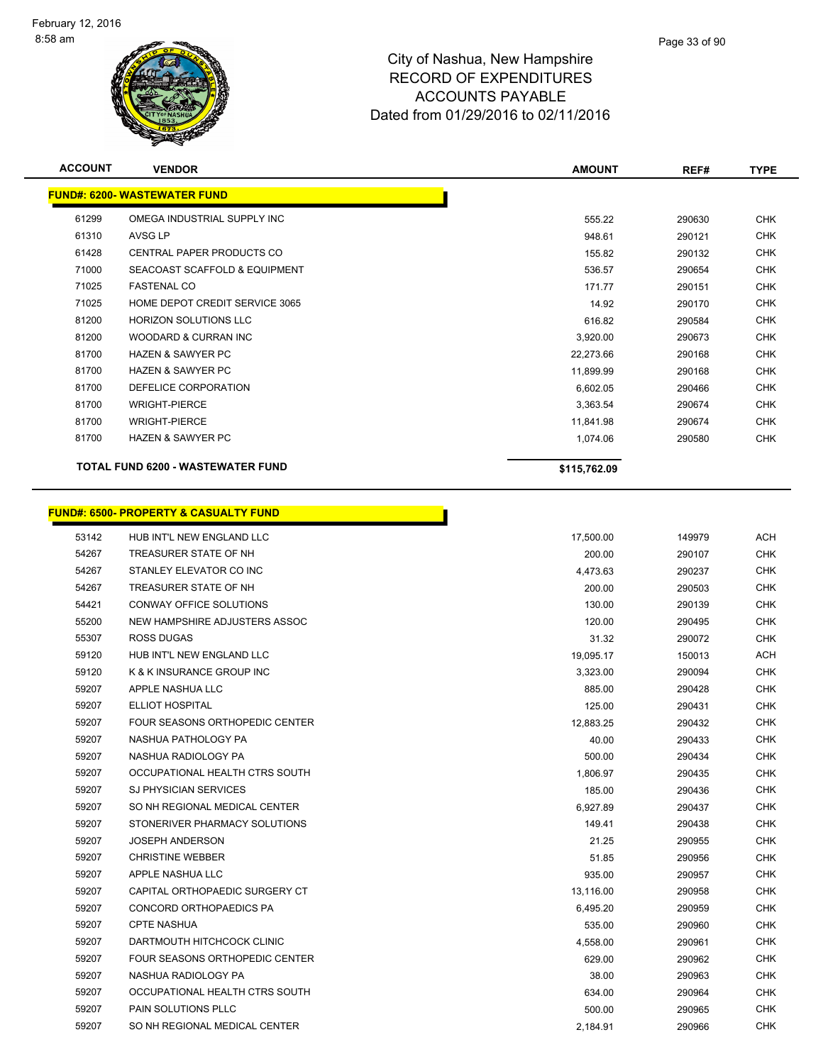

| <b>ACCOUNT</b> | <b>VENDOR</b>                       | <b>AMOUNT</b> | REF#   | <b>TYPE</b> |
|----------------|-------------------------------------|---------------|--------|-------------|
|                | <b>FUND#: 6200- WASTEWATER FUND</b> |               |        |             |
| 61299          | OMEGA INDUSTRIAL SUPPLY INC         | 555.22        | 290630 | <b>CHK</b>  |
| 61310          | AVSG LP                             | 948.61        | 290121 | <b>CHK</b>  |
| 61428          | CENTRAL PAPER PRODUCTS CO           | 155.82        | 290132 | <b>CHK</b>  |
| 71000          | SEACOAST SCAFFOLD & EQUIPMENT       | 536.57        | 290654 | <b>CHK</b>  |
| 71025          | <b>FASTENAL CO</b>                  | 171.77        | 290151 | <b>CHK</b>  |
| 71025          | HOME DEPOT CREDIT SERVICE 3065      | 14.92         | 290170 | <b>CHK</b>  |
| 81200          | <b>HORIZON SOLUTIONS LLC</b>        | 616.82        | 290584 | <b>CHK</b>  |
| 81200          | WOODARD & CURRAN INC                | 3,920.00      | 290673 | <b>CHK</b>  |
| 81700          | <b>HAZEN &amp; SAWYER PC</b>        | 22,273.66     | 290168 | <b>CHK</b>  |
| 81700          | <b>HAZEN &amp; SAWYER PC</b>        | 11,899.99     | 290168 | <b>CHK</b>  |
| 81700          | DEFELICE CORPORATION                | 6,602.05      | 290466 | <b>CHK</b>  |
| 81700          | <b>WRIGHT-PIERCE</b>                | 3,363.54      | 290674 | <b>CHK</b>  |
| 81700          | <b>WRIGHT-PIERCE</b>                | 11,841.98     | 290674 | <b>CHK</b>  |
| 81700          | <b>HAZEN &amp; SAWYER PC</b>        | 1,074.06      | 290580 | <b>CHK</b>  |
|                | TOTAL FUND 6200 - WASTEWATER FUND   | \$115,762.09  |        |             |

h

# **FUND#: 6500- PROPERTY & CASUALTY FUND**

| 53142 | HUB INT'L NEW ENGLAND LLC      | 17,500.00 | 149979 | <b>ACH</b> |
|-------|--------------------------------|-----------|--------|------------|
| 54267 | TREASURER STATE OF NH          | 200.00    | 290107 | <b>CHK</b> |
| 54267 | STANLEY ELEVATOR CO INC        | 4,473.63  | 290237 | <b>CHK</b> |
| 54267 | TREASURER STATE OF NH          | 200.00    | 290503 | <b>CHK</b> |
| 54421 | CONWAY OFFICE SOLUTIONS        | 130.00    | 290139 | <b>CHK</b> |
| 55200 | NEW HAMPSHIRE ADJUSTERS ASSOC  | 120.00    | 290495 | <b>CHK</b> |
| 55307 | <b>ROSS DUGAS</b>              | 31.32     | 290072 | <b>CHK</b> |
| 59120 | HUB INT'L NEW ENGLAND LLC      | 19,095.17 | 150013 | <b>ACH</b> |
| 59120 | K & K INSURANCE GROUP INC      | 3,323.00  | 290094 | <b>CHK</b> |
| 59207 | APPLE NASHUA LLC               | 885.00    | 290428 | <b>CHK</b> |
| 59207 | <b>ELLIOT HOSPITAL</b>         | 125.00    | 290431 | <b>CHK</b> |
| 59207 | FOUR SEASONS ORTHOPEDIC CENTER | 12,883.25 | 290432 | <b>CHK</b> |
| 59207 | NASHUA PATHOLOGY PA            | 40.00     | 290433 | <b>CHK</b> |
| 59207 | NASHUA RADIOLOGY PA            | 500.00    | 290434 | <b>CHK</b> |
| 59207 | OCCUPATIONAL HEALTH CTRS SOUTH | 1,806.97  | 290435 | <b>CHK</b> |
| 59207 | <b>SJ PHYSICIAN SERVICES</b>   | 185.00    | 290436 | <b>CHK</b> |
| 59207 | SO NH REGIONAL MEDICAL CENTER  | 6,927.89  | 290437 | <b>CHK</b> |
| 59207 | STONERIVER PHARMACY SOLUTIONS  | 149.41    | 290438 | <b>CHK</b> |
| 59207 | <b>JOSEPH ANDERSON</b>         | 21.25     | 290955 | <b>CHK</b> |
| 59207 | <b>CHRISTINE WEBBER</b>        | 51.85     | 290956 | <b>CHK</b> |
| 59207 | APPLE NASHUA LLC               | 935.00    | 290957 | <b>CHK</b> |
| 59207 | CAPITAL ORTHOPAEDIC SURGERY CT | 13,116.00 | 290958 | <b>CHK</b> |
| 59207 | CONCORD ORTHOPAEDICS PA        | 6,495.20  | 290959 | <b>CHK</b> |
| 59207 | <b>CPTE NASHUA</b>             | 535.00    | 290960 | <b>CHK</b> |
| 59207 | DARTMOUTH HITCHCOCK CLINIC     | 4,558.00  | 290961 | <b>CHK</b> |
| 59207 | FOUR SEASONS ORTHOPEDIC CENTER | 629.00    | 290962 | <b>CHK</b> |
| 59207 | NASHUA RADIOLOGY PA            | 38.00     | 290963 | <b>CHK</b> |
| 59207 | OCCUPATIONAL HEALTH CTRS SOUTH | 634.00    | 290964 | <b>CHK</b> |
| 59207 | PAIN SOLUTIONS PLLC            | 500.00    | 290965 | <b>CHK</b> |
| 59207 | SO NH REGIONAL MEDICAL CENTER  | 2,184.91  | 290966 | <b>CHK</b> |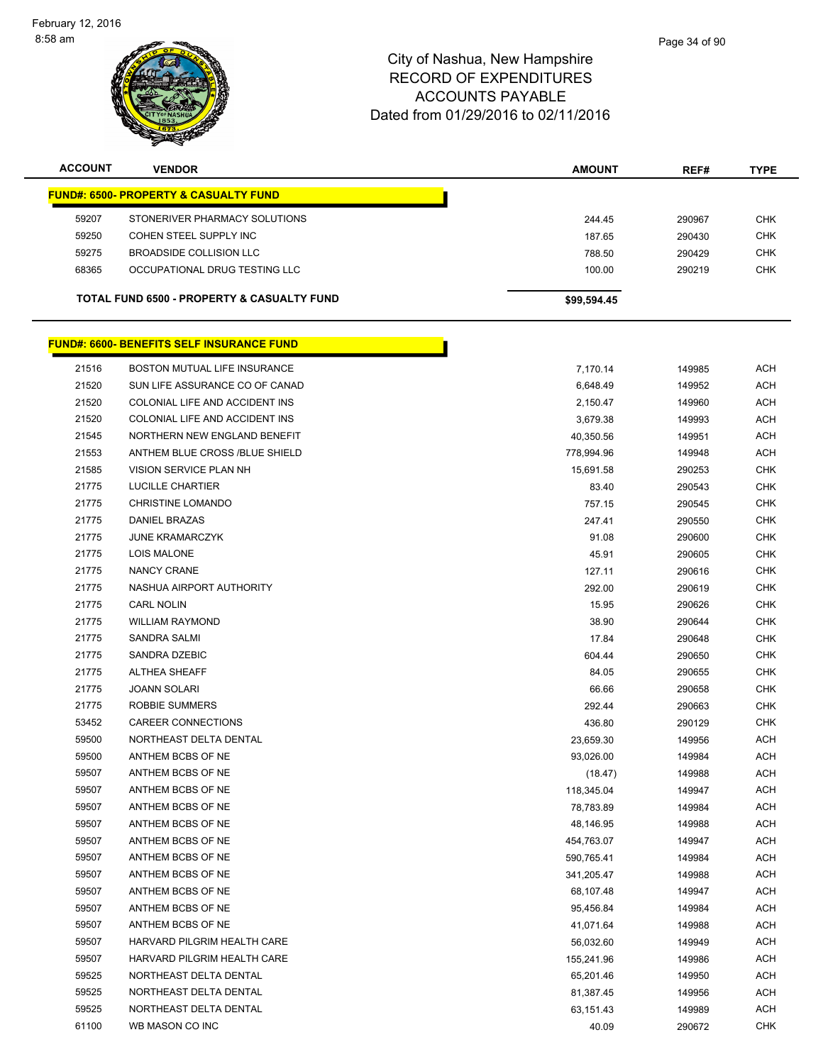February 12, 2016 8:58 am



| <b>ACCOUNT</b> | <b>VENDOR</b>                                    | <b>AMOUNT</b> | REF#   | <b>TYPE</b> |
|----------------|--------------------------------------------------|---------------|--------|-------------|
|                | <b>FUND#: 6500- PROPERTY &amp; CASUALTY FUND</b> |               |        |             |
| 59207          | STONERIVER PHARMACY SOLUTIONS                    | 244.45        | 290967 | <b>CHK</b>  |
| 59250          | COHEN STEEL SUPPLY INC                           | 187.65        | 290430 | <b>CHK</b>  |
| 59275          | <b>BROADSIDE COLLISION LLC</b>                   | 788.50        | 290429 | <b>CHK</b>  |
| 68365          | OCCUPATIONAL DRUG TESTING LLC                    | 100.00        | 290219 | <b>CHK</b>  |
|                | TOTAL FUND 6500 - PROPERTY & CASUALTY FUND       | \$99,594.45   |        |             |
|                | <b>FUND#: 6600- BENEFITS SELF INSURANCE FUND</b> |               |        |             |
| 21516          | BOSTON MUTUAL LIFE INSURANCE                     | 7,170.14      | 149985 | <b>ACH</b>  |
| 21520          | SUN LIFE ASSURANCE CO OF CANAD                   | 6,648.49      | 149952 | <b>ACH</b>  |
| 21520          | COLONIAL LIFE AND ACCIDENT INS                   | 2,150.47      | 149960 | <b>ACH</b>  |
| 21520          | COLONIAL LIFE AND ACCIDENT INS                   | 3,679.38      | 149993 | <b>ACH</b>  |
| 21545          | NORTHERN NEW ENGLAND BENEFIT                     | 40,350.56     | 149951 | <b>ACH</b>  |
| 21553          | ANTHEM BLUE CROSS /BLUE SHIELD                   | 778,994.96    | 149948 | ACH         |
| 21585          | <b>VISION SERVICE PLAN NH</b>                    | 15,691.58     | 290253 | <b>CHK</b>  |
| 21775          | LUCILLE CHARTIER                                 | 83.40         | 290543 | <b>CHK</b>  |
| 21775          | <b>CHRISTINE LOMANDO</b>                         | 757.15        | 290545 | <b>CHK</b>  |
| 21775          | DANIEL BRAZAS                                    | 247.41        | 290550 | <b>CHK</b>  |
| 21775          | <b>JUNE KRAMARCZYK</b>                           | 91.08         | 290600 | <b>CHK</b>  |
| 21775          | <b>LOIS MALONE</b>                               | 45.91         | 290605 | <b>CHK</b>  |
| 21775          | NANCY CRANE                                      | 127.11        | 290616 | <b>CHK</b>  |
| 21775          | NASHUA AIRPORT AUTHORITY                         | 292.00        | 290619 | <b>CHK</b>  |
| 21775          | <b>CARL NOLIN</b>                                | 15.95         | 290626 | <b>CHK</b>  |
| 21775          | <b>WILLIAM RAYMOND</b>                           | 38.90         | 290644 | <b>CHK</b>  |
| 21775          | SANDRA SALMI                                     | 17.84         | 290648 | <b>CHK</b>  |
| 21775          | SANDRA DZEBIC                                    | 604.44        | 290650 | <b>CHK</b>  |
| 21775          | <b>ALTHEA SHEAFF</b>                             | 84.05         | 290655 | <b>CHK</b>  |
| 21775          | <b>JOANN SOLARI</b>                              | 66.66         | 290658 | <b>CHK</b>  |
| 21775          | <b>ROBBIE SUMMERS</b>                            | 292.44        | 290663 | <b>CHK</b>  |
| 53452          | CAREER CONNECTIONS                               | 436.80        | 290129 | <b>CHK</b>  |
| 59500          | NORTHEAST DELTA DENTAL                           | 23,659.30     | 149956 | ACH         |
| 59500          | ANTHEM BCBS OF NE                                | 93,026.00     | 149984 | <b>ACH</b>  |
| 59507          | ANTHEM BCBS OF NE                                | (18.47)       | 149988 | ACH         |
| 59507          | ANTHEM BCBS OF NE                                | 118,345.04    | 149947 | ACH         |
| 59507          | ANTHEM BCBS OF NE                                | 78,783.89     | 149984 | ACH         |
| 59507          | ANTHEM BCBS OF NE                                | 48,146.95     | 149988 | ACH         |
| 59507          | ANTHEM BCBS OF NE                                | 454,763.07    | 149947 | ACH         |
| 59507          | ANTHEM BCBS OF NE                                | 590,765.41    | 149984 | ACH         |
| 59507          | ANTHEM BCBS OF NE                                | 341,205.47    | 149988 | ACH         |
| 59507          | ANTHEM BCBS OF NE                                | 68,107.48     | 149947 | ACH         |
| 59507          | ANTHEM BCBS OF NE                                | 95,456.84     | 149984 | ACH         |
| 59507          | ANTHEM BCBS OF NE                                | 41,071.64     | 149988 | ACH         |
| 59507          | HARVARD PILGRIM HEALTH CARE                      | 56,032.60     | 149949 | ACH         |
| 59507          | HARVARD PILGRIM HEALTH CARE                      | 155,241.96    | 149986 | ACH         |
| 59525          | NORTHEAST DELTA DENTAL                           | 65,201.46     | 149950 | <b>ACH</b>  |
| 59525          | NORTHEAST DELTA DENTAL                           | 81,387.45     | 149956 | ACH         |
| 59525          | NORTHEAST DELTA DENTAL                           | 63,151.43     | 149989 | <b>ACH</b>  |
| 61100          | WB MASON CO INC                                  | 40.09         | 290672 | <b>CHK</b>  |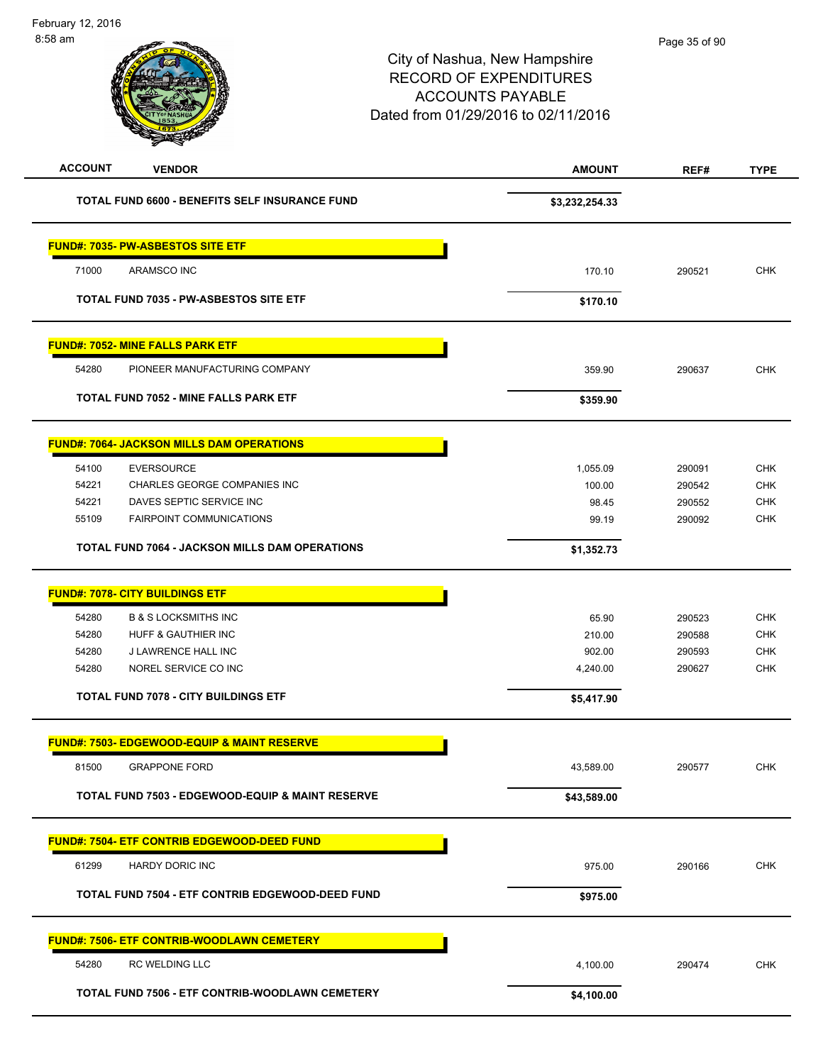| <b>ACCOUNT</b><br><b>VENDOR</b>                        | <b>AMOUNT</b>  | REF#   | <b>TYPE</b> |
|--------------------------------------------------------|----------------|--------|-------------|
| TOTAL FUND 6600 - BENEFITS SELF INSURANCE FUND         | \$3,232,254.33 |        |             |
| <b>FUND#: 7035- PW-ASBESTOS SITE ETF</b>               |                |        |             |
| 71000<br>ARAMSCO INC                                   | 170.10         | 290521 | <b>CHK</b>  |
| TOTAL FUND 7035 - PW-ASBESTOS SITE ETF                 | \$170.10       |        |             |
| <b>FUND#: 7052- MINE FALLS PARK ETF</b>                |                |        |             |
| 54280<br>PIONEER MANUFACTURING COMPANY                 | 359.90         | 290637 | <b>CHK</b>  |
| <b>TOTAL FUND 7052 - MINE FALLS PARK ETF</b>           | \$359.90       |        |             |
| <b>FUND#: 7064- JACKSON MILLS DAM OPERATIONS</b>       |                |        |             |
| 54100<br><b>EVERSOURCE</b>                             | 1,055.09       | 290091 | <b>CHK</b>  |
| 54221<br><b>CHARLES GEORGE COMPANIES INC</b>           | 100.00         | 290542 | <b>CHK</b>  |
| DAVES SEPTIC SERVICE INC<br>54221                      | 98.45          | 290552 | <b>CHK</b>  |
| <b>FAIRPOINT COMMUNICATIONS</b><br>55109               | 99.19          | 290092 | <b>CHK</b>  |
| <b>TOTAL FUND 7064 - JACKSON MILLS DAM OPERATIONS</b>  | \$1,352.73     |        |             |
| <b>FUND#: 7078- CITY BUILDINGS ETF</b>                 |                |        |             |
| 54280<br><b>B &amp; S LOCKSMITHS INC</b>               | 65.90          | 290523 | <b>CHK</b>  |
| 54280<br>HUFF & GAUTHIER INC                           | 210.00         | 290588 | <b>CHK</b>  |
| 54280<br>J LAWRENCE HALL INC                           | 902.00         | 290593 | <b>CHK</b>  |
| NOREL SERVICE CO INC<br>54280                          | 4,240.00       | 290627 | <b>CHK</b>  |
| <b>TOTAL FUND 7078 - CITY BUILDINGS ETF</b>            | \$5,417.90     |        |             |
| <b>FUND#: 7503- EDGEWOOD-EQUIP &amp; MAINT RESERVE</b> |                |        |             |
| 81500<br><b>GRAPPONE FORD</b>                          | 43,589.00      | 290577 | CHK         |
| TOTAL FUND 7503 - EDGEWOOD-EQUIP & MAINT RESERVE       | \$43,589.00    |        |             |
| <b>FUND#: 7504- ETF CONTRIB EDGEWOOD-DEED FUND</b>     |                |        |             |
| 61299<br>HARDY DORIC INC                               | 975.00         | 290166 | CHK         |
| TOTAL FUND 7504 - ETF CONTRIB EDGEWOOD-DEED FUND       |                |        |             |
|                                                        | \$975.00       |        |             |
| <b>FUND#: 7506- ETF CONTRIB-WOODLAWN CEMETERY</b>      |                |        |             |
| 54280<br>RC WELDING LLC                                | 4,100.00       | 290474 | <b>CHK</b>  |
| TOTAL FUND 7506 - ETF CONTRIB-WOODLAWN CEMETERY        | \$4,100.00     |        |             |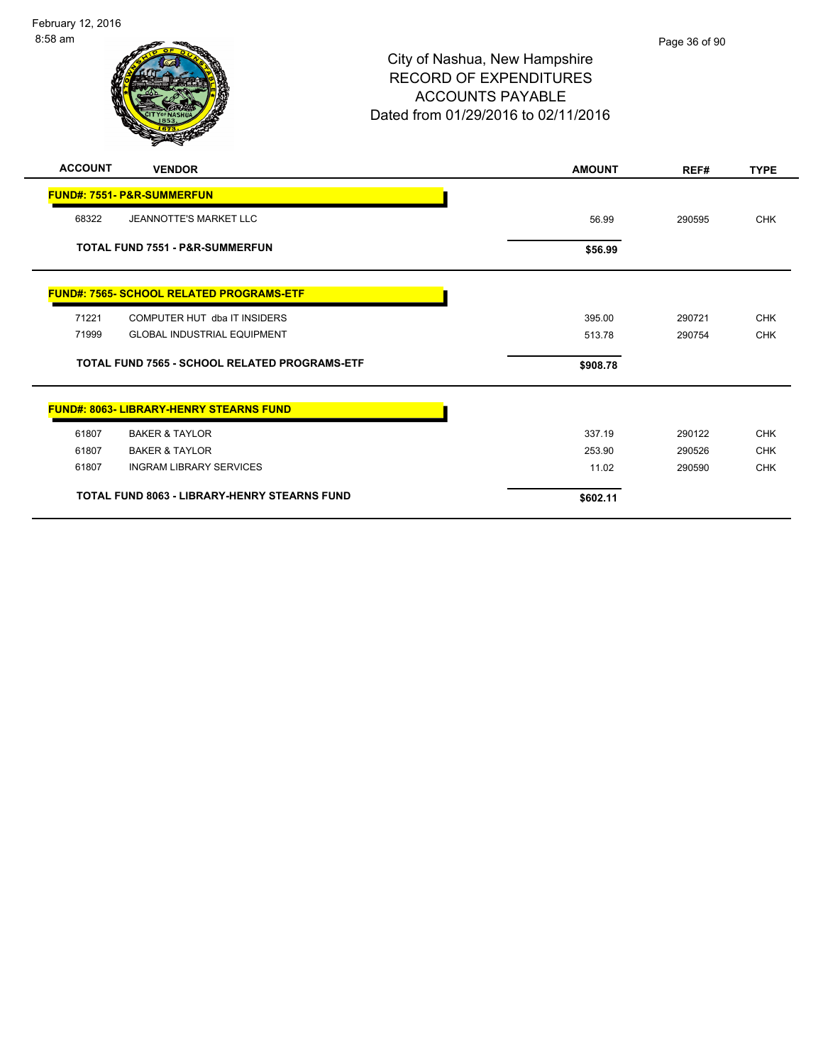

| <b>ACCOUNT</b>                                      | <b>VENDOR</b>                                   | <b>AMOUNT</b> | REF#   | <b>TYPE</b> |
|-----------------------------------------------------|-------------------------------------------------|---------------|--------|-------------|
|                                                     | <b>FUND#: 7551- P&amp;R-SUMMERFUN</b>           |               |        |             |
| 68322                                               | JEANNOTTE'S MARKET LLC                          | 56.99         | 290595 | <b>CHK</b>  |
| <b>TOTAL FUND 7551 - P&amp;R-SUMMERFUN</b>          |                                                 | \$56.99       |        |             |
|                                                     | <b>FUND#: 7565- SCHOOL RELATED PROGRAMS-ETF</b> |               |        |             |
| 71221                                               | COMPUTER HUT dba IT INSIDERS                    | 395.00        | 290721 | <b>CHK</b>  |
| 71999                                               | <b>GLOBAL INDUSTRIAL EQUIPMENT</b>              | 513.78        | 290754 | <b>CHK</b>  |
| TOTAL FUND 7565 - SCHOOL RELATED PROGRAMS-ETF       |                                                 | \$908.78      |        |             |
|                                                     | <b>FUND#: 8063- LIBRARY-HENRY STEARNS FUND</b>  |               |        |             |
| 61807                                               | <b>BAKER &amp; TAYLOR</b>                       | 337.19        | 290122 | <b>CHK</b>  |
| 61807                                               | <b>BAKER &amp; TAYLOR</b>                       | 253.90        | 290526 | <b>CHK</b>  |
| 61807                                               | <b>INGRAM LIBRARY SERVICES</b>                  | 11.02         | 290590 | <b>CHK</b>  |
| <b>TOTAL FUND 8063 - LIBRARY-HENRY STEARNS FUND</b> |                                                 | \$602.11      |        |             |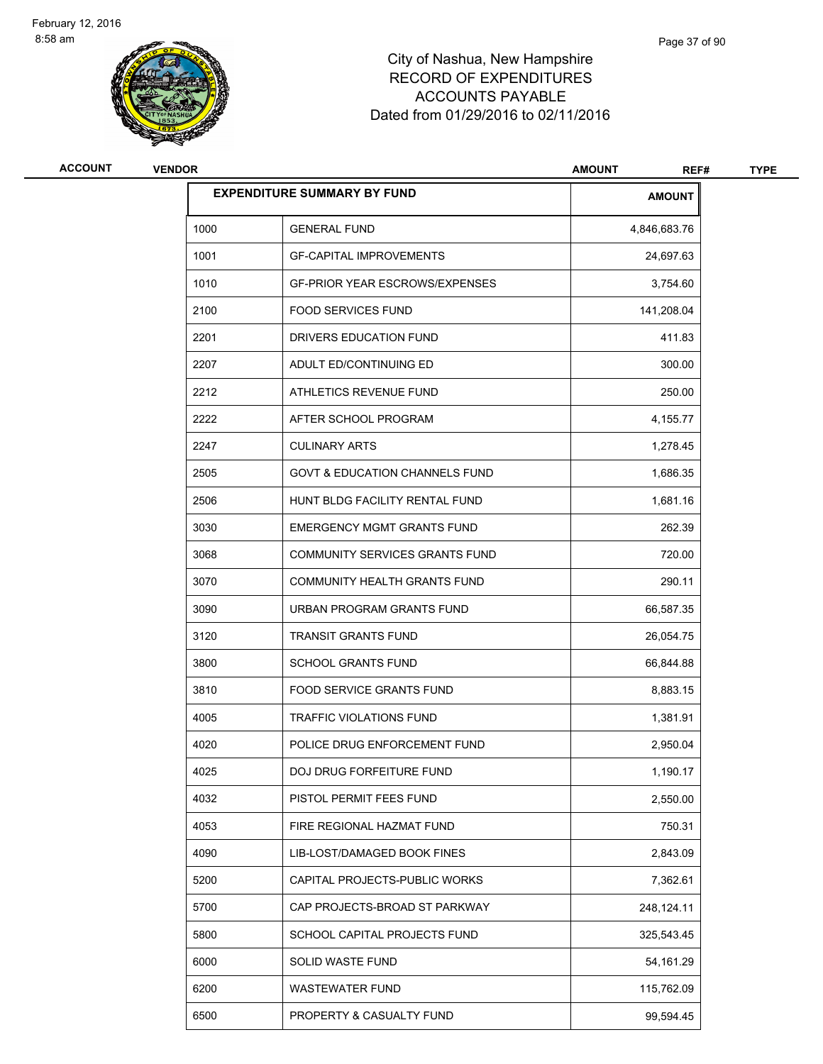

# City of Nashua, New Hampshire RECORD OF EXPENDITURES ACCOUNTS PAYABLE Dated from 01/29/2016 to 02/11/2016

| <b>ACCOUNT</b> | <b>VENDOR</b> |                                           | <b>AMOUNT</b><br>REF# | <b>TYPE</b> |
|----------------|---------------|-------------------------------------------|-----------------------|-------------|
|                |               | <b>EXPENDITURE SUMMARY BY FUND</b>        | <b>AMOUNT</b>         |             |
|                | 1000          | <b>GENERAL FUND</b>                       | 4,846,683.76          |             |
|                | 1001          | <b>GF-CAPITAL IMPROVEMENTS</b>            | 24,697.63             |             |
|                | 1010          | <b>GF-PRIOR YEAR ESCROWS/EXPENSES</b>     | 3,754.60              |             |
|                | 2100          | <b>FOOD SERVICES FUND</b>                 | 141,208.04            |             |
|                | 2201          | DRIVERS EDUCATION FUND                    | 411.83                |             |
|                | 2207          | ADULT ED/CONTINUING ED                    | 300.00                |             |
|                | 2212          | ATHLETICS REVENUE FUND                    | 250.00                |             |
|                | 2222          | AFTER SCHOOL PROGRAM                      | 4,155.77              |             |
|                | 2247          | <b>CULINARY ARTS</b>                      | 1,278.45              |             |
|                | 2505          | <b>GOVT &amp; EDUCATION CHANNELS FUND</b> | 1,686.35              |             |
|                | 2506          | HUNT BLDG FACILITY RENTAL FUND            | 1,681.16              |             |
|                | 3030          | <b>EMERGENCY MGMT GRANTS FUND</b>         | 262.39                |             |
|                | 3068          | COMMUNITY SERVICES GRANTS FUND            | 720.00                |             |
|                | 3070          | COMMUNITY HEALTH GRANTS FUND              | 290.11                |             |
|                | 3090          | URBAN PROGRAM GRANTS FUND                 | 66,587.35             |             |
|                | 3120          | <b>TRANSIT GRANTS FUND</b>                | 26,054.75             |             |
|                | 3800          | <b>SCHOOL GRANTS FUND</b>                 | 66,844.88             |             |
|                | 3810          | <b>FOOD SERVICE GRANTS FUND</b>           | 8,883.15              |             |
|                | 4005          | <b>TRAFFIC VIOLATIONS FUND</b>            | 1,381.91              |             |
|                | 4020          | POLICE DRUG ENFORCEMENT FUND              | 2,950.04              |             |
|                | 4025          | DOJ DRUG FORFEITURE FUND                  | 1,190.17              |             |
|                | 4032          | PISTOL PERMIT FEES FUND                   | 2,550.00              |             |
|                | 4053          | FIRE REGIONAL HAZMAT FUND                 | 750.31                |             |
|                | 4090          | LIB-LOST/DAMAGED BOOK FINES               | 2,843.09              |             |
|                | 5200          | CAPITAL PROJECTS-PUBLIC WORKS             | 7,362.61              |             |
|                | 5700          | CAP PROJECTS-BROAD ST PARKWAY             | 248,124.11            |             |
|                | 5800          | SCHOOL CAPITAL PROJECTS FUND              | 325,543.45            |             |
|                | 6000          | SOLID WASTE FUND                          | 54,161.29             |             |
|                | 6200          | <b>WASTEWATER FUND</b>                    | 115,762.09            |             |
|                | 6500          | PROPERTY & CASUALTY FUND                  | 99,594.45             |             |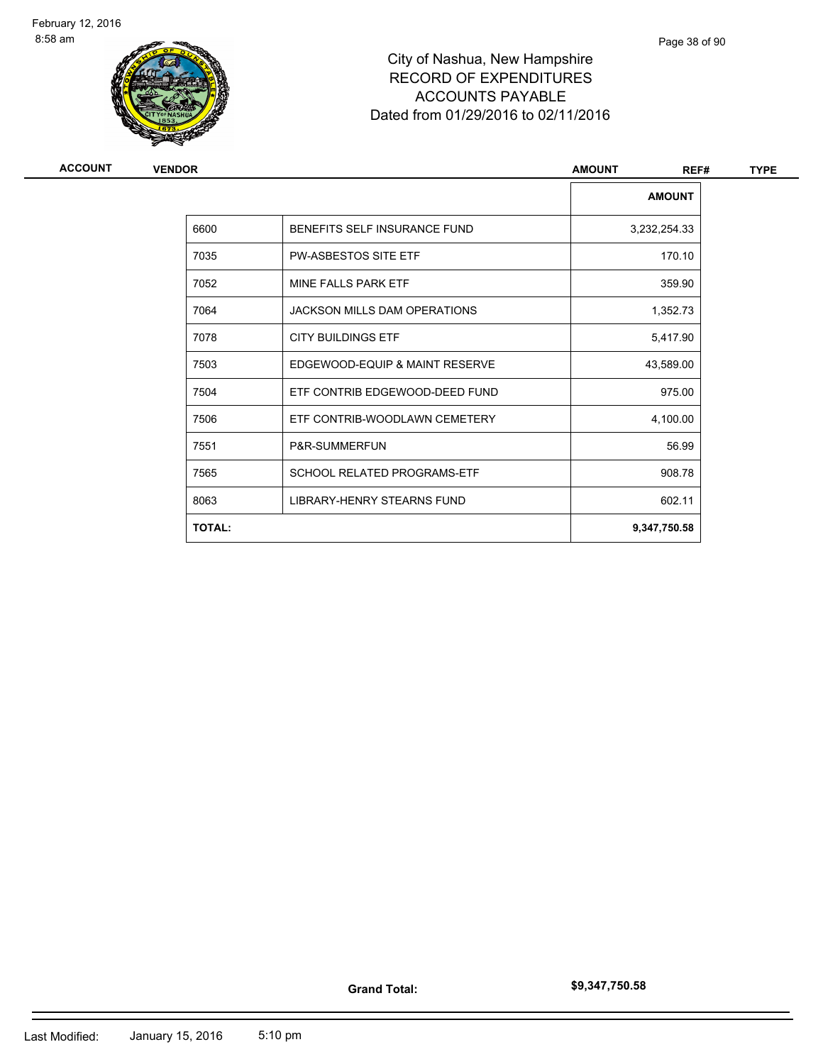

# City of Nashua, New Hampshire RECORD OF EXPENDITURES ACCOUNTS PAYABLE Dated from 01/29/2016 to 02/11/2016

| <b>ACCOUNT</b> | <b>VENDOR</b> |                                     | <b>AMOUNT</b><br>REF# | <b>TYPE</b> |
|----------------|---------------|-------------------------------------|-----------------------|-------------|
|                |               |                                     | <b>AMOUNT</b>         |             |
|                | 6600          | BENEFITS SELF INSURANCE FUND        | 3,232,254.33          |             |
|                | 7035          | <b>PW-ASBESTOS SITE ETF</b>         | 170.10                |             |
|                | 7052          | MINE FALLS PARK ETF                 | 359.90                |             |
|                | 7064          | <b>JACKSON MILLS DAM OPERATIONS</b> | 1,352.73              |             |
|                | 7078          | <b>CITY BUILDINGS ETF</b>           | 5,417.90              |             |
|                | 7503          | EDGEWOOD-EQUIP & MAINT RESERVE      | 43,589.00             |             |
|                | 7504          | ETF CONTRIB EDGEWOOD-DEED FUND      | 975.00                |             |
|                | 7506          | ETF CONTRIB-WOODLAWN CEMETERY       | 4,100.00              |             |
|                | 7551          | P&R-SUMMERFUN                       | 56.99                 |             |
|                | 7565          | <b>SCHOOL RELATED PROGRAMS-ETF</b>  | 908.78                |             |
|                | 8063          | LIBRARY-HENRY STEARNS FUND          | 602.11                |             |
|                | <b>TOTAL:</b> |                                     | 9,347,750.58          |             |
|                |               |                                     |                       |             |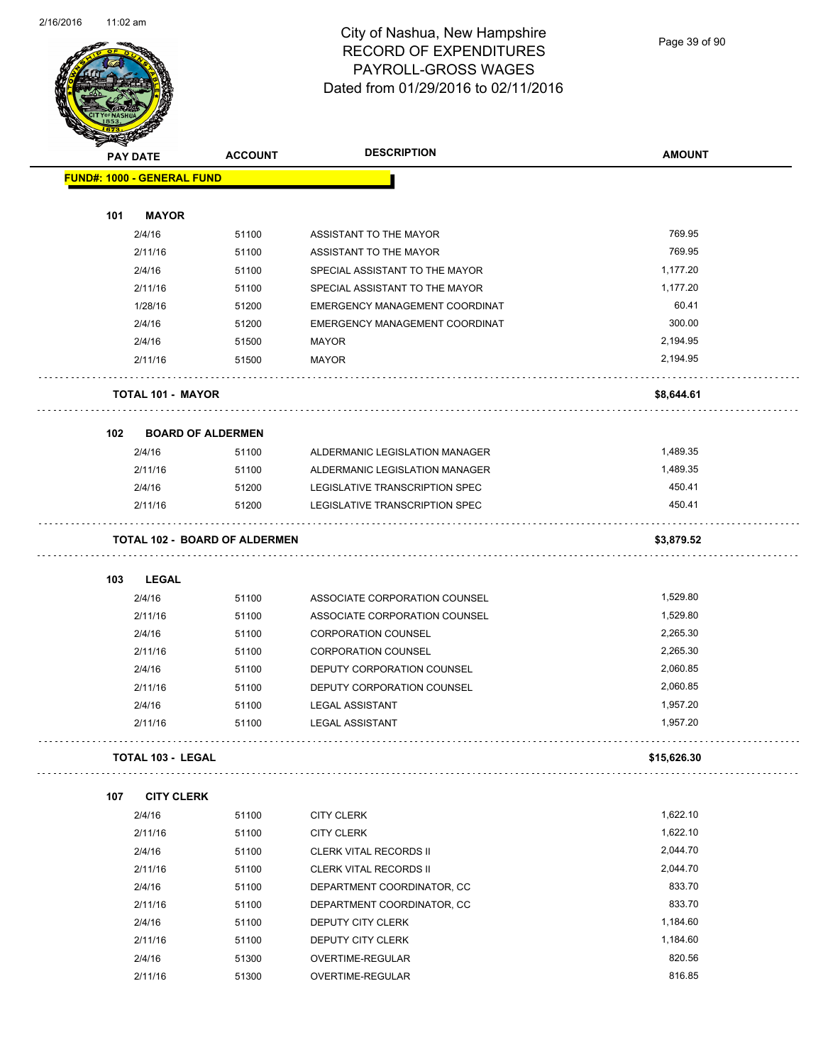

Page 39 of 90

| <b>RECORDS</b> |                                   |                                      |                                |               |
|----------------|-----------------------------------|--------------------------------------|--------------------------------|---------------|
|                | <b>PAY DATE</b>                   | <b>ACCOUNT</b>                       | <b>DESCRIPTION</b>             | <b>AMOUNT</b> |
|                | <b>FUND#: 1000 - GENERAL FUND</b> |                                      |                                |               |
|                |                                   |                                      |                                |               |
| 101            | <b>MAYOR</b>                      |                                      |                                |               |
|                | 2/4/16                            | 51100                                | ASSISTANT TO THE MAYOR         | 769.95        |
|                | 2/11/16                           | 51100                                | ASSISTANT TO THE MAYOR         | 769.95        |
|                | 2/4/16                            | 51100                                | SPECIAL ASSISTANT TO THE MAYOR | 1,177.20      |
|                | 2/11/16                           | 51100                                | SPECIAL ASSISTANT TO THE MAYOR | 1,177.20      |
|                | 1/28/16                           | 51200                                | EMERGENCY MANAGEMENT COORDINAT | 60.41         |
|                | 2/4/16                            | 51200                                | EMERGENCY MANAGEMENT COORDINAT | 300.00        |
|                | 2/4/16                            | 51500                                | <b>MAYOR</b>                   | 2,194.95      |
|                | 2/11/16                           | 51500                                | MAYOR                          | 2,194.95      |
|                | <b>TOTAL 101 - MAYOR</b>          |                                      |                                | \$8,644.61    |
|                | 102 BOARD OF ALDERMEN             |                                      |                                |               |
|                | 2/4/16                            | 51100                                | ALDERMANIC LEGISLATION MANAGER | 1,489.35      |
|                | 2/11/16                           | 51100                                | ALDERMANIC LEGISLATION MANAGER | 1,489.35      |
|                | 2/4/16                            | 51200                                | LEGISLATIVE TRANSCRIPTION SPEC | 450.41        |
|                | 2/11/16                           | 51200                                | LEGISLATIVE TRANSCRIPTION SPEC | 450.41        |
|                |                                   | <b>TOTAL 102 - BOARD OF ALDERMEN</b> |                                | \$3,879.52    |
| 103            | <b>LEGAL</b>                      |                                      |                                |               |
|                | 2/4/16                            | 51100                                | ASSOCIATE CORPORATION COUNSEL  | 1,529.80      |
|                | 2/11/16                           | 51100                                | ASSOCIATE CORPORATION COUNSEL  | 1,529.80      |
|                | 2/4/16                            | 51100                                | <b>CORPORATION COUNSEL</b>     | 2,265.30      |
|                | 2/11/16                           | 51100                                | <b>CORPORATION COUNSEL</b>     | 2,265.30      |
|                | 2/4/16                            | 51100                                | DEPUTY CORPORATION COUNSEL     | 2,060.85      |
|                | 2/11/16                           | 51100                                | DEPUTY CORPORATION COUNSEL     | 2,060.85      |
|                | 2/4/16                            | 51100                                | <b>LEGAL ASSISTANT</b>         | 1,957.20      |
|                | 2/11/16                           | 51100                                | <b>LEGAL ASSISTANT</b>         | 1,957.20      |
|                | <b>TOTAL 103 - LEGAL</b>          |                                      |                                | \$15,626.30   |
| 107            | <b>CITY CLERK</b>                 |                                      |                                |               |
|                | 2/4/16                            | 51100                                | <b>CITY CLERK</b>              | 1,622.10      |
|                | 2/11/16                           | 51100                                | <b>CITY CLERK</b>              | 1,622.10      |
|                | 2/4/16                            | 51100                                | CLERK VITAL RECORDS II         | 2,044.70      |
|                | 2/11/16                           | 51100                                | CLERK VITAL RECORDS II         | 2,044.70      |
|                | 2/4/16                            | 51100                                | DEPARTMENT COORDINATOR, CC     | 833.70        |
|                | 2/11/16                           | 51100                                | DEPARTMENT COORDINATOR, CC     | 833.70        |
|                | 2/4/16                            | 51100                                | DEPUTY CITY CLERK              | 1,184.60      |
|                | 2/11/16                           | 51100                                | DEPUTY CITY CLERK              | 1,184.60      |
|                | 2/4/16                            | 51300                                | OVERTIME-REGULAR               | 820.56        |
|                | 2/11/16                           | 51300                                | OVERTIME-REGULAR               | 816.85        |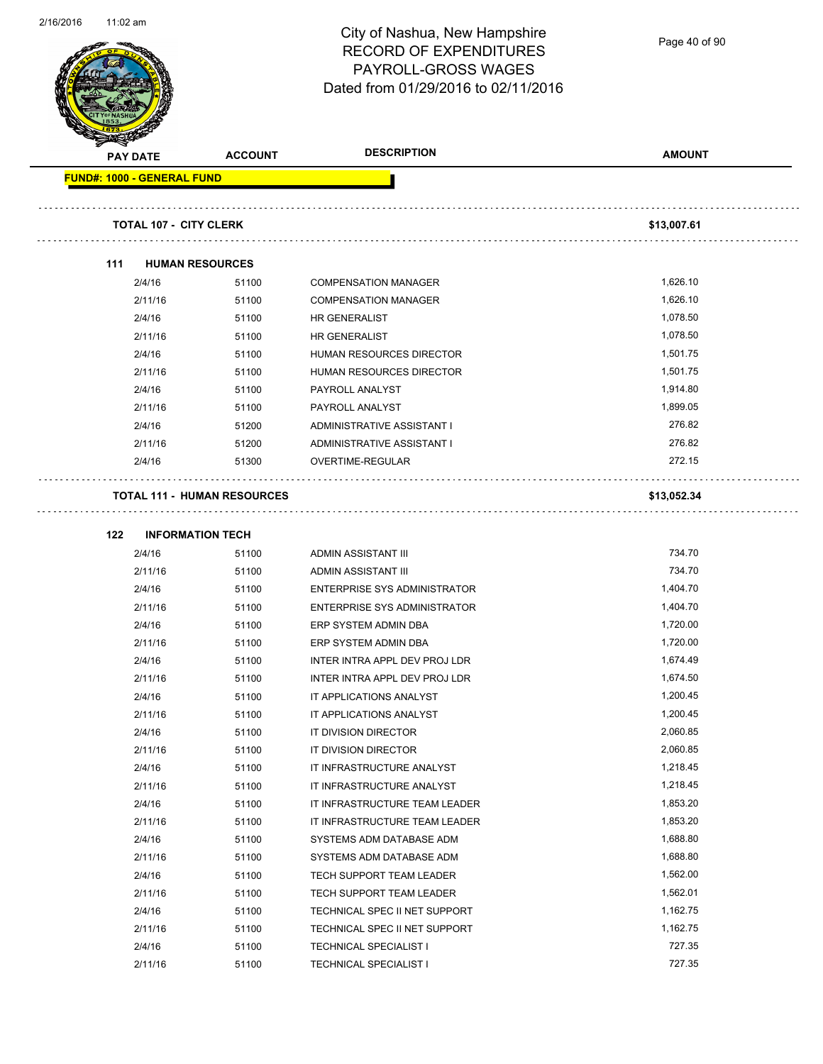

Page 40 of 90

| <b>PAY DATE</b>                   | <b>ACCOUNT</b>                     | <b>DESCRIPTION</b>                  | <b>AMOUNT</b> |
|-----------------------------------|------------------------------------|-------------------------------------|---------------|
| <b>FUND#: 1000 - GENERAL FUND</b> |                                    |                                     |               |
|                                   | <b>TOTAL 107 - CITY CLERK</b>      |                                     | \$13,007.61   |
| 111                               | <b>HUMAN RESOURCES</b>             |                                     |               |
| 2/4/16                            | 51100                              | <b>COMPENSATION MANAGER</b>         | 1,626.10      |
| 2/11/16                           | 51100                              | <b>COMPENSATION MANAGER</b>         | 1,626.10      |
| 2/4/16                            | 51100                              | HR GENERALIST                       | 1,078.50      |
| 2/11/16                           | 51100                              | <b>HR GENERALIST</b>                | 1,078.50      |
| 2/4/16                            | 51100                              | HUMAN RESOURCES DIRECTOR            | 1,501.75      |
| 2/11/16                           | 51100                              | HUMAN RESOURCES DIRECTOR            | 1,501.75      |
| 2/4/16                            | 51100                              | PAYROLL ANALYST                     | 1,914.80      |
| 2/11/16                           | 51100                              | PAYROLL ANALYST                     | 1,899.05      |
| 2/4/16                            | 51200                              | ADMINISTRATIVE ASSISTANT I          | 276.82        |
| 2/11/16                           | 51200                              | ADMINISTRATIVE ASSISTANT I          | 276.82        |
| 2/4/16                            | 51300                              | <b>OVERTIME-REGULAR</b>             | 272.15        |
|                                   | <b>TOTAL 111 - HUMAN RESOURCES</b> |                                     | \$13,052.34   |
| 122                               | <b>INFORMATION TECH</b>            |                                     |               |
| 2/4/16                            | 51100                              | ADMIN ASSISTANT III                 | 734.70        |
| 2/11/16                           | 51100                              | ADMIN ASSISTANT III                 | 734.70        |
| 2/4/16                            | 51100                              | <b>ENTERPRISE SYS ADMINISTRATOR</b> | 1,404.70      |
| 2/11/16                           | 51100                              | <b>ENTERPRISE SYS ADMINISTRATOR</b> | 1,404.70      |
| 2/4/16                            | 51100                              | ERP SYSTEM ADMIN DBA                | 1,720.00      |
| 2/11/16                           | 51100                              | ERP SYSTEM ADMIN DBA                | 1,720.00      |
| 2/4/16                            | 51100                              | INTER INTRA APPL DEV PROJ LDR       | 1,674.49      |
| 2/11/16                           | 51100                              | INTER INTRA APPL DEV PROJ LDR       | 1,674.50      |
| 2/4/16                            | 51100                              | IT APPLICATIONS ANALYST             | 1,200.45      |
| 2/11/16                           | 51100                              | IT APPLICATIONS ANALYST             | 1,200.45      |
| 2/4/16                            | 51100                              | IT DIVISION DIRECTOR                | 2,060.85      |
| 2/11/16                           | 51100                              | IT DIVISION DIRECTOR                | 2,060.85      |
| 2/4/16                            | 51100                              | IT INFRASTRUCTURE ANALYST           | 1,218.45      |
| 2/11/16                           | 51100                              | IT INFRASTRUCTURE ANALYST           | 1,218.45      |
| 2/4/16                            | 51100                              | IT INFRASTRUCTURE TEAM LEADER       | 1,853.20      |
| 2/11/16                           | 51100                              | IT INFRASTRUCTURE TEAM LEADER       | 1,853.20      |
| 2/4/16                            | 51100                              | SYSTEMS ADM DATABASE ADM            | 1,688.80      |
| 2/11/16                           | 51100                              | SYSTEMS ADM DATABASE ADM            | 1,688.80      |
| 2/4/16                            | 51100                              | TECH SUPPORT TEAM LEADER            | 1,562.00      |
| 2/11/16                           | 51100                              | TECH SUPPORT TEAM LEADER            | 1,562.01      |
| 2/4/16                            | 51100                              | TECHNICAL SPEC II NET SUPPORT       | 1,162.75      |
| 2/11/16                           | 51100                              | TECHNICAL SPEC II NET SUPPORT       | 1,162.75      |
| 2/4/16                            | 51100                              | <b>TECHNICAL SPECIALIST I</b>       | 727.35        |
| 2/11/16                           | 51100                              | <b>TECHNICAL SPECIALIST I</b>       | 727.35        |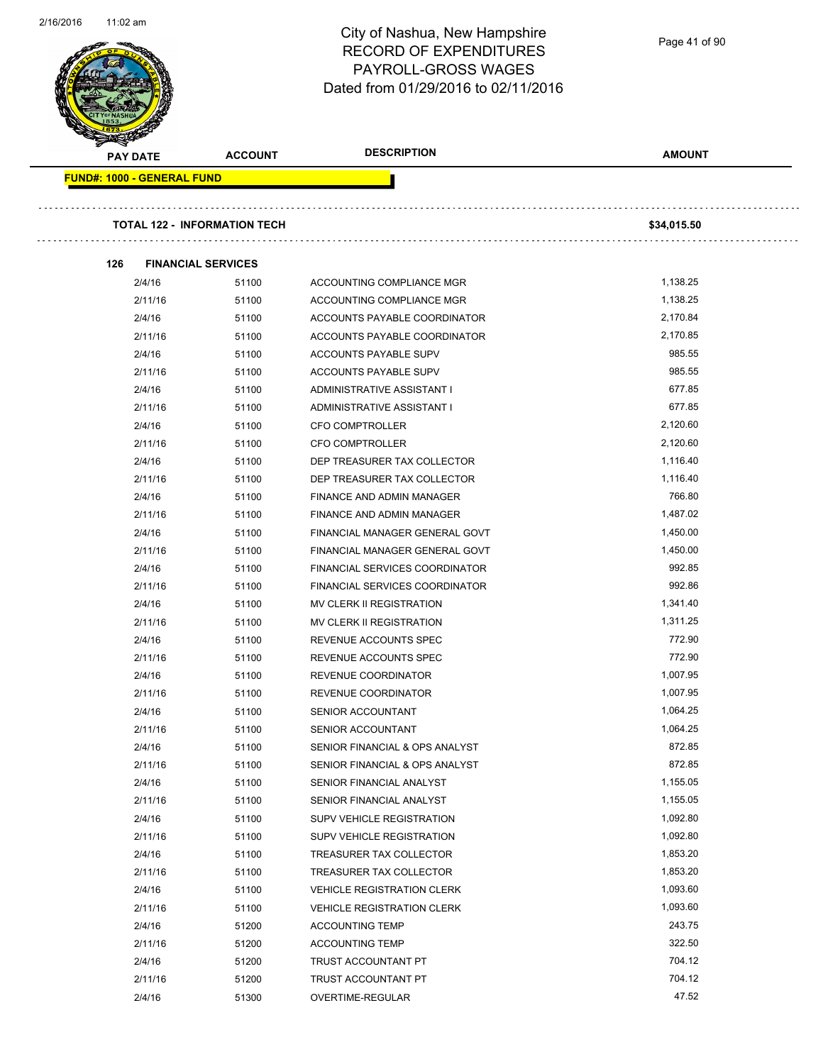

| 2/4/16  | 51100 | DEP TREASURER TAX COLLECTOR           | 1,116.40 |
|---------|-------|---------------------------------------|----------|
| 2/11/16 | 51100 | DEP TREASURER TAX COLLECTOR           | 1,116.40 |
| 2/4/16  | 51100 | <b>FINANCE AND ADMIN MANAGER</b>      | 766.80   |
| 2/11/16 | 51100 | <b>FINANCE AND ADMIN MANAGER</b>      | 1,487.02 |
| 2/4/16  | 51100 | FINANCIAL MANAGER GENERAL GOVT        | 1,450.00 |
| 2/11/16 | 51100 | FINANCIAL MANAGER GENERAL GOVT        | 1,450.00 |
| 2/4/16  | 51100 | <b>FINANCIAL SERVICES COORDINATOR</b> | 992.85   |
| 2/11/16 | 51100 | FINANCIAL SERVICES COORDINATOR        | 992.86   |
| 2/4/16  | 51100 | MV CLERK II REGISTRATION              | 1,341.40 |
| 2/11/16 | 51100 | MV CLERK II REGISTRATION              | 1,311.25 |
| 2/4/16  | 51100 | REVENUE ACCOUNTS SPEC                 | 772.90   |
| 2/11/16 | 51100 | REVENUE ACCOUNTS SPEC                 | 772.90   |
| 2/4/16  | 51100 | REVENUE COORDINATOR                   | 1,007.95 |
| 2/11/16 | 51100 | REVENUE COORDINATOR                   | 1,007.95 |
| 2/4/16  | 51100 | SENIOR ACCOUNTANT                     | 1,064.25 |
| 2/11/16 | 51100 | <b>SENIOR ACCOUNTANT</b>              | 1,064.25 |
| 2/4/16  | 51100 | SENIOR FINANCIAL & OPS ANALYST        | 872.85   |
| 2/11/16 | 51100 | SENIOR FINANCIAL & OPS ANALYST        | 872.85   |
| 2/4/16  | 51100 | SENIOR FINANCIAL ANALYST              | 1,155.05 |
| 2/11/16 | 51100 | SENIOR FINANCIAL ANALYST              | 1,155.05 |
| 2/4/16  | 51100 | <b>SUPV VEHICLE REGISTRATION</b>      | 1,092.80 |
| 2/11/16 | 51100 | <b>SUPV VEHICLE REGISTRATION</b>      | 1,092.80 |
| 2/4/16  | 51100 | TREASURER TAX COLLECTOR               | 1,853.20 |
| 2/11/16 | 51100 | TREASURER TAX COLLECTOR               | 1,853.20 |
| 2/4/16  | 51100 | <b>VEHICLE REGISTRATION CLERK</b>     | 1,093.60 |
| 2/11/16 | 51100 | <b>VEHICLE REGISTRATION CLERK</b>     | 1,093.60 |
| 2/4/16  | 51200 | <b>ACCOUNTING TEMP</b>                | 243.75   |
| 2/11/16 | 51200 | <b>ACCOUNTING TEMP</b>                | 322.50   |
| 2/4/16  | 51200 | TRUST ACCOUNTANT PT                   | 704.12   |
| 2/11/16 | 51200 | <b>TRUST ACCOUNTANT PT</b>            | 704.12   |
| 2/4/16  | 51300 | OVERTIME-REGULAR                      | 47.52    |
|         |       |                                       |          |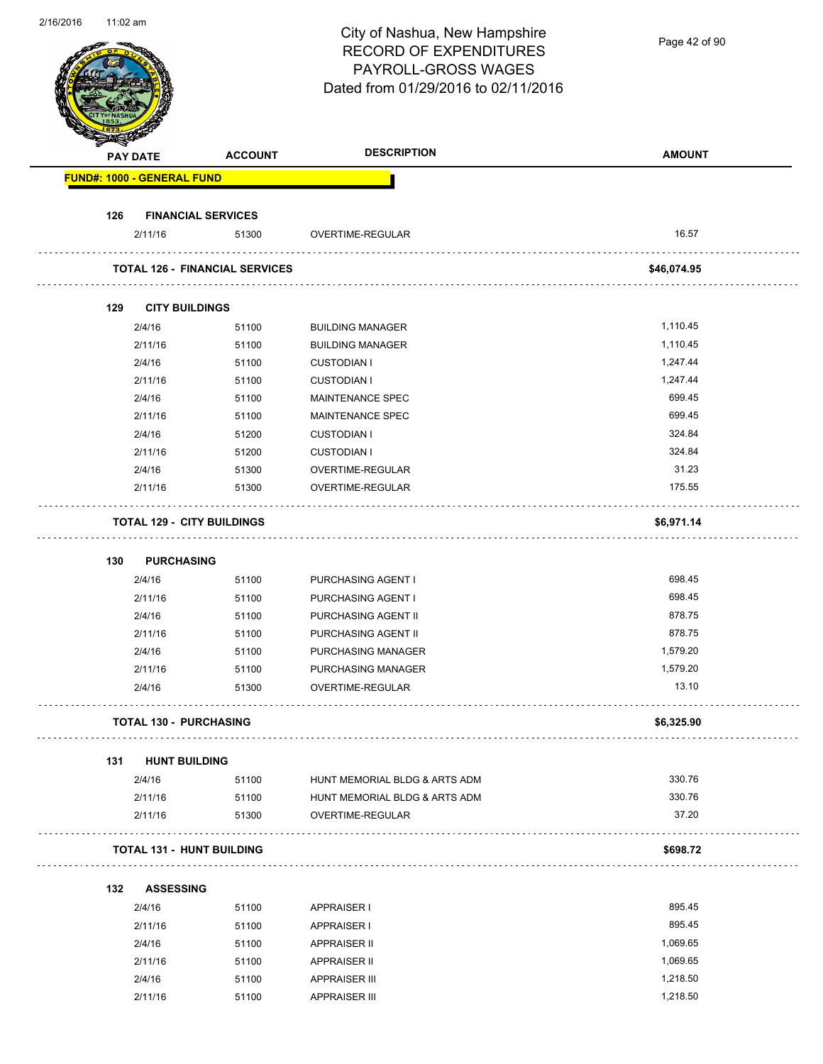| 210/2010 | TT:02 am |                                   |                                       | City of Nashua, New Hampshire<br><b>RECORD OF EXPENDITURES</b><br>PAYROLL-GROSS WAGES<br>Dated from 01/29/2016 to 02/11/2016 | Page 42 of 90     |
|----------|----------|-----------------------------------|---------------------------------------|------------------------------------------------------------------------------------------------------------------------------|-------------------|
|          |          | <b>PAY DATE</b>                   | <b>ACCOUNT</b>                        | <b>DESCRIPTION</b>                                                                                                           | <b>AMOUNT</b>     |
|          |          | <b>FUND#: 1000 - GENERAL FUND</b> |                                       |                                                                                                                              |                   |
|          | 126      | <b>FINANCIAL SERVICES</b>         |                                       |                                                                                                                              |                   |
|          |          | 2/11/16                           | 51300                                 | OVERTIME-REGULAR                                                                                                             | 16.57             |
|          |          |                                   | <b>TOTAL 126 - FINANCIAL SERVICES</b> |                                                                                                                              | \$46,074.95       |
|          |          |                                   |                                       |                                                                                                                              |                   |
|          | 129      | <b>CITY BUILDINGS</b><br>2/4/16   |                                       |                                                                                                                              | 1,110.45          |
|          |          | 2/11/16                           | 51100<br>51100                        | <b>BUILDING MANAGER</b><br><b>BUILDING MANAGER</b>                                                                           | 1,110.45          |
|          |          | 2/4/16                            | 51100                                 | <b>CUSTODIAN I</b>                                                                                                           | 1,247.44          |
|          |          | 2/11/16                           | 51100                                 | <b>CUSTODIAN I</b>                                                                                                           | 1,247.44          |
|          |          | 2/4/16                            | 51100                                 | MAINTENANCE SPEC                                                                                                             | 699.45            |
|          |          | 2/11/16                           | 51100                                 | <b>MAINTENANCE SPEC</b>                                                                                                      | 699.45            |
|          |          | 2/4/16                            | 51200                                 | <b>CUSTODIAN I</b>                                                                                                           | 324.84            |
|          |          | 2/11/16                           | 51200                                 | <b>CUSTODIAN I</b>                                                                                                           | 324.84            |
|          |          | 2/4/16                            | 51300                                 | OVERTIME-REGULAR                                                                                                             | 31.23             |
|          |          | 2/11/16                           | 51300                                 | OVERTIME-REGULAR                                                                                                             | 175.55            |
|          |          | <b>TOTAL 129 - CITY BUILDINGS</b> |                                       |                                                                                                                              | \$6,971.14        |
|          |          |                                   |                                       |                                                                                                                              |                   |
|          | 130      | <b>PURCHASING</b>                 |                                       |                                                                                                                              |                   |
|          |          | 2/4/16                            | 51100                                 | PURCHASING AGENT I                                                                                                           | 698.45            |
|          |          | 2/11/16                           | 51100                                 | PURCHASING AGENT I                                                                                                           | 698.45<br>878.75  |
|          |          | 2/4/16                            | 51100                                 | PURCHASING AGENT II                                                                                                          |                   |
|          |          | 2/11/16                           | 51100                                 | PURCHASING AGENT II                                                                                                          | 878.75            |
|          |          | 2/4/16                            | 51100                                 | PURCHASING MANAGER                                                                                                           | 1,579.20          |
|          |          | 2/11/16<br>2/4/16                 | 51100<br>51300                        | PURCHASING MANAGER<br>OVERTIME-REGULAR                                                                                       | 1,579.20<br>13.10 |
|          |          |                                   |                                       |                                                                                                                              |                   |
|          |          | <b>TOTAL 130 - PURCHASING</b>     |                                       |                                                                                                                              | \$6,325.90        |
|          | 131      | <b>HUNT BUILDING</b>              |                                       |                                                                                                                              |                   |
|          |          | 2/4/16                            | 51100                                 | HUNT MEMORIAL BLDG & ARTS ADM                                                                                                | 330.76            |
|          |          | 2/11/16                           | 51100                                 | HUNT MEMORIAL BLDG & ARTS ADM                                                                                                | 330.76            |
|          |          | 2/11/16                           | 51300                                 | OVERTIME-REGULAR                                                                                                             | 37.20             |
|          |          | <b>TOTAL 131 - HUNT BUILDING</b>  |                                       |                                                                                                                              | \$698.72          |
|          | 132      | <b>ASSESSING</b>                  |                                       |                                                                                                                              |                   |
|          |          | 2/4/16                            | 51100                                 | <b>APPRAISER I</b>                                                                                                           | 895.45            |
|          |          | 2/11/16                           | 51100                                 | <b>APPRAISER I</b>                                                                                                           | 895.45            |
|          |          | 2/4/16                            | 51100                                 | <b>APPRAISER II</b>                                                                                                          | 1,069.65          |
|          |          | 2/11/16                           | 51100                                 | <b>APPRAISER II</b>                                                                                                          | 1,069.65          |
|          |          | 2/4/16                            | 51100                                 | <b>APPRAISER III</b>                                                                                                         | 1,218.50          |
|          |          | 2/11/16                           | 51100                                 | <b>APPRAISER III</b>                                                                                                         | 1,218.50          |

2/16/2016 11:02 am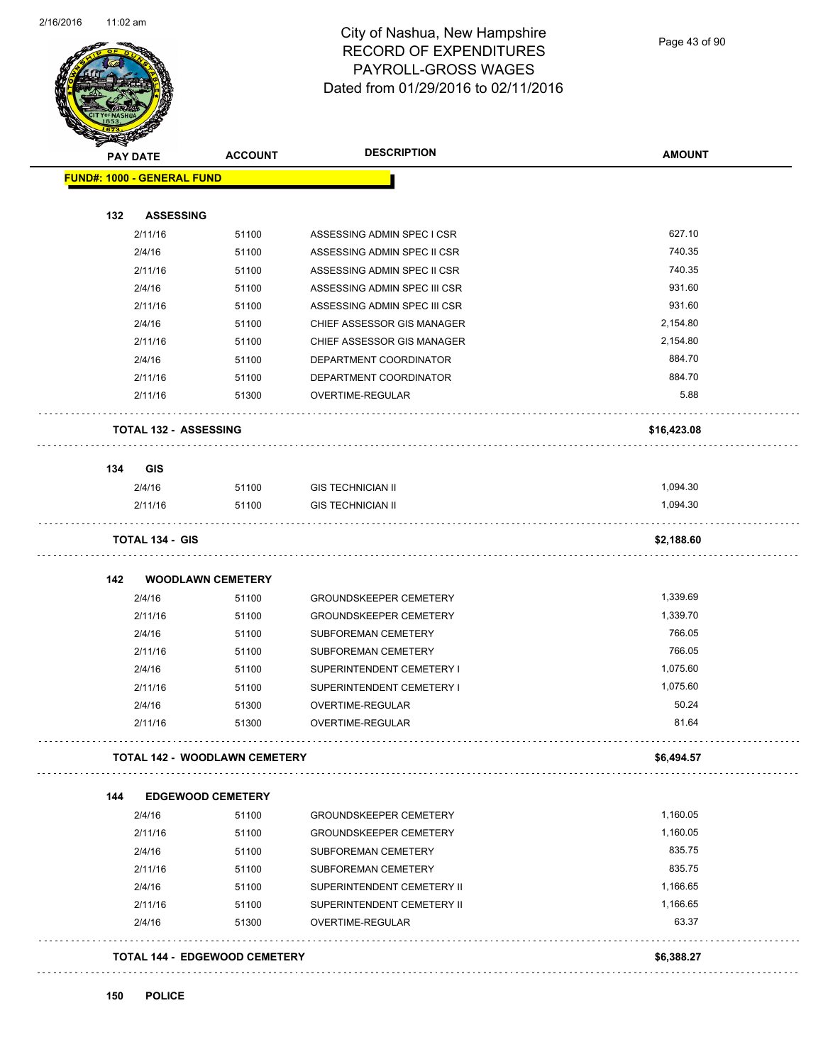

Page 43 of 90

| <b>PAY DATE</b> |                                   | <b>ACCOUNT</b>                       | <b>DESCRIPTION</b>            | <b>AMOUNT</b> |
|-----------------|-----------------------------------|--------------------------------------|-------------------------------|---------------|
|                 | <b>FUND#: 1000 - GENERAL FUND</b> |                                      |                               |               |
| 132             | <b>ASSESSING</b>                  |                                      |                               |               |
|                 | 2/11/16                           | 51100                                | ASSESSING ADMIN SPEC I CSR    | 627.10        |
|                 | 2/4/16                            | 51100                                | ASSESSING ADMIN SPEC II CSR   | 740.35        |
|                 | 2/11/16                           | 51100                                | ASSESSING ADMIN SPEC II CSR   | 740.35        |
|                 | 2/4/16                            | 51100                                | ASSESSING ADMIN SPEC III CSR  | 931.60        |
|                 | 2/11/16                           | 51100                                | ASSESSING ADMIN SPEC III CSR  | 931.60        |
|                 | 2/4/16                            | 51100                                | CHIEF ASSESSOR GIS MANAGER    | 2,154.80      |
|                 | 2/11/16                           | 51100                                | CHIEF ASSESSOR GIS MANAGER    | 2,154.80      |
|                 | 2/4/16                            | 51100                                | DEPARTMENT COORDINATOR        | 884.70        |
|                 | 2/11/16                           | 51100                                | DEPARTMENT COORDINATOR        | 884.70        |
|                 | 2/11/16                           | 51300                                | OVERTIME-REGULAR              | 5.88          |
|                 | <b>TOTAL 132 - ASSESSING</b>      |                                      |                               | \$16,423.08   |
| 134             | <b>GIS</b>                        |                                      |                               |               |
|                 | 2/4/16                            | 51100                                | <b>GIS TECHNICIAN II</b>      | 1,094.30      |
|                 | 2/11/16                           | 51100                                | <b>GIS TECHNICIAN II</b>      | 1,094.30      |
|                 | <b>TOTAL 134 - GIS</b>            |                                      |                               | \$2,188.60    |
| 142             | <b>WOODLAWN CEMETERY</b>          |                                      |                               |               |
|                 | 2/4/16                            | 51100                                | <b>GROUNDSKEEPER CEMETERY</b> | 1,339.69      |
|                 | 2/11/16                           | 51100                                | <b>GROUNDSKEEPER CEMETERY</b> | 1,339.70      |
|                 | 2/4/16                            | 51100                                | SUBFOREMAN CEMETERY           | 766.05        |
|                 | 2/11/16                           | 51100                                | SUBFOREMAN CEMETERY           | 766.05        |
|                 | 2/4/16                            | 51100                                | SUPERINTENDENT CEMETERY I     | 1,075.60      |
|                 | 2/11/16                           | 51100                                | SUPERINTENDENT CEMETERY I     | 1,075.60      |
|                 | 2/4/16                            | 51300                                | OVERTIME-REGULAR              | 50.24         |
|                 | 2/11/16                           | 51300                                | OVERTIME-REGULAR              | 81.64         |
|                 |                                   | <b>TOTAL 142 - WOODLAWN CEMETERY</b> |                               | \$6,494.57    |
| 144             | <b>EDGEWOOD CEMETERY</b>          |                                      |                               |               |
|                 | 2/4/16                            | 51100                                | <b>GROUNDSKEEPER CEMETERY</b> | 1,160.05      |
|                 | 2/11/16                           | 51100                                | <b>GROUNDSKEEPER CEMETERY</b> | 1,160.05      |
|                 | 2/4/16                            | 51100                                | SUBFOREMAN CEMETERY           | 835.75        |
|                 | 2/11/16                           | 51100                                | SUBFOREMAN CEMETERY           | 835.75        |
|                 | 2/4/16                            | 51100                                | SUPERINTENDENT CEMETERY II    | 1,166.65      |
|                 | 2/11/16                           | 51100                                | SUPERINTENDENT CEMETERY II    | 1,166.65      |
|                 | 2/4/16                            | 51300                                | OVERTIME-REGULAR              | 63.37         |
|                 |                                   | <b>TOTAL 144 - EDGEWOOD CEMETERY</b> |                               | \$6,388.27    |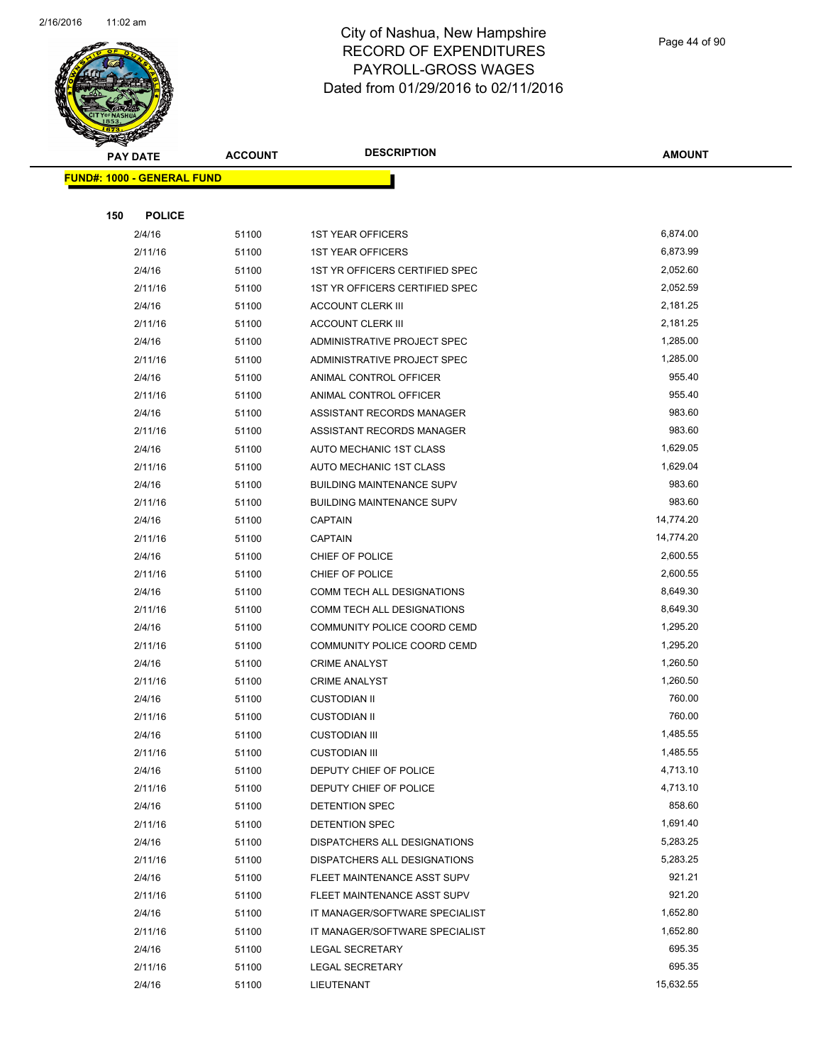

Page 44 of 90

| <b>PAY DATE</b>                   | <b>ACCOUNT</b> | <b>DESCRIPTION</b>               | <b>AMOUNT</b> |
|-----------------------------------|----------------|----------------------------------|---------------|
| <b>FUND#: 1000 - GENERAL FUND</b> |                |                                  |               |
|                                   |                |                                  |               |
| <b>POLICE</b><br>150              |                |                                  |               |
| 2/4/16                            | 51100          | <b>1ST YEAR OFFICERS</b>         | 6,874.00      |
| 2/11/16                           | 51100          | <b>1ST YEAR OFFICERS</b>         | 6,873.99      |
| 2/4/16                            | 51100          | 1ST YR OFFICERS CERTIFIED SPEC   | 2,052.60      |
| 2/11/16                           | 51100          | 1ST YR OFFICERS CERTIFIED SPEC   | 2,052.59      |
| 2/4/16                            | 51100          | <b>ACCOUNT CLERK III</b>         | 2,181.25      |
| 2/11/16                           | 51100          | <b>ACCOUNT CLERK III</b>         | 2,181.25      |
| 2/4/16                            | 51100          | ADMINISTRATIVE PROJECT SPEC      | 1,285.00      |
| 2/11/16                           | 51100          | ADMINISTRATIVE PROJECT SPEC      | 1,285.00      |
| 2/4/16                            | 51100          | ANIMAL CONTROL OFFICER           | 955.40        |
| 2/11/16                           | 51100          | ANIMAL CONTROL OFFICER           | 955.40        |
| 2/4/16                            | 51100          | ASSISTANT RECORDS MANAGER        | 983.60        |
| 2/11/16                           | 51100          | ASSISTANT RECORDS MANAGER        | 983.60        |
| 2/4/16                            | 51100          | AUTO MECHANIC 1ST CLASS          | 1,629.05      |
| 2/11/16                           | 51100          | AUTO MECHANIC 1ST CLASS          | 1,629.04      |
| 2/4/16                            | 51100          | <b>BUILDING MAINTENANCE SUPV</b> | 983.60        |
| 2/11/16                           | 51100          | <b>BUILDING MAINTENANCE SUPV</b> | 983.60        |
| 2/4/16                            | 51100          | <b>CAPTAIN</b>                   | 14,774.20     |
| 2/11/16                           | 51100          | <b>CAPTAIN</b>                   | 14,774.20     |
| 2/4/16                            | 51100          | CHIEF OF POLICE                  | 2,600.55      |
| 2/11/16                           | 51100          | CHIEF OF POLICE                  | 2,600.55      |
| 2/4/16                            | 51100          | COMM TECH ALL DESIGNATIONS       | 8,649.30      |
| 2/11/16                           | 51100          | COMM TECH ALL DESIGNATIONS       | 8,649.30      |
| 2/4/16                            | 51100          | COMMUNITY POLICE COORD CEMD      | 1,295.20      |
| 2/11/16                           | 51100          | COMMUNITY POLICE COORD CEMD      | 1,295.20      |
| 2/4/16                            | 51100          | <b>CRIME ANALYST</b>             | 1,260.50      |
| 2/11/16                           | 51100          | <b>CRIME ANALYST</b>             | 1,260.50      |
| 2/4/16                            | 51100          | <b>CUSTODIAN II</b>              | 760.00        |
| 2/11/16                           | 51100          | <b>CUSTODIAN II</b>              | 760.00        |
| 2/4/16                            | 51100          | <b>CUSTODIAN III</b>             | 1,485.55      |
| 2/11/16                           | 51100          | <b>CUSTODIAN III</b>             | 1,485.55      |
| 2/4/16                            | 51100          | DEPUTY CHIEF OF POLICE           | 4,713.10      |
| 2/11/16                           | 51100          | DEPUTY CHIEF OF POLICE           | 4,713.10      |
| 2/4/16                            | 51100          | DETENTION SPEC                   | 858.60        |
| 2/11/16                           | 51100          | DETENTION SPEC                   | 1,691.40      |
| 2/4/16                            | 51100          | DISPATCHERS ALL DESIGNATIONS     | 5,283.25      |
| 2/11/16                           | 51100          | DISPATCHERS ALL DESIGNATIONS     | 5,283.25      |
| 2/4/16                            | 51100          | FLEET MAINTENANCE ASST SUPV      | 921.21        |
| 2/11/16                           | 51100          | FLEET MAINTENANCE ASST SUPV      | 921.20        |
| 2/4/16                            | 51100          | IT MANAGER/SOFTWARE SPECIALIST   | 1,652.80      |
| 2/11/16                           | 51100          | IT MANAGER/SOFTWARE SPECIALIST   | 1,652.80      |
| 2/4/16                            | 51100          | <b>LEGAL SECRETARY</b>           | 695.35        |
| 2/11/16                           | 51100          | <b>LEGAL SECRETARY</b>           | 695.35        |
| 2/4/16                            | 51100          | LIEUTENANT                       | 15,632.55     |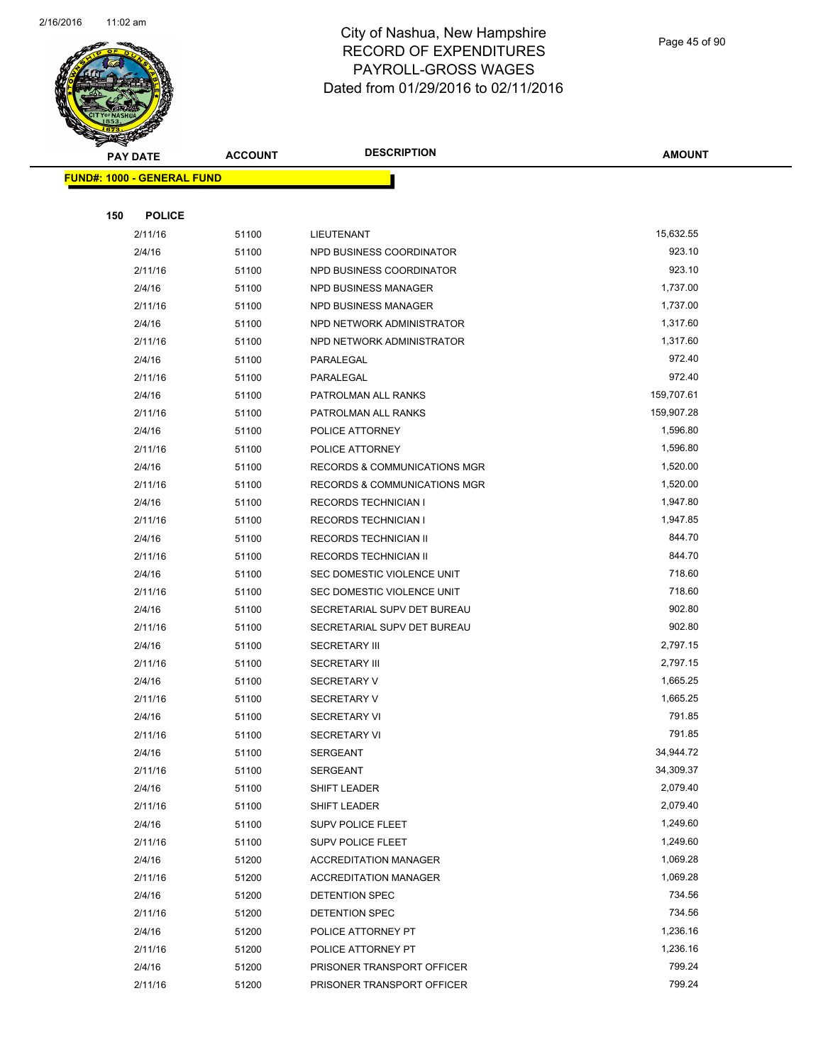

Page 45 of 90

|     | <b>PAY DATE</b>                   | <b>ACCOUNT</b> | <b>DESCRIPTION</b>                      | <b>AMOUNT</b> |
|-----|-----------------------------------|----------------|-----------------------------------------|---------------|
|     | <b>FUND#: 1000 - GENERAL FUND</b> |                |                                         |               |
|     |                                   |                |                                         |               |
| 150 | <b>POLICE</b>                     |                |                                         |               |
|     | 2/11/16                           | 51100          | LIEUTENANT                              | 15,632.55     |
|     | 2/4/16                            | 51100          | NPD BUSINESS COORDINATOR                | 923.10        |
|     | 2/11/16                           | 51100          | NPD BUSINESS COORDINATOR                | 923.10        |
|     | 2/4/16                            | 51100          | NPD BUSINESS MANAGER                    | 1,737.00      |
|     | 2/11/16                           | 51100          | NPD BUSINESS MANAGER                    | 1,737.00      |
|     | 2/4/16                            | 51100          | NPD NETWORK ADMINISTRATOR               | 1,317.60      |
|     | 2/11/16                           | 51100          | NPD NETWORK ADMINISTRATOR               | 1,317.60      |
|     | 2/4/16                            | 51100          | PARALEGAL                               | 972.40        |
|     | 2/11/16                           | 51100          | PARALEGAL                               | 972.40        |
|     | 2/4/16                            | 51100          | PATROLMAN ALL RANKS                     | 159,707.61    |
|     | 2/11/16                           | 51100          | PATROLMAN ALL RANKS                     | 159,907.28    |
|     | 2/4/16                            | 51100          | POLICE ATTORNEY                         | 1,596.80      |
|     | 2/11/16                           | 51100          | POLICE ATTORNEY                         | 1,596.80      |
|     | 2/4/16                            | 51100          | <b>RECORDS &amp; COMMUNICATIONS MGR</b> | 1,520.00      |
|     | 2/11/16                           | 51100          | RECORDS & COMMUNICATIONS MGR            | 1,520.00      |
|     | 2/4/16                            | 51100          | <b>RECORDS TECHNICIAN I</b>             | 1,947.80      |
|     | 2/11/16                           | 51100          | <b>RECORDS TECHNICIAN I</b>             | 1,947.85      |
|     | 2/4/16                            | 51100          | RECORDS TECHNICIAN II                   | 844.70        |
|     | 2/11/16                           | 51100          | RECORDS TECHNICIAN II                   | 844.70        |
|     | 2/4/16                            | 51100          | SEC DOMESTIC VIOLENCE UNIT              | 718.60        |
|     | 2/11/16                           | 51100          | SEC DOMESTIC VIOLENCE UNIT              | 718.60        |
|     | 2/4/16                            | 51100          | SECRETARIAL SUPV DET BUREAU             | 902.80        |
|     | 2/11/16                           | 51100          | SECRETARIAL SUPV DET BUREAU             | 902.80        |
|     | 2/4/16                            | 51100          | <b>SECRETARY III</b>                    | 2,797.15      |
|     | 2/11/16                           | 51100          | <b>SECRETARY III</b>                    | 2,797.15      |
|     | 2/4/16                            | 51100          | <b>SECRETARY V</b>                      | 1,665.25      |
|     | 2/11/16                           | 51100          | <b>SECRETARY V</b>                      | 1,665.25      |
|     | 2/4/16                            | 51100          | <b>SECRETARY VI</b>                     | 791.85        |
|     | 2/11/16                           | 51100          | <b>SECRETARY VI</b>                     | 791.85        |
|     | 2/4/16                            | 51100          | SERGEANT                                | 34,944.72     |
|     | 2/11/16                           | 51100          | SERGEANT                                | 34,309.37     |
|     | 2/4/16                            | 51100          | SHIFT LEADER                            | 2,079.40      |
|     | 2/11/16                           | 51100          | SHIFT LEADER                            | 2,079.40      |
|     | 2/4/16                            | 51100          | SUPV POLICE FLEET                       | 1,249.60      |
|     | 2/11/16                           | 51100          | <b>SUPV POLICE FLEET</b>                | 1,249.60      |
|     | 2/4/16                            | 51200          | <b>ACCREDITATION MANAGER</b>            | 1,069.28      |
|     | 2/11/16                           | 51200          | <b>ACCREDITATION MANAGER</b>            | 1,069.28      |
|     | 2/4/16                            | 51200          | <b>DETENTION SPEC</b>                   | 734.56        |
|     | 2/11/16                           | 51200          | DETENTION SPEC                          | 734.56        |
|     | 2/4/16                            | 51200          | POLICE ATTORNEY PT                      | 1,236.16      |
|     | 2/11/16                           | 51200          | POLICE ATTORNEY PT                      | 1,236.16      |
|     | 2/4/16                            | 51200          | PRISONER TRANSPORT OFFICER              | 799.24        |
|     | 2/11/16                           | 51200          | PRISONER TRANSPORT OFFICER              | 799.24        |
|     |                                   |                |                                         |               |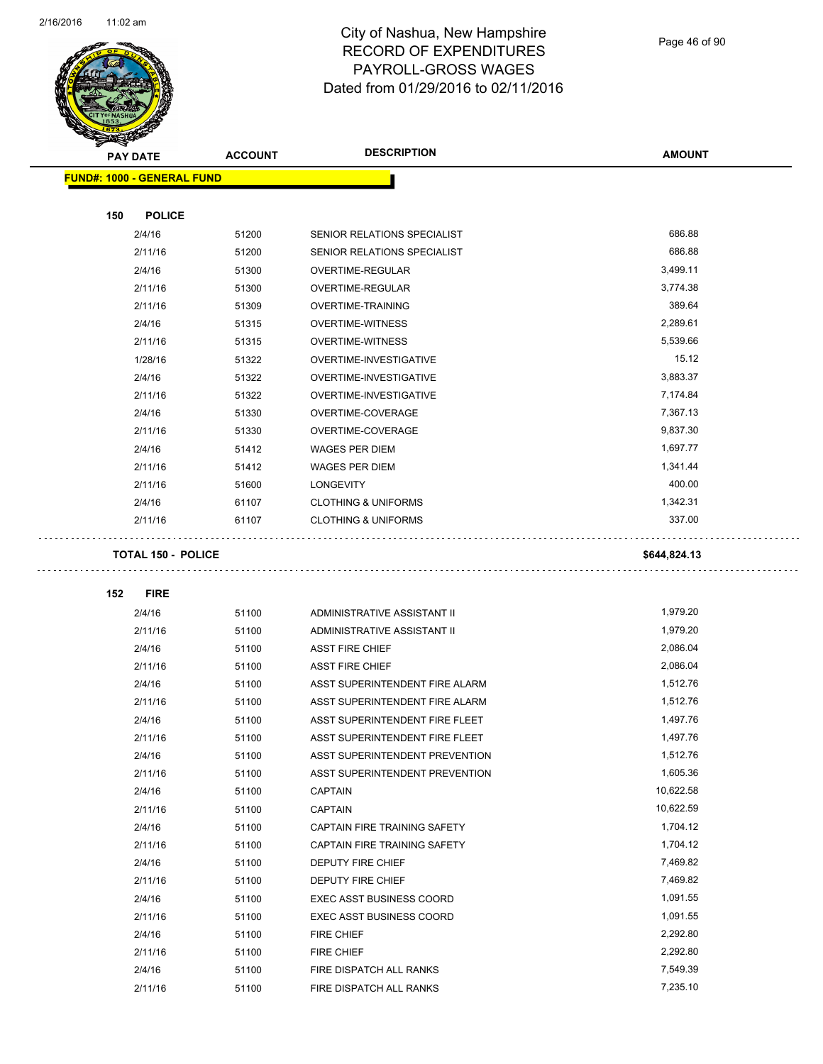

Page 46 of 90

| <b>SACTORISTS</b> |                                   |                |                                 |               |
|-------------------|-----------------------------------|----------------|---------------------------------|---------------|
|                   | <b>PAY DATE</b>                   | <b>ACCOUNT</b> | <b>DESCRIPTION</b>              | <b>AMOUNT</b> |
|                   | <b>FUND#: 1000 - GENERAL FUND</b> |                |                                 |               |
|                   |                                   |                |                                 |               |
| 150               | <b>POLICE</b>                     |                |                                 |               |
|                   | 2/4/16                            | 51200          | SENIOR RELATIONS SPECIALIST     | 686.88        |
|                   | 2/11/16                           | 51200          | SENIOR RELATIONS SPECIALIST     | 686.88        |
|                   | 2/4/16                            | 51300          | OVERTIME-REGULAR                | 3,499.11      |
|                   | 2/11/16                           | 51300          | OVERTIME-REGULAR                | 3,774.38      |
|                   | 2/11/16                           | 51309          | OVERTIME-TRAINING               | 389.64        |
|                   | 2/4/16                            | 51315          | <b>OVERTIME-WITNESS</b>         | 2,289.61      |
|                   | 2/11/16                           | 51315          | <b>OVERTIME-WITNESS</b>         | 5,539.66      |
|                   | 1/28/16                           | 51322          | OVERTIME-INVESTIGATIVE          | 15.12         |
|                   | 2/4/16                            | 51322          | OVERTIME-INVESTIGATIVE          | 3,883.37      |
|                   | 2/11/16                           | 51322          | OVERTIME-INVESTIGATIVE          | 7,174.84      |
|                   | 2/4/16                            | 51330          | OVERTIME-COVERAGE               | 7,367.13      |
|                   | 2/11/16                           | 51330          | OVERTIME-COVERAGE               | 9,837.30      |
|                   | 2/4/16                            | 51412          | <b>WAGES PER DIEM</b>           | 1,697.77      |
|                   | 2/11/16                           | 51412          | <b>WAGES PER DIEM</b>           | 1,341.44      |
|                   | 2/11/16                           | 51600          | <b>LONGEVITY</b>                | 400.00        |
|                   | 2/4/16                            | 61107          | <b>CLOTHING &amp; UNIFORMS</b>  | 1,342.31      |
|                   | 2/11/16                           | 61107          | <b>CLOTHING &amp; UNIFORMS</b>  | 337.00        |
|                   | <b>TOTAL 150 - POLICE</b>         |                |                                 | \$644,824.13  |
|                   |                                   |                |                                 |               |
| 152               | <b>FIRE</b>                       |                |                                 |               |
|                   | 2/4/16                            | 51100          | ADMINISTRATIVE ASSISTANT II     | 1,979.20      |
|                   | 2/11/16                           | 51100          | ADMINISTRATIVE ASSISTANT II     | 1,979.20      |
|                   | 2/4/16                            | 51100          | <b>ASST FIRE CHIEF</b>          | 2,086.04      |
|                   | 2/11/16                           | 51100          | <b>ASST FIRE CHIEF</b>          | 2,086.04      |
|                   | 2/4/16                            | 51100          | ASST SUPERINTENDENT FIRE ALARM  | 1,512.76      |
|                   | 2/11/16                           | 51100          | ASST SUPERINTENDENT FIRE ALARM  | 1,512.76      |
|                   | 2/4/16                            | 51100          | ASST SUPERINTENDENT FIRE FLEET  | 1,497.76      |
|                   | 2/11/16                           | 51100          | ASST SUPERINTENDENT FIRE FLEET  | 1,497.76      |
|                   | 2/4/16                            | 51100          | ASST SUPERINTENDENT PREVENTION  | 1,512.76      |
|                   | 2/11/16                           | 51100          | ASST SUPERINTENDENT PREVENTION  | 1,605.36      |
|                   | 2/4/16                            | 51100          | <b>CAPTAIN</b>                  | 10,622.58     |
|                   | 2/11/16                           | 51100          | <b>CAPTAIN</b>                  | 10,622.59     |
|                   | 2/4/16                            | 51100          | CAPTAIN FIRE TRAINING SAFETY    | 1,704.12      |
|                   | 2/11/16                           | 51100          | CAPTAIN FIRE TRAINING SAFETY    | 1,704.12      |
|                   | 2/4/16                            | 51100          | DEPUTY FIRE CHIEF               | 7,469.82      |
|                   | 2/11/16                           | 51100          | <b>DEPUTY FIRE CHIEF</b>        | 7,469.82      |
|                   | 2/4/16                            | 51100          | <b>EXEC ASST BUSINESS COORD</b> | 1,091.55      |
|                   | 2/11/16                           | 51100          | <b>EXEC ASST BUSINESS COORD</b> | 1,091.55      |
|                   | 2/4/16                            | 51100          | FIRE CHIEF                      | 2,292.80      |
|                   | 2/11/16                           | 51100          | FIRE CHIEF                      | 2,292.80      |
|                   | 2/4/16                            | 51100          | FIRE DISPATCH ALL RANKS         | 7,549.39      |

2/11/16 51100 FIRE DISPATCH ALL RANKS 5 2011/16 7,235.10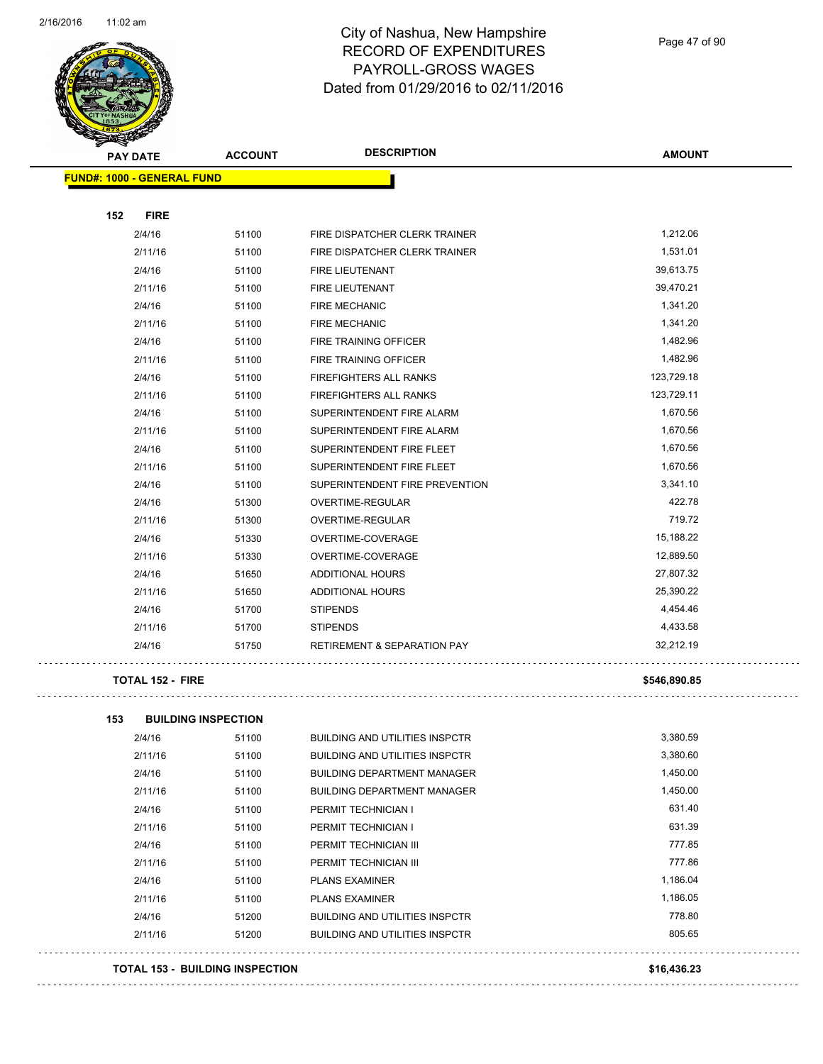

Page 47 of 90

| <b>PAY DATE</b>                   | <b>ACCOUNT</b>             | <b>DESCRIPTION</b>                     | <b>AMOUNT</b> |
|-----------------------------------|----------------------------|----------------------------------------|---------------|
| <b>FUND#: 1000 - GENERAL FUND</b> |                            |                                        |               |
|                                   |                            |                                        |               |
| 152<br><b>FIRE</b>                |                            |                                        |               |
| 2/4/16                            | 51100                      | FIRE DISPATCHER CLERK TRAINER          | 1,212.06      |
| 2/11/16                           | 51100                      | FIRE DISPATCHER CLERK TRAINER          | 1,531.01      |
| 2/4/16                            | 51100                      | <b>FIRE LIEUTENANT</b>                 | 39,613.75     |
| 2/11/16                           | 51100                      | <b>FIRE LIEUTENANT</b>                 | 39,470.21     |
| 2/4/16                            | 51100                      | <b>FIRE MECHANIC</b>                   | 1,341.20      |
| 2/11/16                           | 51100                      | FIRE MECHANIC                          | 1,341.20      |
| 2/4/16                            | 51100                      | FIRE TRAINING OFFICER                  | 1,482.96      |
| 2/11/16                           | 51100                      | FIRE TRAINING OFFICER                  | 1,482.96      |
| 2/4/16                            | 51100                      | <b>FIREFIGHTERS ALL RANKS</b>          | 123,729.18    |
| 2/11/16                           | 51100                      | <b>FIREFIGHTERS ALL RANKS</b>          | 123,729.11    |
| 2/4/16                            | 51100                      | SUPERINTENDENT FIRE ALARM              | 1,670.56      |
| 2/11/16                           | 51100                      | SUPERINTENDENT FIRE ALARM              | 1,670.56      |
| 2/4/16                            | 51100                      | SUPERINTENDENT FIRE FLEET              | 1,670.56      |
| 2/11/16                           | 51100                      | SUPERINTENDENT FIRE FLEET              | 1,670.56      |
| 2/4/16                            | 51100                      | SUPERINTENDENT FIRE PREVENTION         | 3,341.10      |
| 2/4/16                            | 51300                      | OVERTIME-REGULAR                       | 422.78        |
| 2/11/16                           | 51300                      | OVERTIME-REGULAR                       | 719.72        |
| 2/4/16                            | 51330                      | OVERTIME-COVERAGE                      | 15,188.22     |
| 2/11/16                           | 51330                      | OVERTIME-COVERAGE                      | 12,889.50     |
| 2/4/16                            | 51650                      | <b>ADDITIONAL HOURS</b>                | 27,807.32     |
| 2/11/16                           | 51650                      | ADDITIONAL HOURS                       | 25,390.22     |
| 2/4/16                            | 51700                      | <b>STIPENDS</b>                        | 4,454.46      |
| 2/11/16                           | 51700                      | <b>STIPENDS</b>                        | 4,433.58      |
| 2/4/16                            | 51750                      | <b>RETIREMENT &amp; SEPARATION PAY</b> | 32,212.19     |
| <b>TOTAL 152 - FIRE</b>           |                            |                                        | \$546,890.85  |
| 153                               | <b>BUILDING INSPECTION</b> |                                        |               |
| 2/4/16                            | 51100                      | <b>BUILDING AND UTILITIES INSPCTR</b>  | 3,380.59      |
| 2/11/16                           | 51100                      | <b>BUILDING AND UTILITIES INSPCTR</b>  | 3,380.60      |
| 2/4/16                            | 51100                      | <b>BUILDING DEPARTMENT MANAGER</b>     | 1,450.00      |
| 2/11/16                           | 51100                      | <b>BUILDING DEPARTMENT MANAGER</b>     | 1,450.00      |
| 2/4/16                            | 51100                      | PERMIT TECHNICIAN I                    | 631.40        |
| 2/11/16                           | 51100                      | PERMIT TECHNICIAN I                    | 631.39        |
| 21116                             | 51100                      | <b>DERMIT TECHNICIAN III</b>           | 77785         |

| 153 | <b>BUILDING INSPECTION</b> |       |                                       |          |
|-----|----------------------------|-------|---------------------------------------|----------|
|     | 2/4/16                     | 51100 | <b>BUILDING AND UTILITIES INSPCTR</b> | 3,380.59 |
|     | 2/11/16                    | 51100 | <b>BUILDING AND UTILITIES INSPCTR</b> | 3,380.60 |
|     | 2/4/16                     | 51100 | <b>BUILDING DEPARTMENT MANAGER</b>    | 1,450.00 |
|     | 2/11/16                    | 51100 | <b>BUILDING DEPARTMENT MANAGER</b>    | 1,450.00 |
|     | 2/4/16                     | 51100 | PERMIT TECHNICIAN I                   | 631.40   |
|     | 2/11/16                    | 51100 | PERMIT TECHNICIAN I                   | 631.39   |
|     | 2/4/16                     | 51100 | PERMIT TECHNICIAN III                 | 777.85   |
|     | 2/11/16                    | 51100 | PERMIT TECHNICIAN III                 | 777.86   |
|     | 2/4/16                     | 51100 | <b>PLANS EXAMINER</b>                 | 1,186.04 |
|     | 2/11/16                    | 51100 | <b>PLANS EXAMINER</b>                 | 1,186.05 |
|     | 2/4/16                     | 51200 | <b>BUILDING AND UTILITIES INSPCTR</b> | 778.80   |
|     | 2/11/16                    | 51200 | <b>BUILDING AND UTILITIES INSPCTR</b> | 805.65   |

**TOTAL 153 - BUILDING INSPECTION \$16,436.23**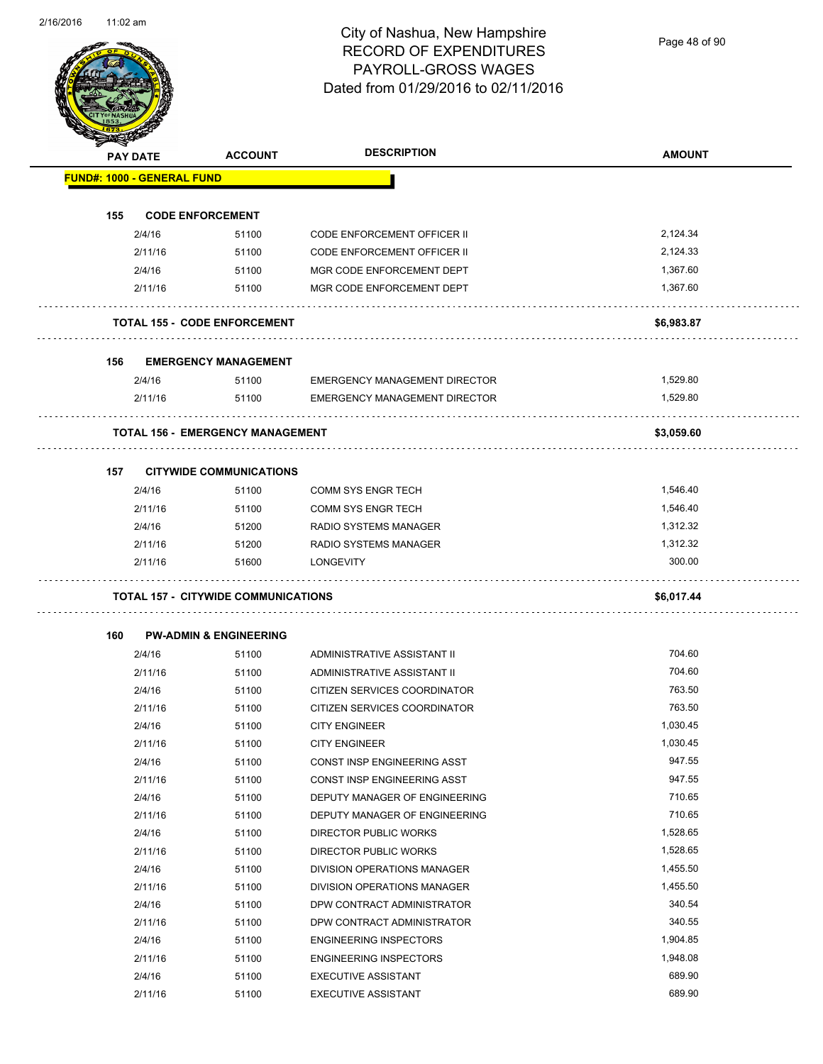

Page 48 of 90

|     |                                   |                                            | <b>DESCRIPTION</b>                   |                    |
|-----|-----------------------------------|--------------------------------------------|--------------------------------------|--------------------|
|     | <b>PAY DATE</b>                   | <b>ACCOUNT</b>                             |                                      | <b>AMOUNT</b>      |
|     | <b>FUND#: 1000 - GENERAL FUND</b> |                                            |                                      |                    |
|     |                                   |                                            |                                      |                    |
| 155 |                                   | <b>CODE ENFORCEMENT</b>                    |                                      |                    |
|     | 2/4/16                            | 51100                                      | <b>CODE ENFORCEMENT OFFICER II</b>   | 2,124.34           |
|     | 2/11/16                           | 51100                                      | <b>CODE ENFORCEMENT OFFICER II</b>   | 2,124.33           |
|     | 2/4/16                            | 51100                                      | MGR CODE ENFORCEMENT DEPT            | 1,367.60           |
|     | 2/11/16                           | 51100                                      | MGR CODE ENFORCEMENT DEPT            | 1,367.60           |
|     |                                   | <b>TOTAL 155 - CODE ENFORCEMENT</b>        |                                      | \$6,983.87         |
| 156 |                                   | <b>EMERGENCY MANAGEMENT</b>                |                                      |                    |
|     | 2/4/16                            | 51100                                      | EMERGENCY MANAGEMENT DIRECTOR        | 1,529.80           |
|     | 2/11/16                           | 51100                                      | <b>EMERGENCY MANAGEMENT DIRECTOR</b> | 1,529.80           |
|     |                                   | <b>TOTAL 156 - EMERGENCY MANAGEMENT</b>    |                                      | \$3,059.60         |
|     |                                   |                                            |                                      |                    |
| 157 |                                   | <b>CITYWIDE COMMUNICATIONS</b>             |                                      |                    |
|     | 2/4/16                            | 51100                                      | COMM SYS ENGR TECH                   | 1,546.40           |
|     | 2/11/16                           | 51100                                      | COMM SYS ENGR TECH                   | 1,546.40           |
|     | 2/4/16                            | 51200                                      | RADIO SYSTEMS MANAGER                | 1,312.32           |
|     | 2/11/16                           | 51200                                      | RADIO SYSTEMS MANAGER                | 1,312.32<br>300.00 |
|     | 2/11/16                           | 51600                                      | <b>LONGEVITY</b>                     |                    |
|     |                                   |                                            |                                      |                    |
|     |                                   | <b>TOTAL 157 - CITYWIDE COMMUNICATIONS</b> |                                      | \$6,017.44         |
| 160 |                                   | <b>PW-ADMIN &amp; ENGINEERING</b>          |                                      |                    |
|     | 2/4/16                            | 51100                                      | ADMINISTRATIVE ASSISTANT II          | 704.60             |
|     | 2/11/16                           | 51100                                      | ADMINISTRATIVE ASSISTANT II          | 704.60             |
|     | 2/4/16                            | 51100                                      | CITIZEN SERVICES COORDINATOR         | 763.50             |
|     | 2/11/16                           | 51100                                      | CITIZEN SERVICES COORDINATOR         | 763.50             |
|     | 2/4/16                            | 51100                                      | <b>CITY ENGINEER</b>                 | 1,030.45           |
|     | 2/11/16                           | 51100                                      | <b>CITY ENGINEER</b>                 | 1,030.45           |
|     | 2/4/16                            | 51100                                      | CONST INSP ENGINEERING ASST          | 947.55             |
|     | 2/11/16                           | 51100                                      | <b>CONST INSP ENGINEERING ASST</b>   | 947.55             |
|     | 2/4/16                            | 51100                                      | DEPUTY MANAGER OF ENGINEERING        | 710.65             |
|     | 2/11/16                           | 51100                                      | DEPUTY MANAGER OF ENGINEERING        | 710.65             |
|     | 2/4/16                            | 51100                                      | DIRECTOR PUBLIC WORKS                | 1,528.65           |
|     | 2/11/16                           | 51100                                      | <b>DIRECTOR PUBLIC WORKS</b>         | 1,528.65           |
|     | 2/4/16                            | 51100                                      | DIVISION OPERATIONS MANAGER          | 1,455.50           |
|     | 2/11/16                           | 51100                                      | DIVISION OPERATIONS MANAGER          | 1,455.50           |
|     | 2/4/16                            | 51100                                      | DPW CONTRACT ADMINISTRATOR           | 340.54             |
|     | 2/11/16                           | 51100                                      | DPW CONTRACT ADMINISTRATOR           | 340.55             |
|     | 2/4/16                            | 51100                                      | <b>ENGINEERING INSPECTORS</b>        | 1,904.85           |
|     | 2/11/16                           | 51100                                      | <b>ENGINEERING INSPECTORS</b>        | 1,948.08           |
|     | 2/4/16                            | 51100                                      | <b>EXECUTIVE ASSISTANT</b>           | 689.90             |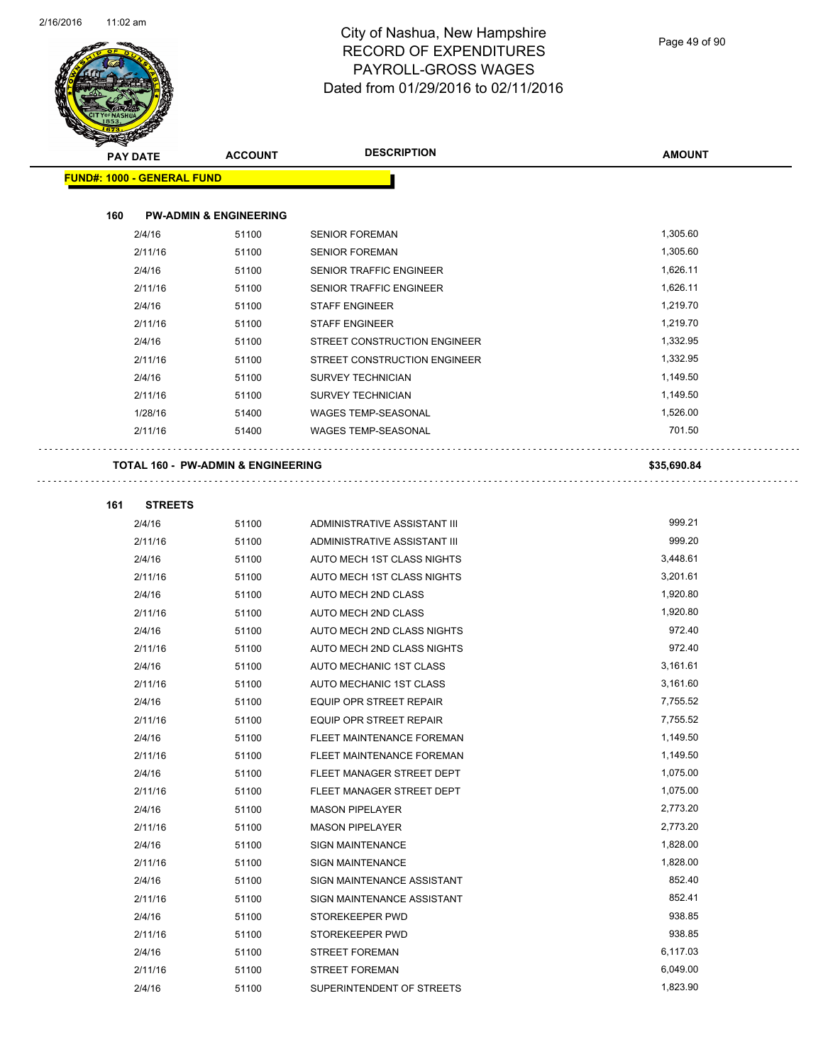

#### City of Nashua, New Hampshire RECORD OF EXPENDITURES PAYROLL-GROSS WAGES Dated from 01/29/2016 to 02/11/2016

| <b>KILERS</b> |                                               |                |                                                            |                    |
|---------------|-----------------------------------------------|----------------|------------------------------------------------------------|--------------------|
|               | <b>PAY DATE</b>                               | <b>ACCOUNT</b> | <b>DESCRIPTION</b>                                         | <b>AMOUNT</b>      |
|               | <b>FUND#: 1000 - GENERAL FUND</b>             |                |                                                            |                    |
|               |                                               |                |                                                            |                    |
| 160           | <b>PW-ADMIN &amp; ENGINEERING</b>             |                |                                                            |                    |
|               | 2/4/16                                        | 51100          | <b>SENIOR FOREMAN</b>                                      | 1,305.60           |
|               | 2/11/16                                       | 51100          | <b>SENIOR FOREMAN</b>                                      | 1,305.60           |
|               | 2/4/16                                        | 51100          | SENIOR TRAFFIC ENGINEER                                    | 1,626.11           |
|               | 2/11/16                                       | 51100          | SENIOR TRAFFIC ENGINEER                                    | 1,626.11           |
|               | 2/4/16                                        | 51100          | <b>STAFF ENGINEER</b>                                      | 1,219.70           |
|               | 2/11/16                                       | 51100          | <b>STAFF ENGINEER</b>                                      | 1,219.70           |
|               | 2/4/16                                        | 51100          | STREET CONSTRUCTION ENGINEER                               | 1,332.95           |
|               | 2/11/16                                       | 51100          | STREET CONSTRUCTION ENGINEER                               | 1,332.95           |
|               | 2/4/16                                        | 51100          | <b>SURVEY TECHNICIAN</b>                                   | 1,149.50           |
|               | 2/11/16                                       | 51100          | <b>SURVEY TECHNICIAN</b>                                   | 1,149.50           |
|               | 1/28/16                                       | 51400          | <b>WAGES TEMP-SEASONAL</b>                                 | 1,526.00           |
|               | 2/11/16                                       | 51400          | WAGES TEMP-SEASONAL                                        | 701.50             |
|               |                                               |                |                                                            |                    |
|               | <b>TOTAL 160 - PW-ADMIN &amp; ENGINEERING</b> |                |                                                            | \$35,690.84        |
| 161           | <b>STREETS</b>                                |                |                                                            |                    |
|               | 2/4/16                                        |                | ADMINISTRATIVE ASSISTANT III                               | 999.21             |
|               |                                               | 51100          |                                                            | 999.20             |
|               | 2/11/16<br>2/4/16                             | 51100          | ADMINISTRATIVE ASSISTANT III<br>AUTO MECH 1ST CLASS NIGHTS | 3,448.61           |
|               |                                               | 51100          |                                                            | 3,201.61           |
|               | 2/11/16                                       | 51100          | AUTO MECH 1ST CLASS NIGHTS                                 |                    |
|               | 2/4/16                                        | 51100          | AUTO MECH 2ND CLASS                                        | 1,920.80           |
|               | 2/11/16                                       | 51100          | AUTO MECH 2ND CLASS                                        | 1,920.80<br>972.40 |
|               | 2/4/16                                        | 51100          | AUTO MECH 2ND CLASS NIGHTS                                 |                    |
|               | 2/11/16                                       | 51100          | AUTO MECH 2ND CLASS NIGHTS                                 | 972.40             |
|               | 2/4/16                                        | 51100          | AUTO MECHANIC 1ST CLASS                                    | 3,161.61           |
|               | 2/11/16                                       | 51100          | AUTO MECHANIC 1ST CLASS                                    | 3,161.60           |
|               | 2/4/16                                        | 51100          | EQUIP OPR STREET REPAIR                                    | 7,755.52           |
|               | 2/11/16                                       | 51100          | EQUIP OPR STREET REPAIR                                    | 7,755.52           |
|               | 2/4/16                                        | 51100          | FLEET MAINTENANCE FOREMAN                                  | 1,149.50           |
|               | 2/11/16                                       | 51100          | FLEET MAINTENANCE FOREMAN                                  | 1,149.50           |
|               | 2/4/16                                        | 51100          | FLEET MANAGER STREET DEPT                                  | 1,075.00           |
|               | 2/11/16                                       | 51100          | FLEET MANAGER STREET DEPT                                  | 1,075.00           |
|               | 2/4/16                                        | 51100          | <b>MASON PIPELAYER</b>                                     | 2,773.20           |
|               | 2/11/16                                       | 51100          | <b>MASON PIPELAYER</b>                                     | 2,773.20           |
|               | 2/4/16                                        | 51100          | <b>SIGN MAINTENANCE</b>                                    | 1,828.00           |
|               | 2/11/16                                       | 51100          | <b>SIGN MAINTENANCE</b>                                    | 1,828.00           |
|               | 2/4/16                                        | 51100          | SIGN MAINTENANCE ASSISTANT                                 | 852.40             |
|               | 2/11/16                                       | 51100          | SIGN MAINTENANCE ASSISTANT                                 | 852.41             |
|               | 2/4/16                                        | 51100          | STOREKEEPER PWD                                            | 938.85             |
|               | 2/11/16                                       | 51100          | STOREKEEPER PWD                                            | 938.85             |
|               | 2/4/16                                        | 51100          | STREET FOREMAN                                             | 6,117.03           |
|               | 2/11/16                                       | 51100          | STREET FOREMAN                                             | 6,049.00           |
|               | 2/4/16                                        | 51100          | SUPERINTENDENT OF STREETS                                  | 1,823.90           |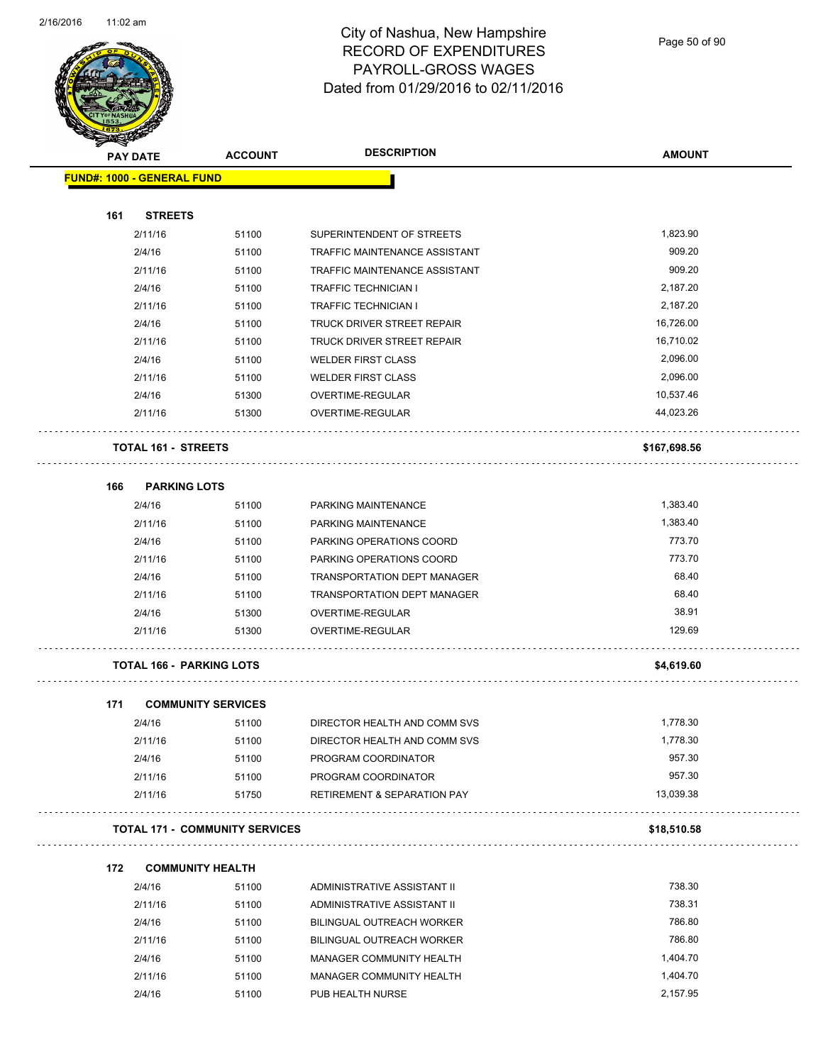

Page 50 of 90

| <b>STATES DE</b> |                                   |                                       |                                        |               |
|------------------|-----------------------------------|---------------------------------------|----------------------------------------|---------------|
|                  | <b>PAY DATE</b>                   | <b>ACCOUNT</b>                        | <b>DESCRIPTION</b>                     | <b>AMOUNT</b> |
|                  | <b>FUND#: 1000 - GENERAL FUND</b> |                                       |                                        |               |
|                  |                                   |                                       |                                        |               |
| 161              | <b>STREETS</b>                    |                                       |                                        |               |
|                  | 2/11/16                           | 51100                                 | SUPERINTENDENT OF STREETS              | 1,823.90      |
|                  | 2/4/16                            | 51100                                 | TRAFFIC MAINTENANCE ASSISTANT          | 909.20        |
|                  | 2/11/16                           | 51100                                 | TRAFFIC MAINTENANCE ASSISTANT          | 909.20        |
|                  | 2/4/16                            | 51100                                 | <b>TRAFFIC TECHNICIAN I</b>            | 2,187.20      |
|                  | 2/11/16                           | 51100                                 | <b>TRAFFIC TECHNICIAN I</b>            | 2,187.20      |
|                  | 2/4/16                            | 51100                                 | TRUCK DRIVER STREET REPAIR             | 16,726.00     |
|                  | 2/11/16                           | 51100                                 | TRUCK DRIVER STREET REPAIR             | 16,710.02     |
|                  | 2/4/16                            | 51100                                 | <b>WELDER FIRST CLASS</b>              | 2,096.00      |
|                  | 2/11/16                           | 51100                                 | <b>WELDER FIRST CLASS</b>              | 2,096.00      |
|                  | 2/4/16                            | 51300                                 | OVERTIME-REGULAR                       | 10,537.46     |
|                  | 2/11/16                           | 51300                                 | OVERTIME-REGULAR                       | 44,023.26     |
|                  |                                   |                                       |                                        |               |
|                  | <b>TOTAL 161 - STREETS</b>        |                                       |                                        | \$167,698.56  |
|                  |                                   |                                       |                                        |               |
| 166              | <b>PARKING LOTS</b>               |                                       |                                        |               |
|                  | 2/4/16                            | 51100                                 | PARKING MAINTENANCE                    | 1,383.40      |
|                  | 2/11/16                           | 51100                                 | PARKING MAINTENANCE                    | 1,383.40      |
|                  | 2/4/16                            | 51100                                 | PARKING OPERATIONS COORD               | 773.70        |
|                  | 2/11/16                           | 51100                                 | PARKING OPERATIONS COORD               | 773.70        |
|                  | 2/4/16                            | 51100                                 | <b>TRANSPORTATION DEPT MANAGER</b>     | 68.40         |
|                  | 2/11/16                           | 51100                                 | <b>TRANSPORTATION DEPT MANAGER</b>     | 68.40         |
|                  | 2/4/16                            | 51300                                 | OVERTIME-REGULAR                       | 38.91         |
|                  | 2/11/16                           | 51300                                 | OVERTIME-REGULAR                       | 129.69        |
|                  | <b>TOTAL 166 - PARKING LOTS</b>   |                                       |                                        | \$4,619.60    |
| 171              | <b>COMMUNITY SERVICES</b>         |                                       |                                        |               |
|                  | 2/4/16                            | 51100                                 | DIRECTOR HEALTH AND COMM SVS           | 1,778.30      |
|                  | 2/11/16                           | 51100                                 | DIRECTOR HEALTH AND COMM SVS           | 1,778.30      |
|                  | 2/4/16                            | 51100                                 | PROGRAM COORDINATOR                    | 957.30        |
|                  | 2/11/16                           | 51100                                 | PROGRAM COORDINATOR                    | 957.30        |
|                  | 2/11/16                           | 51750                                 | <b>RETIREMENT &amp; SEPARATION PAY</b> | 13,039.38     |
|                  |                                   | <b>TOTAL 171 - COMMUNITY SERVICES</b> |                                        | \$18,510.58   |
|                  |                                   |                                       |                                        |               |
| 172              | <b>COMMUNITY HEALTH</b>           |                                       |                                        | 738.30        |
|                  | 2/4/16                            | 51100                                 | ADMINISTRATIVE ASSISTANT II            |               |
|                  | 2/11/16                           | 51100                                 | ADMINISTRATIVE ASSISTANT II            | 738.31        |
|                  | 2/4/16                            | 51100                                 | BILINGUAL OUTREACH WORKER              | 786.80        |
|                  | 2/11/16                           | 51100                                 | BILINGUAL OUTREACH WORKER              | 786.80        |
|                  | 2/4/16                            | 51100                                 | MANAGER COMMUNITY HEALTH               | 1,404.70      |

2/11/16 51100 MANAGER COMMUNITY HEALTH 1,404.70 2/4/16 51100 PUB HEALTH NURSE 2,157.95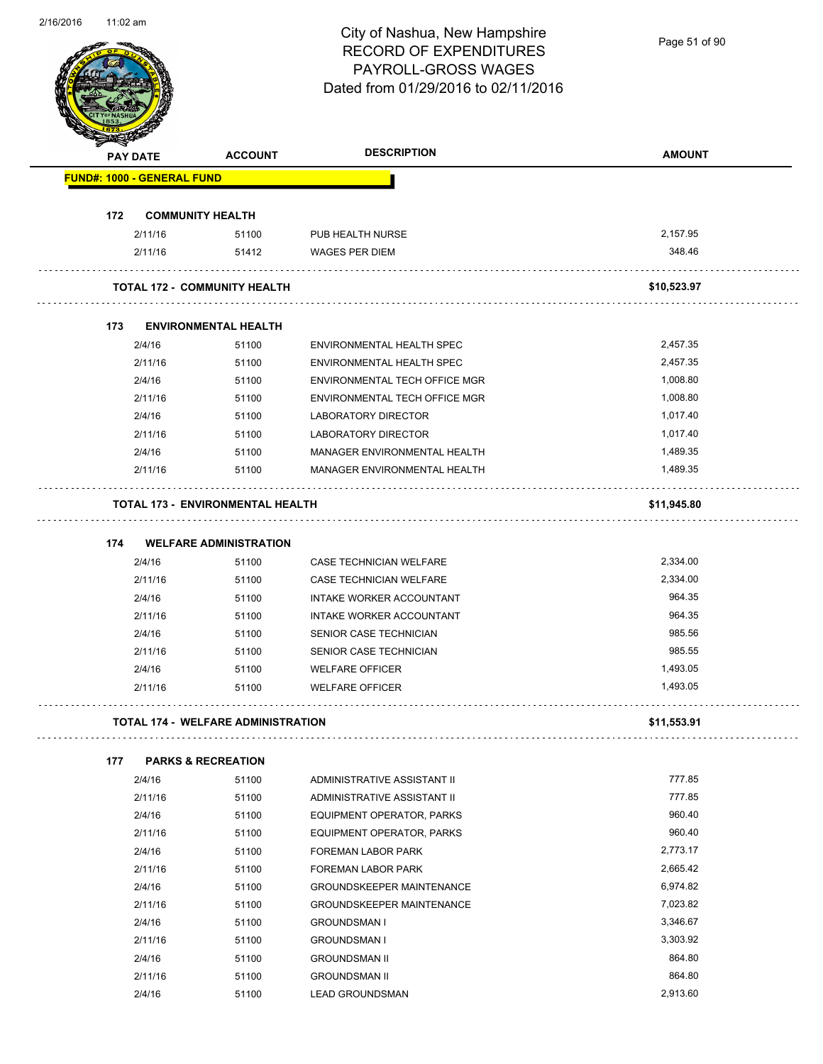Page 51 of 90

| <b>FUND#: 1000 - GENERAL FUND</b> |                   |                                           |                                              |                  |
|-----------------------------------|-------------------|-------------------------------------------|----------------------------------------------|------------------|
|                                   |                   |                                           |                                              |                  |
| 172                               |                   |                                           |                                              |                  |
|                                   | 2/11/16           | <b>COMMUNITY HEALTH</b><br>51100          | PUB HEALTH NURSE                             | 2,157.95         |
|                                   | 2/11/16           | 51412                                     | <b>WAGES PER DIEM</b>                        | 348.46           |
|                                   |                   |                                           |                                              |                  |
|                                   |                   | <b>TOTAL 172 - COMMUNITY HEALTH</b>       |                                              | \$10,523.97      |
| 173                               |                   | <b>ENVIRONMENTAL HEALTH</b>               |                                              |                  |
|                                   | 2/4/16            | 51100                                     | <b>ENVIRONMENTAL HEALTH SPEC</b>             | 2,457.35         |
|                                   | 2/11/16           | 51100                                     | ENVIRONMENTAL HEALTH SPEC                    | 2,457.35         |
|                                   | 2/4/16            | 51100                                     | ENVIRONMENTAL TECH OFFICE MGR                | 1,008.80         |
|                                   | 2/11/16           | 51100                                     | ENVIRONMENTAL TECH OFFICE MGR                | 1,008.80         |
|                                   | 2/4/16            | 51100                                     | LABORATORY DIRECTOR                          | 1,017.40         |
|                                   | 2/11/16           | 51100                                     | <b>LABORATORY DIRECTOR</b>                   | 1,017.40         |
|                                   | 2/4/16            | 51100                                     | MANAGER ENVIRONMENTAL HEALTH                 | 1,489.35         |
|                                   | 2/11/16           | 51100                                     | MANAGER ENVIRONMENTAL HEALTH                 | 1,489.35         |
|                                   |                   | TOTAL 173 - ENVIRONMENTAL HEALTH          |                                              | \$11,945.80      |
| 174                               |                   | <b>WELFARE ADMINISTRATION</b>             |                                              |                  |
|                                   | 2/4/16            | 51100                                     | CASE TECHNICIAN WELFARE                      | 2,334.00         |
|                                   | 2/11/16           | 51100                                     | CASE TECHNICIAN WELFARE                      | 2,334.00         |
|                                   | 2/4/16            | 51100                                     | INTAKE WORKER ACCOUNTANT                     | 964.35           |
|                                   | 2/11/16           | 51100                                     | INTAKE WORKER ACCOUNTANT                     | 964.35           |
|                                   | 2/4/16            | 51100                                     | SENIOR CASE TECHNICIAN                       | 985.56           |
|                                   | 2/11/16           | 51100                                     | SENIOR CASE TECHNICIAN                       | 985.55           |
|                                   | 2/4/16            | 51100                                     | <b>WELFARE OFFICER</b>                       | 1,493.05         |
|                                   | 2/11/16           | 51100                                     | <b>WELFARE OFFICER</b>                       | 1,493.05         |
|                                   |                   |                                           |                                              |                  |
|                                   |                   | <b>TOTAL 174 - WELFARE ADMINISTRATION</b> |                                              | \$11,553.91      |
| 177                               |                   | <b>PARKS &amp; RECREATION</b>             |                                              |                  |
|                                   | 2/4/16            | 51100                                     | ADMINISTRATIVE ASSISTANT II                  | 777.85           |
|                                   | 2/11/16           | 51100                                     | ADMINISTRATIVE ASSISTANT II                  | 777.85           |
|                                   | 2/4/16            | 51100                                     | <b>EQUIPMENT OPERATOR, PARKS</b>             | 960.40           |
|                                   | 2/11/16           | 51100                                     | EQUIPMENT OPERATOR, PARKS                    | 960.40           |
|                                   | 2/4/16            | 51100                                     | FOREMAN LABOR PARK                           | 2,773.17         |
|                                   | 2/11/16           | 51100                                     | FOREMAN LABOR PARK                           | 2,665.42         |
|                                   | 2/4/16            | 51100                                     | <b>GROUNDSKEEPER MAINTENANCE</b>             | 6,974.82         |
|                                   | 2/11/16           | 51100                                     | <b>GROUNDSKEEPER MAINTENANCE</b>             | 7,023.82         |
|                                   | 2/4/16            | 51100                                     | <b>GROUNDSMAN I</b>                          | 3,346.67         |
|                                   |                   |                                           |                                              |                  |
|                                   | 2/11/16           | 51100                                     | <b>GROUNDSMAN I</b>                          | 3,303.92         |
|                                   | 2/4/16<br>2/11/16 | 51100<br>51100                            | <b>GROUNDSMAN II</b><br><b>GROUNDSMAN II</b> | 864.80<br>864.80 |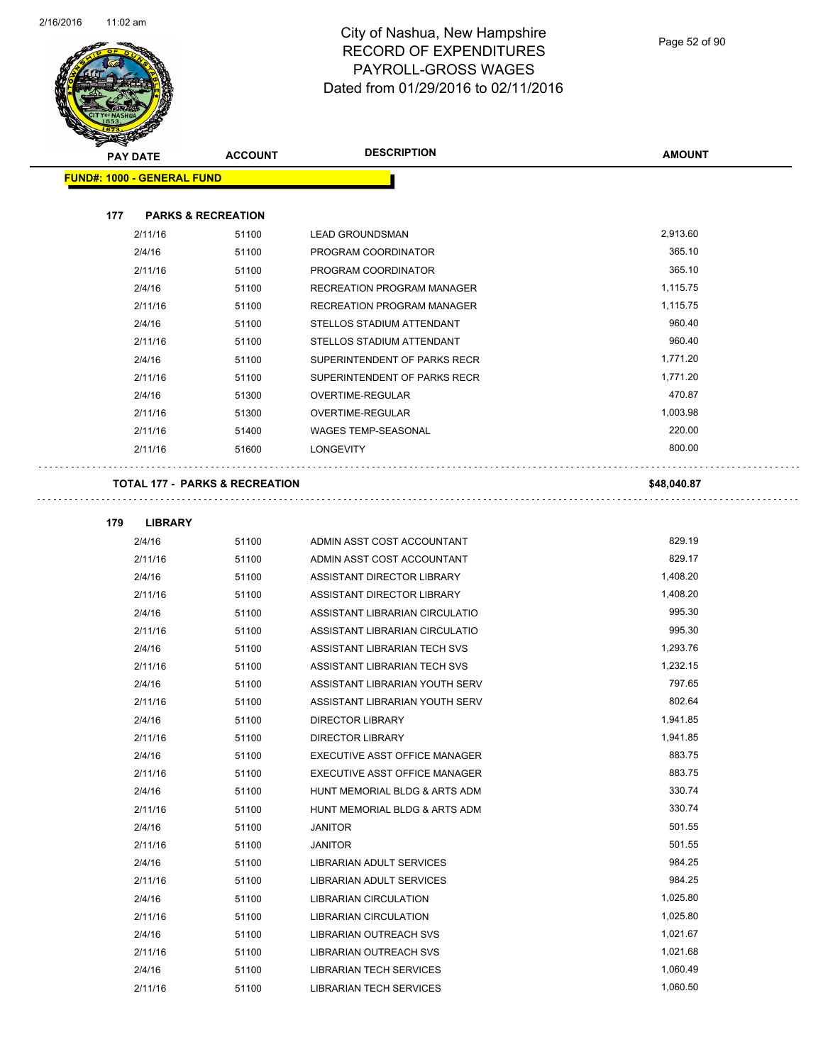$\bar{\omega}$  .



### City of Nashua, New Hampshire RECORD OF EXPENDITURES PAYROLL-GROSS WAGES Dated from 01/29/2016 to 02/11/2016

Page 52 of 90

|     | <b>PAY DATE</b>                           | <b>ACCOUNT</b> | <b>DESCRIPTION</b>                | <b>AMOUNT</b> |
|-----|-------------------------------------------|----------------|-----------------------------------|---------------|
|     | <b>FUND#: 1000 - GENERAL FUND</b>         |                |                                   |               |
|     |                                           |                |                                   |               |
| 177 | <b>PARKS &amp; RECREATION</b>             |                |                                   |               |
|     | 2/11/16                                   | 51100          | <b>LEAD GROUNDSMAN</b>            | 2,913.60      |
|     | 2/4/16                                    | 51100          | PROGRAM COORDINATOR               | 365.10        |
|     | 2/11/16                                   | 51100          | PROGRAM COORDINATOR               | 365.10        |
|     | 2/4/16                                    | 51100          | RECREATION PROGRAM MANAGER        | 1,115.75      |
|     | 2/11/16                                   | 51100          | <b>RECREATION PROGRAM MANAGER</b> | 1,115.75      |
|     | 2/4/16                                    | 51100          | STELLOS STADIUM ATTENDANT         | 960.40        |
|     | 2/11/16                                   | 51100          | STELLOS STADIUM ATTENDANT         | 960.40        |
|     | 2/4/16                                    | 51100          | SUPERINTENDENT OF PARKS RECR      | 1,771.20      |
|     | 2/11/16                                   | 51100          | SUPERINTENDENT OF PARKS RECR      | 1,771.20      |
|     | 2/4/16                                    | 51300          | OVERTIME-REGULAR                  | 470.87        |
|     | 2/11/16                                   | 51300          | <b>OVERTIME-REGULAR</b>           | 1,003.98      |
|     | 2/11/16                                   | 51400          | <b>WAGES TEMP-SEASONAL</b>        | 220.00        |
|     | 2/11/16                                   | 51600          | <b>LONGEVITY</b>                  | 800.00        |
|     | <b>TOTAL 177 - PARKS &amp; RECREATION</b> |                |                                   | \$48,040.87   |
|     |                                           |                |                                   |               |
| 179 | <b>LIBRARY</b>                            |                |                                   |               |
|     | 2/4/16                                    | 51100          | ADMIN ASST COST ACCOUNTANT        | 829.19        |
|     | 2/11/16                                   | 51100          | ADMIN ASST COST ACCOUNTANT        | 829.17        |
|     | 2/4/16                                    | 51100          | ASSISTANT DIRECTOR LIBRARY        | 1,408.20      |
|     | 2/11/16                                   | 51100          | ASSISTANT DIRECTOR LIBRARY        | 1,408.20      |
|     | 2/4/16                                    | 51100          | ASSISTANT LIBRARIAN CIRCULATIO    | 995.30        |
|     | 2/11/16                                   | 51100          | ASSISTANT LIBRARIAN CIRCULATIO    | 995.30        |
|     | 2/4/16                                    | 51100          | ASSISTANT LIBRARIAN TECH SVS      | 1,293.76      |
|     | 2/11/16                                   | 51100          | ASSISTANT LIBRARIAN TECH SVS      | 1,232.15      |
|     | 2/4/16                                    | 51100          | ASSISTANT LIBRARIAN YOUTH SERV    | 797.65        |
|     | 2/11/16                                   | 51100          | ASSISTANT LIBRARIAN YOUTH SERV    | 802.64        |
|     | 2/4/16                                    | 51100          | <b>DIRECTOR LIBRARY</b>           | 1,941.85      |
|     | 2/11/16                                   | 51100          | <b>DIRECTOR LIBRARY</b>           | 1,941.85      |
|     | 2/4/16                                    | 51100          | EXECUTIVE ASST OFFICE MANAGER     | 883.75        |
|     | 2/11/16                                   | 51100          | EXECUTIVE ASST OFFICE MANAGER     | 883.75        |
|     | 2/4/16                                    | 51100          | HUNT MEMORIAL BLDG & ARTS ADM     | 330.74        |
|     | 2/11/16                                   | 51100          | HUNT MEMORIAL BLDG & ARTS ADM     | 330.74        |
|     | 2/4/16                                    | 51100          | <b>JANITOR</b>                    | 501.55        |
|     | 2/11/16                                   | 51100          | <b>JANITOR</b>                    | 501.55        |
|     | 2/4/16                                    | 51100          | LIBRARIAN ADULT SERVICES          | 984.25        |
|     | 2/11/16                                   | 51100          | <b>LIBRARIAN ADULT SERVICES</b>   | 984.25        |
|     | 2/4/16                                    | 51100          | <b>LIBRARIAN CIRCULATION</b>      | 1,025.80      |
|     | 2/11/16                                   | 51100          | LIBRARIAN CIRCULATION             | 1,025.80      |
|     | 2/4/16                                    | 51100          | LIBRARIAN OUTREACH SVS            | 1,021.67      |
|     | 2/11/16                                   | 51100          | LIBRARIAN OUTREACH SVS            | 1,021.68      |
|     | 2/4/16                                    | 51100          | <b>LIBRARIAN TECH SERVICES</b>    | 1,060.49      |
|     | 2/11/16                                   | 51100          | <b>LIBRARIAN TECH SERVICES</b>    | 1,060.50      |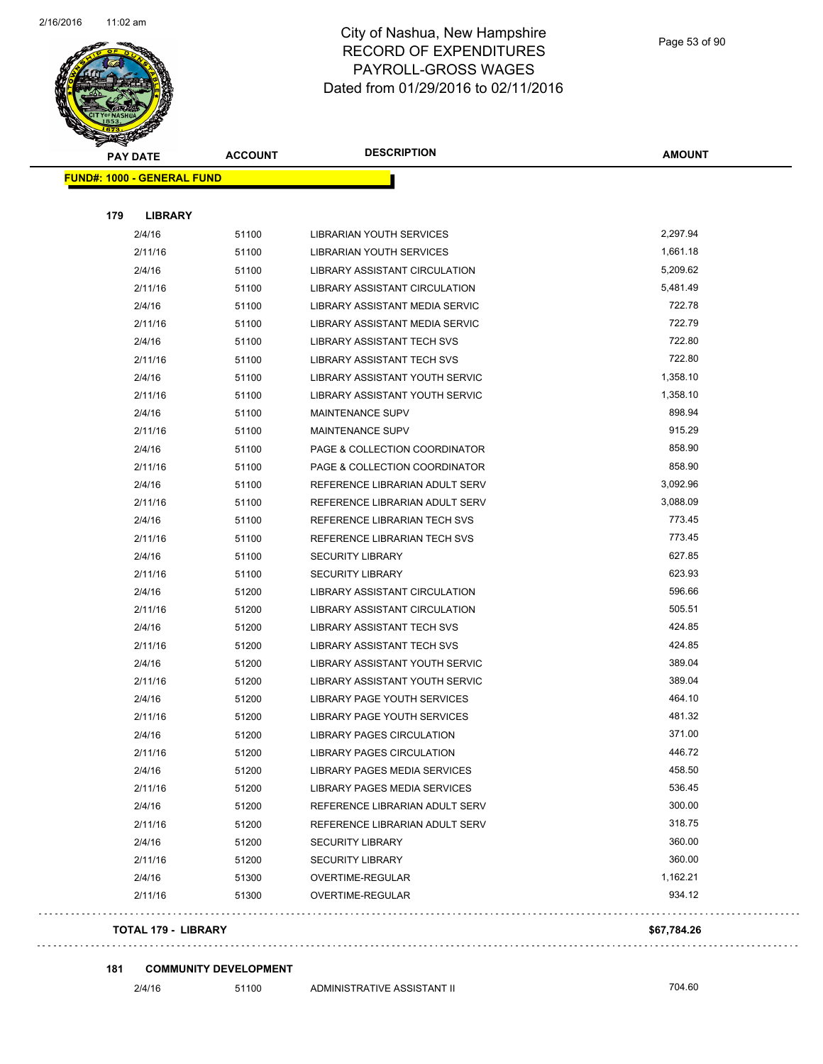

Page 53 of 90

| ॼ<br><b>PAY DATE</b>              | <b>ACCOUNT</b> | <b>DESCRIPTION</b>                    | <b>AMOUNT</b> |
|-----------------------------------|----------------|---------------------------------------|---------------|
| <b>FUND#: 1000 - GENERAL FUND</b> |                |                                       |               |
|                                   |                |                                       |               |
| 179<br><b>LIBRARY</b>             |                |                                       |               |
| 2/4/16                            | 51100          | LIBRARIAN YOUTH SERVICES              | 2,297.94      |
| 2/11/16                           | 51100          | LIBRARIAN YOUTH SERVICES              | 1,661.18      |
| 2/4/16                            | 51100          | LIBRARY ASSISTANT CIRCULATION         | 5,209.62      |
| 2/11/16                           | 51100          | <b>LIBRARY ASSISTANT CIRCULATION</b>  | 5,481.49      |
| 2/4/16                            | 51100          | LIBRARY ASSISTANT MEDIA SERVIC        | 722.78        |
| 2/11/16                           | 51100          | <b>LIBRARY ASSISTANT MEDIA SERVIC</b> | 722.79        |
| 2/4/16                            | 51100          | <b>LIBRARY ASSISTANT TECH SVS</b>     | 722.80        |
| 2/11/16                           | 51100          | LIBRARY ASSISTANT TECH SVS            | 722.80        |
| 2/4/16                            | 51100          | LIBRARY ASSISTANT YOUTH SERVIC        | 1,358.10      |
| 2/11/16                           | 51100          | LIBRARY ASSISTANT YOUTH SERVIC        | 1,358.10      |
| 2/4/16                            | 51100          | <b>MAINTENANCE SUPV</b>               | 898.94        |
| 2/11/16                           | 51100          | <b>MAINTENANCE SUPV</b>               | 915.29        |
| 2/4/16                            | 51100          | PAGE & COLLECTION COORDINATOR         | 858.90        |
| 2/11/16                           | 51100          | PAGE & COLLECTION COORDINATOR         | 858.90        |
| 2/4/16                            | 51100          | REFERENCE LIBRARIAN ADULT SERV        | 3,092.96      |
| 2/11/16                           | 51100          | REFERENCE LIBRARIAN ADULT SERV        | 3,088.09      |
| 2/4/16                            | 51100          | REFERENCE LIBRARIAN TECH SVS          | 773.45        |
| 2/11/16                           | 51100          | REFERENCE LIBRARIAN TECH SVS          | 773.45        |
| 2/4/16                            | 51100          | <b>SECURITY LIBRARY</b>               | 627.85        |
| 2/11/16                           | 51100          | <b>SECURITY LIBRARY</b>               | 623.93        |
| 2/4/16                            | 51200          | LIBRARY ASSISTANT CIRCULATION         | 596.66        |
| 2/11/16                           | 51200          | LIBRARY ASSISTANT CIRCULATION         | 505.51        |
| 2/4/16                            | 51200          | LIBRARY ASSISTANT TECH SVS            | 424.85        |
| 2/11/16                           | 51200          | <b>LIBRARY ASSISTANT TECH SVS</b>     | 424.85        |
| 2/4/16                            | 51200          | LIBRARY ASSISTANT YOUTH SERVIC        | 389.04        |
| 2/11/16                           | 51200          | LIBRARY ASSISTANT YOUTH SERVIC        | 389.04        |
| 2/4/16                            | 51200          | LIBRARY PAGE YOUTH SERVICES           | 464.10        |
| 2/11/16                           | 51200          | LIBRARY PAGE YOUTH SERVICES           | 481.32        |
| 2/4/16                            | 51200          | <b>LIBRARY PAGES CIRCULATION</b>      | 371.00        |
| 2/11/16                           | 51200          | LIBRARY PAGES CIRCULATION             | 446.72        |
| 2/4/16                            | 51200          | LIBRARY PAGES MEDIA SERVICES          | 458.50        |
| 2/11/16                           | 51200          | LIBRARY PAGES MEDIA SERVICES          | 536.45        |
| 2/4/16                            | 51200          | REFERENCE LIBRARIAN ADULT SERV        | 300.00        |
| 2/11/16                           | 51200          | REFERENCE LIBRARIAN ADULT SERV        | 318.75        |
| 2/4/16                            | 51200          | <b>SECURITY LIBRARY</b>               | 360.00        |
| 2/11/16                           | 51200          | <b>SECURITY LIBRARY</b>               | 360.00        |
| 2/4/16                            | 51300          | OVERTIME-REGULAR                      | 1,162.21      |
| 2/11/16                           | 51300          | OVERTIME-REGULAR                      | 934.12        |
| <b>TOTAL 179 - LIBRARY</b>        |                |                                       | \$67,784.26   |

#### **181 COMMUNITY DEVELOPMENT**

 $\bar{z}$  .

 $\mathbb{R}^2$ 

. . . . . . . . . . . . . . . . .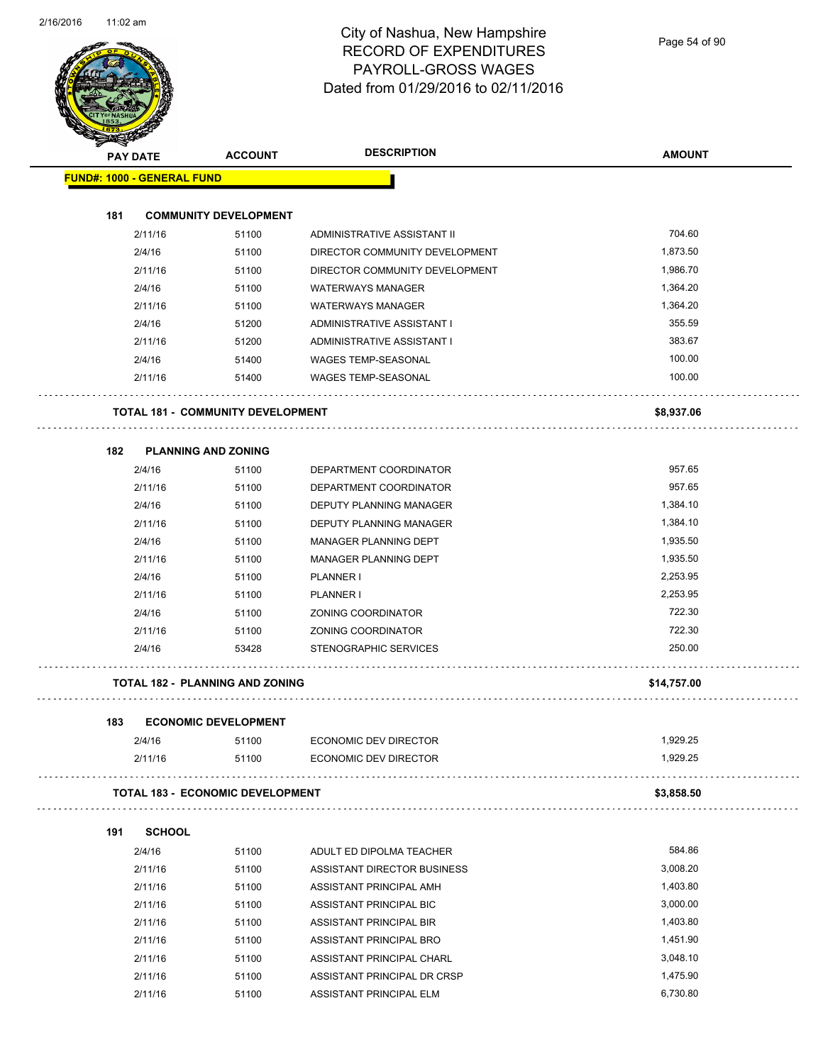|     | <b>PAY DATE</b>                   | <b>ACCOUNT</b>                           | <b>DESCRIPTION</b>             | <b>AMOUNT</b> |
|-----|-----------------------------------|------------------------------------------|--------------------------------|---------------|
|     | <b>FUND#: 1000 - GENERAL FUND</b> |                                          |                                |               |
| 181 |                                   | <b>COMMUNITY DEVELOPMENT</b>             |                                |               |
|     | 2/11/16                           | 51100                                    | ADMINISTRATIVE ASSISTANT II    | 704.60        |
|     | 2/4/16                            | 51100                                    | DIRECTOR COMMUNITY DEVELOPMENT | 1,873.50      |
|     | 2/11/16                           | 51100                                    | DIRECTOR COMMUNITY DEVELOPMENT | 1,986.70      |
|     | 2/4/16                            | 51100                                    | <b>WATERWAYS MANAGER</b>       | 1,364.20      |
|     | 2/11/16                           | 51100                                    | <b>WATERWAYS MANAGER</b>       | 1,364.20      |
|     | 2/4/16                            | 51200                                    | ADMINISTRATIVE ASSISTANT I     | 355.59        |
|     | 2/11/16                           | 51200                                    | ADMINISTRATIVE ASSISTANT I     | 383.67        |
|     | 2/4/16                            | 51400                                    | <b>WAGES TEMP-SEASONAL</b>     | 100.00        |
|     | 2/11/16                           | 51400                                    | <b>WAGES TEMP-SEASONAL</b>     | 100.00        |
|     |                                   | <b>TOTAL 181 - COMMUNITY DEVELOPMENT</b> |                                | \$8,937.06    |
| 182 |                                   | <b>PLANNING AND ZONING</b>               |                                |               |
|     | 2/4/16                            | 51100                                    | DEPARTMENT COORDINATOR         | 957.65        |
|     | 2/11/16                           | 51100                                    | DEPARTMENT COORDINATOR         | 957.65        |
|     | 2/4/16                            | 51100                                    | DEPUTY PLANNING MANAGER        | 1,384.10      |
|     | 2/11/16                           | 51100                                    | DEPUTY PLANNING MANAGER        | 1,384.10      |
|     | 2/4/16                            | 51100                                    | MANAGER PLANNING DEPT          | 1,935.50      |
|     | 2/11/16                           | 51100                                    | <b>MANAGER PLANNING DEPT</b>   | 1,935.50      |
|     | 2/4/16                            | 51100                                    | <b>PLANNER I</b>               | 2,253.95      |
|     | 2/11/16                           | 51100                                    | PLANNER I                      | 2,253.95      |
|     | 2/4/16                            | 51100                                    | ZONING COORDINATOR             | 722.30        |
|     | 2/11/16                           | 51100                                    | ZONING COORDINATOR             | 722.30        |
|     | 2/4/16                            | 53428                                    | <b>STENOGRAPHIC SERVICES</b>   | 250.00        |
|     |                                   | TOTAL 182 - PLANNING AND ZONING          |                                | \$14,757.00   |
| 183 |                                   | <b>ECONOMIC DEVELOPMENT</b>              |                                |               |
|     | 2/4/16                            | 51100                                    | ECONOMIC DEV DIRECTOR          | 1,929.25      |
|     | 2/11/16                           | 51100                                    | ECONOMIC DEV DIRECTOR          | 1,929.25      |
|     |                                   | <b>TOTAL 183 - ECONOMIC DEVELOPMENT</b>  |                                | \$3,858.50    |
| 191 | <b>SCHOOL</b>                     |                                          |                                |               |
|     | 2/4/16                            | 51100                                    | ADULT ED DIPOLMA TEACHER       | 584.86        |
|     | 2/11/16                           | 51100                                    | ASSISTANT DIRECTOR BUSINESS    | 3,008.20      |
|     | 2/11/16                           | 51100                                    | ASSISTANT PRINCIPAL AMH        | 1,403.80      |
|     | 2/11/16                           | 51100                                    | ASSISTANT PRINCIPAL BIC        | 3,000.00      |
|     | 2/11/16                           | 51100                                    | ASSISTANT PRINCIPAL BIR        | 1,403.80      |
|     | 2/11/16                           | 51100                                    | ASSISTANT PRINCIPAL BRO        | 1,451.90      |
|     | 2/11/16                           | 51100                                    | ASSISTANT PRINCIPAL CHARL      | 3,048.10      |
|     | 2/11/16                           | 51100                                    | ASSISTANT PRINCIPAL DR CRSP    | 1,475.90      |
|     | 2/11/16                           | 51100                                    | ASSISTANT PRINCIPAL ELM        | 6,730.80      |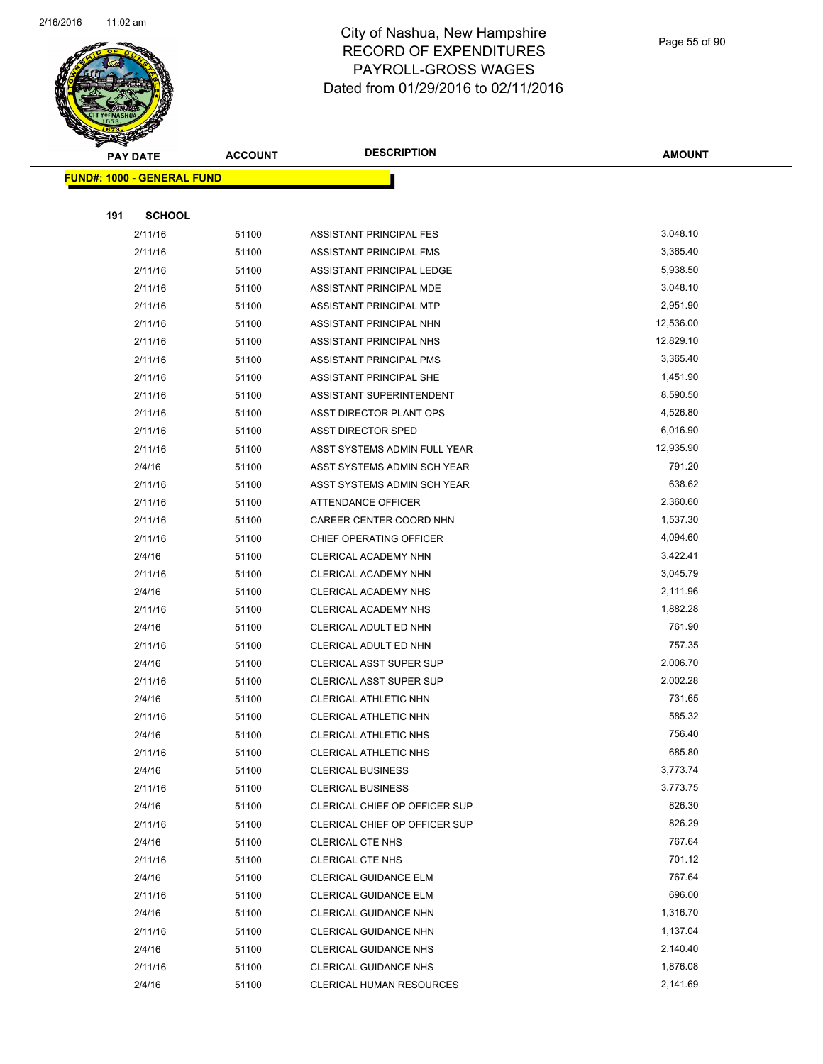

Page 55 of 90

|     | <b>PAY DATE</b>                   | <b>ACCOUNT</b> | <b>DESCRIPTION</b>                            | AMOUNT             |
|-----|-----------------------------------|----------------|-----------------------------------------------|--------------------|
|     | <b>FUND#: 1000 - GENERAL FUND</b> |                |                                               |                    |
|     |                                   |                |                                               |                    |
| 191 | <b>SCHOOL</b>                     |                |                                               |                    |
|     | 2/11/16                           | 51100          | ASSISTANT PRINCIPAL FES                       | 3,048.10           |
|     | 2/11/16                           | 51100          | ASSISTANT PRINCIPAL FMS                       | 3,365.40           |
|     | 2/11/16                           | 51100          | ASSISTANT PRINCIPAL LEDGE                     | 5,938.50           |
|     | 2/11/16                           | 51100          | ASSISTANT PRINCIPAL MDE                       | 3,048.10           |
|     | 2/11/16                           | 51100          | ASSISTANT PRINCIPAL MTP                       | 2,951.90           |
|     | 2/11/16                           | 51100          | ASSISTANT PRINCIPAL NHN                       | 12,536.00          |
|     | 2/11/16                           | 51100          | ASSISTANT PRINCIPAL NHS                       | 12,829.10          |
|     | 2/11/16                           | 51100          | ASSISTANT PRINCIPAL PMS                       | 3,365.40           |
|     | 2/11/16                           | 51100          | ASSISTANT PRINCIPAL SHE                       | 1,451.90           |
|     | 2/11/16                           | 51100          | ASSISTANT SUPERINTENDENT                      | 8,590.50           |
|     | 2/11/16                           | 51100          | ASST DIRECTOR PLANT OPS                       | 4,526.80           |
|     | 2/11/16                           | 51100          | ASST DIRECTOR SPED                            | 6,016.90           |
|     | 2/11/16                           | 51100          | ASST SYSTEMS ADMIN FULL YEAR                  | 12,935.90          |
|     | 2/4/16                            | 51100          | ASST SYSTEMS ADMIN SCH YEAR                   | 791.20             |
|     | 2/11/16                           | 51100          | ASST SYSTEMS ADMIN SCH YEAR                   | 638.62<br>2,360.60 |
|     | 2/11/16                           | 51100          | ATTENDANCE OFFICER<br>CAREER CENTER COORD NHN | 1,537.30           |
|     | 2/11/16<br>2/11/16                | 51100          | CHIEF OPERATING OFFICER                       | 4,094.60           |
|     | 2/4/16                            | 51100<br>51100 | CLERICAL ACADEMY NHN                          | 3,422.41           |
|     | 2/11/16                           | 51100          | CLERICAL ACADEMY NHN                          | 3,045.79           |
|     | 2/4/16                            | 51100          | CLERICAL ACADEMY NHS                          | 2,111.96           |
|     | 2/11/16                           | 51100          | CLERICAL ACADEMY NHS                          | 1,882.28           |
|     | 2/4/16                            | 51100          | CLERICAL ADULT ED NHN                         | 761.90             |
|     | 2/11/16                           | 51100          | CLERICAL ADULT ED NHN                         | 757.35             |
|     | 2/4/16                            | 51100          | CLERICAL ASST SUPER SUP                       | 2,006.70           |
|     | 2/11/16                           | 51100          | CLERICAL ASST SUPER SUP                       | 2,002.28           |
|     | 2/4/16                            | 51100          | CLERICAL ATHLETIC NHN                         | 731.65             |
|     | 2/11/16                           | 51100          | CLERICAL ATHLETIC NHN                         | 585.32             |
|     | 2/4/16                            | 51100          | <b>CLERICAL ATHLETIC NHS</b>                  | 756.40             |
|     | 2/11/16                           | 51100          | <b>CLERICAL ATHLETIC NHS</b>                  | 685.80             |
|     | 2/4/16                            | 51100          | <b>CLERICAL BUSINESS</b>                      | 3,773.74           |
|     | 2/11/16                           | 51100          | <b>CLERICAL BUSINESS</b>                      | 3,773.75           |
|     | 2/4/16                            | 51100          | CLERICAL CHIEF OP OFFICER SUP                 | 826.30             |
|     | 2/11/16                           | 51100          | CLERICAL CHIEF OP OFFICER SUP                 | 826.29             |
|     | 2/4/16                            | 51100          | CLERICAL CTE NHS                              | 767.64             |
|     | 2/11/16                           | 51100          | CLERICAL CTE NHS                              | 701.12             |
|     | 2/4/16                            | 51100          | <b>CLERICAL GUIDANCE ELM</b>                  | 767.64             |
|     | 2/11/16                           | 51100          | <b>CLERICAL GUIDANCE ELM</b>                  | 696.00             |
|     | 2/4/16                            | 51100          | CLERICAL GUIDANCE NHN                         | 1,316.70           |
|     | 2/11/16                           | 51100          | CLERICAL GUIDANCE NHN                         | 1,137.04           |
|     | 2/4/16                            | 51100          | <b>CLERICAL GUIDANCE NHS</b>                  | 2,140.40           |
|     | 2/11/16                           | 51100          | <b>CLERICAL GUIDANCE NHS</b>                  | 1,876.08           |
|     | 2/4/16                            | 51100          | <b>CLERICAL HUMAN RESOURCES</b>               | 2,141.69           |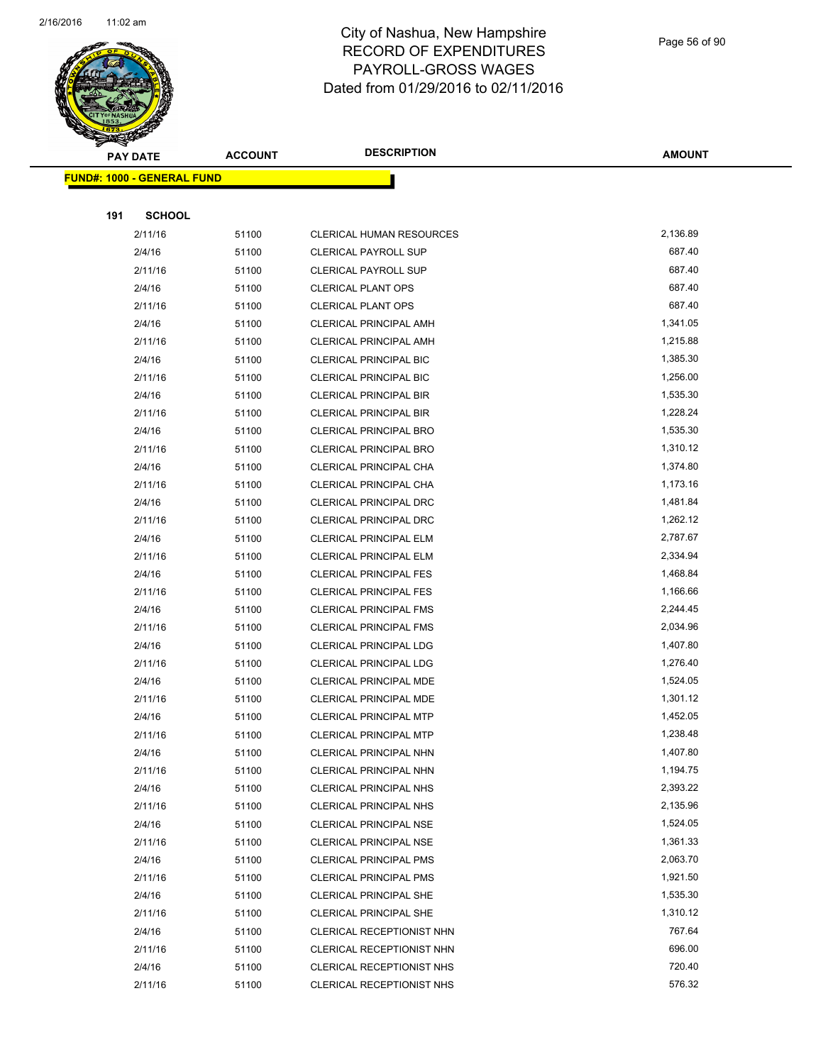

Page 56 of 90

|     | <b>PAY DATE</b>                   | <b>ACCOUNT</b> | <b>DESCRIPTION</b>              | <b>AMOUNT</b> |
|-----|-----------------------------------|----------------|---------------------------------|---------------|
|     | <b>FUND#: 1000 - GENERAL FUND</b> |                |                                 |               |
|     |                                   |                |                                 |               |
| 191 | <b>SCHOOL</b>                     |                |                                 |               |
|     | 2/11/16                           | 51100          | <b>CLERICAL HUMAN RESOURCES</b> | 2,136.89      |
|     | 2/4/16                            | 51100          | <b>CLERICAL PAYROLL SUP</b>     | 687.40        |
|     | 2/11/16                           | 51100          | <b>CLERICAL PAYROLL SUP</b>     | 687.40        |
|     | 2/4/16                            | 51100          | <b>CLERICAL PLANT OPS</b>       | 687.40        |
|     | 2/11/16                           | 51100          | <b>CLERICAL PLANT OPS</b>       | 687.40        |
|     | 2/4/16                            | 51100          | <b>CLERICAL PRINCIPAL AMH</b>   | 1,341.05      |
|     | 2/11/16                           | 51100          | <b>CLERICAL PRINCIPAL AMH</b>   | 1,215.88      |
|     | 2/4/16                            | 51100          | <b>CLERICAL PRINCIPAL BIC</b>   | 1,385.30      |
|     | 2/11/16                           | 51100          | CLERICAL PRINCIPAL BIC          | 1,256.00      |
|     | 2/4/16                            | 51100          | <b>CLERICAL PRINCIPAL BIR</b>   | 1,535.30      |
|     | 2/11/16                           | 51100          | <b>CLERICAL PRINCIPAL BIR</b>   | 1,228.24      |
|     | 2/4/16                            | 51100          | <b>CLERICAL PRINCIPAL BRO</b>   | 1,535.30      |
|     | 2/11/16                           | 51100          | <b>CLERICAL PRINCIPAL BRO</b>   | 1,310.12      |
|     | 2/4/16                            | 51100          | CLERICAL PRINCIPAL CHA          | 1,374.80      |
|     | 2/11/16                           | 51100          | CLERICAL PRINCIPAL CHA          | 1,173.16      |
|     | 2/4/16                            | 51100          | <b>CLERICAL PRINCIPAL DRC</b>   | 1,481.84      |
|     | 2/11/16                           | 51100          | <b>CLERICAL PRINCIPAL DRC</b>   | 1,262.12      |
|     | 2/4/16                            | 51100          | CLERICAL PRINCIPAL ELM          | 2,787.67      |
|     | 2/11/16                           | 51100          | CLERICAL PRINCIPAL ELM          | 2,334.94      |
|     | 2/4/16                            | 51100          | <b>CLERICAL PRINCIPAL FES</b>   | 1,468.84      |
|     | 2/11/16                           | 51100          | <b>CLERICAL PRINCIPAL FES</b>   | 1,166.66      |
|     | 2/4/16                            | 51100          | <b>CLERICAL PRINCIPAL FMS</b>   | 2,244.45      |
|     | 2/11/16                           | 51100          | <b>CLERICAL PRINCIPAL FMS</b>   | 2,034.96      |
|     | 2/4/16                            | 51100          | CLERICAL PRINCIPAL LDG          | 1,407.80      |
|     | 2/11/16                           | 51100          | <b>CLERICAL PRINCIPAL LDG</b>   | 1,276.40      |
|     | 2/4/16                            | 51100          | CLERICAL PRINCIPAL MDE          | 1,524.05      |
|     | 2/11/16                           | 51100          | CLERICAL PRINCIPAL MDE          | 1,301.12      |
|     | 2/4/16                            | 51100          | <b>CLERICAL PRINCIPAL MTP</b>   | 1,452.05      |
|     | 2/11/16                           | 51100          | <b>CLERICAL PRINCIPAL MTP</b>   | 1,238.48      |
|     | 2/4/16                            | 51100          | CLERICAL PRINCIPAL NHN          | 1,407.80      |
|     | 2/11/16                           | 51100          | CLERICAL PRINCIPAL NHN          | 1,194.75      |
|     | 2/4/16                            | 51100          | <b>CLERICAL PRINCIPAL NHS</b>   | 2,393.22      |
|     | 2/11/16                           | 51100          | CLERICAL PRINCIPAL NHS          | 2,135.96      |
|     | 2/4/16                            | 51100          | <b>CLERICAL PRINCIPAL NSE</b>   | 1,524.05      |
|     | 2/11/16                           | 51100          | <b>CLERICAL PRINCIPAL NSE</b>   | 1,361.33      |
|     | 2/4/16                            | 51100          | <b>CLERICAL PRINCIPAL PMS</b>   | 2,063.70      |
|     | 2/11/16                           | 51100          | <b>CLERICAL PRINCIPAL PMS</b>   | 1,921.50      |
|     | 2/4/16                            | 51100          | <b>CLERICAL PRINCIPAL SHE</b>   | 1,535.30      |
|     | 2/11/16                           | 51100          | <b>CLERICAL PRINCIPAL SHE</b>   | 1,310.12      |
|     | 2/4/16                            | 51100          | CLERICAL RECEPTIONIST NHN       | 767.64        |
|     | 2/11/16                           | 51100          | CLERICAL RECEPTIONIST NHN       | 696.00        |
|     | 2/4/16                            | 51100          | CLERICAL RECEPTIONIST NHS       | 720.40        |
|     | 2/11/16                           | 51100          | CLERICAL RECEPTIONIST NHS       | 576.32        |
|     |                                   |                |                                 |               |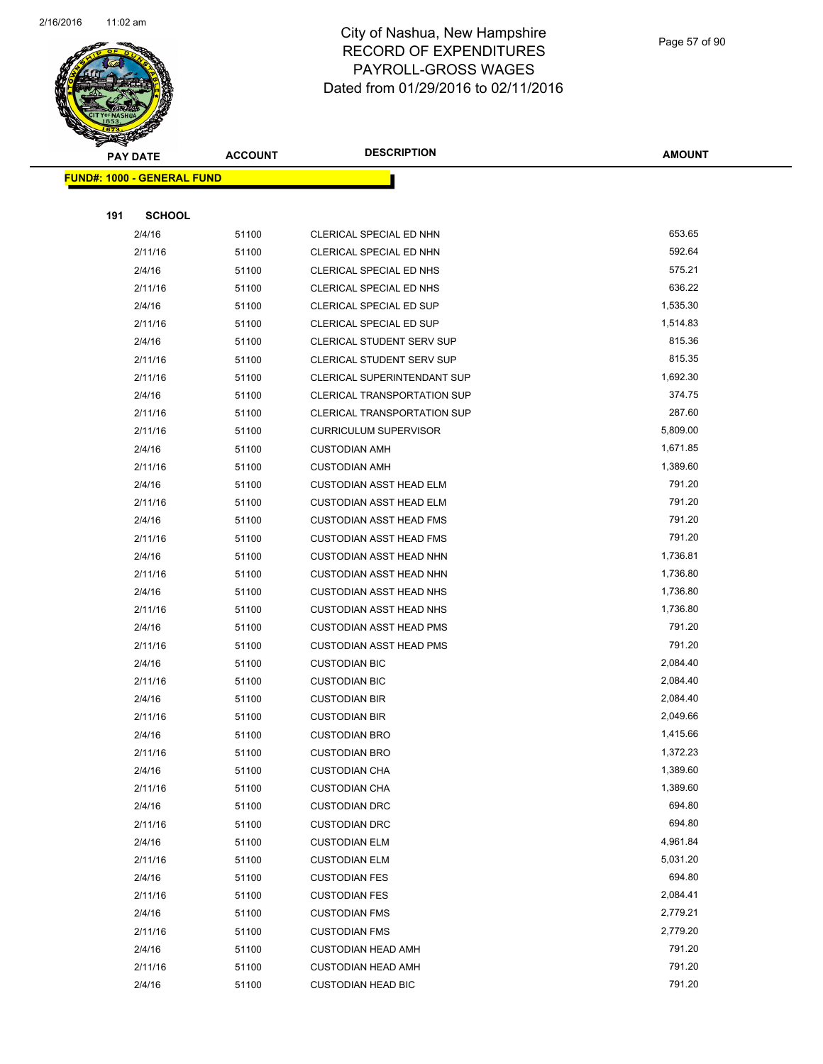

Page 57 of 90

|     |               | <b>ACCOUNT</b>                                                                                                                                          | <b>DESCRIPTION</b>                                                                                                                             | <b>AMOUNT</b>                                                                                                                                                                                                                                                                                                                       |
|-----|---------------|---------------------------------------------------------------------------------------------------------------------------------------------------------|------------------------------------------------------------------------------------------------------------------------------------------------|-------------------------------------------------------------------------------------------------------------------------------------------------------------------------------------------------------------------------------------------------------------------------------------------------------------------------------------|
|     |               |                                                                                                                                                         |                                                                                                                                                |                                                                                                                                                                                                                                                                                                                                     |
|     |               |                                                                                                                                                         |                                                                                                                                                |                                                                                                                                                                                                                                                                                                                                     |
| 191 | <b>SCHOOL</b> |                                                                                                                                                         |                                                                                                                                                |                                                                                                                                                                                                                                                                                                                                     |
|     | 2/4/16        |                                                                                                                                                         | CLERICAL SPECIAL ED NHN                                                                                                                        | 653.65                                                                                                                                                                                                                                                                                                                              |
|     | 2/11/16       | 51100                                                                                                                                                   | CLERICAL SPECIAL ED NHN                                                                                                                        | 592.64                                                                                                                                                                                                                                                                                                                              |
|     | 2/4/16        | 51100                                                                                                                                                   | CLERICAL SPECIAL ED NHS                                                                                                                        | 575.21                                                                                                                                                                                                                                                                                                                              |
|     | 2/11/16       | 51100                                                                                                                                                   | CLERICAL SPECIAL ED NHS                                                                                                                        | 636.22                                                                                                                                                                                                                                                                                                                              |
|     | 2/4/16        | 51100                                                                                                                                                   | CLERICAL SPECIAL ED SUP                                                                                                                        | 1,535.30                                                                                                                                                                                                                                                                                                                            |
|     | 2/11/16       | 51100                                                                                                                                                   | CLERICAL SPECIAL ED SUP                                                                                                                        | 1,514.83                                                                                                                                                                                                                                                                                                                            |
|     | 2/4/16        | 51100                                                                                                                                                   | <b>CLERICAL STUDENT SERV SUP</b>                                                                                                               | 815.36                                                                                                                                                                                                                                                                                                                              |
|     | 2/11/16       | 51100                                                                                                                                                   | <b>CLERICAL STUDENT SERV SUP</b>                                                                                                               | 815.35                                                                                                                                                                                                                                                                                                                              |
|     | 2/11/16       | 51100                                                                                                                                                   | CLERICAL SUPERINTENDANT SUP                                                                                                                    | 1,692.30                                                                                                                                                                                                                                                                                                                            |
|     | 2/4/16        | 51100                                                                                                                                                   | <b>CLERICAL TRANSPORTATION SUP</b>                                                                                                             | 374.75                                                                                                                                                                                                                                                                                                                              |
|     | 2/11/16       | 51100                                                                                                                                                   | <b>CLERICAL TRANSPORTATION SUP</b>                                                                                                             | 287.60                                                                                                                                                                                                                                                                                                                              |
|     | 2/11/16       | 51100                                                                                                                                                   | <b>CURRICULUM SUPERVISOR</b>                                                                                                                   | 5,809.00                                                                                                                                                                                                                                                                                                                            |
|     | 2/4/16        | 51100                                                                                                                                                   | <b>CUSTODIAN AMH</b>                                                                                                                           | 1,671.85                                                                                                                                                                                                                                                                                                                            |
|     | 2/11/16       | 51100                                                                                                                                                   | <b>CUSTODIAN AMH</b>                                                                                                                           | 1,389.60                                                                                                                                                                                                                                                                                                                            |
|     | 2/4/16        | 51100                                                                                                                                                   | <b>CUSTODIAN ASST HEAD ELM</b>                                                                                                                 | 791.20                                                                                                                                                                                                                                                                                                                              |
|     | 2/11/16       | 51100                                                                                                                                                   | <b>CUSTODIAN ASST HEAD ELM</b>                                                                                                                 | 791.20                                                                                                                                                                                                                                                                                                                              |
|     | 2/4/16        | 51100                                                                                                                                                   | <b>CUSTODIAN ASST HEAD FMS</b>                                                                                                                 | 791.20                                                                                                                                                                                                                                                                                                                              |
|     | 2/11/16       | 51100                                                                                                                                                   | <b>CUSTODIAN ASST HEAD FMS</b>                                                                                                                 | 791.20                                                                                                                                                                                                                                                                                                                              |
|     | 2/4/16        | 51100                                                                                                                                                   | <b>CUSTODIAN ASST HEAD NHN</b>                                                                                                                 | 1,736.81                                                                                                                                                                                                                                                                                                                            |
|     | 2/11/16       | 51100                                                                                                                                                   | <b>CUSTODIAN ASST HEAD NHN</b>                                                                                                                 | 1,736.80                                                                                                                                                                                                                                                                                                                            |
|     | 2/4/16        | 51100                                                                                                                                                   | <b>CUSTODIAN ASST HEAD NHS</b>                                                                                                                 | 1,736.80                                                                                                                                                                                                                                                                                                                            |
|     | 2/11/16       | 51100                                                                                                                                                   | <b>CUSTODIAN ASST HEAD NHS</b>                                                                                                                 | 1,736.80                                                                                                                                                                                                                                                                                                                            |
|     | 2/4/16        | 51100                                                                                                                                                   | <b>CUSTODIAN ASST HEAD PMS</b>                                                                                                                 | 791.20                                                                                                                                                                                                                                                                                                                              |
|     | 2/11/16       | 51100                                                                                                                                                   | CUSTODIAN ASST HEAD PMS                                                                                                                        | 791.20                                                                                                                                                                                                                                                                                                                              |
|     | 2/4/16        | 51100                                                                                                                                                   | <b>CUSTODIAN BIC</b>                                                                                                                           | 2,084.40                                                                                                                                                                                                                                                                                                                            |
|     | 2/11/16       | 51100                                                                                                                                                   | <b>CUSTODIAN BIC</b>                                                                                                                           | 2,084.40                                                                                                                                                                                                                                                                                                                            |
|     | 2/4/16        | 51100                                                                                                                                                   | <b>CUSTODIAN BIR</b>                                                                                                                           | 2,084.40                                                                                                                                                                                                                                                                                                                            |
|     | 2/11/16       | 51100                                                                                                                                                   | <b>CUSTODIAN BIR</b>                                                                                                                           | 2,049.66                                                                                                                                                                                                                                                                                                                            |
|     | 2/4/16        | 51100                                                                                                                                                   | <b>CUSTODIAN BRO</b>                                                                                                                           | 1,415.66                                                                                                                                                                                                                                                                                                                            |
|     | 2/11/16       | 51100                                                                                                                                                   |                                                                                                                                                | 1,372.23                                                                                                                                                                                                                                                                                                                            |
|     |               | 51100                                                                                                                                                   | <b>CUSTODIAN CHA</b>                                                                                                                           | 1,389.60                                                                                                                                                                                                                                                                                                                            |
|     |               |                                                                                                                                                         |                                                                                                                                                | 1,389.60                                                                                                                                                                                                                                                                                                                            |
|     |               |                                                                                                                                                         |                                                                                                                                                | 694.80                                                                                                                                                                                                                                                                                                                              |
|     |               |                                                                                                                                                         |                                                                                                                                                | 694.80                                                                                                                                                                                                                                                                                                                              |
|     |               |                                                                                                                                                         |                                                                                                                                                | 4,961.84                                                                                                                                                                                                                                                                                                                            |
|     |               |                                                                                                                                                         |                                                                                                                                                | 5,031.20                                                                                                                                                                                                                                                                                                                            |
|     |               |                                                                                                                                                         |                                                                                                                                                | 694.80                                                                                                                                                                                                                                                                                                                              |
|     |               |                                                                                                                                                         |                                                                                                                                                | 2,084.41                                                                                                                                                                                                                                                                                                                            |
|     |               | 51100                                                                                                                                                   |                                                                                                                                                | 2,779.21                                                                                                                                                                                                                                                                                                                            |
|     |               |                                                                                                                                                         |                                                                                                                                                | 2,779.20                                                                                                                                                                                                                                                                                                                            |
|     |               |                                                                                                                                                         |                                                                                                                                                | 791.20                                                                                                                                                                                                                                                                                                                              |
|     |               |                                                                                                                                                         |                                                                                                                                                | 791.20                                                                                                                                                                                                                                                                                                                              |
|     |               |                                                                                                                                                         |                                                                                                                                                | 791.20                                                                                                                                                                                                                                                                                                                              |
|     |               | <b>PAY DATE</b><br>2/4/16<br>2/11/16<br>2/4/16<br>2/11/16<br>2/4/16<br>2/11/16<br>2/4/16<br>2/11/16<br>2/4/16<br>2/11/16<br>2/4/16<br>2/11/16<br>2/4/16 | <u> FUND#: 1000 - GENERAL FUND</u><br>51100<br>51100<br>51100<br>51100<br>51100<br>51100<br>51100<br>51100<br>51100<br>51100<br>51100<br>51100 | <b>CUSTODIAN BRO</b><br><b>CUSTODIAN CHA</b><br><b>CUSTODIAN DRC</b><br><b>CUSTODIAN DRC</b><br><b>CUSTODIAN ELM</b><br><b>CUSTODIAN ELM</b><br><b>CUSTODIAN FES</b><br><b>CUSTODIAN FES</b><br><b>CUSTODIAN FMS</b><br><b>CUSTODIAN FMS</b><br><b>CUSTODIAN HEAD AMH</b><br><b>CUSTODIAN HEAD AMH</b><br><b>CUSTODIAN HEAD BIC</b> |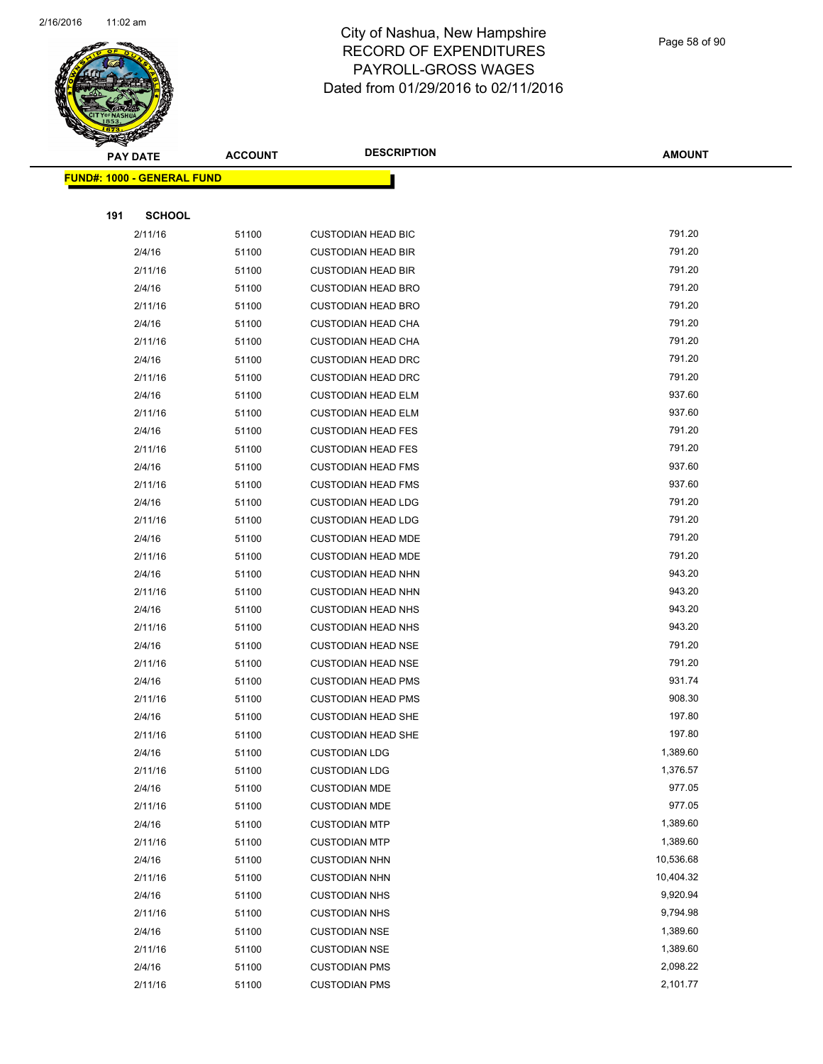

|     | <b>PAY DATE</b>                    | <b>ACCOUNT</b> | <b>DESCRIPTION</b>        | <b>AMOUNT</b> |
|-----|------------------------------------|----------------|---------------------------|---------------|
|     | <u> FUND#: 1000 - GENERAL FUND</u> |                |                           |               |
|     |                                    |                |                           |               |
| 191 | <b>SCHOOL</b>                      |                |                           |               |
|     | 2/11/16                            | 51100          | <b>CUSTODIAN HEAD BIC</b> | 791.20        |
|     | 2/4/16                             | 51100          | <b>CUSTODIAN HEAD BIR</b> | 791.20        |
|     | 2/11/16                            | 51100          | <b>CUSTODIAN HEAD BIR</b> | 791.20        |
|     | 2/4/16                             | 51100          | <b>CUSTODIAN HEAD BRO</b> | 791.20        |
|     | 2/11/16                            | 51100          | <b>CUSTODIAN HEAD BRO</b> | 791.20        |
|     | 2/4/16                             | 51100          | <b>CUSTODIAN HEAD CHA</b> | 791.20        |
|     | 2/11/16                            | 51100          | <b>CUSTODIAN HEAD CHA</b> | 791.20        |
|     | 2/4/16                             | 51100          | <b>CUSTODIAN HEAD DRC</b> | 791.20        |
|     | 2/11/16                            | 51100          | <b>CUSTODIAN HEAD DRC</b> | 791.20        |
|     | 2/4/16                             | 51100          | <b>CUSTODIAN HEAD ELM</b> | 937.60        |
|     | 2/11/16                            | 51100          | <b>CUSTODIAN HEAD ELM</b> | 937.60        |
|     | 2/4/16                             | 51100          | <b>CUSTODIAN HEAD FES</b> | 791.20        |
|     | 2/11/16                            | 51100          | <b>CUSTODIAN HEAD FES</b> | 791.20        |
|     | 2/4/16                             | 51100          | <b>CUSTODIAN HEAD FMS</b> | 937.60        |
|     | 2/11/16                            | 51100          | <b>CUSTODIAN HEAD FMS</b> | 937.60        |
|     | 2/4/16                             | 51100          | <b>CUSTODIAN HEAD LDG</b> | 791.20        |
|     | 2/11/16                            | 51100          | <b>CUSTODIAN HEAD LDG</b> | 791.20        |
|     | 2/4/16                             | 51100          | <b>CUSTODIAN HEAD MDE</b> | 791.20        |
|     | 2/11/16                            | 51100          | <b>CUSTODIAN HEAD MDE</b> | 791.20        |
|     | 2/4/16                             | 51100          | <b>CUSTODIAN HEAD NHN</b> | 943.20        |
|     | 2/11/16                            | 51100          | <b>CUSTODIAN HEAD NHN</b> | 943.20        |
|     | 2/4/16                             | 51100          | <b>CUSTODIAN HEAD NHS</b> | 943.20        |
|     | 2/11/16                            | 51100          | <b>CUSTODIAN HEAD NHS</b> | 943.20        |
|     | 2/4/16                             | 51100          | <b>CUSTODIAN HEAD NSE</b> | 791.20        |
|     | 2/11/16                            | 51100          | <b>CUSTODIAN HEAD NSE</b> | 791.20        |
|     | 2/4/16                             | 51100          | <b>CUSTODIAN HEAD PMS</b> | 931.74        |
|     | 2/11/16                            | 51100          | <b>CUSTODIAN HEAD PMS</b> | 908.30        |
|     | 2/4/16                             | 51100          | <b>CUSTODIAN HEAD SHE</b> | 197.80        |
|     | 2/11/16                            | 51100          | <b>CUSTODIAN HEAD SHE</b> | 197.80        |
|     | 2/4/16                             | 51100          | <b>CUSTODIAN LDG</b>      | 1,389.60      |
|     | 2/11/16                            | 51100          | <b>CUSTODIAN LDG</b>      | 1,376.57      |
|     | 2/4/16                             | 51100          | <b>CUSTODIAN MDE</b>      | 977.05        |
|     | 2/11/16                            | 51100          | <b>CUSTODIAN MDE</b>      | 977.05        |
|     | 2/4/16                             | 51100          | <b>CUSTODIAN MTP</b>      | 1,389.60      |
|     | 2/11/16                            | 51100          | <b>CUSTODIAN MTP</b>      | 1,389.60      |
|     | 2/4/16                             | 51100          | <b>CUSTODIAN NHN</b>      | 10,536.68     |
|     | 2/11/16                            | 51100          | <b>CUSTODIAN NHN</b>      | 10,404.32     |
|     | 2/4/16                             | 51100          | <b>CUSTODIAN NHS</b>      | 9,920.94      |
|     | 2/11/16                            | 51100          | <b>CUSTODIAN NHS</b>      | 9,794.98      |
|     | 2/4/16                             | 51100          | <b>CUSTODIAN NSE</b>      | 1,389.60      |
|     | 2/11/16                            | 51100          | <b>CUSTODIAN NSE</b>      | 1,389.60      |
|     | 2/4/16                             | 51100          | <b>CUSTODIAN PMS</b>      | 2,098.22      |
|     | 2/11/16                            | 51100          | <b>CUSTODIAN PMS</b>      | 2,101.77      |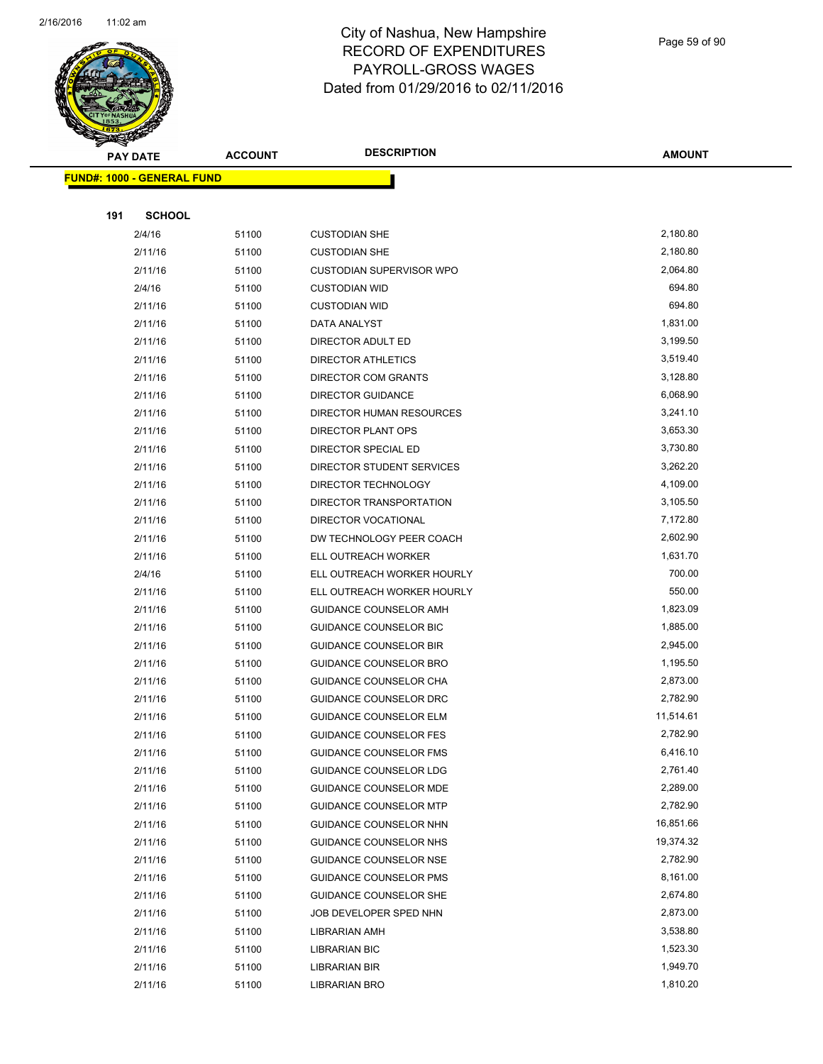

Page 59 of 90

| <b>PAY DATE</b>                   | <b>ACCOUNT</b> | <b>DESCRIPTION</b>            | <b>AMOUNT</b>        |
|-----------------------------------|----------------|-------------------------------|----------------------|
| <b>FUND#: 1000 - GENERAL FUND</b> |                |                               |                      |
|                                   |                |                               |                      |
| 191<br><b>SCHOOL</b>              |                |                               |                      |
| 2/4/16                            | 51100          | <b>CUSTODIAN SHE</b>          | 2,180.80             |
| 2/11/16                           | 51100          | <b>CUSTODIAN SHE</b>          | 2,180.80             |
| 2/11/16                           | 51100          | CUSTODIAN SUPERVISOR WPO      | 2,064.80             |
| 2/4/16                            | 51100          | <b>CUSTODIAN WID</b>          | 694.80               |
| 2/11/16                           | 51100          | <b>CUSTODIAN WID</b>          | 694.80               |
| 2/11/16                           | 51100          | DATA ANALYST                  | 1,831.00             |
| 2/11/16                           | 51100          | DIRECTOR ADULT ED             | 3,199.50             |
| 2/11/16                           | 51100          | DIRECTOR ATHLETICS            | 3,519.40             |
| 2/11/16                           | 51100          | DIRECTOR COM GRANTS           | 3,128.80             |
| 2/11/16                           | 51100          | <b>DIRECTOR GUIDANCE</b>      | 6,068.90             |
| 2/11/16                           | 51100          | DIRECTOR HUMAN RESOURCES      | 3,241.10             |
| 2/11/16                           | 51100          | DIRECTOR PLANT OPS            | 3,653.30             |
| 2/11/16                           | 51100          | DIRECTOR SPECIAL ED           | 3,730.80             |
| 2/11/16                           | 51100          | DIRECTOR STUDENT SERVICES     | 3,262.20             |
| 2/11/16                           | 51100          | DIRECTOR TECHNOLOGY           | 4,109.00             |
| 2/11/16                           | 51100          | DIRECTOR TRANSPORTATION       | 3,105.50             |
| 2/11/16                           | 51100          | DIRECTOR VOCATIONAL           | 7,172.80             |
| 2/11/16                           | 51100          | DW TECHNOLOGY PEER COACH      | 2,602.90             |
| 2/11/16                           | 51100          | ELL OUTREACH WORKER           | 1,631.70             |
| 2/4/16                            | 51100          | ELL OUTREACH WORKER HOURLY    | 700.00               |
| 2/11/16                           | 51100          | ELL OUTREACH WORKER HOURLY    | 550.00               |
| 2/11/16                           | 51100          | GUIDANCE COUNSELOR AMH        | 1,823.09             |
| 2/11/16                           | 51100          | GUIDANCE COUNSELOR BIC        | 1,885.00             |
| 2/11/16                           | 51100          | <b>GUIDANCE COUNSELOR BIR</b> | 2,945.00             |
| 2/11/16                           | 51100          | <b>GUIDANCE COUNSELOR BRO</b> | 1,195.50             |
| 2/11/16                           | 51100          | <b>GUIDANCE COUNSELOR CHA</b> | 2,873.00             |
| 2/11/16                           | 51100          | <b>GUIDANCE COUNSELOR DRC</b> | 2,782.90             |
| 2/11/16                           | 51100          | <b>GUIDANCE COUNSELOR ELM</b> | 11,514.61            |
| 2/11/16                           | 51100          | <b>GUIDANCE COUNSELOR FES</b> | 2,782.90             |
| 2/11/16                           | 51100          | <b>GUIDANCE COUNSELOR FMS</b> | 6,416.10             |
| 2/11/16                           | 51100          | <b>GUIDANCE COUNSELOR LDG</b> | 2,761.40             |
| 2/11/16                           | 51100          | GUIDANCE COUNSELOR MDE        | 2,289.00             |
| 2/11/16                           | 51100          | <b>GUIDANCE COUNSELOR MTP</b> | 2,782.90             |
| 2/11/16                           | 51100          | GUIDANCE COUNSELOR NHN        | 16,851.66            |
| 2/11/16                           | 51100          | GUIDANCE COUNSELOR NHS        | 19,374.32            |
| 2/11/16                           | 51100          | <b>GUIDANCE COUNSELOR NSE</b> | 2,782.90             |
| 2/11/16                           | 51100          | <b>GUIDANCE COUNSELOR PMS</b> | 8,161.00             |
| 2/11/16                           | 51100          | GUIDANCE COUNSELOR SHE        | 2,674.80             |
| 2/11/16                           | 51100          | JOB DEVELOPER SPED NHN        | 2,873.00             |
| 2/11/16                           | 51100          | LIBRARIAN AMH                 | 3,538.80             |
| 2/11/16                           | 51100          | <b>LIBRARIAN BIC</b>          | 1,523.30<br>1,949.70 |
| 2/11/16                           | 51100          | <b>LIBRARIAN BIR</b>          | 1,810.20             |
| 2/11/16                           | 51100          | LIBRARIAN BRO                 |                      |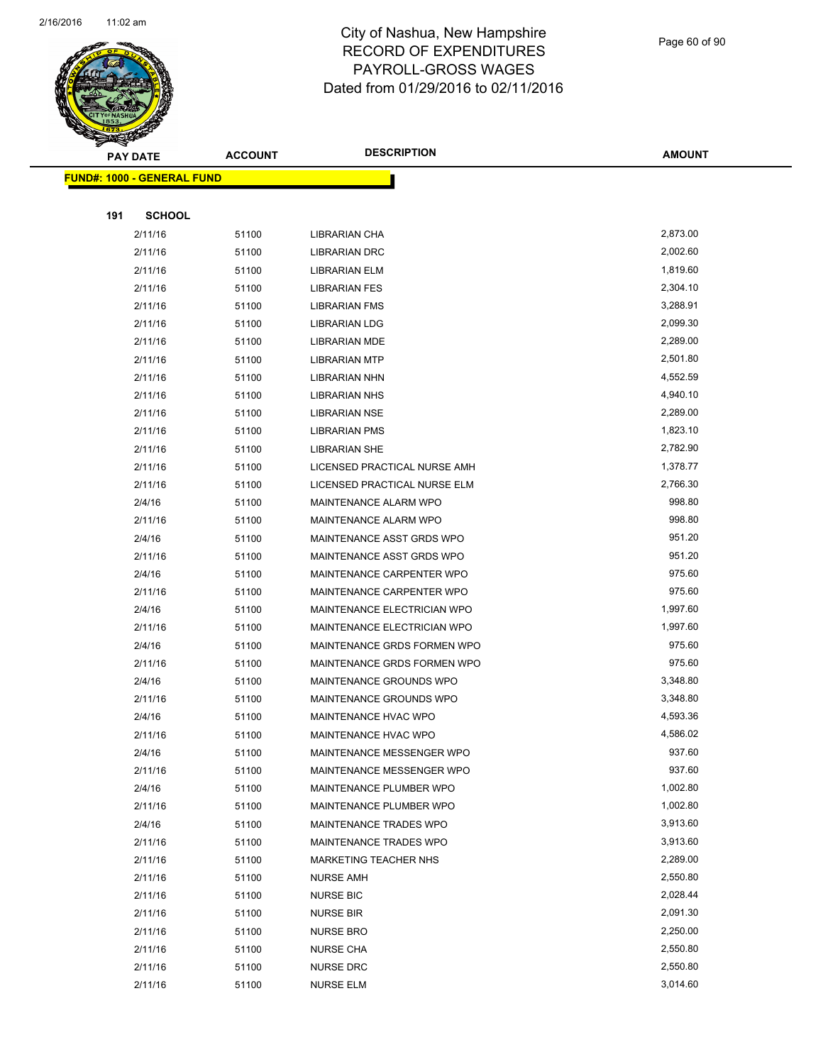

Page 60 of 90

|     | <b>PAY DATE</b>                   | <b>ACCOUNT</b> | <b>DESCRIPTION</b>                                   | <b>AMOUNT</b>      |
|-----|-----------------------------------|----------------|------------------------------------------------------|--------------------|
|     | <b>FUND#: 1000 - GENERAL FUND</b> |                |                                                      |                    |
|     |                                   |                |                                                      |                    |
| 191 | <b>SCHOOL</b>                     |                |                                                      |                    |
|     | 2/11/16                           | 51100          | <b>LIBRARIAN CHA</b>                                 | 2,873.00           |
|     | 2/11/16                           | 51100          | <b>LIBRARIAN DRC</b>                                 | 2,002.60           |
|     | 2/11/16                           | 51100          | <b>LIBRARIAN ELM</b>                                 | 1,819.60           |
|     | 2/11/16                           | 51100          | <b>LIBRARIAN FES</b>                                 | 2,304.10           |
|     | 2/11/16                           | 51100          | <b>LIBRARIAN FMS</b>                                 | 3,288.91           |
|     | 2/11/16                           | 51100          | <b>LIBRARIAN LDG</b>                                 | 2,099.30           |
|     | 2/11/16                           | 51100          | <b>LIBRARIAN MDE</b>                                 | 2,289.00           |
|     | 2/11/16                           | 51100          | <b>LIBRARIAN MTP</b>                                 | 2,501.80           |
|     | 2/11/16                           | 51100          | <b>LIBRARIAN NHN</b>                                 | 4,552.59           |
|     | 2/11/16                           | 51100          | <b>LIBRARIAN NHS</b>                                 | 4,940.10           |
|     | 2/11/16                           | 51100          | <b>LIBRARIAN NSE</b>                                 | 2,289.00           |
|     | 2/11/16                           | 51100          | <b>LIBRARIAN PMS</b>                                 | 1,823.10           |
|     | 2/11/16                           | 51100          | <b>LIBRARIAN SHE</b>                                 | 2,782.90           |
|     | 2/11/16                           | 51100          | LICENSED PRACTICAL NURSE AMH                         | 1,378.77           |
|     | 2/11/16                           | 51100          | LICENSED PRACTICAL NURSE ELM                         | 2,766.30           |
|     | 2/4/16                            | 51100          | MAINTENANCE ALARM WPO                                | 998.80             |
|     | 2/11/16                           | 51100          | MAINTENANCE ALARM WPO                                | 998.80             |
|     | 2/4/16                            | 51100          | MAINTENANCE ASST GRDS WPO                            | 951.20             |
|     | 2/11/16                           | 51100          | MAINTENANCE ASST GRDS WPO                            | 951.20             |
|     | 2/4/16                            | 51100          | MAINTENANCE CARPENTER WPO                            | 975.60             |
|     | 2/11/16                           | 51100          | MAINTENANCE CARPENTER WPO                            | 975.60             |
|     | 2/4/16                            | 51100          | MAINTENANCE ELECTRICIAN WPO                          | 1,997.60           |
|     | 2/11/16                           | 51100          | MAINTENANCE ELECTRICIAN WPO                          | 1,997.60           |
|     | 2/4/16                            | 51100          | MAINTENANCE GRDS FORMEN WPO                          | 975.60             |
|     | 2/11/16                           | 51100          | MAINTENANCE GRDS FORMEN WPO                          | 975.60             |
|     | 2/4/16                            | 51100          | MAINTENANCE GROUNDS WPO                              | 3,348.80           |
|     | 2/11/16                           | 51100          | MAINTENANCE GROUNDS WPO                              | 3,348.80           |
|     | 2/4/16                            | 51100          | MAINTENANCE HVAC WPO                                 | 4,593.36           |
|     | 2/11/16                           | 51100          | MAINTENANCE HVAC WPO                                 | 4,586.02<br>937.60 |
|     | 2/4/16                            | 51100          | MAINTENANCE MESSENGER WPO                            | 937.60             |
|     | 2/11/16<br>2/4/16                 | 51100<br>51100 | MAINTENANCE MESSENGER WPO<br>MAINTENANCE PLUMBER WPO | 1,002.80           |
|     | 2/11/16                           | 51100          | MAINTENANCE PLUMBER WPO                              | 1,002.80           |
|     | 2/4/16                            | 51100          | MAINTENANCE TRADES WPO                               | 3,913.60           |
|     | 2/11/16                           | 51100          | MAINTENANCE TRADES WPO                               | 3,913.60           |
|     | 2/11/16                           | 51100          | MARKETING TEACHER NHS                                | 2,289.00           |
|     | 2/11/16                           | 51100          | <b>NURSE AMH</b>                                     | 2,550.80           |
|     | 2/11/16                           | 51100          | <b>NURSE BIC</b>                                     | 2,028.44           |
|     | 2/11/16                           | 51100          | <b>NURSE BIR</b>                                     | 2,091.30           |
|     | 2/11/16                           | 51100          | <b>NURSE BRO</b>                                     | 2,250.00           |
|     | 2/11/16                           | 51100          | <b>NURSE CHA</b>                                     | 2,550.80           |
|     | 2/11/16                           | 51100          | <b>NURSE DRC</b>                                     | 2,550.80           |
|     | 2/11/16                           | 51100          | <b>NURSE ELM</b>                                     | 3,014.60           |
|     |                                   |                |                                                      |                    |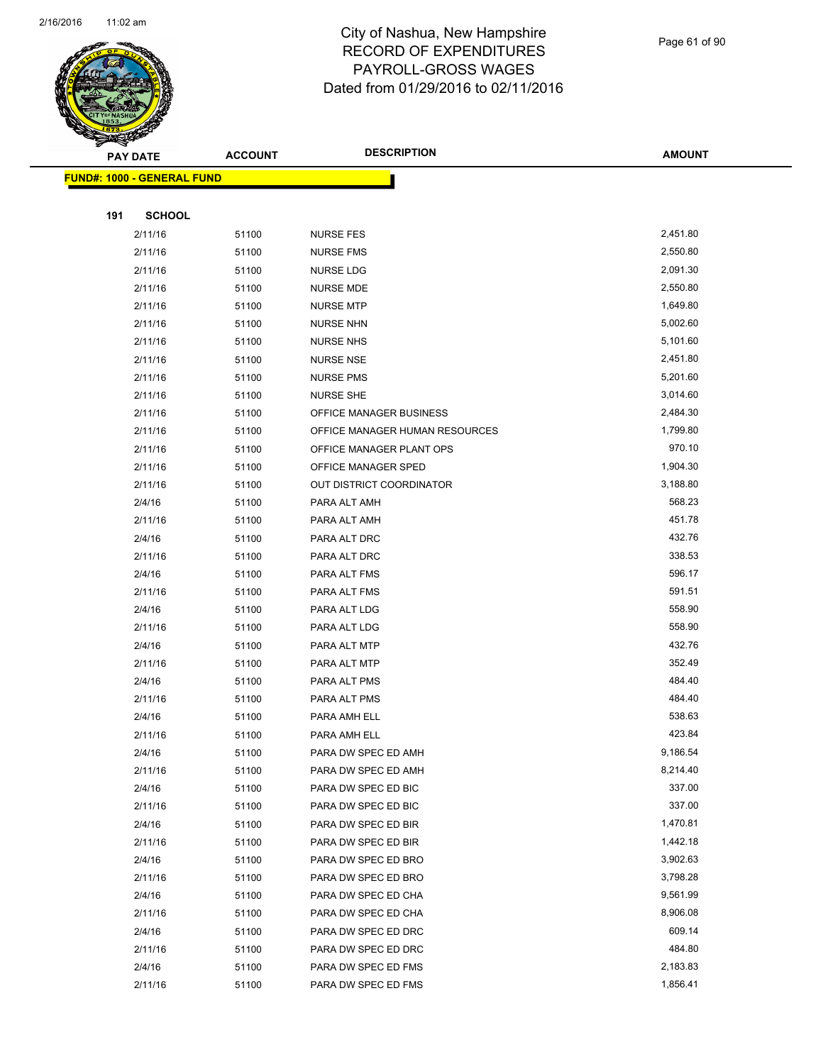

Page 61 of 90

|     | <b>PAY DATE</b>                   | <b>ACCOUNT</b> | <b>DESCRIPTION</b>                         | <b>AMOUNT</b>      |
|-----|-----------------------------------|----------------|--------------------------------------------|--------------------|
|     | <b>FUND#: 1000 - GENERAL FUND</b> |                |                                            |                    |
|     |                                   |                |                                            |                    |
| 191 | <b>SCHOOL</b>                     |                |                                            |                    |
|     | 2/11/16                           | 51100          | <b>NURSE FES</b>                           | 2,451.80           |
|     | 2/11/16                           | 51100          | <b>NURSE FMS</b>                           | 2,550.80           |
|     | 2/11/16                           | 51100          | <b>NURSE LDG</b>                           | 2,091.30           |
|     | 2/11/16                           | 51100          | <b>NURSE MDE</b>                           | 2,550.80           |
|     | 2/11/16                           | 51100          | <b>NURSE MTP</b>                           | 1,649.80           |
|     | 2/11/16                           | 51100          | <b>NURSE NHN</b>                           | 5,002.60           |
|     | 2/11/16                           | 51100          | <b>NURSE NHS</b>                           | 5,101.60           |
|     | 2/11/16                           | 51100          | <b>NURSE NSE</b>                           | 2,451.80           |
|     | 2/11/16                           | 51100          | <b>NURSE PMS</b>                           | 5,201.60           |
|     | 2/11/16                           | 51100          | <b>NURSE SHE</b>                           | 3,014.60           |
|     | 2/11/16                           | 51100          | OFFICE MANAGER BUSINESS                    | 2,484.30           |
|     | 2/11/16                           | 51100          | OFFICE MANAGER HUMAN RESOURCES             | 1,799.80           |
|     | 2/11/16                           | 51100          | OFFICE MANAGER PLANT OPS                   | 970.10             |
|     | 2/11/16                           | 51100          | OFFICE MANAGER SPED                        | 1,904.30           |
|     | 2/11/16                           | 51100          | OUT DISTRICT COORDINATOR                   | 3,188.80           |
|     | 2/4/16                            | 51100          | PARA ALT AMH                               | 568.23             |
|     | 2/11/16                           | 51100          | PARA ALT AMH                               | 451.78             |
|     | 2/4/16                            | 51100          | PARA ALT DRC                               | 432.76             |
|     | 2/11/16                           | 51100          | PARA ALT DRC                               | 338.53             |
|     | 2/4/16                            | 51100          | PARA ALT FMS                               | 596.17             |
|     | 2/11/16                           | 51100          | PARA ALT FMS                               | 591.51             |
|     | 2/4/16                            | 51100          | PARA ALT LDG                               | 558.90             |
|     | 2/11/16                           | 51100          | PARA ALT LDG                               | 558.90             |
|     | 2/4/16                            | 51100          | PARA ALT MTP                               | 432.76             |
|     | 2/11/16                           | 51100          | PARA ALT MTP                               | 352.49             |
|     | 2/4/16                            | 51100          | PARA ALT PMS                               | 484.40             |
|     | 2/11/16                           | 51100          | PARA ALT PMS                               | 484.40             |
|     | 2/4/16                            | 51100          | PARA AMH ELL                               | 538.63             |
|     | 2/11/16                           | 51100          | PARA AMH ELL                               | 423.84             |
|     | 2/4/16                            | 51100          | PARA DW SPEC ED AMH                        | 9,186.54           |
|     | 2/11/16                           | 51100          | PARA DW SPEC ED AMH                        | 8,214.40<br>337.00 |
|     | 2/4/16                            | 51100          | PARA DW SPEC ED BIC                        | 337.00             |
|     | 2/11/16<br>2/4/16                 | 51100<br>51100 | PARA DW SPEC ED BIC<br>PARA DW SPEC ED BIR | 1,470.81           |
|     | 2/11/16                           | 51100          | PARA DW SPEC ED BIR                        | 1,442.18           |
|     | 2/4/16                            | 51100          | PARA DW SPEC ED BRO                        | 3,902.63           |
|     | 2/11/16                           | 51100          | PARA DW SPEC ED BRO                        | 3,798.28           |
|     | 2/4/16                            | 51100          | PARA DW SPEC ED CHA                        | 9,561.99           |
|     | 2/11/16                           | 51100          | PARA DW SPEC ED CHA                        | 8,906.08           |
|     | 2/4/16                            | 51100          | PARA DW SPEC ED DRC                        | 609.14             |
|     | 2/11/16                           | 51100          | PARA DW SPEC ED DRC                        | 484.80             |
|     | 2/4/16                            | 51100          | PARA DW SPEC ED FMS                        | 2,183.83           |
|     | 2/11/16                           | 51100          | PARA DW SPEC ED FMS                        | 1,856.41           |
|     |                                   |                |                                            |                    |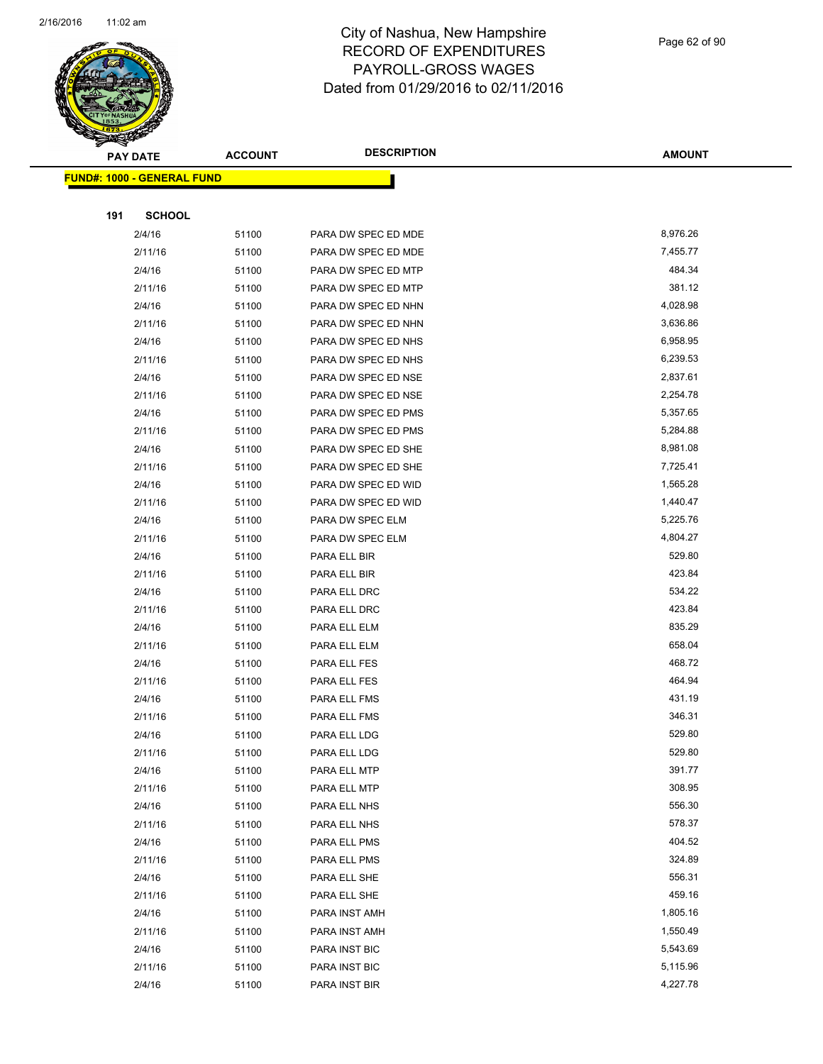

Page 62 of 90

|     | <b>PAY DATE</b>                   | <b>ACCOUNT</b> | <b>DESCRIPTION</b>           | <b>AMOUNT</b>    |
|-----|-----------------------------------|----------------|------------------------------|------------------|
|     | <b>FUND#: 1000 - GENERAL FUND</b> |                |                              |                  |
|     |                                   |                |                              |                  |
| 191 | <b>SCHOOL</b>                     |                |                              |                  |
|     | 2/4/16                            | 51100          | PARA DW SPEC ED MDE          | 8,976.26         |
|     | 2/11/16                           | 51100          | PARA DW SPEC ED MDE          | 7,455.77         |
|     | 2/4/16                            | 51100          | PARA DW SPEC ED MTP          | 484.34           |
|     | 2/11/16                           | 51100          | PARA DW SPEC ED MTP          | 381.12           |
|     | 2/4/16                            | 51100          | PARA DW SPEC ED NHN          | 4,028.98         |
|     | 2/11/16                           | 51100          | PARA DW SPEC ED NHN          | 3,636.86         |
|     | 2/4/16                            | 51100          | PARA DW SPEC ED NHS          | 6,958.95         |
|     | 2/11/16                           | 51100          | PARA DW SPEC ED NHS          | 6,239.53         |
|     | 2/4/16                            | 51100          | PARA DW SPEC ED NSE          | 2,837.61         |
|     | 2/11/16                           | 51100          | PARA DW SPEC ED NSE          | 2,254.78         |
|     | 2/4/16                            | 51100          | PARA DW SPEC ED PMS          | 5,357.65         |
|     | 2/11/16                           | 51100          | PARA DW SPEC ED PMS          | 5,284.88         |
|     | 2/4/16                            | 51100          | PARA DW SPEC ED SHE          | 8,981.08         |
|     | 2/11/16                           | 51100          | PARA DW SPEC ED SHE          | 7,725.41         |
|     | 2/4/16                            | 51100          | PARA DW SPEC ED WID          | 1,565.28         |
|     | 2/11/16                           | 51100          | PARA DW SPEC ED WID          | 1,440.47         |
|     | 2/4/16                            | 51100          | PARA DW SPEC ELM             | 5,225.76         |
|     | 2/11/16                           | 51100          | PARA DW SPEC ELM             | 4,804.27         |
|     | 2/4/16                            | 51100          | PARA ELL BIR                 | 529.80           |
|     | 2/11/16                           | 51100          | PARA ELL BIR                 | 423.84           |
|     | 2/4/16                            | 51100          | PARA ELL DRC                 | 534.22           |
|     | 2/11/16                           | 51100          | PARA ELL DRC                 | 423.84           |
|     | 2/4/16                            | 51100          | PARA ELL ELM                 | 835.29           |
|     | 2/11/16                           | 51100          | PARA ELL ELM                 | 658.04           |
|     | 2/4/16                            | 51100          | PARA ELL FES                 | 468.72           |
|     | 2/11/16                           | 51100          | PARA ELL FES                 | 464.94           |
|     | 2/4/16                            | 51100          | PARA ELL FMS                 | 431.19           |
|     | 2/11/16                           | 51100          | PARA ELL FMS<br>PARA ELL LDG | 346.31<br>529.80 |
|     | 2/4/16<br>2/11/16                 | 51100<br>51100 | PARA ELL LDG                 | 529.80           |
|     | 2/4/16                            | 51100          | PARA ELL MTP                 | 391.77           |
|     | 2/11/16                           | 51100          | PARA ELL MTP                 | 308.95           |
|     | 2/4/16                            | 51100          | PARA ELL NHS                 | 556.30           |
|     | 2/11/16                           | 51100          | PARA ELL NHS                 | 578.37           |
|     | 2/4/16                            | 51100          | PARA ELL PMS                 | 404.52           |
|     | 2/11/16                           | 51100          | PARA ELL PMS                 | 324.89           |
|     | 2/4/16                            | 51100          | PARA ELL SHE                 | 556.31           |
|     | 2/11/16                           | 51100          | PARA ELL SHE                 | 459.16           |
|     | 2/4/16                            | 51100          | PARA INST AMH                | 1,805.16         |
|     | 2/11/16                           | 51100          | PARA INST AMH                | 1,550.49         |
|     | 2/4/16                            | 51100          | PARA INST BIC                | 5,543.69         |
|     | 2/11/16                           | 51100          | PARA INST BIC                | 5,115.96         |
|     | 2/4/16                            | 51100          | PARA INST BIR                | 4,227.78         |
|     |                                   |                |                              |                  |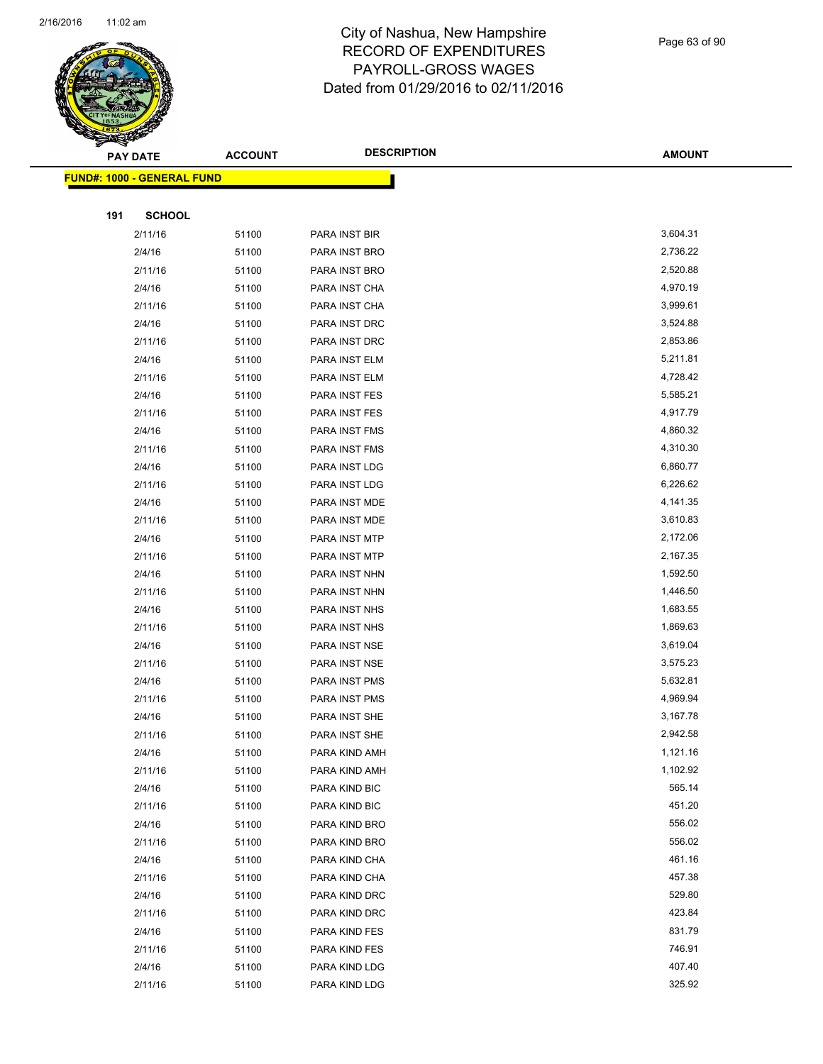

Page 63 of 90

|     | <b>PAY DATE</b>                    | <b>ACCOUNT</b> | <b>DESCRIPTION</b>             | <b>AMOUNT</b>        |
|-----|------------------------------------|----------------|--------------------------------|----------------------|
|     | <u> FUND#: 1000 - GENERAL FUND</u> |                |                                |                      |
|     |                                    |                |                                |                      |
| 191 | <b>SCHOOL</b>                      |                |                                |                      |
|     | 2/11/16                            | 51100          | PARA INST BIR                  | 3,604.31             |
|     | 2/4/16                             | 51100          | PARA INST BRO                  | 2,736.22             |
|     | 2/11/16                            | 51100          | PARA INST BRO                  | 2,520.88             |
|     | 2/4/16                             | 51100          | PARA INST CHA                  | 4,970.19             |
|     | 2/11/16                            | 51100          | PARA INST CHA                  | 3,999.61             |
|     | 2/4/16                             | 51100          | PARA INST DRC                  | 3,524.88             |
|     | 2/11/16                            | 51100          | PARA INST DRC                  | 2,853.86             |
|     | 2/4/16                             | 51100          | PARA INST ELM                  | 5,211.81             |
|     | 2/11/16                            | 51100          | PARA INST ELM                  | 4,728.42             |
|     | 2/4/16                             | 51100          | PARA INST FES                  | 5,585.21             |
|     | 2/11/16                            | 51100          | PARA INST FES                  | 4,917.79             |
|     | 2/4/16                             | 51100          | PARA INST FMS                  | 4,860.32             |
|     | 2/11/16                            | 51100          | PARA INST FMS                  | 4,310.30             |
|     | 2/4/16                             | 51100          | PARA INST LDG                  | 6,860.77             |
|     | 2/11/16                            | 51100          | PARA INST LDG                  | 6,226.62             |
|     | 2/4/16                             | 51100          | PARA INST MDE                  | 4,141.35             |
|     | 2/11/16                            | 51100          | PARA INST MDE                  | 3,610.83             |
|     | 2/4/16                             | 51100          | PARA INST MTP                  | 2,172.06             |
|     | 2/11/16                            | 51100          | PARA INST MTP                  | 2,167.35             |
|     | 2/4/16                             | 51100          | PARA INST NHN                  | 1,592.50             |
|     | 2/11/16                            | 51100          | PARA INST NHN                  | 1,446.50             |
|     | 2/4/16                             | 51100          | PARA INST NHS                  | 1,683.55             |
|     | 2/11/16                            | 51100          | PARA INST NHS                  | 1,869.63             |
|     | 2/4/16                             | 51100          | PARA INST NSE                  | 3,619.04             |
|     | 2/11/16                            | 51100          | PARA INST NSE                  | 3,575.23             |
|     | 2/4/16                             | 51100          | PARA INST PMS<br>PARA INST PMS | 5,632.81<br>4,969.94 |
|     | 2/11/16<br>2/4/16                  | 51100<br>51100 | PARA INST SHE                  | 3,167.78             |
|     | 2/11/16                            | 51100          | PARA INST SHE                  | 2,942.58             |
|     | 2/4/16                             | 51100          | PARA KIND AMH                  | 1,121.16             |
|     | 2/11/16                            | 51100          | PARA KIND AMH                  | 1,102.92             |
|     | 2/4/16                             | 51100          | PARA KIND BIC                  | 565.14               |
|     | 2/11/16                            | 51100          | PARA KIND BIC                  | 451.20               |
|     | 2/4/16                             | 51100          | PARA KIND BRO                  | 556.02               |
|     | 2/11/16                            | 51100          | PARA KIND BRO                  | 556.02               |
|     | 2/4/16                             | 51100          | PARA KIND CHA                  | 461.16               |
|     | 2/11/16                            | 51100          | PARA KIND CHA                  | 457.38               |
|     | 2/4/16                             | 51100          | PARA KIND DRC                  | 529.80               |
|     | 2/11/16                            | 51100          | PARA KIND DRC                  | 423.84               |
|     | 2/4/16                             | 51100          | PARA KIND FES                  | 831.79               |
|     | 2/11/16                            | 51100          | PARA KIND FES                  | 746.91               |
|     | 2/4/16                             | 51100          | PARA KIND LDG                  | 407.40               |
|     | 2/11/16                            | 51100          | PARA KIND LDG                  | 325.92               |
|     |                                    |                |                                |                      |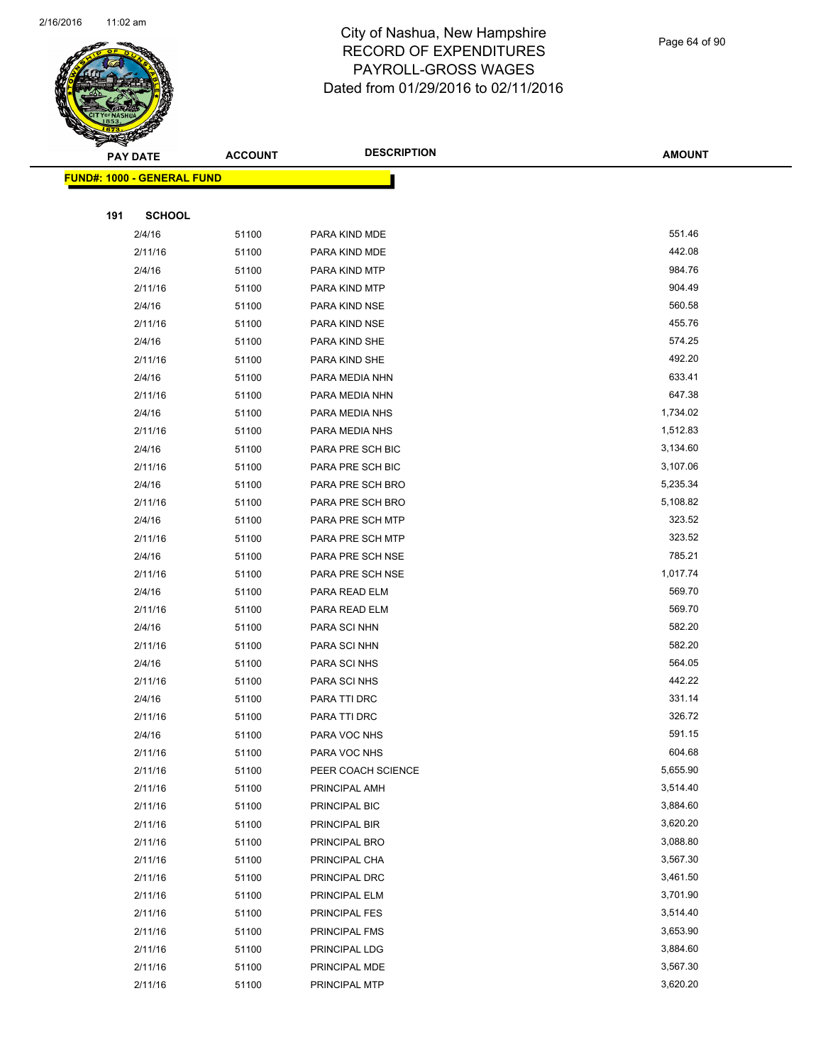

Page 64 of 90

|     | <b>PAY DATE</b>                   | <b>ACCOUNT</b> | <b>DESCRIPTION</b>             | <b>AMOUNT</b>        |
|-----|-----------------------------------|----------------|--------------------------------|----------------------|
|     | <b>FUND#: 1000 - GENERAL FUND</b> |                |                                |                      |
|     |                                   |                |                                |                      |
| 191 | <b>SCHOOL</b>                     |                |                                |                      |
|     | 2/4/16                            | 51100          | PARA KIND MDE                  | 551.46               |
|     | 2/11/16                           | 51100          | PARA KIND MDE                  | 442.08               |
|     | 2/4/16                            | 51100          | PARA KIND MTP                  | 984.76               |
|     | 2/11/16                           | 51100          | PARA KIND MTP                  | 904.49               |
|     | 2/4/16                            | 51100          | PARA KIND NSE                  | 560.58               |
|     | 2/11/16                           | 51100          | PARA KIND NSE                  | 455.76               |
|     | 2/4/16                            | 51100          | PARA KIND SHE                  | 574.25               |
|     | 2/11/16                           | 51100          | PARA KIND SHE                  | 492.20               |
|     | 2/4/16                            | 51100          | PARA MEDIA NHN                 | 633.41               |
|     | 2/11/16                           | 51100          | PARA MEDIA NHN                 | 647.38               |
|     | 2/4/16                            | 51100          | PARA MEDIA NHS                 | 1,734.02             |
|     | 2/11/16                           | 51100          | PARA MEDIA NHS                 | 1,512.83             |
|     | 2/4/16                            | 51100          | PARA PRE SCH BIC               | 3,134.60             |
|     | 2/11/16                           | 51100          | PARA PRE SCH BIC               | 3,107.06             |
|     | 2/4/16                            | 51100          | PARA PRE SCH BRO               | 5,235.34             |
|     | 2/11/16                           | 51100          | PARA PRE SCH BRO               | 5,108.82             |
|     | 2/4/16                            | 51100          | PARA PRE SCH MTP               | 323.52               |
|     | 2/11/16                           | 51100          | PARA PRE SCH MTP               | 323.52               |
|     | 2/4/16                            | 51100          | PARA PRE SCH NSE               | 785.21               |
|     | 2/11/16                           | 51100          | PARA PRE SCH NSE               | 1,017.74             |
|     | 2/4/16                            | 51100          | PARA READ ELM                  | 569.70               |
|     | 2/11/16                           | 51100          | PARA READ ELM                  | 569.70               |
|     | 2/4/16                            | 51100          | PARA SCI NHN                   | 582.20               |
|     | 2/11/16                           | 51100          | PARA SCI NHN                   | 582.20               |
|     | 2/4/16                            | 51100          | PARA SCI NHS                   | 564.05               |
|     | 2/11/16                           | 51100          | PARA SCI NHS                   | 442.22               |
|     | 2/4/16                            | 51100          | PARA TTI DRC                   | 331.14               |
|     | 2/11/16                           | 51100          | PARA TTI DRC                   | 326.72               |
|     | 2/4/16                            | 51100          | PARA VOC NHS                   | 591.15               |
|     | 2/11/16                           | 51100          | PARA VOC NHS                   | 604.68               |
|     | 2/11/16                           | 51100          | PEER COACH SCIENCE             | 5,655.90             |
|     | 2/11/16                           | 51100          | PRINCIPAL AMH                  | 3,514.40<br>3,884.60 |
|     | 2/11/16                           | 51100          | PRINCIPAL BIC                  |                      |
|     | 2/11/16                           | 51100          | PRINCIPAL BIR                  | 3,620.20<br>3,088.80 |
|     | 2/11/16                           | 51100          | PRINCIPAL BRO                  | 3,567.30             |
|     | 2/11/16                           | 51100          | PRINCIPAL CHA<br>PRINCIPAL DRC | 3,461.50             |
|     | 2/11/16<br>2/11/16                | 51100<br>51100 | PRINCIPAL ELM                  | 3,701.90             |
|     |                                   |                |                                | 3,514.40             |
|     | 2/11/16<br>2/11/16                | 51100<br>51100 | PRINCIPAL FES<br>PRINCIPAL FMS | 3,653.90             |
|     | 2/11/16                           | 51100          | PRINCIPAL LDG                  | 3,884.60             |
|     | 2/11/16                           | 51100          | PRINCIPAL MDE                  | 3,567.30             |
|     | 2/11/16                           | 51100          | PRINCIPAL MTP                  | 3,620.20             |
|     |                                   |                |                                |                      |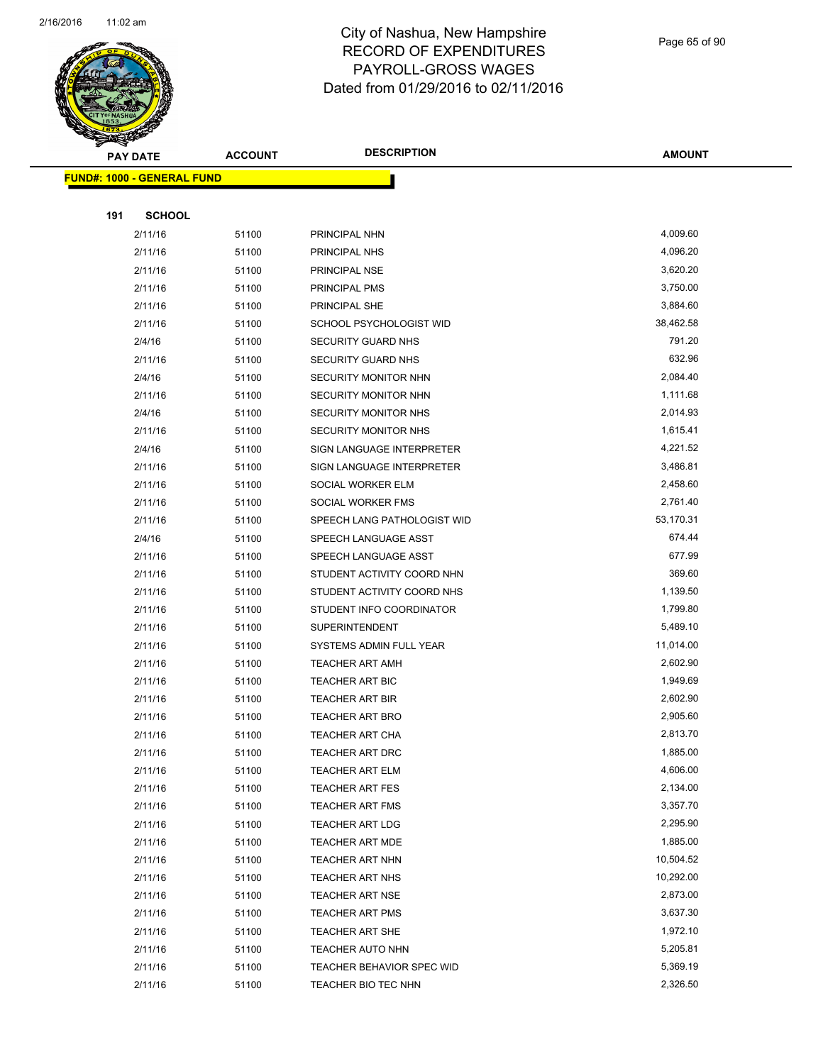

Page 65 of 90

| <b>PAY DATE</b>                   | <b>ACCOUNT</b> | <b>DESCRIPTION</b>                                   | <b>AMOUNT</b>         |
|-----------------------------------|----------------|------------------------------------------------------|-----------------------|
| <b>FUND#: 1000 - GENERAL FUND</b> |                |                                                      |                       |
|                                   |                |                                                      |                       |
| 191<br><b>SCHOOL</b>              |                |                                                      |                       |
| 2/11/16                           | 51100          | PRINCIPAL NHN                                        | 4,009.60              |
| 2/11/16                           | 51100          | PRINCIPAL NHS                                        | 4,096.20              |
| 2/11/16                           | 51100          | PRINCIPAL NSE                                        | 3,620.20              |
| 2/11/16                           | 51100          | PRINCIPAL PMS                                        | 3,750.00              |
| 2/11/16                           | 51100          | PRINCIPAL SHE                                        | 3,884.60              |
| 2/11/16                           | 51100          | SCHOOL PSYCHOLOGIST WID                              | 38,462.58             |
| 2/4/16                            | 51100          | SECURITY GUARD NHS                                   | 791.20                |
| 2/11/16                           | 51100          | SECURITY GUARD NHS                                   | 632.96                |
| 2/4/16                            | 51100          | SECURITY MONITOR NHN                                 | 2,084.40              |
| 2/11/16                           | 51100          | SECURITY MONITOR NHN                                 | 1,111.68              |
| 2/4/16                            | 51100          | SECURITY MONITOR NHS                                 | 2,014.93              |
| 2/11/16                           | 51100          | <b>SECURITY MONITOR NHS</b>                          | 1,615.41              |
| 2/4/16                            | 51100          | SIGN LANGUAGE INTERPRETER                            | 4,221.52              |
| 2/11/16                           | 51100          | SIGN LANGUAGE INTERPRETER                            | 3,486.81              |
| 2/11/16                           | 51100          | SOCIAL WORKER ELM                                    | 2,458.60              |
| 2/11/16                           | 51100          | SOCIAL WORKER FMS                                    | 2,761.40              |
| 2/11/16                           | 51100          | SPEECH LANG PATHOLOGIST WID                          | 53,170.31             |
| 2/4/16                            | 51100          | SPEECH LANGUAGE ASST                                 | 674.44                |
| 2/11/16                           | 51100          | SPEECH LANGUAGE ASST                                 | 677.99                |
| 2/11/16                           | 51100          | STUDENT ACTIVITY COORD NHN                           | 369.60                |
| 2/11/16                           | 51100          | STUDENT ACTIVITY COORD NHS                           | 1,139.50              |
| 2/11/16                           | 51100          | STUDENT INFO COORDINATOR                             | 1,799.80              |
| 2/11/16                           | 51100          | <b>SUPERINTENDENT</b>                                | 5,489.10              |
| 2/11/16                           | 51100          | SYSTEMS ADMIN FULL YEAR                              | 11,014.00             |
| 2/11/16                           | 51100          | <b>TEACHER ART AMH</b>                               | 2,602.90              |
| 2/11/16                           | 51100          | <b>TEACHER ART BIC</b>                               | 1,949.69              |
| 2/11/16                           | 51100          | <b>TEACHER ART BIR</b>                               | 2,602.90              |
| 2/11/16                           | 51100          | <b>TEACHER ART BRO</b>                               | 2,905.60              |
| 2/11/16                           | 51100          | <b>TEACHER ART CHA</b>                               | 2,813.70              |
| 2/11/16                           | 51100          | <b>TEACHER ART DRC</b>                               | 1,885.00              |
| 2/11/16                           | 51100          | <b>TEACHER ART ELM</b>                               | 4,606.00              |
| 2/11/16                           | 51100          | TEACHER ART FES                                      | 2,134.00              |
| 2/11/16                           | 51100          | <b>TEACHER ART FMS</b>                               | 3,357.70              |
| 2/11/16                           | 51100          | <b>TEACHER ART LDG</b>                               | 2,295.90              |
| 2/11/16                           | 51100          | <b>TEACHER ART MDE</b>                               | 1,885.00              |
| 2/11/16                           | 51100          | TEACHER ART NHN                                      | 10,504.52             |
| 2/11/16                           | 51100          | <b>TEACHER ART NHS</b>                               | 10,292.00<br>2,873.00 |
| 2/11/16                           | 51100          | <b>TEACHER ART NSE</b>                               |                       |
| 2/11/16                           | 51100          | <b>TEACHER ART PMS</b>                               | 3,637.30              |
| 2/11/16                           | 51100          | <b>TEACHER ART SHE</b>                               | 1,972.10              |
| 2/11/16<br>2/11/16                | 51100<br>51100 | <b>TEACHER AUTO NHN</b><br>TEACHER BEHAVIOR SPEC WID | 5,205.81<br>5,369.19  |
| 2/11/16                           | 51100          | TEACHER BIO TEC NHN                                  | 2,326.50              |
|                                   |                |                                                      |                       |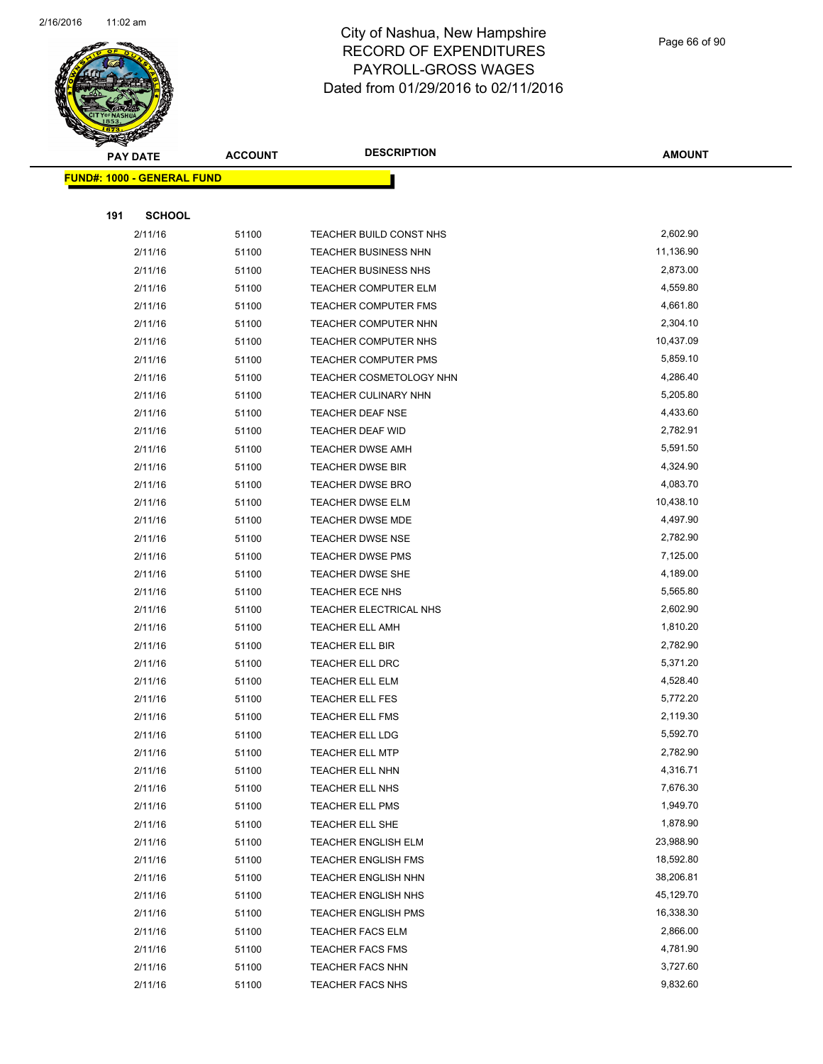

Page 66 of 90

| <b>PAY DATE</b>                   | <b>ACCOUNT</b> | <b>DESCRIPTION</b>                          | <b>AMOUNT</b>        |
|-----------------------------------|----------------|---------------------------------------------|----------------------|
| <b>FUND#: 1000 - GENERAL FUND</b> |                |                                             |                      |
|                                   |                |                                             |                      |
| 191<br><b>SCHOOL</b>              |                |                                             |                      |
| 2/11/16                           | 51100          | TEACHER BUILD CONST NHS                     | 2,602.90             |
| 2/11/16                           | 51100          | <b>TEACHER BUSINESS NHN</b>                 | 11,136.90            |
| 2/11/16                           | 51100          | TEACHER BUSINESS NHS                        | 2,873.00             |
| 2/11/16                           | 51100          | <b>TEACHER COMPUTER ELM</b>                 | 4,559.80             |
| 2/11/16                           | 51100          | TEACHER COMPUTER FMS                        | 4,661.80             |
| 2/11/16                           | 51100          | TEACHER COMPUTER NHN                        | 2,304.10             |
| 2/11/16                           | 51100          | TEACHER COMPUTER NHS                        | 10,437.09            |
| 2/11/16                           | 51100          | <b>TEACHER COMPUTER PMS</b>                 | 5,859.10             |
| 2/11/16                           | 51100          | TEACHER COSMETOLOGY NHN                     | 4,286.40             |
| 2/11/16                           | 51100          | TEACHER CULINARY NHN                        | 5,205.80             |
| 2/11/16                           | 51100          | TEACHER DEAF NSE                            | 4,433.60             |
| 2/11/16                           | 51100          | TEACHER DEAF WID                            | 2,782.91             |
| 2/11/16                           | 51100          | <b>TEACHER DWSE AMH</b>                     | 5,591.50             |
| 2/11/16                           | 51100          | TEACHER DWSE BIR                            | 4,324.90             |
| 2/11/16                           | 51100          | <b>TEACHER DWSE BRO</b>                     | 4,083.70             |
| 2/11/16                           | 51100          | <b>TEACHER DWSE ELM</b>                     | 10,438.10            |
| 2/11/16                           | 51100          | <b>TEACHER DWSE MDE</b>                     | 4,497.90             |
| 2/11/16                           | 51100          | TEACHER DWSE NSE                            | 2,782.90             |
| 2/11/16                           | 51100          | TEACHER DWSE PMS                            | 7,125.00             |
| 2/11/16                           | 51100          | TEACHER DWSE SHE                            | 4,189.00             |
| 2/11/16                           | 51100          | TEACHER ECE NHS                             | 5,565.80             |
| 2/11/16                           | 51100          | TEACHER ELECTRICAL NHS                      | 2,602.90             |
| 2/11/16                           | 51100          | <b>TEACHER ELL AMH</b>                      | 1,810.20             |
| 2/11/16                           | 51100          | TEACHER ELL BIR                             | 2,782.90             |
| 2/11/16                           | 51100          | TEACHER ELL DRC                             | 5,371.20             |
| 2/11/16                           | 51100          | <b>TEACHER ELL ELM</b>                      | 4,528.40             |
| 2/11/16                           | 51100          | TEACHER ELL FES                             | 5,772.20             |
| 2/11/16                           | 51100          | <b>TEACHER ELL FMS</b>                      | 2,119.30             |
| 2/11/16                           | 51100          | TEACHER ELL LDG                             | 5,592.70             |
| 2/11/16                           | 51100          | TEACHER ELL MTP                             | 2,782.90             |
| 2/11/16                           | 51100          | TEACHER ELL NHN                             | 4,316.71             |
| 2/11/16                           | 51100          | TEACHER ELL NHS                             | 7,676.30             |
| 2/11/16                           | 51100          | <b>TEACHER ELL PMS</b>                      | 1,949.70             |
| 2/11/16                           | 51100          | TEACHER ELL SHE                             | 1,878.90             |
| 2/11/16                           | 51100          | TEACHER ENGLISH ELM                         | 23,988.90            |
| 2/11/16                           | 51100          | <b>TEACHER ENGLISH FMS</b>                  | 18,592.80            |
| 2/11/16                           | 51100          | <b>TEACHER ENGLISH NHN</b>                  | 38,206.81            |
| 2/11/16                           | 51100          | TEACHER ENGLISH NHS                         | 45,129.70            |
| 2/11/16                           | 51100          | <b>TEACHER ENGLISH PMS</b>                  | 16,338.30            |
| 2/11/16                           | 51100          | <b>TEACHER FACS ELM</b>                     | 2,866.00             |
| 2/11/16                           | 51100          | <b>TEACHER FACS FMS</b>                     | 4,781.90<br>3,727.60 |
| 2/11/16                           | 51100          | <b>TEACHER FACS NHN</b><br>TEACHER FACS NHS | 9,832.60             |
| 2/11/16                           | 51100          |                                             |                      |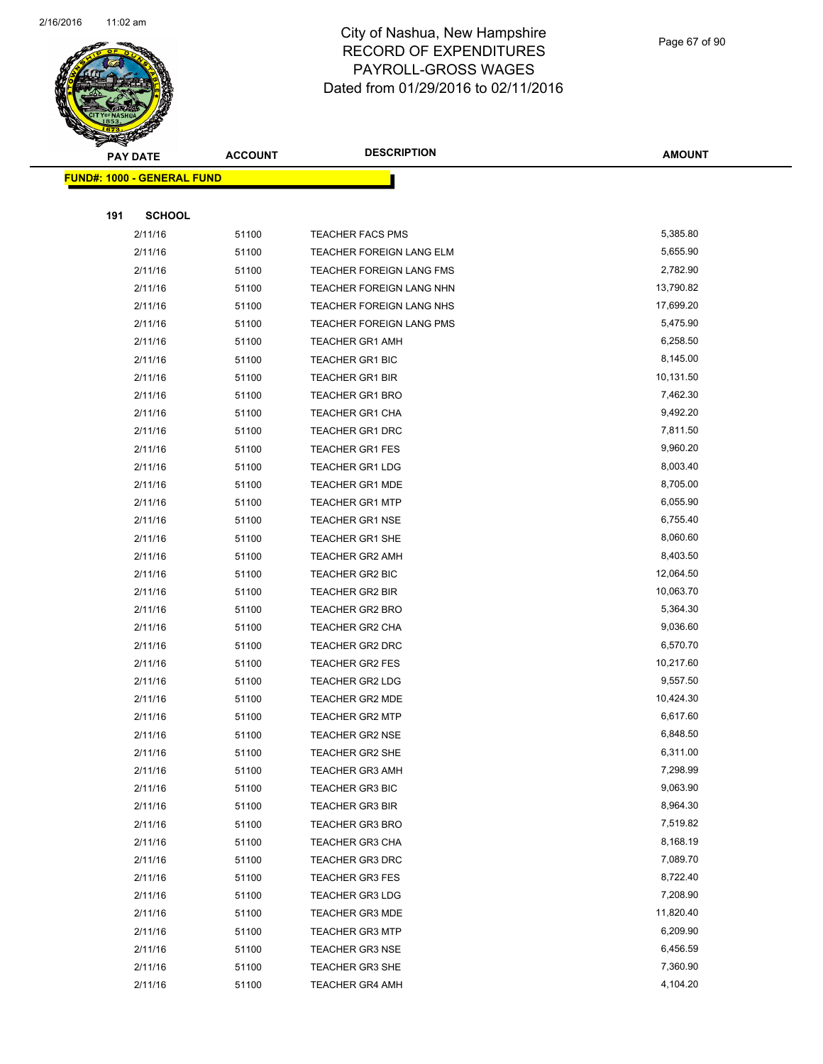

Page 67 of 90

| $\tilde{\phantom{a}}$ | <b>PAY DATE</b>                   | <b>ACCOUNT</b> | <b>DESCRIPTION</b>                               | <b>AMOUNT</b>        |
|-----------------------|-----------------------------------|----------------|--------------------------------------------------|----------------------|
|                       | <b>FUND#: 1000 - GENERAL FUND</b> |                |                                                  |                      |
|                       |                                   |                |                                                  |                      |
| 191                   | <b>SCHOOL</b>                     |                |                                                  |                      |
|                       | 2/11/16                           | 51100          | <b>TEACHER FACS PMS</b>                          | 5,385.80             |
|                       | 2/11/16                           | 51100          | TEACHER FOREIGN LANG ELM                         | 5,655.90             |
|                       | 2/11/16                           | 51100          | TEACHER FOREIGN LANG FMS                         | 2,782.90             |
|                       | 2/11/16                           | 51100          | TEACHER FOREIGN LANG NHN                         | 13,790.82            |
|                       | 2/11/16                           | 51100          | TEACHER FOREIGN LANG NHS                         | 17,699.20            |
|                       | 2/11/16                           | 51100          | TEACHER FOREIGN LANG PMS                         | 5,475.90             |
|                       | 2/11/16                           | 51100          | TEACHER GR1 AMH                                  | 6,258.50             |
|                       | 2/11/16                           | 51100          | <b>TEACHER GR1 BIC</b>                           | 8,145.00             |
|                       | 2/11/16                           | 51100          | <b>TEACHER GR1 BIR</b>                           | 10,131.50            |
|                       | 2/11/16                           | 51100          | <b>TEACHER GR1 BRO</b>                           | 7,462.30             |
|                       | 2/11/16                           | 51100          | TEACHER GR1 CHA                                  | 9,492.20             |
|                       | 2/11/16                           | 51100          | TEACHER GR1 DRC                                  | 7,811.50             |
|                       | 2/11/16                           | 51100          | <b>TEACHER GR1 FES</b>                           | 9,960.20<br>8,003.40 |
|                       | 2/11/16<br>2/11/16                | 51100<br>51100 | <b>TEACHER GR1 LDG</b><br><b>TEACHER GR1 MDE</b> | 8,705.00             |
|                       | 2/11/16                           | 51100          | <b>TEACHER GR1 MTP</b>                           | 6,055.90             |
|                       | 2/11/16                           | 51100          | <b>TEACHER GR1 NSE</b>                           | 6,755.40             |
|                       | 2/11/16                           | 51100          | <b>TEACHER GR1 SHE</b>                           | 8,060.60             |
|                       | 2/11/16                           | 51100          | <b>TEACHER GR2 AMH</b>                           | 8,403.50             |
|                       | 2/11/16                           | 51100          | TEACHER GR2 BIC                                  | 12,064.50            |
|                       | 2/11/16                           | 51100          | TEACHER GR2 BIR                                  | 10,063.70            |
|                       | 2/11/16                           | 51100          | <b>TEACHER GR2 BRO</b>                           | 5,364.30             |
|                       | 2/11/16                           | 51100          | <b>TEACHER GR2 CHA</b>                           | 9,036.60             |
|                       | 2/11/16                           | 51100          | TEACHER GR2 DRC                                  | 6,570.70             |
|                       | 2/11/16                           | 51100          | TEACHER GR2 FES                                  | 10,217.60            |
|                       | 2/11/16                           | 51100          | <b>TEACHER GR2 LDG</b>                           | 9,557.50             |
|                       | 2/11/16                           | 51100          | <b>TEACHER GR2 MDE</b>                           | 10,424.30            |
|                       | 2/11/16                           | 51100          | <b>TEACHER GR2 MTP</b>                           | 6,617.60             |
|                       | 2/11/16                           | 51100          | <b>TEACHER GR2 NSE</b>                           | 6,848.50             |
|                       | 2/11/16                           | 51100          | TEACHER GR2 SHE                                  | 6,311.00             |
|                       | 2/11/16                           | 51100          | <b>TEACHER GR3 AMH</b>                           | 7,298.99             |
|                       | 2/11/16                           | 51100          | <b>TEACHER GR3 BIC</b>                           | 9,063.90             |
|                       | 2/11/16                           | 51100          | TEACHER GR3 BIR                                  | 8,964.30             |
|                       | 2/11/16                           | 51100          | <b>TEACHER GR3 BRO</b>                           | 7,519.82<br>8,168.19 |
|                       | 2/11/16<br>2/11/16                | 51100<br>51100 | <b>TEACHER GR3 CHA</b><br><b>TEACHER GR3 DRC</b> | 7,089.70             |
|                       | 2/11/16                           | 51100          | <b>TEACHER GR3 FES</b>                           | 8,722.40             |
|                       | 2/11/16                           | 51100          | <b>TEACHER GR3 LDG</b>                           | 7,208.90             |
|                       | 2/11/16                           | 51100          | <b>TEACHER GR3 MDE</b>                           | 11,820.40            |
|                       | 2/11/16                           | 51100          | <b>TEACHER GR3 MTP</b>                           | 6,209.90             |
|                       | 2/11/16                           | 51100          | <b>TEACHER GR3 NSE</b>                           | 6,456.59             |
|                       | 2/11/16                           | 51100          | TEACHER GR3 SHE                                  | 7,360.90             |
|                       | 2/11/16                           | 51100          | <b>TEACHER GR4 AMH</b>                           | 4,104.20             |
|                       |                                   |                |                                                  |                      |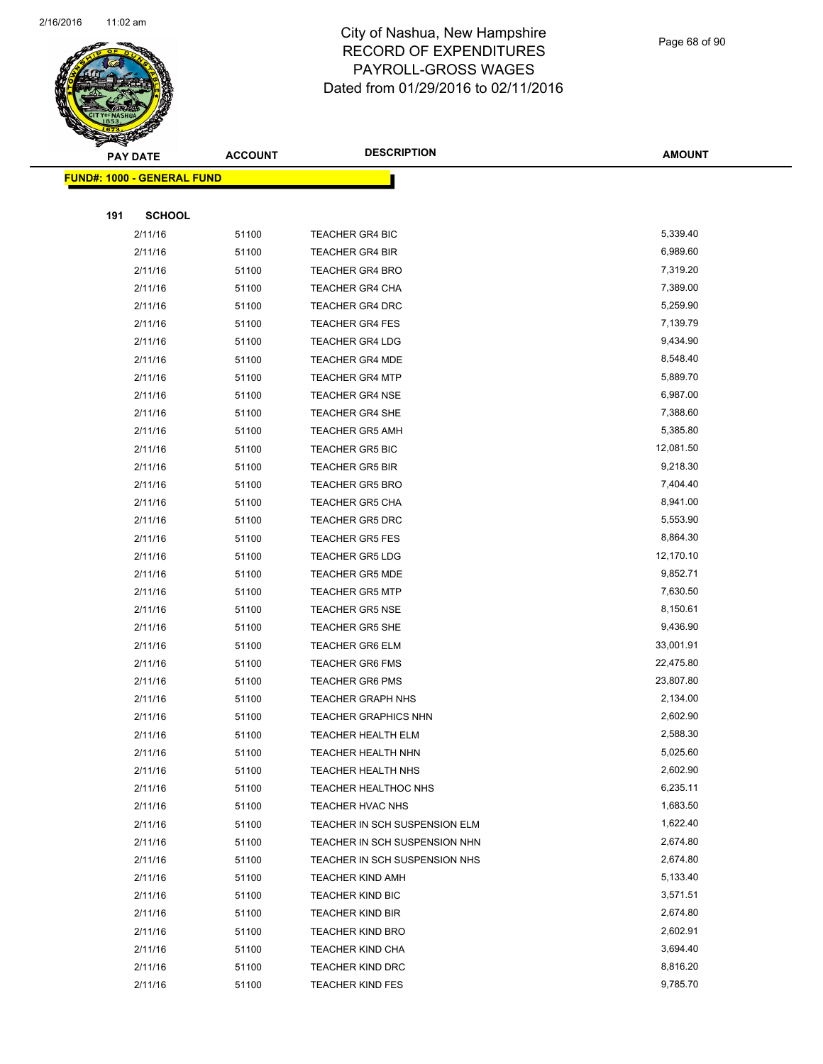

Page 68 of 90

|     | <b>PAY DATE</b>                    | <b>ACCOUNT</b> | <b>DESCRIPTION</b>                                | <b>AMOUNT</b>        |
|-----|------------------------------------|----------------|---------------------------------------------------|----------------------|
|     | <u> FUND#: 1000 - GENERAL FUND</u> |                |                                                   |                      |
|     |                                    |                |                                                   |                      |
| 191 | <b>SCHOOL</b>                      |                |                                                   |                      |
|     | 2/11/16                            | 51100          | <b>TEACHER GR4 BIC</b>                            | 5,339.40             |
|     | 2/11/16                            | 51100          | <b>TEACHER GR4 BIR</b>                            | 6,989.60             |
|     | 2/11/16                            | 51100          | <b>TEACHER GR4 BRO</b>                            | 7,319.20             |
|     | 2/11/16                            | 51100          | <b>TEACHER GR4 CHA</b>                            | 7,389.00             |
|     | 2/11/16                            | 51100          | <b>TEACHER GR4 DRC</b>                            | 5,259.90             |
|     | 2/11/16                            | 51100          | <b>TEACHER GR4 FES</b>                            | 7,139.79             |
|     | 2/11/16                            | 51100          | <b>TEACHER GR4 LDG</b>                            | 9,434.90             |
|     | 2/11/16                            | 51100          | <b>TEACHER GR4 MDE</b>                            | 8,548.40             |
|     | 2/11/16                            | 51100          | <b>TEACHER GR4 MTP</b>                            | 5,889.70             |
|     | 2/11/16                            | 51100          | <b>TEACHER GR4 NSE</b>                            | 6,987.00             |
|     | 2/11/16                            | 51100          | <b>TEACHER GR4 SHE</b>                            | 7,388.60             |
|     | 2/11/16                            | 51100          | <b>TEACHER GR5 AMH</b>                            | 5,385.80             |
|     | 2/11/16                            | 51100          | <b>TEACHER GR5 BIC</b>                            | 12,081.50            |
|     | 2/11/16                            | 51100          | <b>TEACHER GR5 BIR</b>                            | 9,218.30             |
|     | 2/11/16                            | 51100          | <b>TEACHER GR5 BRO</b>                            | 7,404.40             |
|     | 2/11/16                            | 51100          | <b>TEACHER GR5 CHA</b>                            | 8,941.00             |
|     | 2/11/16                            | 51100          | <b>TEACHER GR5 DRC</b>                            | 5,553.90             |
|     | 2/11/16                            | 51100          | <b>TEACHER GR5 FES</b>                            | 8,864.30             |
|     | 2/11/16                            | 51100          | <b>TEACHER GR5 LDG</b>                            | 12,170.10            |
|     | 2/11/16                            | 51100          | <b>TEACHER GR5 MDE</b>                            | 9,852.71             |
|     | 2/11/16                            | 51100          | <b>TEACHER GR5 MTP</b>                            | 7,630.50             |
|     | 2/11/16                            | 51100          | <b>TEACHER GR5 NSE</b>                            | 8,150.61             |
|     | 2/11/16                            | 51100          | <b>TEACHER GR5 SHE</b>                            | 9,436.90             |
|     | 2/11/16                            | 51100          | <b>TEACHER GR6 ELM</b>                            | 33,001.91            |
|     | 2/11/16                            | 51100          | <b>TEACHER GR6 FMS</b>                            | 22,475.80            |
|     | 2/11/16                            | 51100          | <b>TEACHER GR6 PMS</b>                            | 23,807.80            |
|     | 2/11/16                            | 51100          | <b>TEACHER GRAPH NHS</b>                          | 2,134.00<br>2,602.90 |
|     | 2/11/16<br>2/11/16                 | 51100<br>51100 | <b>TEACHER GRAPHICS NHN</b><br>TEACHER HEALTH ELM | 2,588.30             |
|     | 2/11/16                            | 51100          | TEACHER HEALTH NHN                                | 5,025.60             |
|     | 2/11/16                            | 51100          | <b>TEACHER HEALTH NHS</b>                         | 2,602.90             |
|     | 2/11/16                            | 51100          | TEACHER HEALTHOC NHS                              | 6,235.11             |
|     | 2/11/16                            | 51100          | TEACHER HVAC NHS                                  | 1,683.50             |
|     | 2/11/16                            | 51100          | TEACHER IN SCH SUSPENSION ELM                     | 1,622.40             |
|     | 2/11/16                            | 51100          | TEACHER IN SCH SUSPENSION NHN                     | 2,674.80             |
|     | 2/11/16                            | 51100          | TEACHER IN SCH SUSPENSION NHS                     | 2,674.80             |
|     | 2/11/16                            | 51100          | <b>TEACHER KIND AMH</b>                           | 5,133.40             |
|     | 2/11/16                            | 51100          | <b>TEACHER KIND BIC</b>                           | 3,571.51             |
|     | 2/11/16                            | 51100          | <b>TEACHER KIND BIR</b>                           | 2,674.80             |
|     | 2/11/16                            | 51100          | <b>TEACHER KIND BRO</b>                           | 2,602.91             |
|     | 2/11/16                            | 51100          | <b>TEACHER KIND CHA</b>                           | 3,694.40             |
|     | 2/11/16                            | 51100          | <b>TEACHER KIND DRC</b>                           | 8,816.20             |
|     | 2/11/16                            | 51100          | <b>TEACHER KIND FES</b>                           | 9,785.70             |
|     |                                    |                |                                                   |                      |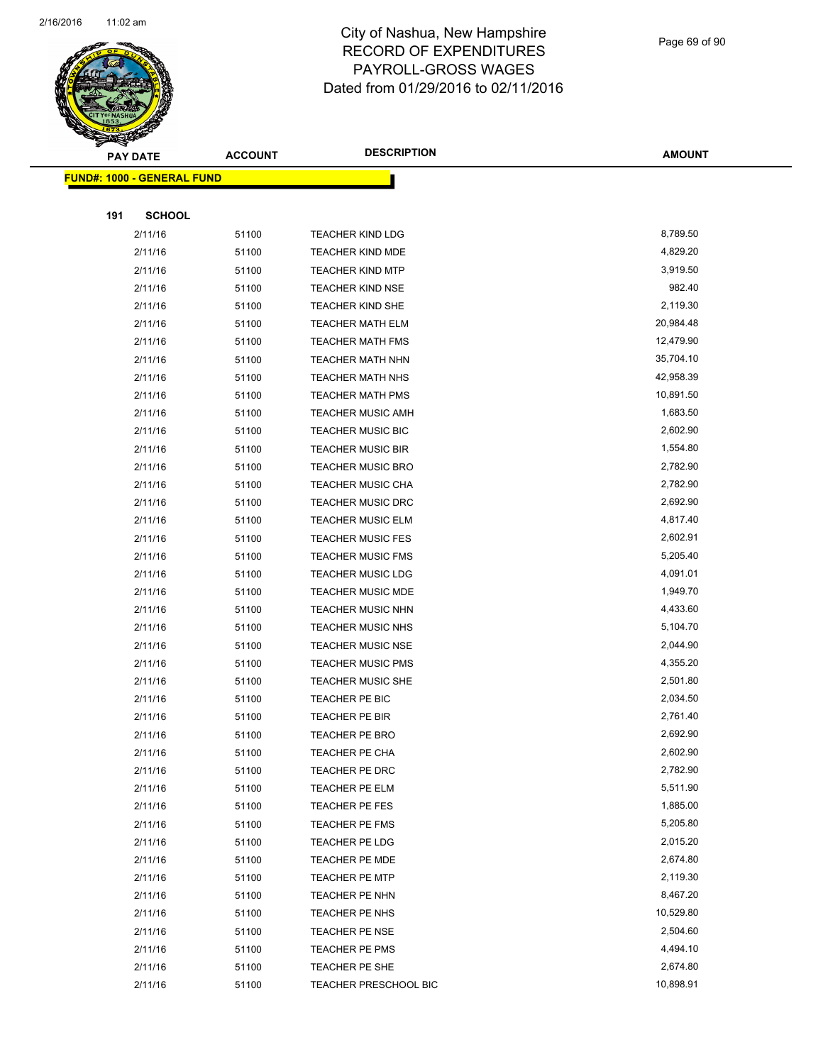

Page 69 of 90

|     | <b>PAY DATE</b>                   | <b>ACCOUNT</b> | <b>DESCRIPTION</b>                      | <b>AMOUNT</b>        |
|-----|-----------------------------------|----------------|-----------------------------------------|----------------------|
|     | <b>FUND#: 1000 - GENERAL FUND</b> |                |                                         |                      |
|     |                                   |                |                                         |                      |
| 191 | <b>SCHOOL</b>                     |                |                                         |                      |
|     | 2/11/16                           | 51100          | <b>TEACHER KIND LDG</b>                 | 8,789.50             |
|     | 2/11/16                           | 51100          | <b>TEACHER KIND MDE</b>                 | 4,829.20             |
|     | 2/11/16                           | 51100          | <b>TEACHER KIND MTP</b>                 | 3,919.50             |
|     | 2/11/16                           | 51100          | <b>TEACHER KIND NSE</b>                 | 982.40               |
|     | 2/11/16                           | 51100          | <b>TEACHER KIND SHE</b>                 | 2,119.30             |
|     | 2/11/16                           | 51100          | <b>TEACHER MATH ELM</b>                 | 20,984.48            |
|     | 2/11/16                           | 51100          | <b>TEACHER MATH FMS</b>                 | 12,479.90            |
|     | 2/11/16                           | 51100          | <b>TEACHER MATH NHN</b>                 | 35,704.10            |
|     | 2/11/16                           | 51100          | TEACHER MATH NHS                        | 42,958.39            |
|     | 2/11/16                           | 51100          | <b>TEACHER MATH PMS</b>                 | 10,891.50            |
|     | 2/11/16                           | 51100          | <b>TEACHER MUSIC AMH</b>                | 1,683.50             |
|     | 2/11/16                           | 51100          | <b>TEACHER MUSIC BIC</b>                | 2,602.90             |
|     | 2/11/16                           | 51100          | <b>TEACHER MUSIC BIR</b>                | 1,554.80             |
|     | 2/11/16                           | 51100          | <b>TEACHER MUSIC BRO</b>                | 2,782.90             |
|     | 2/11/16                           | 51100          | TEACHER MUSIC CHA                       | 2,782.90             |
|     | 2/11/16                           | 51100          | TEACHER MUSIC DRC                       | 2,692.90             |
|     | 2/11/16                           | 51100          | <b>TEACHER MUSIC ELM</b>                | 4,817.40             |
|     | 2/11/16                           | 51100          | <b>TEACHER MUSIC FES</b>                | 2,602.91             |
|     | 2/11/16                           | 51100          | <b>TEACHER MUSIC FMS</b>                | 5,205.40             |
|     | 2/11/16                           | 51100          | <b>TEACHER MUSIC LDG</b>                | 4,091.01             |
|     | 2/11/16                           | 51100          | <b>TEACHER MUSIC MDE</b>                | 1,949.70             |
|     | 2/11/16                           | 51100          | TEACHER MUSIC NHN                       | 4,433.60             |
|     | 2/11/16                           | 51100          | <b>TEACHER MUSIC NHS</b>                | 5,104.70             |
|     | 2/11/16                           | 51100          | <b>TEACHER MUSIC NSE</b>                | 2,044.90             |
|     | 2/11/16                           | 51100          | <b>TEACHER MUSIC PMS</b>                | 4,355.20             |
|     | 2/11/16                           | 51100          | <b>TEACHER MUSIC SHE</b>                | 2,501.80             |
|     | 2/11/16                           | 51100          | TEACHER PE BIC                          | 2,034.50             |
|     | 2/11/16                           | 51100          | TEACHER PE BIR                          | 2,761.40<br>2,692.90 |
|     | 2/11/16<br>2/11/16                | 51100<br>51100 | <b>TEACHER PE BRO</b><br>TEACHER PE CHA | 2,602.90             |
|     | 2/11/16                           | 51100          | TEACHER PE DRC                          | 2,782.90             |
|     | 2/11/16                           | 51100          | TEACHER PE ELM                          | 5,511.90             |
|     | 2/11/16                           | 51100          | TEACHER PE FES                          | 1,885.00             |
|     | 2/11/16                           | 51100          | TEACHER PE FMS                          | 5,205.80             |
|     | 2/11/16                           | 51100          | TEACHER PE LDG                          | 2,015.20             |
|     | 2/11/16                           | 51100          | TEACHER PE MDE                          | 2,674.80             |
|     | 2/11/16                           | 51100          | <b>TEACHER PE MTP</b>                   | 2,119.30             |
|     | 2/11/16                           | 51100          | TEACHER PE NHN                          | 8,467.20             |
|     | 2/11/16                           | 51100          | TEACHER PE NHS                          | 10,529.80            |
|     | 2/11/16                           | 51100          | TEACHER PE NSE                          | 2,504.60             |
|     | 2/11/16                           | 51100          | TEACHER PE PMS                          | 4,494.10             |
|     | 2/11/16                           | 51100          | TEACHER PE SHE                          | 2,674.80             |
|     | 2/11/16                           | 51100          | TEACHER PRESCHOOL BIC                   | 10,898.91            |
|     |                                   |                |                                         |                      |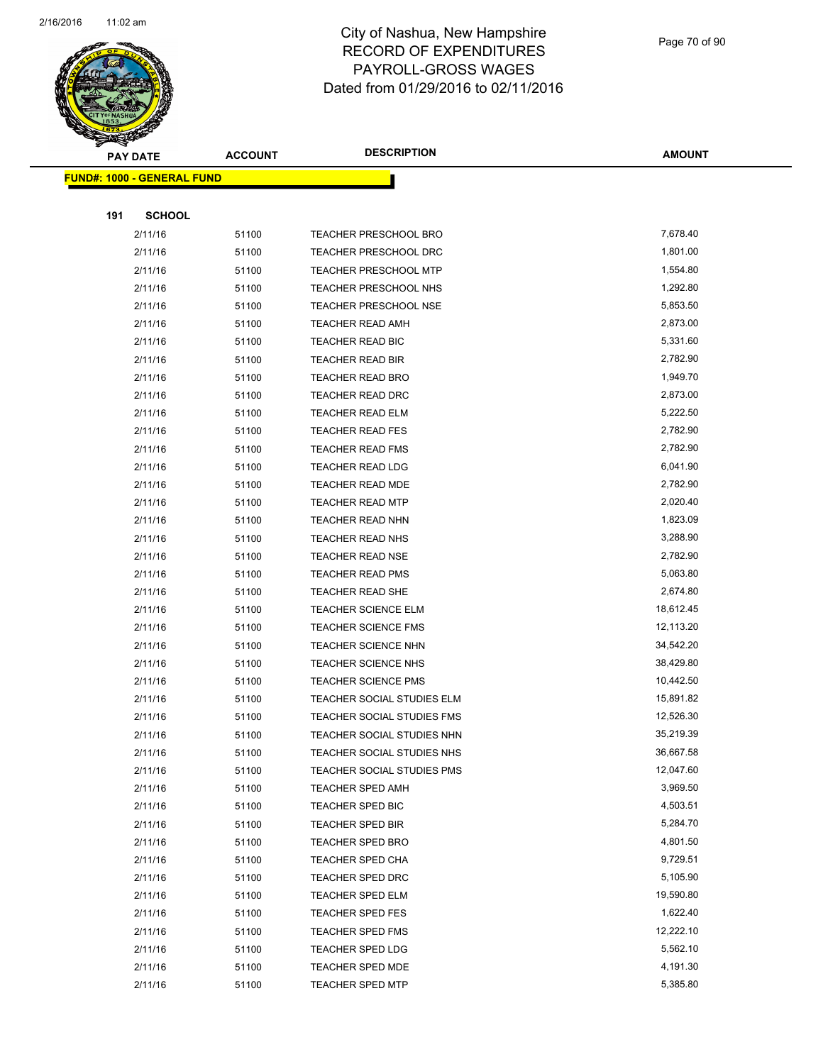

Page 70 of 90

|     | <b>PAY DATE</b>                   | <b>ACCOUNT</b> | <b>DESCRIPTION</b>                                       | <b>AMOUNT</b>          |
|-----|-----------------------------------|----------------|----------------------------------------------------------|------------------------|
|     | <b>FUND#: 1000 - GENERAL FUND</b> |                |                                                          |                        |
|     |                                   |                |                                                          |                        |
| 191 | <b>SCHOOL</b>                     |                |                                                          |                        |
|     | 2/11/16                           | 51100          | <b>TEACHER PRESCHOOL BRO</b>                             | 7,678.40               |
|     | 2/11/16                           | 51100          | TEACHER PRESCHOOL DRC                                    | 1,801.00               |
|     | 2/11/16                           | 51100          | <b>TEACHER PRESCHOOL MTP</b>                             | 1,554.80               |
|     | 2/11/16                           | 51100          | <b>TEACHER PRESCHOOL NHS</b>                             | 1,292.80               |
|     | 2/11/16                           | 51100          | TEACHER PRESCHOOL NSE                                    | 5,853.50               |
|     | 2/11/16                           | 51100          | <b>TEACHER READ AMH</b>                                  | 2,873.00               |
|     | 2/11/16                           | 51100          | TEACHER READ BIC                                         | 5,331.60               |
|     | 2/11/16                           | 51100          | TEACHER READ BIR                                         | 2,782.90               |
|     | 2/11/16                           | 51100          | <b>TEACHER READ BRO</b>                                  | 1,949.70               |
|     | 2/11/16                           | 51100          | <b>TEACHER READ DRC</b>                                  | 2,873.00               |
|     | 2/11/16                           | 51100          | <b>TEACHER READ ELM</b>                                  | 5,222.50               |
|     | 2/11/16                           | 51100          | <b>TEACHER READ FES</b>                                  | 2,782.90               |
|     | 2/11/16                           | 51100          | <b>TEACHER READ FMS</b>                                  | 2,782.90               |
|     | 2/11/16                           | 51100          | <b>TEACHER READ LDG</b>                                  | 6,041.90               |
|     | 2/11/16                           | 51100          | TEACHER READ MDE                                         | 2,782.90               |
|     | 2/11/16                           | 51100          | <b>TEACHER READ MTP</b>                                  | 2,020.40               |
|     | 2/11/16                           | 51100          | <b>TEACHER READ NHN</b>                                  | 1,823.09               |
|     | 2/11/16                           | 51100          | TEACHER READ NHS                                         | 3,288.90               |
|     | 2/11/16                           | 51100          | <b>TEACHER READ NSE</b>                                  | 2,782.90               |
|     | 2/11/16                           | 51100          | <b>TEACHER READ PMS</b>                                  | 5,063.80               |
|     | 2/11/16                           | 51100          | <b>TEACHER READ SHE</b>                                  | 2,674.80               |
|     | 2/11/16                           | 51100          | <b>TEACHER SCIENCE ELM</b>                               | 18,612.45              |
|     | 2/11/16                           | 51100          | <b>TEACHER SCIENCE FMS</b>                               | 12,113.20              |
|     | 2/11/16                           | 51100          | <b>TEACHER SCIENCE NHN</b>                               | 34,542.20              |
|     | 2/11/16                           | 51100          | TEACHER SCIENCE NHS                                      | 38,429.80              |
|     | 2/11/16                           | 51100          | <b>TEACHER SCIENCE PMS</b>                               | 10,442.50              |
|     | 2/11/16                           | 51100          | TEACHER SOCIAL STUDIES ELM                               | 15,891.82              |
|     | 2/11/16                           | 51100          | TEACHER SOCIAL STUDIES FMS                               | 12,526.30<br>35,219.39 |
|     | 2/11/16<br>2/11/16                | 51100<br>51100 | TEACHER SOCIAL STUDIES NHN<br>TEACHER SOCIAL STUDIES NHS | 36,667.58              |
|     | 2/11/16                           | 51100          | TEACHER SOCIAL STUDIES PMS                               | 12,047.60              |
|     | 2/11/16                           | 51100          | TEACHER SPED AMH                                         | 3,969.50               |
|     | 2/11/16                           | 51100          | TEACHER SPED BIC                                         | 4,503.51               |
|     | 2/11/16                           | 51100          | TEACHER SPED BIR                                         | 5,284.70               |
|     | 2/11/16                           | 51100          | <b>TEACHER SPED BRO</b>                                  | 4,801.50               |
|     | 2/11/16                           | 51100          | TEACHER SPED CHA                                         | 9,729.51               |
|     | 2/11/16                           | 51100          | <b>TEACHER SPED DRC</b>                                  | 5,105.90               |
|     | 2/11/16                           | 51100          | TEACHER SPED ELM                                         | 19,590.80              |
|     | 2/11/16                           | 51100          | <b>TEACHER SPED FES</b>                                  | 1,622.40               |
|     | 2/11/16                           | 51100          | <b>TEACHER SPED FMS</b>                                  | 12,222.10              |
|     | 2/11/16                           | 51100          | <b>TEACHER SPED LDG</b>                                  | 5,562.10               |
|     | 2/11/16                           | 51100          | <b>TEACHER SPED MDE</b>                                  | 4,191.30               |
|     | 2/11/16                           | 51100          | <b>TEACHER SPED MTP</b>                                  | 5,385.80               |
|     |                                   |                |                                                          |                        |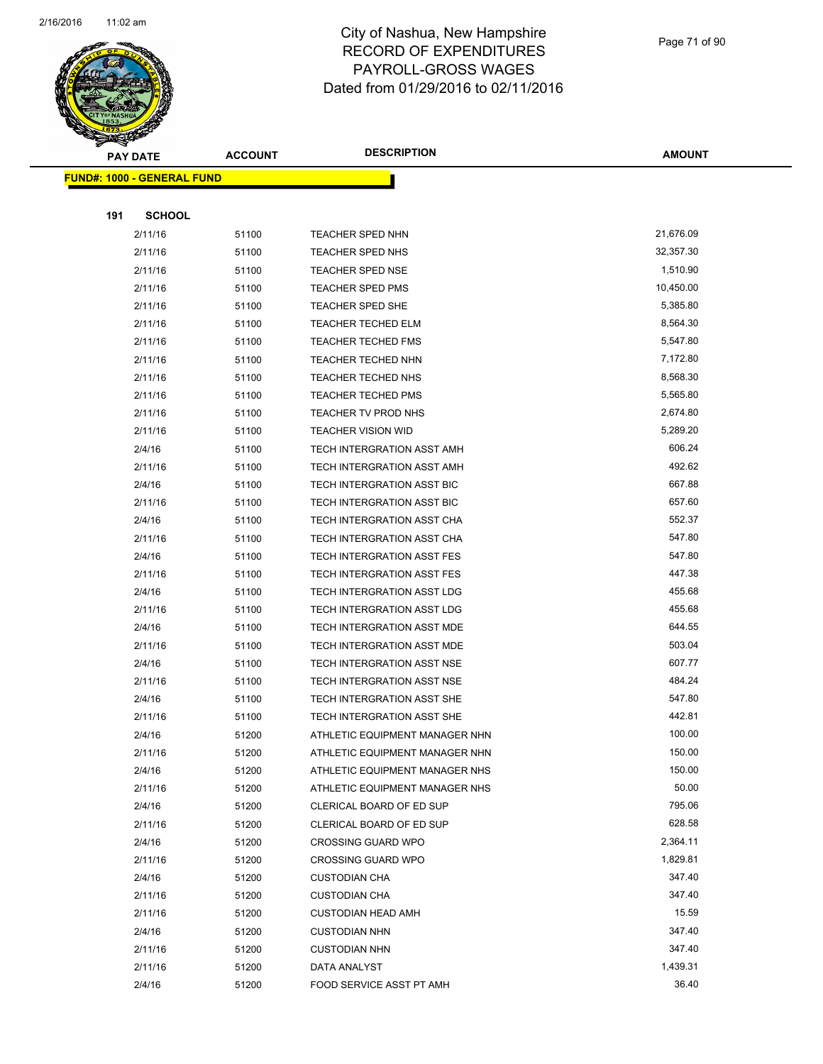

Page 71 of 90

**AMOUNT**

|     | <u> FUND#: 1000 - GENERAL FUND</u> |       |                                |           |  |
|-----|------------------------------------|-------|--------------------------------|-----------|--|
|     |                                    |       |                                |           |  |
| 191 | <b>SCHOOL</b>                      |       |                                |           |  |
|     | 2/11/16                            | 51100 | TEACHER SPED NHN               | 21,676.09 |  |
|     | 2/11/16                            | 51100 | TEACHER SPED NHS               | 32,357.30 |  |
|     | 2/11/16                            | 51100 | <b>TEACHER SPED NSE</b>        | 1,510.90  |  |
|     | 2/11/16                            | 51100 | TEACHER SPED PMS               | 10,450.00 |  |
|     | 2/11/16                            | 51100 | TEACHER SPED SHE               | 5,385.80  |  |
|     | 2/11/16                            | 51100 | <b>TEACHER TECHED ELM</b>      | 8,564.30  |  |
|     | 2/11/16                            | 51100 | <b>TEACHER TECHED FMS</b>      | 5,547.80  |  |
|     | 2/11/16                            | 51100 | TEACHER TECHED NHN             | 7,172.80  |  |
|     | 2/11/16                            | 51100 | TEACHER TECHED NHS             | 8,568.30  |  |
|     | 2/11/16                            | 51100 | <b>TEACHER TECHED PMS</b>      | 5,565.80  |  |
|     | 2/11/16                            | 51100 | TEACHER TV PROD NHS            | 2,674.80  |  |
|     | 2/11/16                            | 51100 | <b>TEACHER VISION WID</b>      | 5,289.20  |  |
|     | 2/4/16                             | 51100 | TECH INTERGRATION ASST AMH     | 606.24    |  |
|     | 2/11/16                            | 51100 | TECH INTERGRATION ASST AMH     | 492.62    |  |
|     | 2/4/16                             | 51100 | TECH INTERGRATION ASST BIC     | 667.88    |  |
|     | 2/11/16                            | 51100 | TECH INTERGRATION ASST BIC     | 657.60    |  |
|     | 2/4/16                             | 51100 | TECH INTERGRATION ASST CHA     | 552.37    |  |
|     | 2/11/16                            | 51100 | TECH INTERGRATION ASST CHA     | 547.80    |  |
|     | 2/4/16                             | 51100 | TECH INTERGRATION ASST FES     | 547.80    |  |
|     | 2/11/16                            | 51100 | TECH INTERGRATION ASST FES     | 447.38    |  |
|     | 2/4/16                             | 51100 | TECH INTERGRATION ASST LDG     | 455.68    |  |
|     | 2/11/16                            | 51100 | TECH INTERGRATION ASST LDG     | 455.68    |  |
|     | 2/4/16                             | 51100 | TECH INTERGRATION ASST MDE     | 644.55    |  |
|     | 2/11/16                            | 51100 | TECH INTERGRATION ASST MDE     | 503.04    |  |
|     | 2/4/16                             | 51100 | TECH INTERGRATION ASST NSE     | 607.77    |  |
|     | 2/11/16                            | 51100 | TECH INTERGRATION ASST NSE     | 484.24    |  |
|     | 2/4/16                             | 51100 | TECH INTERGRATION ASST SHE     | 547.80    |  |
|     | 2/11/16                            | 51100 | TECH INTERGRATION ASST SHE     | 442.81    |  |
|     | 2/4/16                             | 51200 | ATHLETIC EQUIPMENT MANAGER NHN | 100.00    |  |
|     | 2/11/16                            | 51200 | ATHLETIC EQUIPMENT MANAGER NHN | 150.00    |  |
|     | 2/4/16                             | 51200 | ATHLETIC EQUIPMENT MANAGER NHS | 150.00    |  |
|     | 2/11/16                            | 51200 | ATHLETIC EQUIPMENT MANAGER NHS | 50.00     |  |
|     | 2/4/16                             | 51200 | CLERICAL BOARD OF ED SUP       | 795.06    |  |
|     | 2/11/16                            | 51200 | CLERICAL BOARD OF ED SUP       | 628.58    |  |
|     | 2/4/16                             | 51200 | <b>CROSSING GUARD WPO</b>      | 2,364.11  |  |
|     | 2/11/16                            | 51200 | <b>CROSSING GUARD WPO</b>      | 1,829.81  |  |
|     | 2/4/16                             | 51200 | <b>CUSTODIAN CHA</b>           | 347.40    |  |
|     | 2/11/16                            | 51200 | <b>CUSTODIAN CHA</b>           | 347.40    |  |
|     | 2/11/16                            | 51200 | <b>CUSTODIAN HEAD AMH</b>      | 15.59     |  |
|     | 2/4/16                             | 51200 | <b>CUSTODIAN NHN</b>           | 347.40    |  |
|     | 2/11/16                            | 51200 | <b>CUSTODIAN NHN</b>           | 347.40    |  |
|     | 2/11/16                            | 51200 | DATA ANALYST                   | 1,439.31  |  |
|     | 2/4/16                             | 51200 | FOOD SERVICE ASST PT AMH       | 36.40     |  |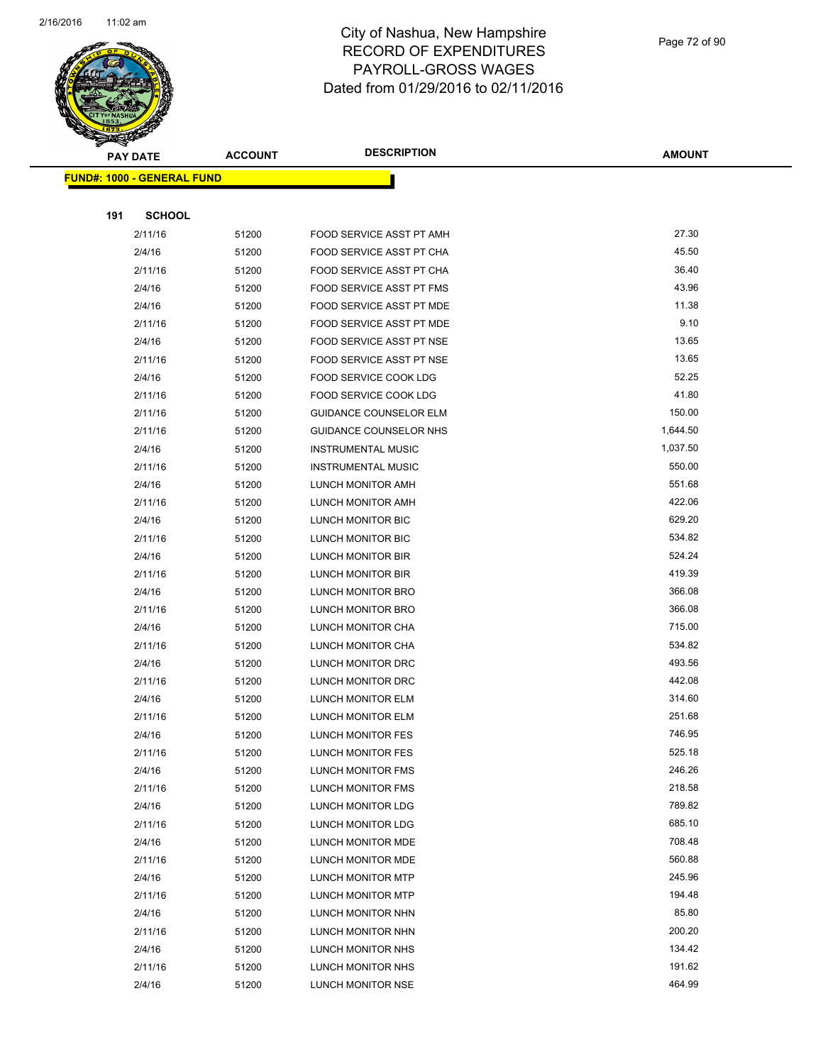

Page 72 of 90

|                                   |     | <b>PAY DATE</b>   | <b>ACCOUNT</b> | <b>DESCRIPTION</b>                            | <b>AMOUNT</b>    |
|-----------------------------------|-----|-------------------|----------------|-----------------------------------------------|------------------|
| <b>FUND#: 1000 - GENERAL FUND</b> |     |                   |                |                                               |                  |
|                                   |     |                   |                |                                               |                  |
|                                   | 191 | <b>SCHOOL</b>     |                |                                               |                  |
|                                   |     | 2/11/16           | 51200          | FOOD SERVICE ASST PT AMH                      | 27.30            |
|                                   |     | 2/4/16            | 51200          | FOOD SERVICE ASST PT CHA                      | 45.50            |
|                                   |     | 2/11/16           | 51200          | FOOD SERVICE ASST PT CHA                      | 36.40            |
|                                   |     | 2/4/16            | 51200          | FOOD SERVICE ASST PT FMS                      | 43.96            |
|                                   |     | 2/4/16            | 51200          | FOOD SERVICE ASST PT MDE                      | 11.38            |
|                                   |     | 2/11/16           | 51200          | FOOD SERVICE ASST PT MDE                      | 9.10             |
|                                   |     | 2/4/16            | 51200          | FOOD SERVICE ASST PT NSE                      | 13.65            |
|                                   |     | 2/11/16           | 51200          | FOOD SERVICE ASST PT NSE                      | 13.65            |
|                                   |     | 2/4/16            | 51200          | FOOD SERVICE COOK LDG                         | 52.25            |
|                                   |     | 2/11/16           | 51200          | FOOD SERVICE COOK LDG                         | 41.80            |
|                                   |     | 2/11/16           | 51200          | <b>GUIDANCE COUNSELOR ELM</b>                 | 150.00           |
|                                   |     | 2/11/16           | 51200          | GUIDANCE COUNSELOR NHS                        | 1,644.50         |
|                                   |     | 2/4/16            | 51200          | <b>INSTRUMENTAL MUSIC</b>                     | 1,037.50         |
|                                   |     | 2/11/16           | 51200          | <b>INSTRUMENTAL MUSIC</b>                     | 550.00           |
|                                   |     | 2/4/16            | 51200          | LUNCH MONITOR AMH                             | 551.68           |
|                                   |     | 2/11/16           | 51200          | LUNCH MONITOR AMH                             | 422.06           |
|                                   |     | 2/4/16            | 51200          | LUNCH MONITOR BIC                             | 629.20           |
|                                   |     | 2/11/16           | 51200          | LUNCH MONITOR BIC                             | 534.82           |
|                                   |     | 2/4/16            | 51200          | LUNCH MONITOR BIR                             | 524.24           |
|                                   |     | 2/11/16           | 51200          | LUNCH MONITOR BIR                             | 419.39           |
|                                   |     | 2/4/16            | 51200          | LUNCH MONITOR BRO                             | 366.08           |
|                                   |     | 2/11/16           | 51200          | LUNCH MONITOR BRO                             | 366.08           |
|                                   |     | 2/4/16            | 51200          | LUNCH MONITOR CHA                             | 715.00           |
|                                   |     | 2/11/16           | 51200          | LUNCH MONITOR CHA                             | 534.82           |
|                                   |     | 2/4/16            | 51200          | LUNCH MONITOR DRC                             | 493.56<br>442.08 |
|                                   |     | 2/11/16           | 51200          | LUNCH MONITOR DRC                             | 314.60           |
|                                   |     | 2/4/16<br>2/11/16 | 51200          | LUNCH MONITOR ELM<br><b>LUNCH MONITOR ELM</b> | 251.68           |
|                                   |     | 2/4/16            | 51200          | LUNCH MONITOR FES                             | 746.95           |
|                                   |     | 2/11/16           | 51200<br>51200 | LUNCH MONITOR FES                             | 525.18           |
|                                   |     | 2/4/16            | 51200          | LUNCH MONITOR FMS                             | 246.26           |
|                                   |     | 2/11/16           | 51200          | LUNCH MONITOR FMS                             | 218.58           |
|                                   |     | 2/4/16            | 51200          | LUNCH MONITOR LDG                             | 789.82           |
|                                   |     | 2/11/16           | 51200          | LUNCH MONITOR LDG                             | 685.10           |
|                                   |     | 2/4/16            | 51200          | LUNCH MONITOR MDE                             | 708.48           |
|                                   |     | 2/11/16           | 51200          | LUNCH MONITOR MDE                             | 560.88           |
|                                   |     | 2/4/16            | 51200          | <b>LUNCH MONITOR MTP</b>                      | 245.96           |
|                                   |     | 2/11/16           | 51200          | LUNCH MONITOR MTP                             | 194.48           |
|                                   |     | 2/4/16            | 51200          | LUNCH MONITOR NHN                             | 85.80            |
|                                   |     | 2/11/16           | 51200          | LUNCH MONITOR NHN                             | 200.20           |
|                                   |     | 2/4/16            | 51200          | LUNCH MONITOR NHS                             | 134.42           |
|                                   |     | 2/11/16           | 51200          | LUNCH MONITOR NHS                             | 191.62           |
|                                   |     | 2/4/16            | 51200          | LUNCH MONITOR NSE                             | 464.99           |
|                                   |     |                   |                |                                               |                  |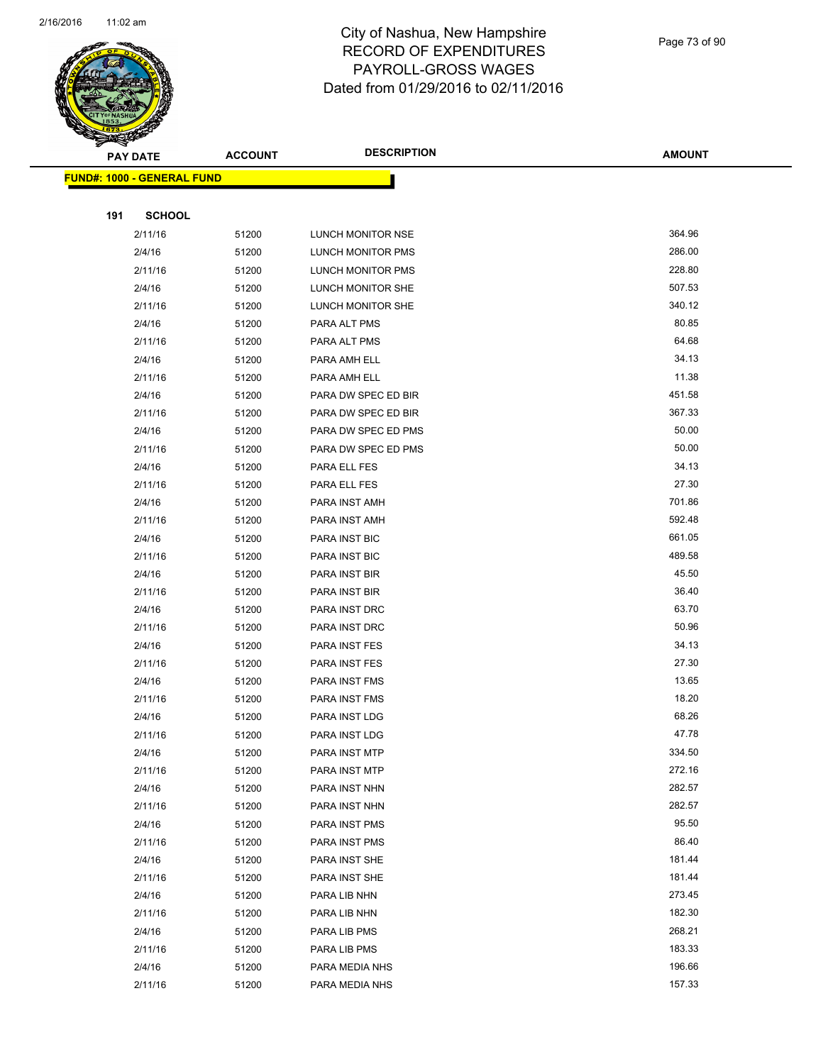

Page 73 of 90

| <b>PAY DATE</b>                   |               | <b>ACCOUNT</b> | <b>DESCRIPTION</b>  | <b>AMOUNT</b> |
|-----------------------------------|---------------|----------------|---------------------|---------------|
| <b>FUND#: 1000 - GENERAL FUND</b> |               |                |                     |               |
|                                   |               |                |                     |               |
| 191                               | <b>SCHOOL</b> |                |                     |               |
|                                   | 2/11/16       | 51200          | LUNCH MONITOR NSE   | 364.96        |
|                                   | 2/4/16        | 51200          | LUNCH MONITOR PMS   | 286.00        |
|                                   | 2/11/16       | 51200          | LUNCH MONITOR PMS   | 228.80        |
|                                   | 2/4/16        | 51200          | LUNCH MONITOR SHE   | 507.53        |
|                                   | 2/11/16       | 51200          | LUNCH MONITOR SHE   | 340.12        |
|                                   | 2/4/16        | 51200          | PARA ALT PMS        | 80.85         |
|                                   | 2/11/16       | 51200          | PARA ALT PMS        | 64.68         |
|                                   | 2/4/16        | 51200          | PARA AMH ELL        | 34.13         |
|                                   | 2/11/16       | 51200          | PARA AMH ELL        | 11.38         |
|                                   | 2/4/16        | 51200          | PARA DW SPEC ED BIR | 451.58        |
|                                   | 2/11/16       | 51200          | PARA DW SPEC ED BIR | 367.33        |
|                                   | 2/4/16        | 51200          | PARA DW SPEC ED PMS | 50.00         |
|                                   | 2/11/16       | 51200          | PARA DW SPEC ED PMS | 50.00         |
|                                   | 2/4/16        | 51200          | PARA ELL FES        | 34.13         |
|                                   | 2/11/16       | 51200          | PARA ELL FES        | 27.30         |
|                                   | 2/4/16        | 51200          | PARA INST AMH       | 701.86        |
|                                   | 2/11/16       | 51200          | PARA INST AMH       | 592.48        |
|                                   | 2/4/16        | 51200          | PARA INST BIC       | 661.05        |
|                                   | 2/11/16       | 51200          | PARA INST BIC       | 489.58        |
|                                   | 2/4/16        | 51200          | PARA INST BIR       | 45.50         |
|                                   | 2/11/16       | 51200          | PARA INST BIR       | 36.40         |
|                                   | 2/4/16        | 51200          | PARA INST DRC       | 63.70         |
|                                   | 2/11/16       | 51200          | PARA INST DRC       | 50.96         |
|                                   | 2/4/16        | 51200          | PARA INST FES       | 34.13         |
|                                   | 2/11/16       | 51200          | PARA INST FES       | 27.30         |
|                                   | 2/4/16        | 51200          | PARA INST FMS       | 13.65         |
|                                   | 2/11/16       | 51200          | PARA INST FMS       | 18.20         |
|                                   | 2/4/16        | 51200          | PARA INST LDG       | 68.26         |
|                                   | 2/11/16       | 51200          | PARA INST LDG       | 47.78         |
|                                   | 2/4/16        | 51200          | PARA INST MTP       | 334.50        |
|                                   | 2/11/16       | 51200          | PARA INST MTP       | 272.16        |
|                                   | 2/4/16        | 51200          | PARA INST NHN       | 282.57        |
|                                   | 2/11/16       | 51200          | PARA INST NHN       | 282.57        |
|                                   | 2/4/16        | 51200          | PARA INST PMS       | 95.50         |
|                                   | 2/11/16       | 51200          | PARA INST PMS       | 86.40         |
|                                   | 2/4/16        | 51200          | PARA INST SHE       | 181.44        |
|                                   | 2/11/16       | 51200          | PARA INST SHE       | 181.44        |
|                                   | 2/4/16        | 51200          | PARA LIB NHN        | 273.45        |
|                                   | 2/11/16       | 51200          | PARA LIB NHN        | 182.30        |
|                                   | 2/4/16        | 51200          | PARA LIB PMS        | 268.21        |
|                                   | 2/11/16       | 51200          | PARA LIB PMS        | 183.33        |
|                                   | 2/4/16        | 51200          | PARA MEDIA NHS      | 196.66        |
|                                   | 2/11/16       | 51200          | PARA MEDIA NHS      | 157.33        |
|                                   |               |                |                     |               |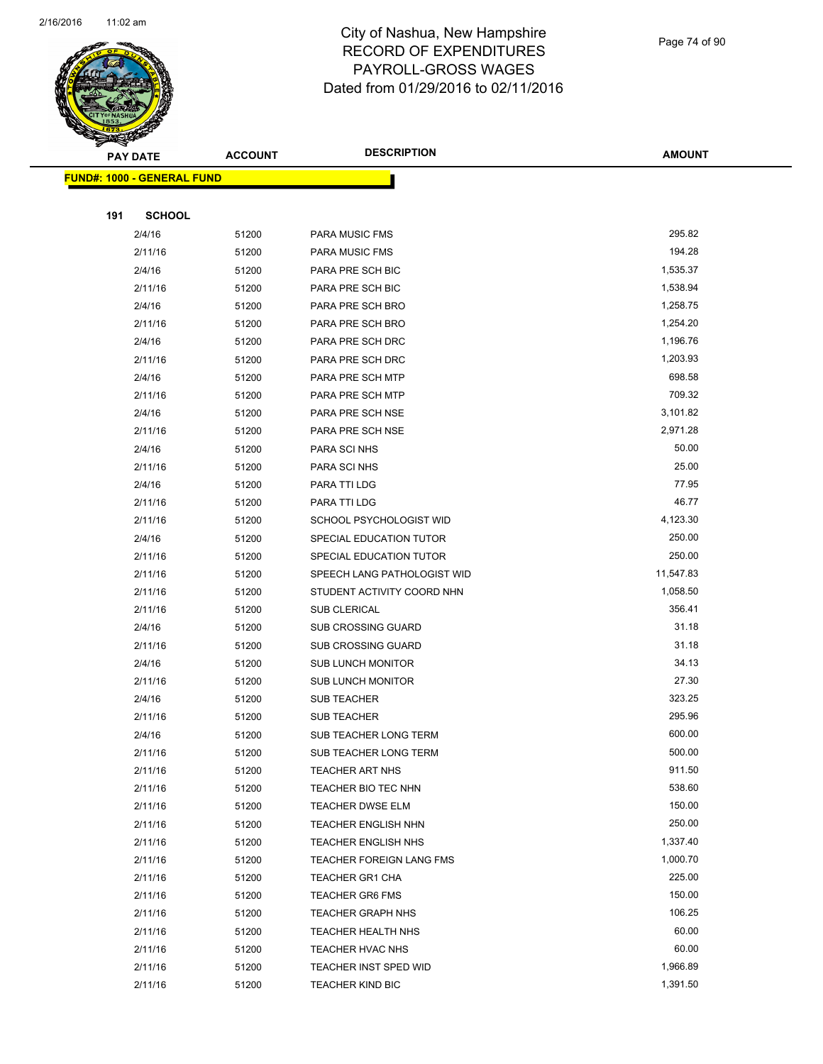

Page 74 of 90

|     | <b>PAY DATE</b>                   | <b>ACCOUNT</b> | <b>DESCRIPTION</b>                             | <b>AMOUNT</b>  |
|-----|-----------------------------------|----------------|------------------------------------------------|----------------|
|     | <b>FUND#: 1000 - GENERAL FUND</b> |                |                                                |                |
|     |                                   |                |                                                |                |
| 191 | <b>SCHOOL</b>                     |                |                                                |                |
|     | 2/4/16                            | 51200          | <b>PARA MUSIC FMS</b>                          | 295.82         |
|     | 2/11/16                           | 51200          | PARA MUSIC FMS                                 | 194.28         |
|     | 2/4/16                            | 51200          | PARA PRE SCH BIC                               | 1,535.37       |
|     | 2/11/16                           | 51200          | PARA PRE SCH BIC                               | 1,538.94       |
|     | 2/4/16                            | 51200          | PARA PRE SCH BRO                               | 1,258.75       |
|     | 2/11/16                           | 51200          | PARA PRE SCH BRO                               | 1,254.20       |
|     | 2/4/16                            | 51200          | PARA PRE SCH DRC                               | 1,196.76       |
|     | 2/11/16                           | 51200          | PARA PRE SCH DRC                               | 1,203.93       |
|     | 2/4/16                            | 51200          | PARA PRE SCH MTP                               | 698.58         |
|     | 2/11/16                           | 51200          | PARA PRE SCH MTP                               | 709.32         |
|     | 2/4/16                            | 51200          | PARA PRE SCH NSE                               | 3,101.82       |
|     | 2/11/16                           | 51200          | PARA PRE SCH NSE                               | 2,971.28       |
|     | 2/4/16                            | 51200          | PARA SCI NHS                                   | 50.00          |
|     | 2/11/16                           | 51200          | PARA SCI NHS                                   | 25.00          |
|     | 2/4/16                            | 51200          | PARA TTI LDG                                   | 77.95          |
|     | 2/11/16                           | 51200          | PARA TTI LDG                                   | 46.77          |
|     | 2/11/16                           | 51200          | SCHOOL PSYCHOLOGIST WID                        | 4,123.30       |
|     | 2/4/16                            | 51200          | SPECIAL EDUCATION TUTOR                        | 250.00         |
|     | 2/11/16                           | 51200          | SPECIAL EDUCATION TUTOR                        | 250.00         |
|     | 2/11/16                           | 51200          | SPEECH LANG PATHOLOGIST WID                    | 11,547.83      |
|     | 2/11/16                           | 51200          | STUDENT ACTIVITY COORD NHN                     | 1,058.50       |
|     | 2/11/16                           | 51200          | SUB CLERICAL                                   | 356.41         |
|     | 2/4/16                            | 51200          | SUB CROSSING GUARD                             | 31.18          |
|     | 2/11/16                           | 51200          | <b>SUB CROSSING GUARD</b>                      | 31.18<br>34.13 |
|     | 2/4/16                            | 51200          | <b>SUB LUNCH MONITOR</b>                       | 27.30          |
|     | 2/11/16<br>2/4/16                 | 51200<br>51200 | <b>SUB LUNCH MONITOR</b><br><b>SUB TEACHER</b> | 323.25         |
|     | 2/11/16                           | 51200          | <b>SUB TEACHER</b>                             | 295.96         |
|     | 2/4/16                            | 51200          | <b>SUB TEACHER LONG TERM</b>                   | 600.00         |
|     | 2/11/16                           | 51200          | SUB TEACHER LONG TERM                          | 500.00         |
|     | 2/11/16                           | 51200          | <b>TEACHER ART NHS</b>                         | 911.50         |
|     | 2/11/16                           | 51200          | TEACHER BIO TEC NHN                            | 538.60         |
|     | 2/11/16                           | 51200          | TEACHER DWSE ELM                               | 150.00         |
|     | 2/11/16                           | 51200          | <b>TEACHER ENGLISH NHN</b>                     | 250.00         |
|     | 2/11/16                           | 51200          | <b>TEACHER ENGLISH NHS</b>                     | 1,337.40       |
|     | 2/11/16                           | 51200          | TEACHER FOREIGN LANG FMS                       | 1,000.70       |
|     | 2/11/16                           | 51200          | <b>TEACHER GR1 CHA</b>                         | 225.00         |
|     | 2/11/16                           | 51200          | <b>TEACHER GR6 FMS</b>                         | 150.00         |
|     | 2/11/16                           | 51200          | <b>TEACHER GRAPH NHS</b>                       | 106.25         |
|     | 2/11/16                           | 51200          | TEACHER HEALTH NHS                             | 60.00          |
|     | 2/11/16                           | 51200          | TEACHER HVAC NHS                               | 60.00          |
|     | 2/11/16                           | 51200          | TEACHER INST SPED WID                          | 1,966.89       |
|     | 2/11/16                           | 51200          | <b>TEACHER KIND BIC</b>                        | 1,391.50       |
|     |                                   |                |                                                |                |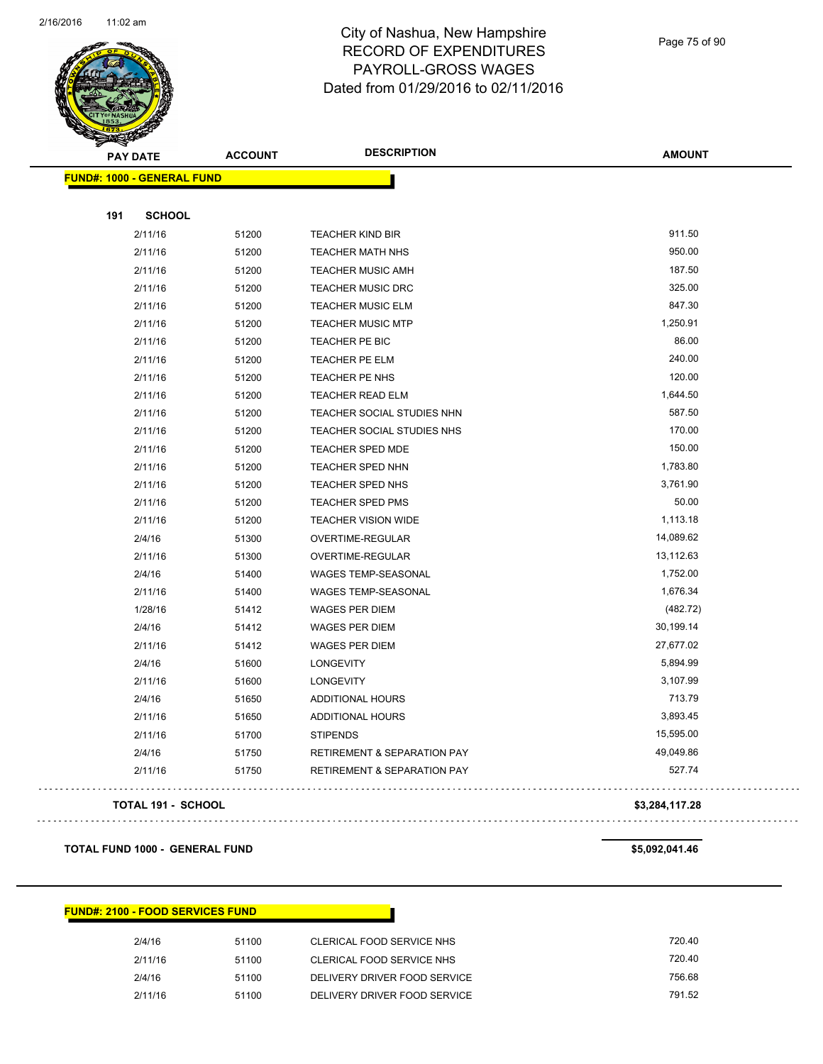

Page 75 of 90

| <b>PAY DATE</b>            | <b>ACCOUNT</b> | <b>DESCRIPTION</b>                     | <b>AMOUNT</b> |
|----------------------------|----------------|----------------------------------------|---------------|
| FUND#: 1000 - GENERAL FUND |                |                                        |               |
|                            |                |                                        |               |
| 191<br><b>SCHOOL</b>       |                |                                        |               |
| 2/11/16                    | 51200          | <b>TEACHER KIND BIR</b>                | 911.50        |
| 2/11/16                    | 51200          | TEACHER MATH NHS                       | 950.00        |
| 2/11/16                    | 51200          | <b>TEACHER MUSIC AMH</b>               | 187.50        |
| 2/11/16                    | 51200          | <b>TEACHER MUSIC DRC</b>               | 325.00        |
| 2/11/16                    | 51200          | <b>TEACHER MUSIC ELM</b>               | 847.30        |
| 2/11/16                    | 51200          | <b>TEACHER MUSIC MTP</b>               | 1,250.91      |
| 2/11/16                    | 51200          | TEACHER PE BIC                         | 86.00         |
| 2/11/16                    | 51200          | TEACHER PE ELM                         | 240.00        |
| 2/11/16                    | 51200          | TEACHER PE NHS                         | 120.00        |
| 2/11/16                    | 51200          | <b>TEACHER READ ELM</b>                | 1,644.50      |
| 2/11/16                    | 51200          | TEACHER SOCIAL STUDIES NHN             | 587.50        |
| 2/11/16                    | 51200          | TEACHER SOCIAL STUDIES NHS             | 170.00        |
| 2/11/16                    | 51200          | TEACHER SPED MDE                       | 150.00        |
| 2/11/16                    | 51200          | TEACHER SPED NHN                       | 1,783.80      |
| 2/11/16                    | 51200          | TEACHER SPED NHS                       | 3,761.90      |
| 2/11/16                    | 51200          | TEACHER SPED PMS                       | 50.00         |
| 2/11/16                    | 51200          | <b>TEACHER VISION WIDE</b>             | 1,113.18      |
| 2/4/16                     | 51300          | OVERTIME-REGULAR                       | 14,089.62     |
| 2/11/16                    | 51300          | OVERTIME-REGULAR                       | 13,112.63     |
| 2/4/16                     | 51400          | WAGES TEMP-SEASONAL                    | 1,752.00      |
| 2/11/16                    | 51400          | WAGES TEMP-SEASONAL                    | 1,676.34      |
| 1/28/16                    | 51412          | <b>WAGES PER DIEM</b>                  | (482.72)      |
| 2/4/16                     | 51412          | <b>WAGES PER DIEM</b>                  | 30,199.14     |
| 2/11/16                    | 51412          | <b>WAGES PER DIEM</b>                  | 27,677.02     |
| 2/4/16                     | 51600          | <b>LONGEVITY</b>                       | 5,894.99      |
| 2/11/16                    | 51600          | <b>LONGEVITY</b>                       | 3,107.99      |
| 2/4/16                     | 51650          | <b>ADDITIONAL HOURS</b>                | 713.79        |
| 2/11/16                    | 51650          | <b>ADDITIONAL HOURS</b>                | 3,893.45      |
| 2/11/16                    | 51700          | <b>STIPENDS</b>                        | 15,595.00     |
| 2/4/16                     | 51750          | <b>RETIREMENT &amp; SEPARATION PAY</b> | 49,049.86     |
| 2/11/16                    | 51750          | <b>RETIREMENT &amp; SEPARATION PAY</b> | 527.74        |
|                            |                |                                        |               |

**TOTAL 191 - SCHOOL \$3,284,117.28**

**TOTAL FUND 1000 - GENERAL FUND \$5,092,041.46** 

#### **FUND#: 2100 - FOOD SERVICES FUND**

| 2/4/16  | 51100 | CLERICAL FOOD SERVICE NHS    | 720.40 |
|---------|-------|------------------------------|--------|
| 2/11/16 | 51100 | CLERICAL FOOD SERVICE NHS    | 720.40 |
| 2/4/16  | 51100 | DELIVERY DRIVER FOOD SERVICE | 756.68 |
| 2/11/16 | 51100 | DELIVERY DRIVER FOOD SERVICE | 791.52 |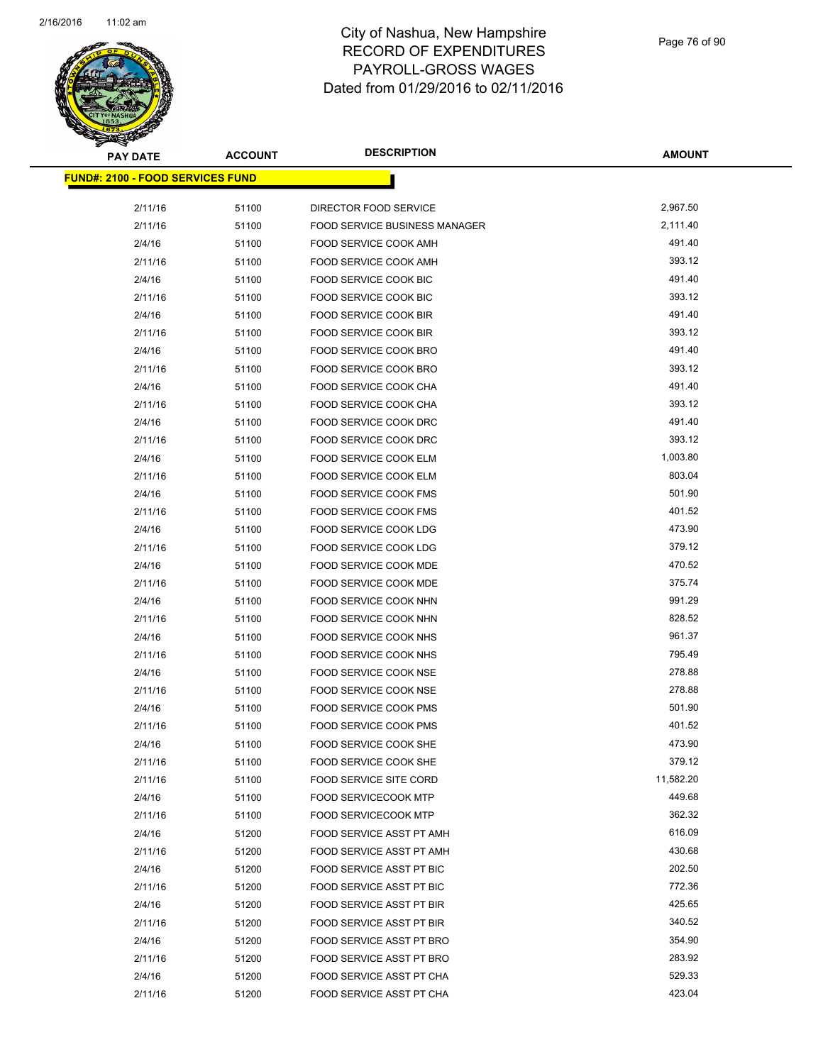

| <b>PAY DATE</b>                          | <b>ACCOUNT</b> | <b>DESCRIPTION</b>                   | <b>AMOUNT</b> |
|------------------------------------------|----------------|--------------------------------------|---------------|
| <u> FUND#: 2100 - FOOD SERVICES FUND</u> |                |                                      |               |
| 2/11/16                                  | 51100          | DIRECTOR FOOD SERVICE                | 2,967.50      |
| 2/11/16                                  | 51100          | <b>FOOD SERVICE BUSINESS MANAGER</b> | 2,111.40      |
| 2/4/16                                   | 51100          | FOOD SERVICE COOK AMH                | 491.40        |
| 2/11/16                                  | 51100          | FOOD SERVICE COOK AMH                | 393.12        |
| 2/4/16                                   | 51100          | FOOD SERVICE COOK BIC                | 491.40        |
| 2/11/16                                  | 51100          | FOOD SERVICE COOK BIC                | 393.12        |
| 2/4/16                                   | 51100          | <b>FOOD SERVICE COOK BIR</b>         | 491.40        |
| 2/11/16                                  | 51100          | FOOD SERVICE COOK BIR                | 393.12        |
| 2/4/16                                   | 51100          | FOOD SERVICE COOK BRO                | 491.40        |
| 2/11/16                                  | 51100          | FOOD SERVICE COOK BRO                | 393.12        |
| 2/4/16                                   | 51100          | FOOD SERVICE COOK CHA                | 491.40        |
| 2/11/16                                  | 51100          | FOOD SERVICE COOK CHA                | 393.12        |
| 2/4/16                                   | 51100          | FOOD SERVICE COOK DRC                | 491.40        |
| 2/11/16                                  | 51100          | FOOD SERVICE COOK DRC                | 393.12        |
| 2/4/16                                   | 51100          | FOOD SERVICE COOK ELM                | 1,003.80      |
| 2/11/16                                  | 51100          | FOOD SERVICE COOK ELM                | 803.04        |
| 2/4/16                                   | 51100          | FOOD SERVICE COOK FMS                | 501.90        |
| 2/11/16                                  | 51100          | FOOD SERVICE COOK FMS                | 401.52        |
| 2/4/16                                   | 51100          | FOOD SERVICE COOK LDG                | 473.90        |
| 2/11/16                                  | 51100          | FOOD SERVICE COOK LDG                | 379.12        |
| 2/4/16                                   | 51100          | FOOD SERVICE COOK MDE                | 470.52        |
| 2/11/16                                  | 51100          | FOOD SERVICE COOK MDE                | 375.74        |
| 2/4/16                                   | 51100          | FOOD SERVICE COOK NHN                | 991.29        |
| 2/11/16                                  | 51100          | FOOD SERVICE COOK NHN                | 828.52        |
| 2/4/16                                   | 51100          | FOOD SERVICE COOK NHS                | 961.37        |
| 2/11/16                                  | 51100          | FOOD SERVICE COOK NHS                | 795.49        |
| 2/4/16                                   | 51100          | FOOD SERVICE COOK NSE                | 278.88        |
| 2/11/16                                  | 51100          | FOOD SERVICE COOK NSE                | 278.88        |
| 2/4/16                                   | 51100          | FOOD SERVICE COOK PMS                | 501.90        |
| 2/11/16                                  | 51100          | FOOD SERVICE COOK PMS                | 401.52        |
| 2/4/16                                   | 51100          | FOOD SERVICE COOK SHE                | 473.90        |
| 2/11/16                                  | 51100          | FOOD SERVICE COOK SHE                | 379.12        |
| 2/11/16                                  | 51100          | <b>FOOD SERVICE SITE CORD</b>        | 11,582.20     |
| 2/4/16                                   | 51100          | <b>FOOD SERVICECOOK MTP</b>          | 449.68        |
| 2/11/16                                  | 51100          | <b>FOOD SERVICECOOK MTP</b>          | 362.32        |
| 2/4/16                                   | 51200          | FOOD SERVICE ASST PT AMH             | 616.09        |
| 2/11/16                                  | 51200          | FOOD SERVICE ASST PT AMH             | 430.68        |
| 2/4/16                                   | 51200          | FOOD SERVICE ASST PT BIC             | 202.50        |
| 2/11/16                                  | 51200          | <b>FOOD SERVICE ASST PT BIC</b>      | 772.36        |
| 2/4/16                                   | 51200          | FOOD SERVICE ASST PT BIR             | 425.65        |
| 2/11/16                                  | 51200          | FOOD SERVICE ASST PT BIR             | 340.52        |
| 2/4/16                                   | 51200          | FOOD SERVICE ASST PT BRO             | 354.90        |
| 2/11/16                                  | 51200          | FOOD SERVICE ASST PT BRO             | 283.92        |
| 2/4/16                                   | 51200          | FOOD SERVICE ASST PT CHA             | 529.33        |
| 2/11/16                                  | 51200          | FOOD SERVICE ASST PT CHA             | 423.04        |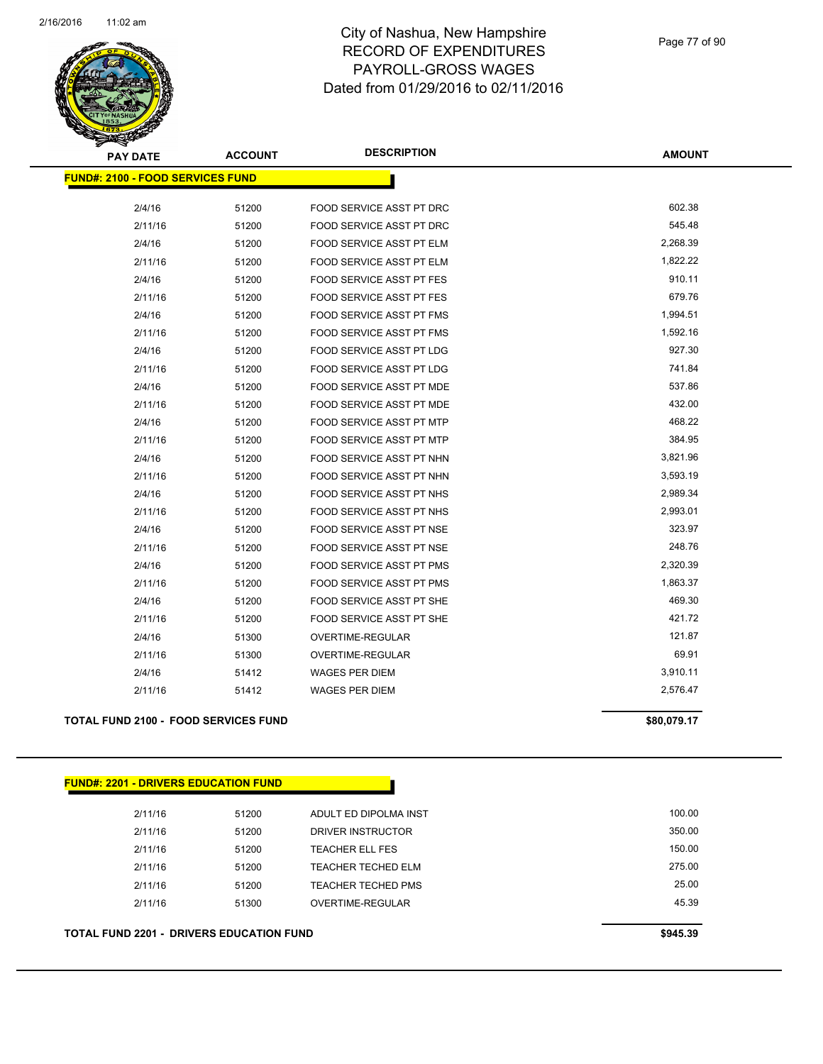

Page 77 of 90

| <b>PAY DATE</b>                             | <b>ACCOUNT</b> | <b>DESCRIPTION</b>              | <b>AMOUNT</b> |
|---------------------------------------------|----------------|---------------------------------|---------------|
| <b>FUND#: 2100 - FOOD SERVICES FUND</b>     |                |                                 |               |
| 2/4/16                                      | 51200          | FOOD SERVICE ASST PT DRC        | 602.38        |
| 2/11/16                                     | 51200          | FOOD SERVICE ASST PT DRC        | 545.48        |
| 2/4/16                                      | 51200          | FOOD SERVICE ASST PT ELM        | 2,268.39      |
| 2/11/16                                     | 51200          | <b>FOOD SERVICE ASST PT ELM</b> | 1,822.22      |
| 2/4/16                                      | 51200          | FOOD SERVICE ASST PT FES        | 910.11        |
| 2/11/16                                     | 51200          | <b>FOOD SERVICE ASST PT FES</b> | 679.76        |
| 2/4/16                                      | 51200          | <b>FOOD SERVICE ASST PT FMS</b> | 1,994.51      |
| 2/11/16                                     | 51200          | FOOD SERVICE ASST PT FMS        | 1,592.16      |
| 2/4/16                                      | 51200          | <b>FOOD SERVICE ASST PT LDG</b> | 927.30        |
| 2/11/16                                     | 51200          | <b>FOOD SERVICE ASST PT LDG</b> | 741.84        |
| 2/4/16                                      | 51200          | FOOD SERVICE ASST PT MDE        | 537.86        |
| 2/11/16                                     | 51200          | FOOD SERVICE ASST PT MDE        | 432.00        |
| 2/4/16                                      | 51200          | <b>FOOD SERVICE ASST PT MTP</b> | 468.22        |
| 2/11/16                                     | 51200          | FOOD SERVICE ASST PT MTP        | 384.95        |
| 2/4/16                                      | 51200          | FOOD SERVICE ASST PT NHN        | 3,821.96      |
| 2/11/16                                     | 51200          | FOOD SERVICE ASST PT NHN        | 3,593.19      |
| 2/4/16                                      | 51200          | FOOD SERVICE ASST PT NHS        | 2,989.34      |
| 2/11/16                                     | 51200          | FOOD SERVICE ASST PT NHS        | 2,993.01      |
| 2/4/16                                      | 51200          | <b>FOOD SERVICE ASST PT NSE</b> | 323.97        |
| 2/11/16                                     | 51200          | FOOD SERVICE ASST PT NSE        | 248.76        |
| 2/4/16                                      | 51200          | <b>FOOD SERVICE ASST PT PMS</b> | 2,320.39      |
| 2/11/16                                     | 51200          | FOOD SERVICE ASST PT PMS        | 1,863.37      |
| 2/4/16                                      | 51200          | FOOD SERVICE ASST PT SHE        | 469.30        |
| 2/11/16                                     | 51200          | <b>FOOD SERVICE ASST PT SHE</b> | 421.72        |
| 2/4/16                                      | 51300          | OVERTIME-REGULAR                | 121.87        |
| 2/11/16                                     | 51300          | OVERTIME-REGULAR                | 69.91         |
| 2/4/16                                      | 51412          | <b>WAGES PER DIEM</b>           | 3,910.11      |
| 2/11/16                                     | 51412          | <b>WAGES PER DIEM</b>           | 2,576.47      |
| <b>TOTAL FUND 2100 - FOOD SERVICES FUND</b> |                |                                 | \$80,079.17   |

| <b>FUND#: 2201 - DRIVERS EDUCATION FUND</b>     |       |                           |          |
|-------------------------------------------------|-------|---------------------------|----------|
| 2/11/16                                         | 51200 | ADULT ED DIPOLMA INST     | 100.00   |
| 2/11/16                                         | 51200 | DRIVER INSTRUCTOR         | 350.00   |
| 2/11/16                                         | 51200 | <b>TEACHER ELL FES</b>    | 150.00   |
| 2/11/16                                         | 51200 | <b>TEACHER TECHED ELM</b> | 275.00   |
| 2/11/16                                         | 51200 | TEACHER TECHED PMS        | 25.00    |
| 2/11/16                                         | 51300 | OVERTIME-REGULAR          | 45.39    |
| <b>TOTAL FUND 2201 - DRIVERS EDUCATION FUND</b> |       |                           | \$945.39 |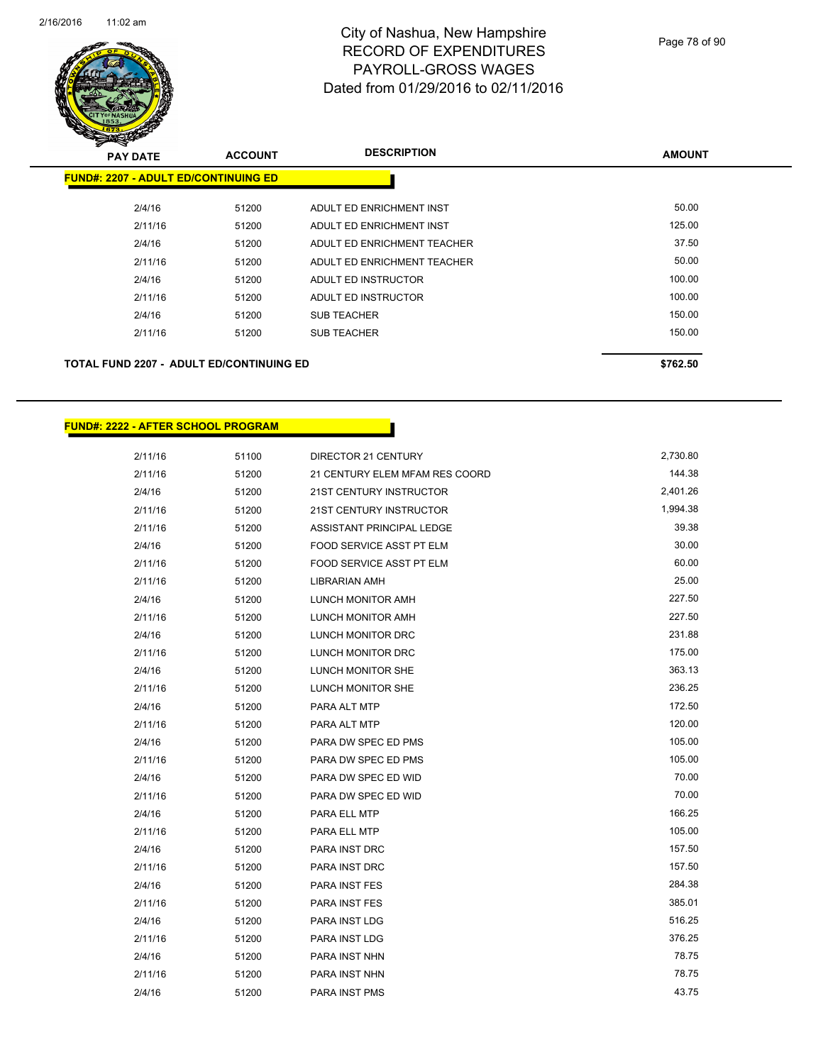

| <b>PAY DATE</b>                                 | <b>ACCOUNT</b> | <b>DESCRIPTION</b>          | <b>AMOUNT</b> |
|-------------------------------------------------|----------------|-----------------------------|---------------|
| <b>FUND#: 2207 - ADULT ED/CONTINUING ED</b>     |                |                             |               |
| 2/4/16                                          | 51200          | ADULT ED ENRICHMENT INST    | 50.00         |
| 2/11/16                                         | 51200          | ADULT ED ENRICHMENT INST    | 125.00        |
| 2/4/16                                          | 51200          | ADULT ED ENRICHMENT TEACHER | 37.50         |
| 2/11/16                                         | 51200          | ADULT ED ENRICHMENT TEACHER | 50.00         |
| 2/4/16                                          | 51200          | ADULT ED INSTRUCTOR         | 100.00        |
| 2/11/16                                         | 51200          | ADULT ED INSTRUCTOR         | 100.00        |
| 2/4/16                                          | 51200          | <b>SUB TEACHER</b>          | 150.00        |
| 2/11/16                                         | 51200          | <b>SUB TEACHER</b>          | 150.00        |
| <b>TOTAL FUND 2207 - ADULT ED/CONTINUING ED</b> |                |                             | \$762.50      |

#### **FUND#: 2222 - AFTER SCHOOL PROGRAM**

| 2/11/16 | 51100 | DIRECTOR 21 CENTURY            | 2,730.80 |
|---------|-------|--------------------------------|----------|
| 2/11/16 | 51200 | 21 CENTURY ELEM MFAM RES COORD | 144.38   |
| 2/4/16  | 51200 | 21ST CENTURY INSTRUCTOR        | 2,401.26 |
| 2/11/16 | 51200 | 21ST CENTURY INSTRUCTOR        | 1,994.38 |
| 2/11/16 | 51200 | ASSISTANT PRINCIPAL LEDGE      | 39.38    |
| 2/4/16  | 51200 | FOOD SERVICE ASST PT ELM       | 30.00    |
| 2/11/16 | 51200 | FOOD SERVICE ASST PT ELM       | 60.00    |
| 2/11/16 | 51200 | LIBRARIAN AMH                  | 25.00    |
| 2/4/16  | 51200 | LUNCH MONITOR AMH              | 227.50   |
| 2/11/16 | 51200 | LUNCH MONITOR AMH              | 227.50   |
| 2/4/16  | 51200 | LUNCH MONITOR DRC              | 231.88   |
| 2/11/16 | 51200 | LUNCH MONITOR DRC              | 175.00   |
| 2/4/16  | 51200 | LUNCH MONITOR SHE              | 363.13   |
| 2/11/16 | 51200 | LUNCH MONITOR SHE              | 236.25   |
| 2/4/16  | 51200 | PARA ALT MTP                   | 172.50   |
| 2/11/16 | 51200 | PARA ALT MTP                   | 120.00   |
| 2/4/16  | 51200 | PARA DW SPEC ED PMS            | 105.00   |
| 2/11/16 | 51200 | PARA DW SPEC ED PMS            | 105.00   |
| 2/4/16  | 51200 | PARA DW SPEC ED WID            | 70.00    |
| 2/11/16 | 51200 | PARA DW SPEC ED WID            | 70.00    |
| 2/4/16  | 51200 | PARA ELL MTP                   | 166.25   |
| 2/11/16 | 51200 | PARA ELL MTP                   | 105.00   |
| 2/4/16  | 51200 | PARA INST DRC                  | 157.50   |
| 2/11/16 | 51200 | PARA INST DRC                  | 157.50   |
| 2/4/16  | 51200 | PARA INST FES                  | 284.38   |
| 2/11/16 | 51200 | <b>PARA INST FES</b>           | 385.01   |
| 2/4/16  | 51200 | PARA INST LDG                  | 516.25   |
| 2/11/16 | 51200 | PARA INST LDG                  | 376.25   |
| 2/4/16  | 51200 | PARA INST NHN                  | 78.75    |
| 2/11/16 | 51200 | PARA INST NHN                  | 78.75    |
| 2/4/16  | 51200 | PARA INST PMS                  | 43.75    |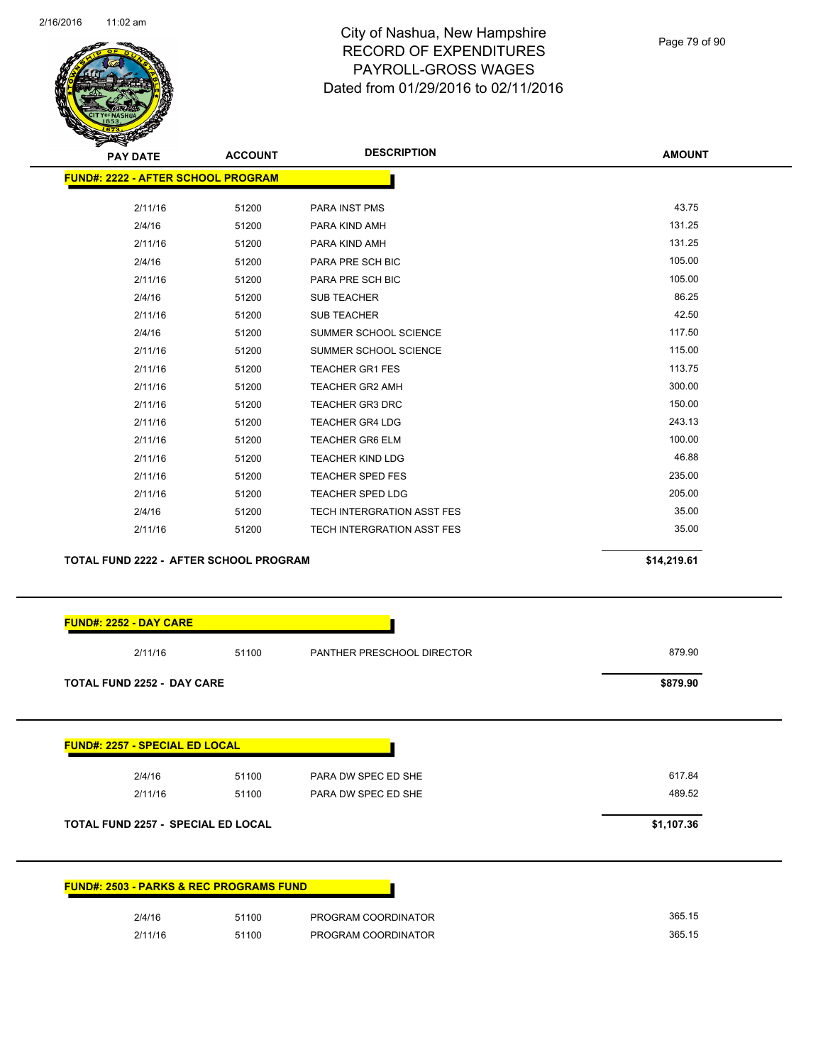

Page 79 of 90

| <b>PAY DATE</b>                           | <b>ACCOUNT</b> | <b>DESCRIPTION</b>         | <b>AMOUNT</b> |
|-------------------------------------------|----------------|----------------------------|---------------|
| <b>FUND#: 2222 - AFTER SCHOOL PROGRAM</b> |                |                            |               |
|                                           |                |                            |               |
| 2/11/16                                   | 51200          | PARA INST PMS              | 43.75         |
| 2/4/16                                    | 51200          | PARA KIND AMH              | 131.25        |
| 2/11/16                                   | 51200          | PARA KIND AMH              | 131.25        |
| 2/4/16                                    | 51200          | PARA PRE SCH BIC           | 105.00        |
| 2/11/16                                   | 51200          | PARA PRE SCH BIC           | 105.00        |
| 2/4/16                                    | 51200          | <b>SUB TEACHER</b>         | 86.25         |
| 2/11/16                                   | 51200          | SUB TEACHER                | 42.50         |
| 2/4/16                                    | 51200          | SUMMER SCHOOL SCIENCE      | 117.50        |
| 2/11/16                                   | 51200          | SUMMER SCHOOL SCIENCE      | 115.00        |
| 2/11/16                                   | 51200          | <b>TEACHER GR1 FES</b>     | 113.75        |
| 2/11/16                                   | 51200          | <b>TEACHER GR2 AMH</b>     | 300.00        |
| 2/11/16                                   | 51200          | <b>TEACHER GR3 DRC</b>     | 150.00        |
| 2/11/16                                   | 51200          | <b>TEACHER GR4 LDG</b>     | 243.13        |
| 2/11/16                                   | 51200          | <b>TEACHER GR6 ELM</b>     | 100.00        |
| 2/11/16                                   | 51200          | <b>TEACHER KIND LDG</b>    | 46.88         |
| 2/11/16                                   | 51200          | <b>TEACHER SPED FES</b>    | 235.00        |
| 2/11/16                                   | 51200          | <b>TEACHER SPED LDG</b>    | 205.00        |
| 2/4/16                                    | 51200          | TECH INTERGRATION ASST FES | 35.00         |
| 2/11/16                                   | 51200          | TECH INTERGRATION ASST FES | 35.00         |
| TOTAL FUND 2222 - AFTER SCHOOL PROGRAM    |                |                            | \$14,219.61   |
|                                           |                |                            |               |
|                                           |                |                            |               |
| <b>FUND#: 2252 - DAY CARE</b>             |                |                            |               |
| 2/11/16                                   | 51100          | PANTHER PRESCHOOL DIRECTOR | 879.90        |
| <b>TOTAL FUND 2252 - DAY CARE</b>         |                |                            | \$879.90      |

| 2/4/16                                    | 51100 | PARA DW SPEC ED SHE | 617.84     |
|-------------------------------------------|-------|---------------------|------------|
| 2/11/16                                   | 51100 | PARA DW SPEC ED SHE | 489.52     |
| <b>TOTAL FUND 2257 - SPECIAL ED LOCAL</b> |       |                     | \$1,107.36 |

| <b>FUND#: 2503 - PARKS &amp; REC PROGRAMS FUND</b> |       |                     |  |
|----------------------------------------------------|-------|---------------------|--|
| 2/4/16                                             | 51100 | PROGRAM COORDINATOR |  |
| 2/11/16                                            | 51100 | PROGRAM COORDINATOR |  |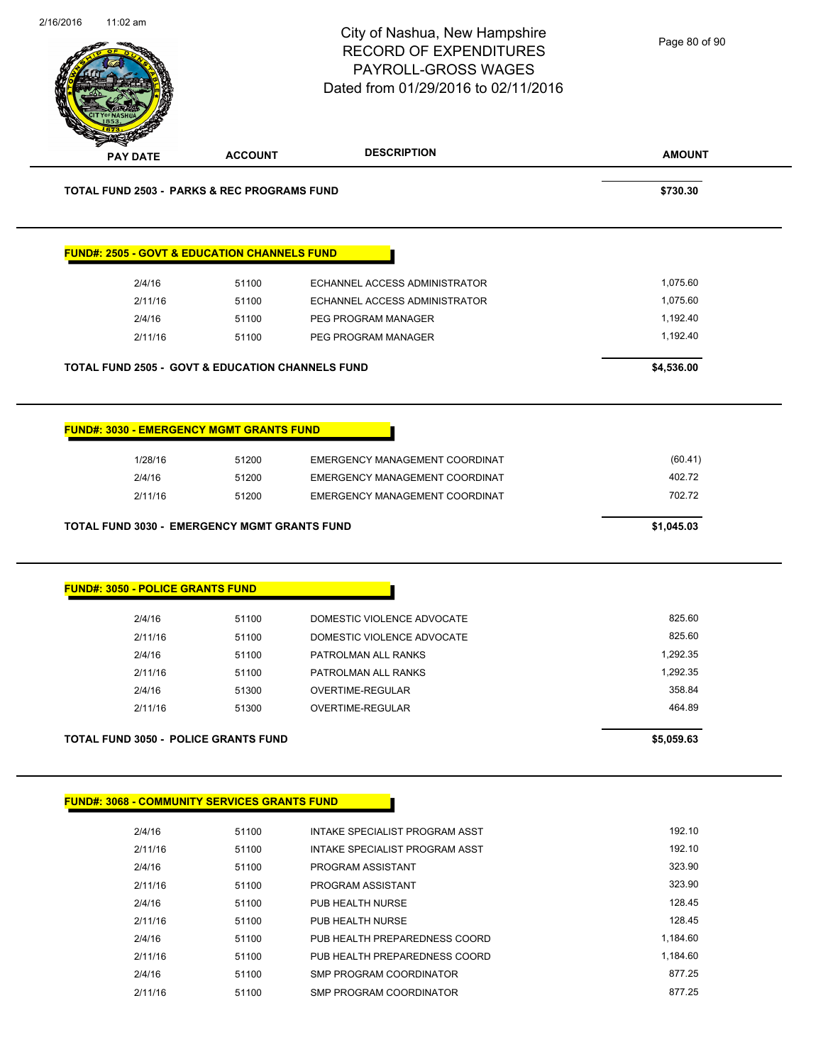| 210/2010 | TT:02 am                                |                                                             | City of Nashua, New Hampshire<br><b>RECORD OF EXPENDITURES</b><br>PAYROLL-GROSS WAGES<br>Dated from 01/29/2016 to 02/11/2016 | Page 80 of 90    |
|----------|-----------------------------------------|-------------------------------------------------------------|------------------------------------------------------------------------------------------------------------------------------|------------------|
|          | <b>PAY DATE</b>                         | <b>ACCOUNT</b>                                              | <b>DESCRIPTION</b>                                                                                                           | <b>AMOUNT</b>    |
|          |                                         | <b>TOTAL FUND 2503 - PARKS &amp; REC PROGRAMS FUND</b>      |                                                                                                                              | \$730.30         |
|          |                                         | <b>FUND#: 2505 - GOVT &amp; EDUCATION CHANNELS FUND</b>     |                                                                                                                              |                  |
|          | 2/4/16                                  | 51100                                                       | ECHANNEL ACCESS ADMINISTRATOR                                                                                                | 1,075.60         |
|          | 2/11/16                                 | 51100                                                       | ECHANNEL ACCESS ADMINISTRATOR                                                                                                | 1,075.60         |
|          | 2/4/16                                  | 51100                                                       | PEG PROGRAM MANAGER                                                                                                          | 1,192.40         |
|          | 2/11/16                                 | 51100                                                       | PEG PROGRAM MANAGER                                                                                                          | 1,192.40         |
|          |                                         | <b>TOTAL FUND 2505 - GOVT &amp; EDUCATION CHANNELS FUND</b> |                                                                                                                              | \$4,536.00       |
|          | <b>FUND#: 3050 - POLICE GRANTS FUND</b> | <b>TOTAL FUND 3030 - EMERGENCY MGMT GRANTS FUND</b>         |                                                                                                                              | \$1,045.03       |
|          |                                         |                                                             |                                                                                                                              |                  |
|          | 2/4/16<br>2/11/16                       | 51100<br>51100                                              | DOMESTIC VIOLENCE ADVOCATE<br>DOMESTIC VIOLENCE ADVOCATE                                                                     | 825.60<br>825.60 |
|          | 2/4/16                                  | 51100                                                       | PATROLMAN ALL RANKS                                                                                                          | 1,292.35         |
|          | 2/11/16                                 | 51100                                                       | PATROLMAN ALL RANKS                                                                                                          | 1,292.35         |
|          | 2/4/16                                  | 51300                                                       | OVERTIME-REGULAR                                                                                                             | 358.84           |
|          | 2/11/16                                 | 51300                                                       | OVERTIME-REGULAR                                                                                                             | 464.89           |
|          |                                         | <b>TOTAL FUND 3050 - POLICE GRANTS FUND</b>                 |                                                                                                                              | \$5,059.63       |
|          |                                         | <b>FUND#: 3068 - COMMUNITY SERVICES GRANTS FUND</b>         |                                                                                                                              |                  |
|          | 2/4/16                                  | 51100                                                       | INTAKE SPECIALIST PROGRAM ASST                                                                                               | 192.10           |
|          | 2/11/16                                 | 51100                                                       | INTAKE SPECIALIST PROGRAM ASST                                                                                               | 192.10           |
|          | 2/4/16                                  | 51100                                                       | PROGRAM ASSISTANT                                                                                                            | 323.90           |
|          | 2/11/16                                 | 51100                                                       | PROGRAM ASSISTANT                                                                                                            | 323.90           |
|          | 2/4/16                                  | 51100                                                       | PUB HEALTH NURSE                                                                                                             | 128.45           |
|          | 2/11/16                                 | 51100                                                       | PUB HEALTH NURSE                                                                                                             | 128.45           |

2/4/16 51100 PUB HEALTH PREPAREDNESS COORD 1,184.60 2/11/16 51100 PUB HEALTH PREPAREDNESS COORD 1,184.60 2/4/16 51100 SMP PROGRAM COORDINATOR 877.25 2/11/16 51100 SMP PROGRAM COORDINATOR 877.25

2/16/2016 11:02 am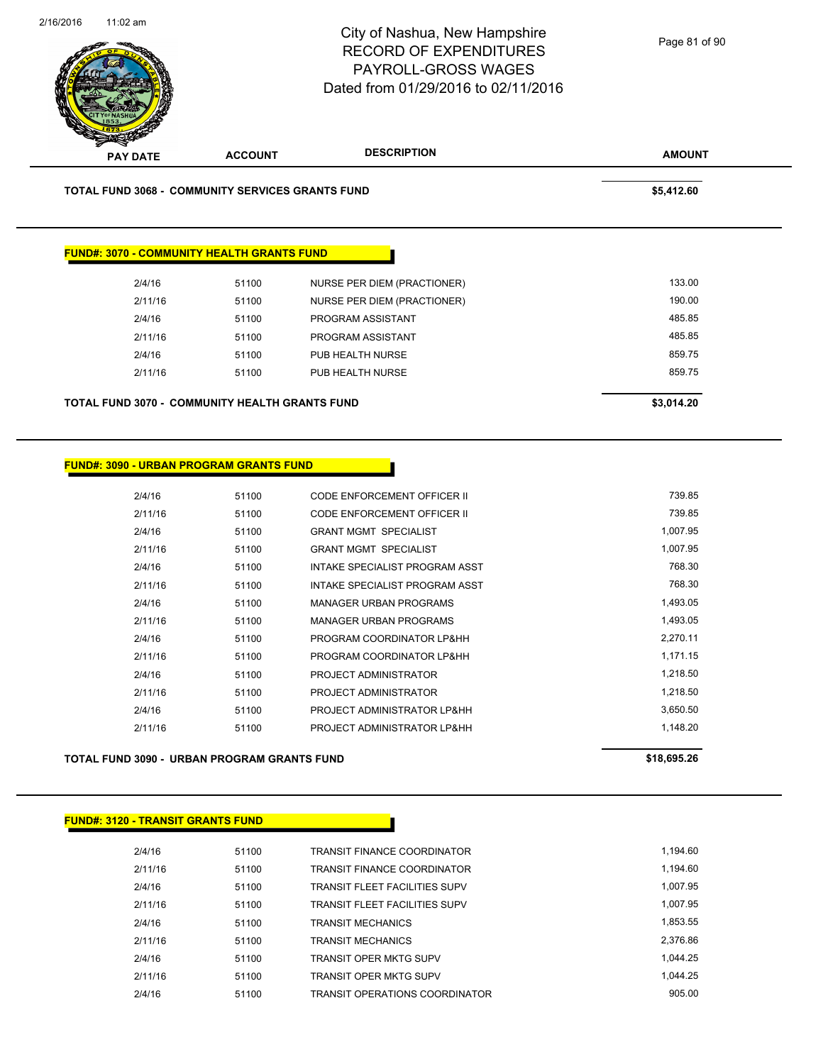

2/11/16 51100 PROGRAM ASSISTANT 485.85 2/4/16 51100 PUB HEALTH NURSE 859.75 2/11/16 51100 PUB HEALTH NURSE 859.75

**TOTAL FUND 3070 - COMMUNITY HEALTH GRANTS FUND \$3,014.20** 

|         | <u> FUND#: 3090 - URBAN PROGRAM GRANTS FUND</u> |                                    |          |
|---------|-------------------------------------------------|------------------------------------|----------|
| 2/4/16  | 51100                                           | <b>CODE ENFORCEMENT OFFICER II</b> | 739.85   |
| 2/11/16 | 51100                                           | CODE ENFORCEMENT OFFICER II        | 739.85   |
| 2/4/16  | 51100                                           | <b>GRANT MGMT SPECIALIST</b>       | 1,007.95 |
| 2/11/16 | 51100                                           | <b>GRANT MGMT SPECIALIST</b>       | 1,007.95 |
| 2/4/16  | 51100                                           | INTAKE SPECIALIST PROGRAM ASST     | 768.30   |
| 2/11/16 | 51100                                           | INTAKE SPECIALIST PROGRAM ASST     | 768.30   |
| 2/4/16  | 51100                                           | <b>MANAGER URBAN PROGRAMS</b>      | 1,493.05 |
| 2/11/16 | 51100                                           | <b>MANAGER URBAN PROGRAMS</b>      | 1,493.05 |
| 2/4/16  | 51100                                           | PROGRAM COORDINATOR LP&HH          | 2,270.11 |
| 2/11/16 | 51100                                           | PROGRAM COORDINATOR LP&HH          | 1,171.15 |
| 2/4/16  | 51100                                           | PROJECT ADMINISTRATOR              | 1,218.50 |
| 2/11/16 | 51100                                           | PROJECT ADMINISTRATOR              | 1,218.50 |
| 2/4/16  | 51100                                           | PROJECT ADMINISTRATOR LP&HH        | 3,650.50 |
| 2/11/16 | 51100                                           | PROJECT ADMINISTRATOR LP&HH        | 1,148.20 |

**TOTAL FUND 3090 - URBAN PROGRAM GRANTS FUND \$18,695.26** 

|  |  |  |  |  | <b>FUND#: 3120 - TRANSIT GRANTS FUND</b> |  |
|--|--|--|--|--|------------------------------------------|--|
|--|--|--|--|--|------------------------------------------|--|

| 2/4/16  | 51100 | TRANSIT FINANCE COORDINATOR          | 1.194.60 |
|---------|-------|--------------------------------------|----------|
| 2/11/16 | 51100 | TRANSIT FINANCE COORDINATOR          | 1,194.60 |
| 2/4/16  | 51100 | TRANSIT FLEET FACILITIES SUPV        | 1.007.95 |
| 2/11/16 | 51100 | <b>TRANSIT FLEET FACILITIES SUPV</b> | 1.007.95 |
| 2/4/16  | 51100 | <b>TRANSIT MECHANICS</b>             | 1,853.55 |
| 2/11/16 | 51100 | <b>TRANSIT MECHANICS</b>             | 2,376.86 |
| 2/4/16  | 51100 | TRANSIT OPER MKTG SUPV               | 1.044.25 |
| 2/11/16 | 51100 | TRANSIT OPER MKTG SUPV               | 1.044.25 |
| 2/4/16  | 51100 | TRANSIT OPERATIONS COORDINATOR       | 905.00   |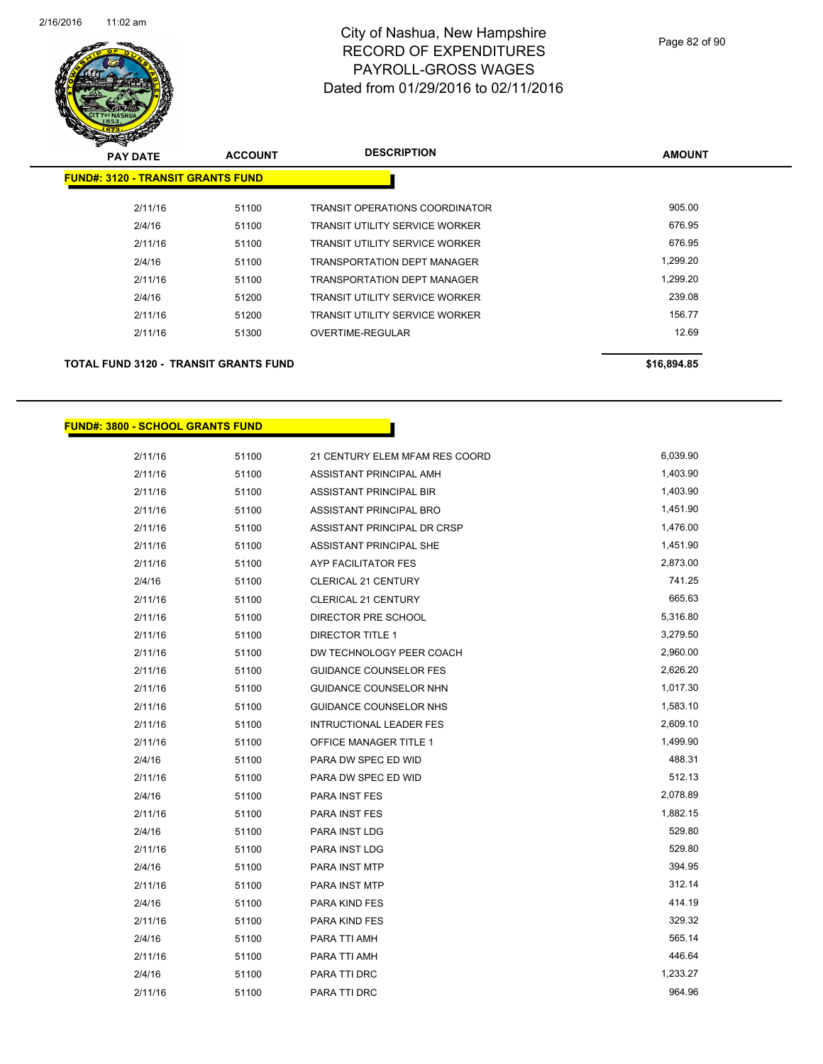

| <b>PAY DATE</b>                              | <b>ACCOUNT</b> | <b>DESCRIPTION</b>                    | <b>AMOUNT</b> |
|----------------------------------------------|----------------|---------------------------------------|---------------|
| <b>FUND#: 3120 - TRANSIT GRANTS FUND</b>     |                |                                       |               |
| 2/11/16                                      | 51100          | <b>TRANSIT OPERATIONS COORDINATOR</b> | 905.00        |
| 2/4/16                                       | 51100          | <b>TRANSIT UTILITY SERVICE WORKER</b> | 676.95        |
| 2/11/16                                      | 51100          | <b>TRANSIT UTILITY SERVICE WORKER</b> | 676.95        |
| 2/4/16                                       | 51100          | <b>TRANSPORTATION DEPT MANAGER</b>    | 1,299.20      |
| 2/11/16                                      | 51100          | <b>TRANSPORTATION DEPT MANAGER</b>    | 1,299.20      |
| 2/4/16                                       | 51200          | <b>TRANSIT UTILITY SERVICE WORKER</b> | 239.08        |
| 2/11/16                                      | 51200          | <b>TRANSIT UTILITY SERVICE WORKER</b> | 156.77        |
| 2/11/16                                      | 51300          | OVERTIME-REGULAR                      | 12.69         |
| <b>TOTAL FUND 3120 - TRANSIT GRANTS FUND</b> |                |                                       | \$16,894.85   |

#### **FUND#: 3800 - SCHOOL GRANTS FUND**

| 2/11/16 | 51100 | 21 CENTURY ELEM MFAM RES COORD | 6,039.90 |
|---------|-------|--------------------------------|----------|
| 2/11/16 | 51100 | ASSISTANT PRINCIPAL AMH        | 1,403.90 |
| 2/11/16 | 51100 | ASSISTANT PRINCIPAL BIR        | 1,403.90 |
| 2/11/16 | 51100 | ASSISTANT PRINCIPAL BRO        | 1,451.90 |
| 2/11/16 | 51100 | ASSISTANT PRINCIPAL DR CRSP    | 1,476.00 |
| 2/11/16 | 51100 | ASSISTANT PRINCIPAL SHE        | 1,451.90 |
| 2/11/16 | 51100 | AYP FACILITATOR FES            | 2,873.00 |
| 2/4/16  | 51100 | CLERICAL 21 CENTURY            | 741.25   |
| 2/11/16 | 51100 | CLERICAL 21 CENTURY            | 665.63   |
| 2/11/16 | 51100 | DIRECTOR PRE SCHOOL            | 5,316.80 |
| 2/11/16 | 51100 | <b>DIRECTOR TITLE 1</b>        | 3,279.50 |
| 2/11/16 | 51100 | DW TECHNOLOGY PEER COACH       | 2,960.00 |
| 2/11/16 | 51100 | <b>GUIDANCE COUNSELOR FES</b>  | 2,626.20 |
| 2/11/16 | 51100 | GUIDANCE COUNSELOR NHN         | 1,017.30 |
| 2/11/16 | 51100 | GUIDANCE COUNSELOR NHS         | 1,583.10 |
| 2/11/16 | 51100 | <b>INTRUCTIONAL LEADER FES</b> | 2,609.10 |
| 2/11/16 | 51100 | OFFICE MANAGER TITLE 1         | 1,499.90 |
| 2/4/16  | 51100 | PARA DW SPEC ED WID            | 488.31   |
| 2/11/16 | 51100 | PARA DW SPEC ED WID            | 512.13   |
| 2/4/16  | 51100 | <b>PARA INST FES</b>           | 2,078.89 |
| 2/11/16 | 51100 | PARA INST FES                  | 1,882.15 |
| 2/4/16  | 51100 | PARA INST LDG                  | 529.80   |
| 2/11/16 | 51100 | PARA INST LDG                  | 529.80   |
| 2/4/16  | 51100 | PARA INST MTP                  | 394.95   |
| 2/11/16 | 51100 | PARA INST MTP                  | 312.14   |
| 2/4/16  | 51100 | PARA KIND FES                  | 414.19   |
| 2/11/16 | 51100 | PARA KIND FES                  | 329.32   |
| 2/4/16  | 51100 | PARA TTI AMH                   | 565.14   |
| 2/11/16 | 51100 | PARA TTI AMH                   | 446.64   |
| 2/4/16  | 51100 | PARA TTI DRC                   | 1,233.27 |
| 2/11/16 | 51100 | PARA TTI DRC                   | 964.96   |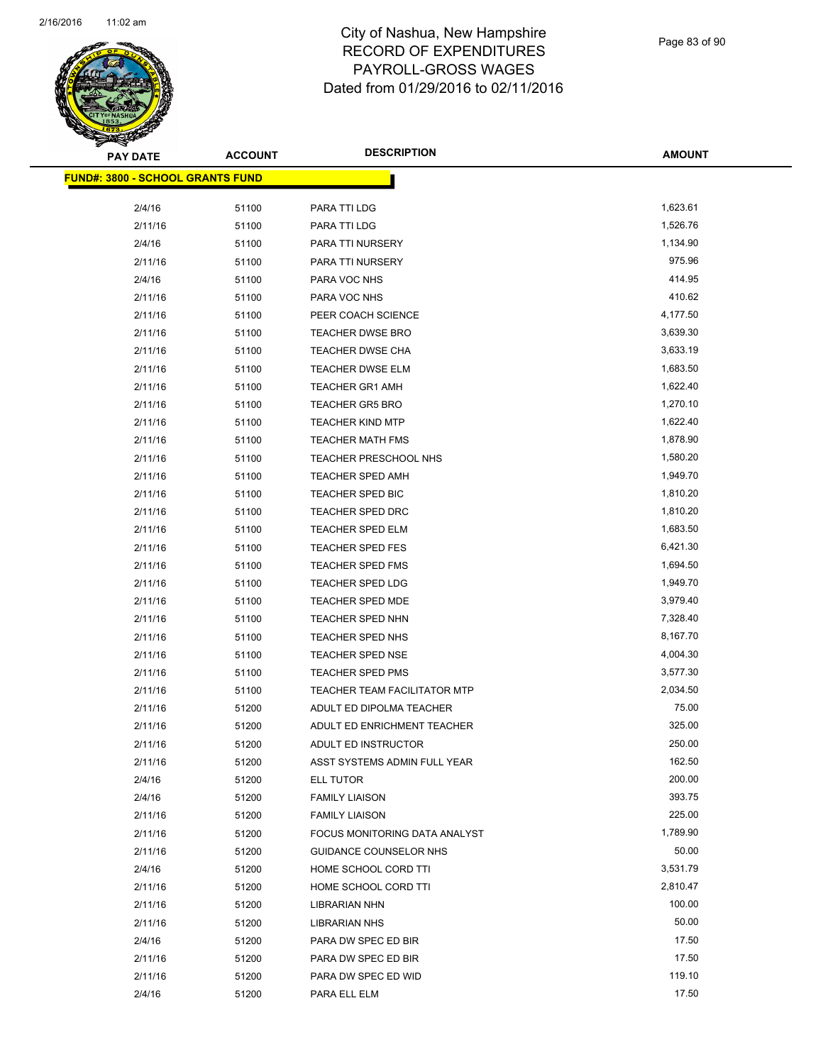

Page 83 of 90

| <b>PAY DATE</b>                         | <b>ACCOUNT</b> | <b>DESCRIPTION</b>                  | <b>AMOUNT</b> |
|-----------------------------------------|----------------|-------------------------------------|---------------|
| <b>FUND#: 3800 - SCHOOL GRANTS FUND</b> |                |                                     |               |
|                                         |                |                                     |               |
| 2/4/16                                  | 51100          | PARA TTI LDG                        | 1,623.61      |
| 2/11/16                                 | 51100          | PARA TTI LDG                        | 1,526.76      |
| 2/4/16                                  | 51100          | PARA TTI NURSERY                    | 1,134.90      |
| 2/11/16                                 | 51100          | PARA TTI NURSERY                    | 975.96        |
| 2/4/16                                  | 51100          | PARA VOC NHS                        | 414.95        |
| 2/11/16                                 | 51100          | PARA VOC NHS                        | 410.62        |
| 2/11/16                                 | 51100          | PEER COACH SCIENCE                  | 4,177.50      |
| 2/11/16                                 | 51100          | TEACHER DWSE BRO                    | 3,639.30      |
| 2/11/16                                 | 51100          | TEACHER DWSE CHA                    | 3,633.19      |
| 2/11/16                                 | 51100          | TEACHER DWSE ELM                    | 1,683.50      |
| 2/11/16                                 | 51100          | <b>TEACHER GR1 AMH</b>              | 1,622.40      |
| 2/11/16                                 | 51100          | <b>TEACHER GR5 BRO</b>              | 1,270.10      |
| 2/11/16                                 | 51100          | <b>TEACHER KIND MTP</b>             | 1,622.40      |
| 2/11/16                                 | 51100          | <b>TEACHER MATH FMS</b>             | 1,878.90      |
| 2/11/16                                 | 51100          | TEACHER PRESCHOOL NHS               | 1,580.20      |
| 2/11/16                                 | 51100          | <b>TEACHER SPED AMH</b>             | 1,949.70      |
| 2/11/16                                 | 51100          | TEACHER SPED BIC                    | 1,810.20      |
| 2/11/16                                 | 51100          | <b>TEACHER SPED DRC</b>             | 1,810.20      |
| 2/11/16                                 | 51100          | TEACHER SPED ELM                    | 1,683.50      |
| 2/11/16                                 | 51100          | <b>TEACHER SPED FES</b>             | 6,421.30      |
| 2/11/16                                 | 51100          | <b>TEACHER SPED FMS</b>             | 1,694.50      |
| 2/11/16                                 | 51100          | <b>TEACHER SPED LDG</b>             | 1,949.70      |
| 2/11/16                                 | 51100          | TEACHER SPED MDE                    | 3,979.40      |
| 2/11/16                                 | 51100          | TEACHER SPED NHN                    | 7,328.40      |
| 2/11/16                                 | 51100          | <b>TEACHER SPED NHS</b>             | 8,167.70      |
| 2/11/16                                 | 51100          | <b>TEACHER SPED NSE</b>             | 4,004.30      |
| 2/11/16                                 | 51100          | <b>TEACHER SPED PMS</b>             | 3,577.30      |
| 2/11/16                                 | 51100          | <b>TEACHER TEAM FACILITATOR MTP</b> | 2,034.50      |
| 2/11/16                                 | 51200          | ADULT ED DIPOLMA TEACHER            | 75.00         |
| 2/11/16                                 | 51200          | ADULT ED ENRICHMENT TEACHER         | 325.00        |
| 2/11/16                                 | 51200          | ADULT ED INSTRUCTOR                 | 250.00        |
| 2/11/16                                 | 51200          | ASST SYSTEMS ADMIN FULL YEAR        | 162.50        |
| 2/4/16                                  | 51200          | ELL TUTOR                           | 200.00        |
| 2/4/16                                  | 51200          | <b>FAMILY LIAISON</b>               | 393.75        |
| 2/11/16                                 | 51200          | <b>FAMILY LIAISON</b>               | 225.00        |
| 2/11/16                                 | 51200          | FOCUS MONITORING DATA ANALYST       | 1,789.90      |
| 2/11/16                                 | 51200          | GUIDANCE COUNSELOR NHS              | 50.00         |
| 2/4/16                                  | 51200          | HOME SCHOOL CORD TTI                | 3,531.79      |
| 2/11/16                                 | 51200          | HOME SCHOOL CORD TTI                | 2,810.47      |
| 2/11/16                                 | 51200          | <b>LIBRARIAN NHN</b>                | 100.00        |
| 2/11/16                                 | 51200          | <b>LIBRARIAN NHS</b>                | 50.00         |
| 2/4/16                                  | 51200          | PARA DW SPEC ED BIR                 | 17.50         |
| 2/11/16                                 | 51200          | PARA DW SPEC ED BIR                 | 17.50         |
| 2/11/16                                 | 51200          | PARA DW SPEC ED WID                 | 119.10        |
| 2/4/16                                  | 51200          | PARA ELL ELM                        | 17.50         |
|                                         |                |                                     |               |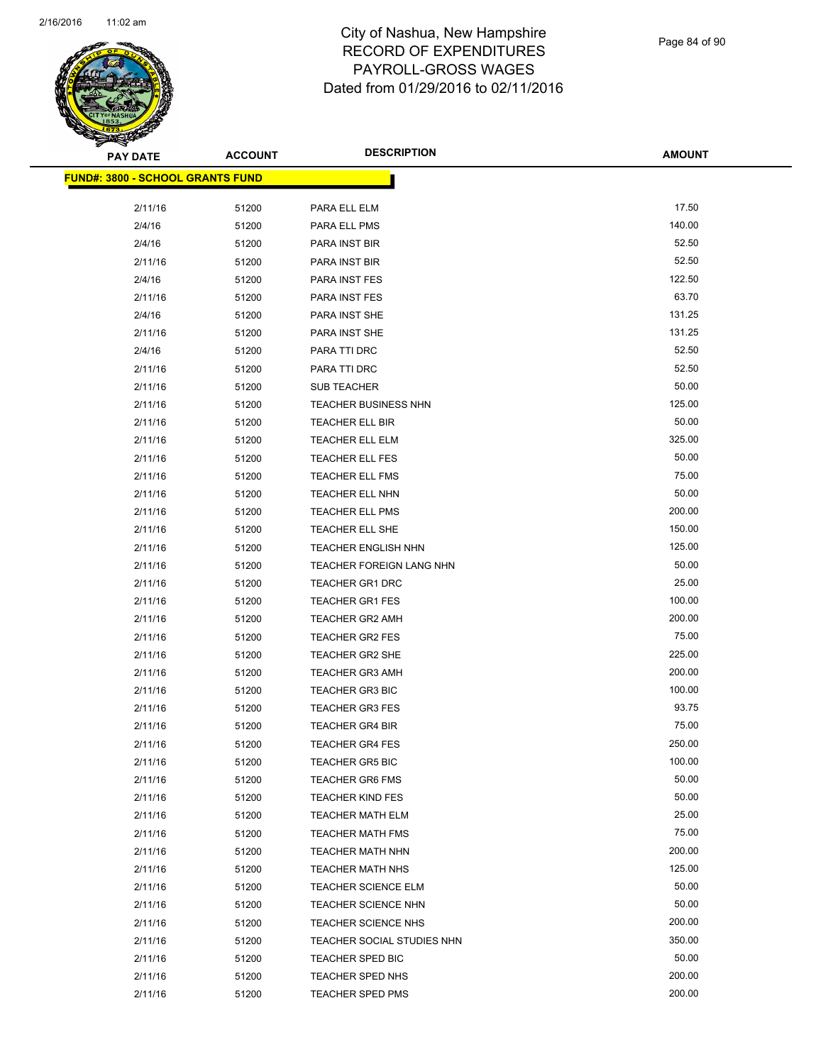

Page 84 of 90

| <b>PAY DATE</b>                         | <b>ACCOUNT</b> | <b>DESCRIPTION</b>                               | <b>AMOUNT</b>    |
|-----------------------------------------|----------------|--------------------------------------------------|------------------|
| <b>FUND#: 3800 - SCHOOL GRANTS FUND</b> |                |                                                  |                  |
|                                         |                |                                                  |                  |
| 2/11/16                                 | 51200          | PARA ELL ELM                                     | 17.50            |
| 2/4/16                                  | 51200          | PARA ELL PMS                                     | 140.00           |
| 2/4/16                                  | 51200          | PARA INST BIR                                    | 52.50            |
| 2/11/16                                 | 51200          | PARA INST BIR                                    | 52.50            |
| 2/4/16                                  | 51200          | PARA INST FES                                    | 122.50           |
| 2/11/16                                 | 51200          | PARA INST FES                                    | 63.70            |
| 2/4/16                                  | 51200          | PARA INST SHE                                    | 131.25           |
| 2/11/16                                 | 51200          | PARA INST SHE                                    | 131.25           |
| 2/4/16                                  | 51200          | PARA TTI DRC                                     | 52.50            |
| 2/11/16                                 | 51200          | PARA TTI DRC                                     | 52.50            |
| 2/11/16                                 | 51200          | <b>SUB TEACHER</b>                               | 50.00            |
| 2/11/16                                 | 51200          | <b>TEACHER BUSINESS NHN</b>                      | 125.00           |
| 2/11/16                                 | 51200          | TEACHER ELL BIR                                  | 50.00            |
| 2/11/16                                 | 51200          | <b>TEACHER ELL ELM</b>                           | 325.00           |
| 2/11/16                                 | 51200          | TEACHER ELL FES                                  | 50.00            |
| 2/11/16                                 | 51200          | TEACHER ELL FMS                                  | 75.00            |
| 2/11/16                                 | 51200          | TEACHER ELL NHN                                  | 50.00            |
| 2/11/16                                 | 51200          | <b>TEACHER ELL PMS</b>                           | 200.00           |
| 2/11/16                                 | 51200          | TEACHER ELL SHE                                  | 150.00           |
| 2/11/16                                 | 51200          | <b>TEACHER ENGLISH NHN</b>                       | 125.00           |
| 2/11/16                                 | 51200          | TEACHER FOREIGN LANG NHN                         | 50.00            |
| 2/11/16                                 | 51200          | TEACHER GR1 DRC                                  | 25.00            |
| 2/11/16                                 | 51200          | <b>TEACHER GR1 FES</b>                           | 100.00           |
| 2/11/16                                 | 51200          | <b>TEACHER GR2 AMH</b>                           | 200.00           |
| 2/11/16                                 | 51200          | <b>TEACHER GR2 FES</b>                           | 75.00<br>225.00  |
| 2/11/16                                 | 51200          | <b>TEACHER GR2 SHE</b>                           |                  |
| 2/11/16                                 | 51200          | <b>TEACHER GR3 AMH</b>                           | 200.00<br>100.00 |
| 2/11/16                                 | 51200          | TEACHER GR3 BIC                                  | 93.75            |
| 2/11/16                                 | 51200          | <b>TEACHER GR3 FES</b><br><b>TEACHER GR4 BIR</b> | 75.00            |
| 2/11/16<br>2/11/16                      | 51200          |                                                  | 250.00           |
| 2/11/16                                 | 51200          | <b>TEACHER GR4 FES</b><br><b>TEACHER GR5 BIC</b> | 100.00           |
| 2/11/16                                 | 51200<br>51200 | <b>TEACHER GR6 FMS</b>                           | 50.00            |
| 2/11/16                                 | 51200          | <b>TEACHER KIND FES</b>                          | 50.00            |
| 2/11/16                                 | 51200          | <b>TEACHER MATH ELM</b>                          | 25.00            |
| 2/11/16                                 | 51200          | <b>TEACHER MATH FMS</b>                          | 75.00            |
| 2/11/16                                 | 51200          | TEACHER MATH NHN                                 | 200.00           |
| 2/11/16                                 | 51200          | <b>TEACHER MATH NHS</b>                          | 125.00           |
| 2/11/16                                 | 51200          | <b>TEACHER SCIENCE ELM</b>                       | 50.00            |
| 2/11/16                                 | 51200          | <b>TEACHER SCIENCE NHN</b>                       | 50.00            |
| 2/11/16                                 | 51200          | <b>TEACHER SCIENCE NHS</b>                       | 200.00           |
| 2/11/16                                 | 51200          | TEACHER SOCIAL STUDIES NHN                       | 350.00           |
| 2/11/16                                 | 51200          | TEACHER SPED BIC                                 | 50.00            |
| 2/11/16                                 | 51200          | <b>TEACHER SPED NHS</b>                          | 200.00           |
| 2/11/16                                 | 51200          | <b>TEACHER SPED PMS</b>                          | 200.00           |
|                                         |                |                                                  |                  |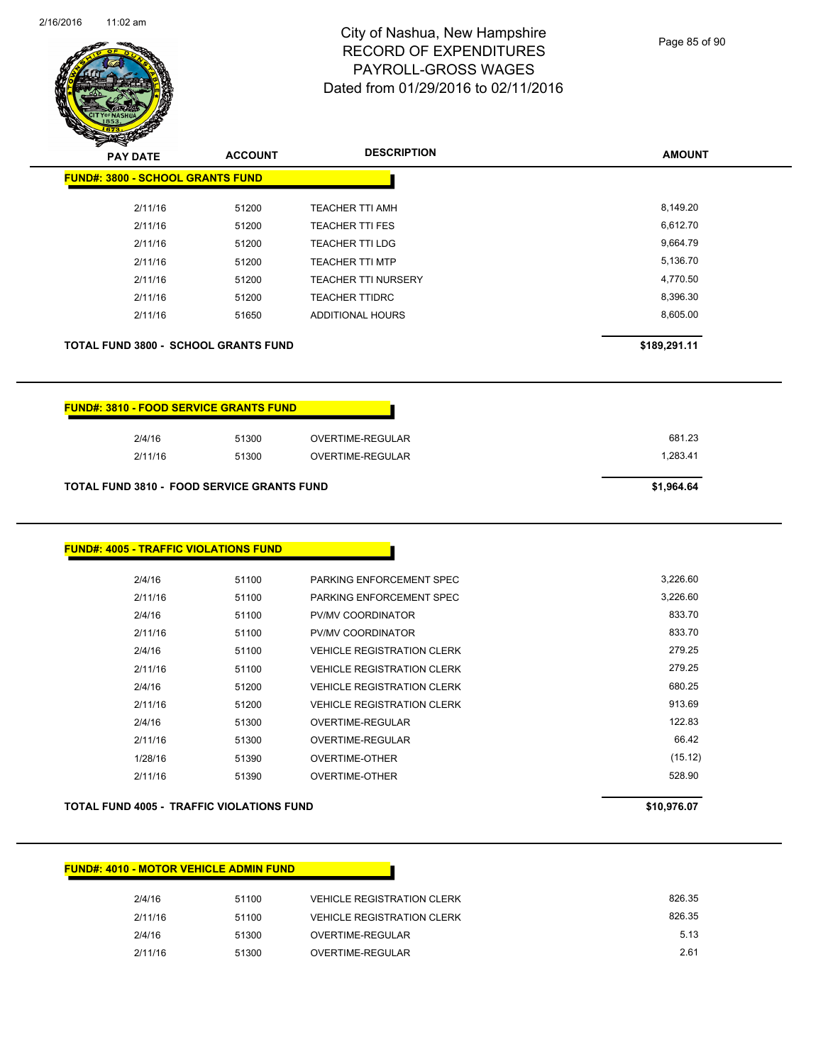

Page 85 of 90

|                                                                                                                                                             | <b>ACCOUNT</b> | <b>DESCRIPTION</b>                | <b>AMOUNT</b> |
|-------------------------------------------------------------------------------------------------------------------------------------------------------------|----------------|-----------------------------------|---------------|
| <b>FUND#: 3800 - SCHOOL GRANTS FUND</b>                                                                                                                     |                |                                   |               |
| 2/11/16                                                                                                                                                     | 51200          | <b>TEACHER TTI AMH</b>            | 8,149.20      |
| 2/11/16                                                                                                                                                     | 51200          | <b>TEACHER TTI FES</b>            | 6,612.70      |
| 2/11/16                                                                                                                                                     | 51200          | <b>TEACHER TTI LDG</b>            | 9,664.79      |
| 2/11/16                                                                                                                                                     | 51200          | <b>TEACHER TTI MTP</b>            | 5,136.70      |
| 2/11/16                                                                                                                                                     | 51200          | <b>TEACHER TTI NURSERY</b>        | 4,770.50      |
| 2/11/16                                                                                                                                                     | 51200          | <b>TEACHER TTIDRC</b>             | 8,396.30      |
| 2/11/16                                                                                                                                                     | 51650          | ADDITIONAL HOURS                  | 8,605.00      |
| <b>TOTAL FUND 3800 - SCHOOL GRANTS FUND</b>                                                                                                                 |                |                                   | \$189,291.11  |
| <b>FUND#: 3810 - FOOD SERVICE GRANTS FUND</b>                                                                                                               |                |                                   |               |
| 2/4/16                                                                                                                                                      | 51300          | OVERTIME-REGULAR                  | 681.23        |
| 2/11/16                                                                                                                                                     | 51300          | OVERTIME-REGULAR                  | 1,283.41      |
| <b>TOTAL FUND 3810 - FOOD SERVICE GRANTS FUND</b>                                                                                                           |                |                                   | \$1,964.64    |
|                                                                                                                                                             |                |                                   |               |
|                                                                                                                                                             |                |                                   |               |
| 2/4/16                                                                                                                                                      | 51100          | PARKING ENFORCEMENT SPEC          | 3,226.60      |
| 2/11/16                                                                                                                                                     | 51100          | PARKING ENFORCEMENT SPEC          | 3,226.60      |
| 2/4/16                                                                                                                                                      | 51100          | PV/MV COORDINATOR                 | 833.70        |
| 2/11/16                                                                                                                                                     | 51100          | PV/MV COORDINATOR                 | 833.70        |
| 2/4/16                                                                                                                                                      | 51100          | <b>VEHICLE REGISTRATION CLERK</b> | 279.25        |
| 2/11/16                                                                                                                                                     | 51100          | <b>VEHICLE REGISTRATION CLERK</b> | 279.25        |
| 2/4/16                                                                                                                                                      | 51200          | <b>VEHICLE REGISTRATION CLERK</b> | 680.25        |
| 2/11/16                                                                                                                                                     | 51200          | <b>VEHICLE REGISTRATION CLERK</b> | 913.69        |
| 2/4/16                                                                                                                                                      | 51300          | OVERTIME-REGULAR                  | 122.83        |
| 2/11/16                                                                                                                                                     | 51300          | OVERTIME-REGULAR                  | 66.42         |
| 1/28/16                                                                                                                                                     | 51390          | <b>OVERTIME-OTHER</b>             | (15.12)       |
| 2/11/16                                                                                                                                                     | 51390          | OVERTIME-OTHER                    | 528.90        |
|                                                                                                                                                             |                |                                   | \$10,976.07   |
|                                                                                                                                                             |                |                                   |               |
| <b>FUND#: 4005 - TRAFFIC VIOLATIONS FUND</b><br><b>TOTAL FUND 4005 - TRAFFIC VIOLATIONS FUND</b><br><b>FUND#: 4010 - MOTOR VEHICLE ADMIN FUND</b><br>2/4/16 | 51100          | <b>VEHICLE REGISTRATION CLERK</b> | 826.35        |

2/4/16 51300 OVERTIME-REGULAR 5.13 2/11/16 51300 OVERTIME-REGULAR 2.61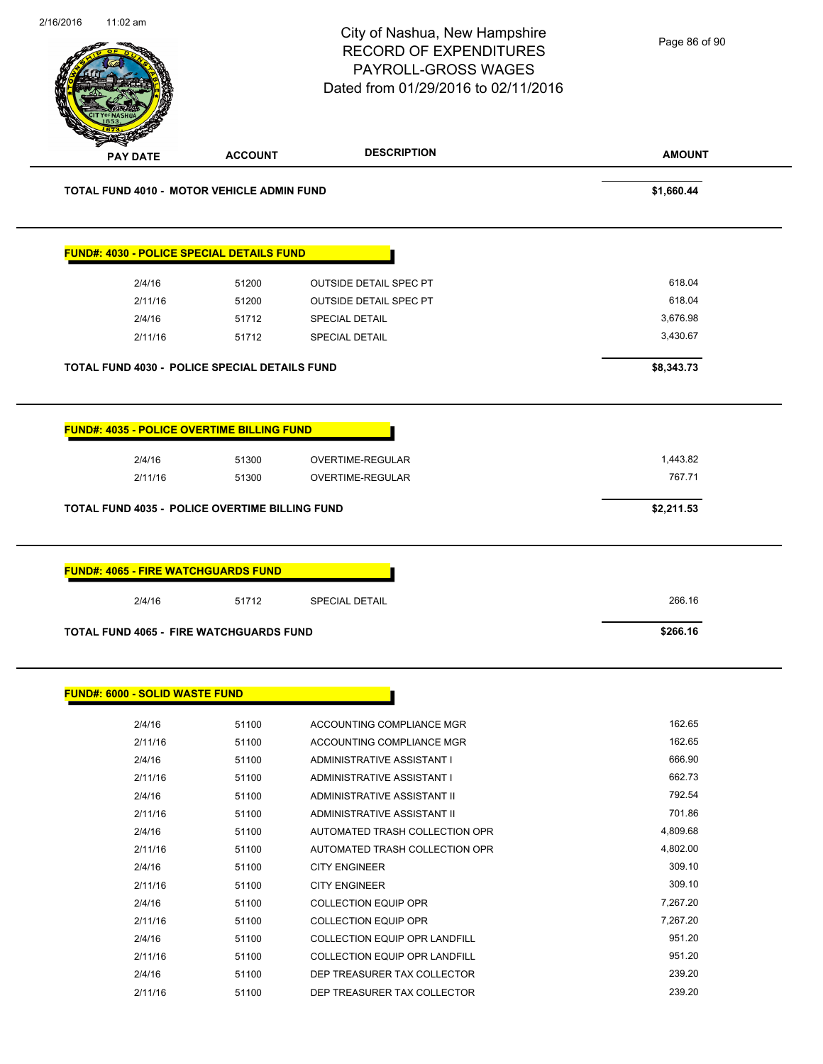|                                                           |                | City of Nashua, New Hampshire<br><b>RECORD OF EXPENDITURES</b><br>PAYROLL-GROSS WAGES<br>Dated from 01/29/2016 to 02/11/2016 | Page 86 of 90        |
|-----------------------------------------------------------|----------------|------------------------------------------------------------------------------------------------------------------------------|----------------------|
| PAY DATE                                                  | <b>ACCOUNT</b> | <b>DESCRIPTION</b>                                                                                                           | <b>AMOUNT</b>        |
| TOTAL FUND 4010 - MOTOR VEHICLE ADMIN FUND                |                |                                                                                                                              | \$1,660.44           |
| <b>FUND#: 4030 - POLICE SPECIAL DETAILS FUND</b>          |                |                                                                                                                              |                      |
| 2/4/16                                                    | 51200          | <b>OUTSIDE DETAIL SPEC PT</b>                                                                                                | 618.04               |
| 2/11/16                                                   | 51200          | OUTSIDE DETAIL SPEC PT                                                                                                       | 618.04               |
| 2/4/16                                                    | 51712          | SPECIAL DETAIL                                                                                                               | 3,676.98             |
| 2/11/16                                                   | 51712          | <b>SPECIAL DETAIL</b>                                                                                                        | 3,430.67             |
| <b>TOTAL FUND 4030 - POLICE SPECIAL DETAILS FUND</b>      |                |                                                                                                                              | \$8,343.73           |
|                                                           |                |                                                                                                                              |                      |
| 2/11/16<br>TOTAL FUND 4035 - POLICE OVERTIME BILLING FUND | 51300          | OVERTIME-REGULAR                                                                                                             | 767.71<br>\$2,211.53 |
| <b>FUND#: 4065 - FIRE WATCHGUARDS FUND</b>                |                |                                                                                                                              |                      |
| 2/4/16                                                    | 51712          | <b>SPECIAL DETAIL</b>                                                                                                        | 266.16               |
| <b>TOTAL FUND 4065 - FIRE WATCHGUARDS FUND</b>            |                |                                                                                                                              | \$266.16             |
| <b>FUND#: 6000 - SOLID WASTE FUND</b>                     |                |                                                                                                                              |                      |
|                                                           |                |                                                                                                                              | 162.65               |
| 2/4/16<br>2/11/16                                         | 51100<br>51100 | ACCOUNTING COMPLIANCE MGR<br>ACCOUNTING COMPLIANCE MGR                                                                       | 162.65               |
| 2/4/16                                                    | 51100          | ADMINISTRATIVE ASSISTANT I                                                                                                   | 666.90               |
| 2/11/16                                                   | 51100          | ADMINISTRATIVE ASSISTANT I                                                                                                   | 662.73               |
| 2/4/16                                                    | 51100          | ADMINISTRATIVE ASSISTANT II                                                                                                  | 792.54               |
| 2/11/16                                                   | 51100          | ADMINISTRATIVE ASSISTANT II                                                                                                  | 701.86               |
| 2/4/16                                                    | 51100          | AUTOMATED TRASH COLLECTION OPR                                                                                               | 4,809.68             |
| 2/11/16                                                   | 51100          | AUTOMATED TRASH COLLECTION OPR                                                                                               | 4,802.00             |
| 2/4/16                                                    | 51100          | <b>CITY ENGINEER</b>                                                                                                         | 309.10               |
| 2/11/16                                                   | 51100          | <b>CITY ENGINEER</b>                                                                                                         | 309.10               |

2/11/16 51100 COLLECTION EQUIP OPR 7,267.20 2/4/16 51100 COLLECTION EQUIP OPR LANDFILL 951.20 2/11/16 51100 COLLECTION EQUIP OPR LANDFILL 951.20 2/4/16 51100 DEP TREASURER TAX COLLECTOR 239.20 2/11/16 51100 DEP TREASURER TAX COLLECTOR 239.20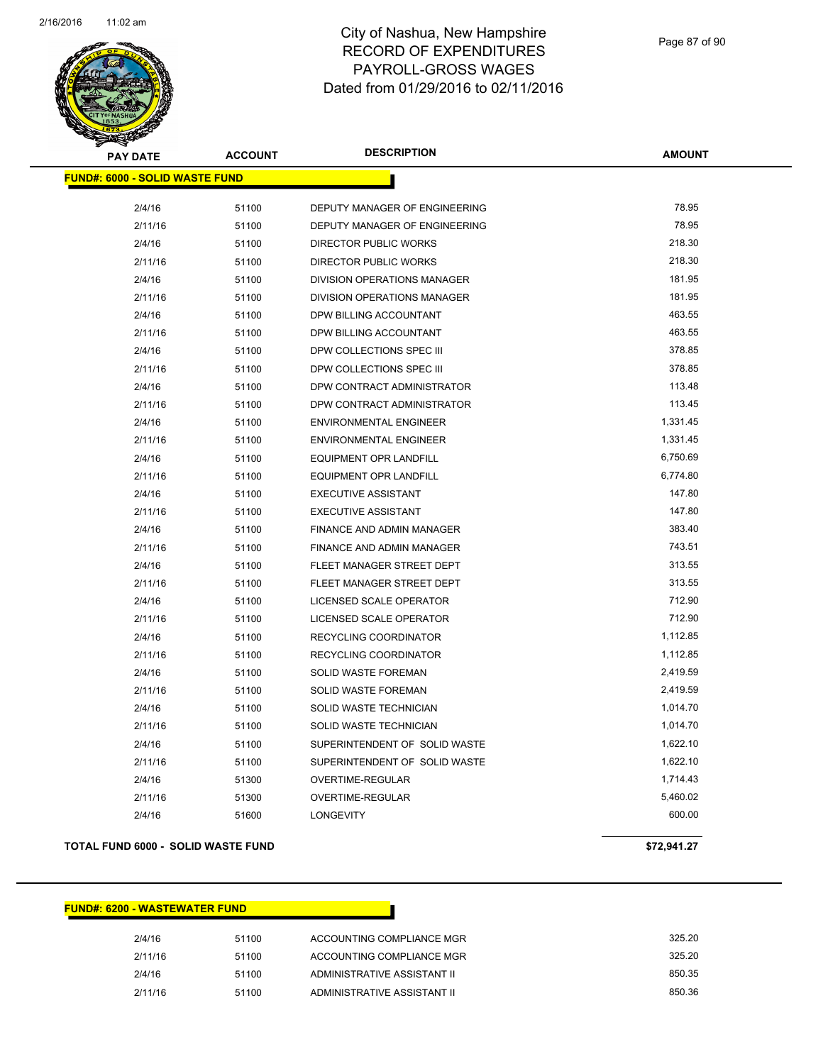

| <b>PAY DATE</b>                | <b>ACCOUNT</b> | <b>DESCRIPTION</b>            | <b>AMOUNT</b> |
|--------------------------------|----------------|-------------------------------|---------------|
| FUND#: 6000 - SOLID WASTE FUND |                |                               |               |
| 2/4/16                         | 51100          | DEPUTY MANAGER OF ENGINEERING | 78.95         |
| 2/11/16                        | 51100          | DEPUTY MANAGER OF ENGINEERING | 78.95         |
| 2/4/16                         | 51100          | <b>DIRECTOR PUBLIC WORKS</b>  | 218.30        |
| 2/11/16                        | 51100          | DIRECTOR PUBLIC WORKS         | 218.30        |
| 2/4/16                         | 51100          | DIVISION OPERATIONS MANAGER   | 181.95        |
| 2/11/16                        | 51100          | DIVISION OPERATIONS MANAGER   | 181.95        |
| 2/4/16                         | 51100          | DPW BILLING ACCOUNTANT        | 463.55        |
| 2/11/16                        | 51100          | DPW BILLING ACCOUNTANT        | 463.55        |
| 2/4/16                         | 51100          | DPW COLLECTIONS SPEC III      | 378.85        |
| 2/11/16                        | 51100          | DPW COLLECTIONS SPEC III      | 378.85        |
| 2/4/16                         | 51100          | DPW CONTRACT ADMINISTRATOR    | 113.48        |
| 2/11/16                        | 51100          | DPW CONTRACT ADMINISTRATOR    | 113.45        |
| 2/4/16                         | 51100          | <b>ENVIRONMENTAL ENGINEER</b> | 1,331.45      |
| 2/11/16                        | 51100          | <b>ENVIRONMENTAL ENGINEER</b> | 1,331.45      |
| 2/4/16                         | 51100          | <b>EQUIPMENT OPR LANDFILL</b> | 6,750.69      |
| 2/11/16                        | 51100          | <b>EQUIPMENT OPR LANDFILL</b> | 6,774.80      |
| 2/4/16                         | 51100          | <b>EXECUTIVE ASSISTANT</b>    | 147.80        |
| 2/11/16                        | 51100          | <b>EXECUTIVE ASSISTANT</b>    | 147.80        |
| 2/4/16                         | 51100          | FINANCE AND ADMIN MANAGER     | 383.40        |
| 2/11/16                        | 51100          | FINANCE AND ADMIN MANAGER     | 743.51        |
| 2/4/16                         | 51100          | FLEET MANAGER STREET DEPT     | 313.55        |
| 2/11/16                        | 51100          | FLEET MANAGER STREET DEPT     | 313.55        |
| 2/4/16                         | 51100          | LICENSED SCALE OPERATOR       | 712.90        |
| 2/11/16                        | 51100          | LICENSED SCALE OPERATOR       | 712.90        |
| 2/4/16                         | 51100          | RECYCLING COORDINATOR         | 1,112.85      |
| 2/11/16                        | 51100          | RECYCLING COORDINATOR         | 1,112.85      |
| 2/4/16                         | 51100          | SOLID WASTE FOREMAN           | 2,419.59      |
| 2/11/16                        | 51100          | SOLID WASTE FOREMAN           | 2,419.59      |
| 2/4/16                         | 51100          | SOLID WASTE TECHNICIAN        | 1,014.70      |
| 2/11/16                        | 51100          | SOLID WASTE TECHNICIAN        | 1,014.70      |
| 2/4/16                         | 51100          | SUPERINTENDENT OF SOLID WASTE | 1,622.10      |
| 2/11/16                        | 51100          | SUPERINTENDENT OF SOLID WASTE | 1,622.10      |
| 2/4/16                         | 51300          | OVERTIME-REGULAR              | 1,714.43      |
| 2/11/16                        | 51300          | OVERTIME-REGULAR              | 5,460.02      |
| 2/4/16                         | 51600          | <b>LONGEVITY</b>              | 600.00        |
|                                |                |                               |               |

#### **TOTAL FUND 6000 - SOLID WASTE FUND \$72,941.27**

| 2/4/16  | 51100 | ACCOUNTING COMPLIANCE MGR   | 325.20 |
|---------|-------|-----------------------------|--------|
| 2/11/16 | 51100 | ACCOUNTING COMPLIANCE MGR   | 325.20 |
| 2/4/16  | 51100 | ADMINISTRATIVE ASSISTANT II | 850.35 |
| 2/11/16 | 51100 | ADMINISTRATIVE ASSISTANT II | 850.36 |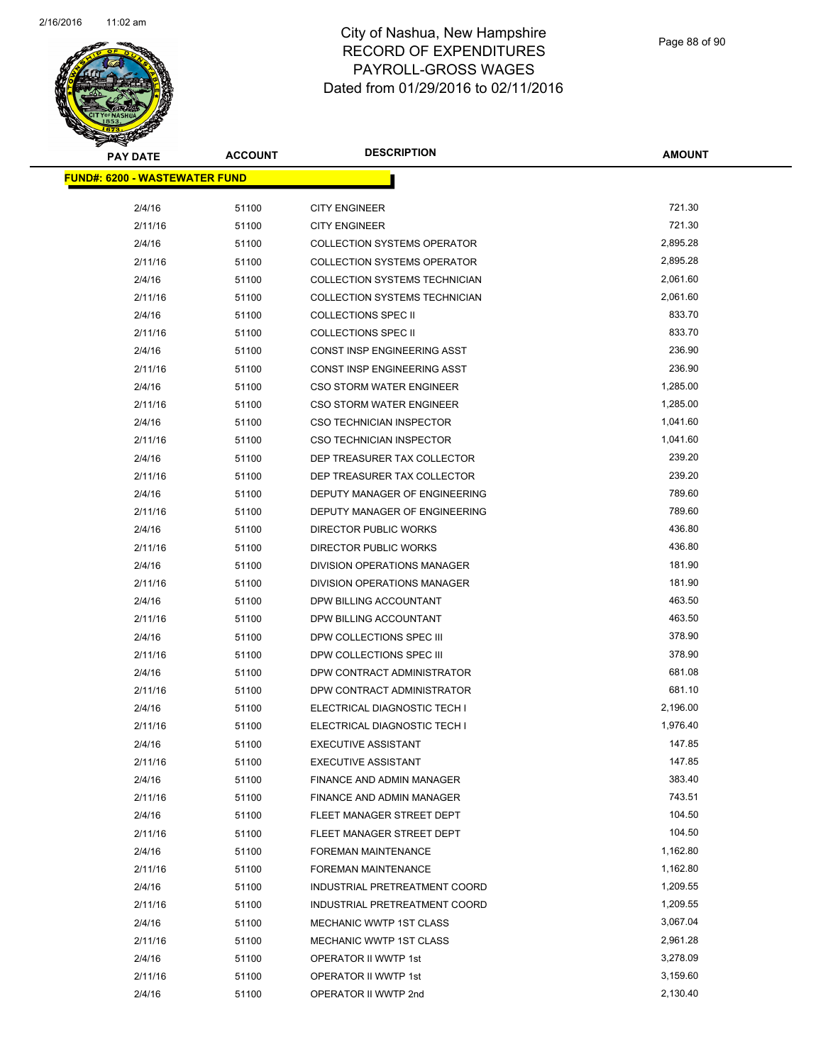

| <b>PAY DATE</b>                       | <b>ACCOUNT</b> | <b>DESCRIPTION</b>                   | <b>AMOUNT</b> |
|---------------------------------------|----------------|--------------------------------------|---------------|
| <u> FUND#: 6200 - WASTEWATER FUND</u> |                |                                      |               |
|                                       |                |                                      |               |
| 2/4/16                                | 51100          | <b>CITY ENGINEER</b>                 | 721.30        |
| 2/11/16                               | 51100          | <b>CITY ENGINEER</b>                 | 721.30        |
| 2/4/16                                | 51100          | <b>COLLECTION SYSTEMS OPERATOR</b>   | 2,895.28      |
| 2/11/16                               | 51100          | <b>COLLECTION SYSTEMS OPERATOR</b>   | 2,895.28      |
| 2/4/16                                | 51100          | COLLECTION SYSTEMS TECHNICIAN        | 2,061.60      |
| 2/11/16                               | 51100          | <b>COLLECTION SYSTEMS TECHNICIAN</b> | 2,061.60      |
| 2/4/16                                | 51100          | <b>COLLECTIONS SPEC II</b>           | 833.70        |
| 2/11/16                               | 51100          | <b>COLLECTIONS SPEC II</b>           | 833.70        |
| 2/4/16                                | 51100          | CONST INSP ENGINEERING ASST          | 236.90        |
| 2/11/16                               | 51100          | CONST INSP ENGINEERING ASST          | 236.90        |
| 2/4/16                                | 51100          | <b>CSO STORM WATER ENGINEER</b>      | 1,285.00      |
| 2/11/16                               | 51100          | CSO STORM WATER ENGINEER             | 1,285.00      |
| 2/4/16                                | 51100          | CSO TECHNICIAN INSPECTOR             | 1,041.60      |
| 2/11/16                               | 51100          | <b>CSO TECHNICIAN INSPECTOR</b>      | 1,041.60      |
| 2/4/16                                | 51100          | DEP TREASURER TAX COLLECTOR          | 239.20        |
| 2/11/16                               | 51100          | DEP TREASURER TAX COLLECTOR          | 239.20        |
| 2/4/16                                | 51100          | DEPUTY MANAGER OF ENGINEERING        | 789.60        |
| 2/11/16                               | 51100          | DEPUTY MANAGER OF ENGINEERING        | 789.60        |
| 2/4/16                                | 51100          | DIRECTOR PUBLIC WORKS                | 436.80        |
| 2/11/16                               | 51100          | DIRECTOR PUBLIC WORKS                | 436.80        |
| 2/4/16                                | 51100          | DIVISION OPERATIONS MANAGER          | 181.90        |
| 2/11/16                               | 51100          | DIVISION OPERATIONS MANAGER          | 181.90        |
| 2/4/16                                | 51100          | DPW BILLING ACCOUNTANT               | 463.50        |
| 2/11/16                               | 51100          | DPW BILLING ACCOUNTANT               | 463.50        |
| 2/4/16                                | 51100          | DPW COLLECTIONS SPEC III             | 378.90        |
| 2/11/16                               | 51100          | DPW COLLECTIONS SPEC III             | 378.90        |
| 2/4/16                                | 51100          | DPW CONTRACT ADMINISTRATOR           | 681.08        |
| 2/11/16                               | 51100          | DPW CONTRACT ADMINISTRATOR           | 681.10        |
| 2/4/16                                | 51100          | ELECTRICAL DIAGNOSTIC TECH I         | 2,196.00      |
| 2/11/16                               | 51100          | ELECTRICAL DIAGNOSTIC TECH I         | 1,976.40      |
| 2/4/16                                | 51100          | <b>EXECUTIVE ASSISTANT</b>           | 147.85        |
| 2/11/16                               | 51100          | <b>EXECUTIVE ASSISTANT</b>           | 147.85        |
| 2/4/16                                | 51100          | <b>FINANCE AND ADMIN MANAGER</b>     | 383.40        |
| 2/11/16                               | 51100          | FINANCE AND ADMIN MANAGER            | 743.51        |
| 2/4/16                                | 51100          | FLEET MANAGER STREET DEPT            | 104.50        |
| 2/11/16                               | 51100          | FLEET MANAGER STREET DEPT            | 104.50        |
| 2/4/16                                | 51100          | FOREMAN MAINTENANCE                  | 1,162.80      |
| 2/11/16                               | 51100          | <b>FOREMAN MAINTENANCE</b>           | 1,162.80      |
| 2/4/16                                | 51100          | INDUSTRIAL PRETREATMENT COORD        | 1,209.55      |
| 2/11/16                               | 51100          | INDUSTRIAL PRETREATMENT COORD        | 1,209.55      |
| 2/4/16                                | 51100          | MECHANIC WWTP 1ST CLASS              | 3,067.04      |
| 2/11/16                               | 51100          | MECHANIC WWTP 1ST CLASS              | 2,961.28      |
| 2/4/16                                | 51100          | OPERATOR II WWTP 1st                 | 3,278.09      |
| 2/11/16                               | 51100          | OPERATOR II WWTP 1st                 | 3,159.60      |
| 2/4/16                                | 51100          | OPERATOR II WWTP 2nd                 | 2,130.40      |
|                                       |                |                                      |               |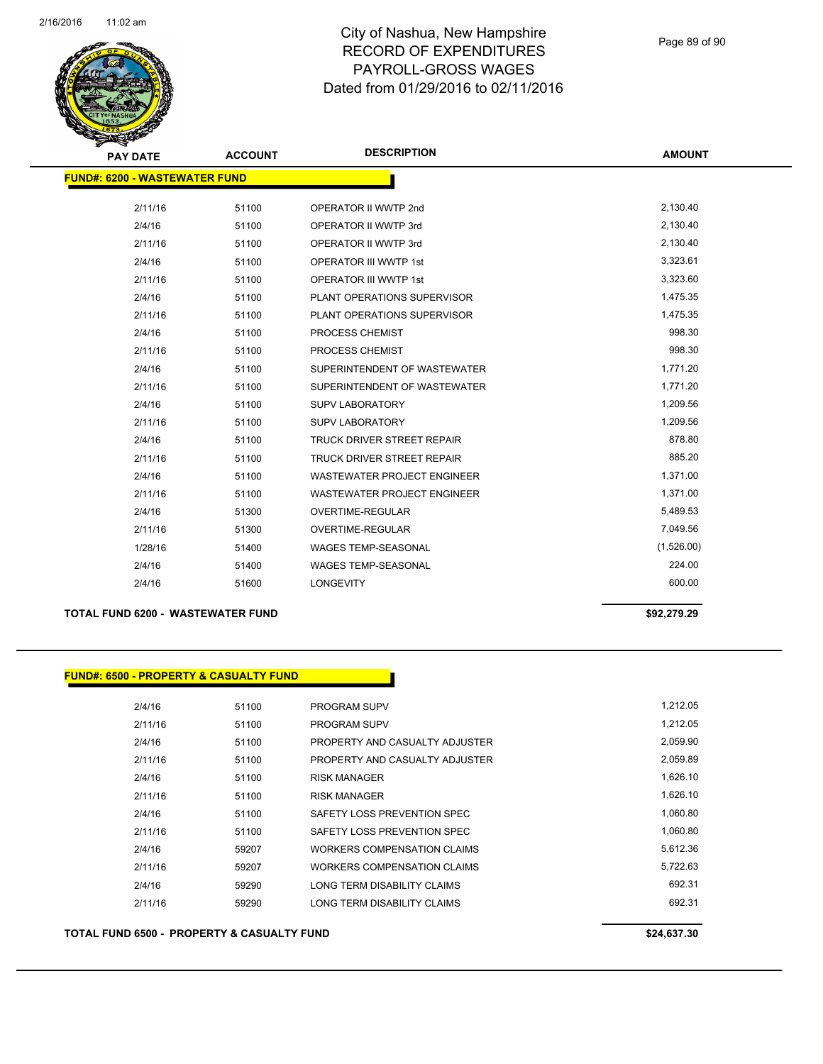

Page 89 of 90

| <b>PAY DATE</b>                      | <b>ACCOUNT</b> | <b>DESCRIPTION</b>                 | <b>AMOUNT</b> |
|--------------------------------------|----------------|------------------------------------|---------------|
| <b>FUND#: 6200 - WASTEWATER FUND</b> |                |                                    |               |
|                                      |                |                                    |               |
| 2/11/16                              | 51100          | OPERATOR II WWTP 2nd               | 2,130.40      |
| 2/4/16                               | 51100          | OPERATOR II WWTP 3rd               | 2,130.40      |
| 2/11/16                              | 51100          | OPERATOR II WWTP 3rd               | 2,130.40      |
| 2/4/16                               | 51100          | <b>OPERATOR III WWTP 1st</b>       | 3,323.61      |
| 2/11/16                              | 51100          | OPERATOR III WWTP 1st              | 3,323.60      |
| 2/4/16                               | 51100          | PLANT OPERATIONS SUPERVISOR        | 1,475.35      |
| 2/11/16                              | 51100          | PLANT OPERATIONS SUPERVISOR        | 1,475.35      |
| 2/4/16                               | 51100          | PROCESS CHEMIST                    | 998.30        |
| 2/11/16                              | 51100          | PROCESS CHEMIST                    | 998.30        |
| 2/4/16                               | 51100          | SUPERINTENDENT OF WASTEWATER       | 1,771.20      |
| 2/11/16                              | 51100          | SUPERINTENDENT OF WASTEWATER       | 1,771.20      |
| 2/4/16                               | 51100          | <b>SUPV LABORATORY</b>             | 1,209.56      |
| 2/11/16                              | 51100          | <b>SUPV LABORATORY</b>             | 1,209.56      |
| 2/4/16                               | 51100          | <b>TRUCK DRIVER STREET REPAIR</b>  | 878.80        |
| 2/11/16                              | 51100          | TRUCK DRIVER STREET REPAIR         | 885.20        |
| 2/4/16                               | 51100          | <b>WASTEWATER PROJECT ENGINEER</b> | 1,371.00      |
| 2/11/16                              | 51100          | <b>WASTEWATER PROJECT ENGINEER</b> | 1,371.00      |
| 2/4/16                               | 51300          | <b>OVERTIME-REGULAR</b>            | 5,489.53      |
| 2/11/16                              | 51300          | OVERTIME-REGULAR                   | 7,049.56      |
| 1/28/16                              | 51400          | WAGES TEMP-SEASONAL                | (1,526.00)    |
| 2/4/16                               | 51400          | <b>WAGES TEMP-SEASONAL</b>         | 224.00        |
| 2/4/16                               | 51600          | <b>LONGEVITY</b>                   | 600.00        |
|                                      |                |                                    |               |

#### **TOTAL FUND 6200 - WASTEWATER FUND \$92,279.29**

**FUND#: 6500 - PROPERTY & CASUALTY FUND**

#### **TOTAL FUND 6500 - PROPERTY & CASUALTY FUND \$24,637.30**